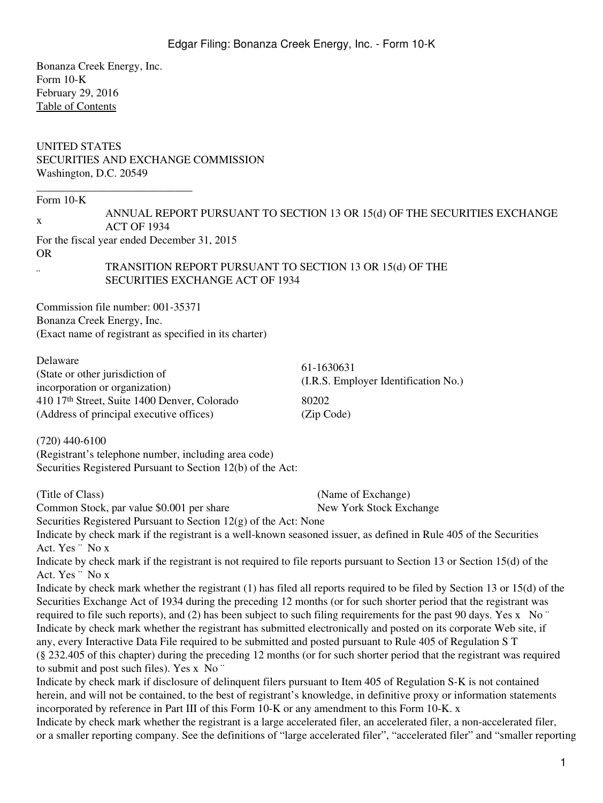Bonanza Creek Energy, Inc. Form 10-K February 29, 2016 [Table of Contents](#page-2-0)

# UNITED STATES SECURITIES AND EXCHANGE COMMISSION Washington, D.C. 20549

Form 10-K

| ANNUAL REPORT PURSUANT TO SECTION 13 OR 15(d) OF THE SECURITIES EXCHANGE |
|--------------------------------------------------------------------------|
| <b>ACT OF 1934</b>                                                       |

For the fiscal year ended December 31, 2015

\_\_\_\_\_\_\_\_\_\_\_\_\_\_\_\_\_\_\_\_\_\_\_\_\_\_\_\_

OR ¨

TRANSITION REPORT PURSUANT TO SECTION 13 OR 15(d) OF THE SECURITIES EXCHANGE ACT OF 1934

Commission file number: 001-35371 Bonanza Creek Energy, Inc. (Exact name of registrant as specified in its charter)

| Delaware                                     | 61-1630631                           |
|----------------------------------------------|--------------------------------------|
| (State or other jurisdiction of              | (I.R.S. Employer Identification No.) |
| incorporation or organization)               |                                      |
| 410 17th Street, Suite 1400 Denver, Colorado | 80202                                |
| (Address of principal executive offices)     | (Zip Code)                           |

(720) 440-6100 (Registrant's telephone number, including area code) Securities Registered Pursuant to Section 12(b) of the Act:

(Title of Class) (Name of Exchange)

Common Stock, par value \$0.001 per share New York Stock Exchange

Securities Registered Pursuant to Section 12(g) of the Act: None

Indicate by check mark if the registrant is a well-known seasoned issuer, as defined in Rule 405 of the Securities Act. Yes ¨ No x

Indicate by check mark if the registrant is not required to file reports pursuant to Section 13 or Section 15(d) of the Act. Yes ¨ No x

Indicate by check mark whether the registrant (1) has filed all reports required to be filed by Section 13 or 15(d) of the Securities Exchange Act of 1934 during the preceding 12 months (or for such shorter period that the registrant was required to file such reports), and (2) has been subject to such filing requirements for the past 90 days. Yes x No  $\degree$ Indicate by check mark whether the registrant has submitted electronically and posted on its corporate Web site, if any, every Interactive Data File required to be submitted and posted pursuant to Rule 405 of Regulation S T (§ 232.405 of this chapter) during the preceding 12 months (or for such shorter period that the registrant was required to submit and post such files). Yes x No ¨

Indicate by check mark if disclosure of delinquent filers pursuant to Item 405 of Regulation S-K is not contained herein, and will not be contained, to the best of registrant's knowledge, in definitive proxy or information statements incorporated by reference in Part III of this Form 10-K or any amendment to this Form 10-K. x

Indicate by check mark whether the registrant is a large accelerated filer, an accelerated filer, a non-accelerated filer, or a smaller reporting company. See the definitions of "large accelerated filer", "accelerated filer" and "smaller reporting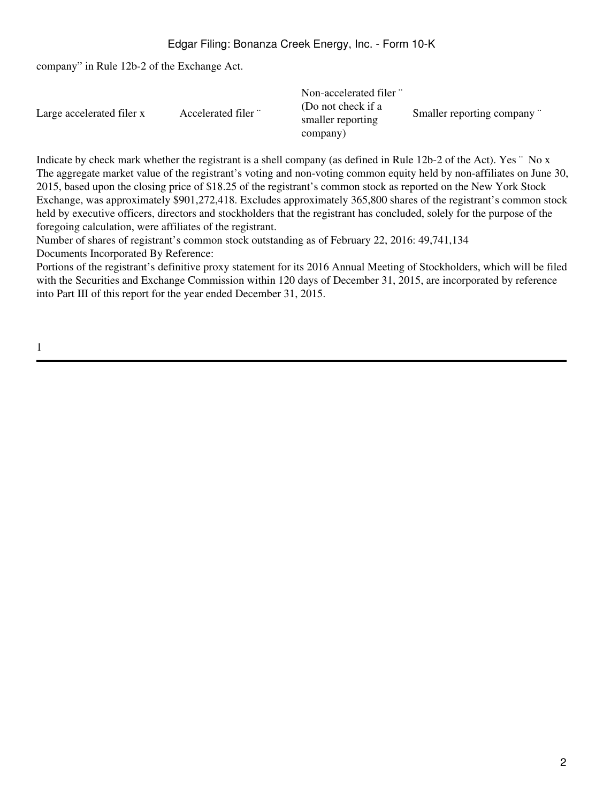company" in Rule 12b-2 of the Exchange Act.

|                           |                     | Non-accelerated filer "                 |                           |
|---------------------------|---------------------|-----------------------------------------|---------------------------|
| Large accelerated filer x | Accelerated filer " | (Do not check if a<br>smaller reporting | Smaller reporting company |
|                           |                     | company)                                |                           |

Indicate by check mark whether the registrant is a shell company (as defined in Rule 12b-2 of the Act). Yes "No x The aggregate market value of the registrant's voting and non-voting common equity held by non-affiliates on June 30, 2015, based upon the closing price of \$18.25 of the registrant's common stock as reported on the New York Stock Exchange, was approximately \$901,272,418. Excludes approximately 365,800 shares of the registrant's common stock held by executive officers, directors and stockholders that the registrant has concluded, solely for the purpose of the foregoing calculation, were affiliates of the registrant.

Number of shares of registrant's common stock outstanding as of February 22, 2016: 49,741,134 Documents Incorporated By Reference:

Portions of the registrant's definitive proxy statement for its 2016 Annual Meeting of Stockholders, which will be filed with the Securities and Exchange Commission within 120 days of December 31, 2015, are incorporated by reference into Part III of this report for the year ended December 31, 2015.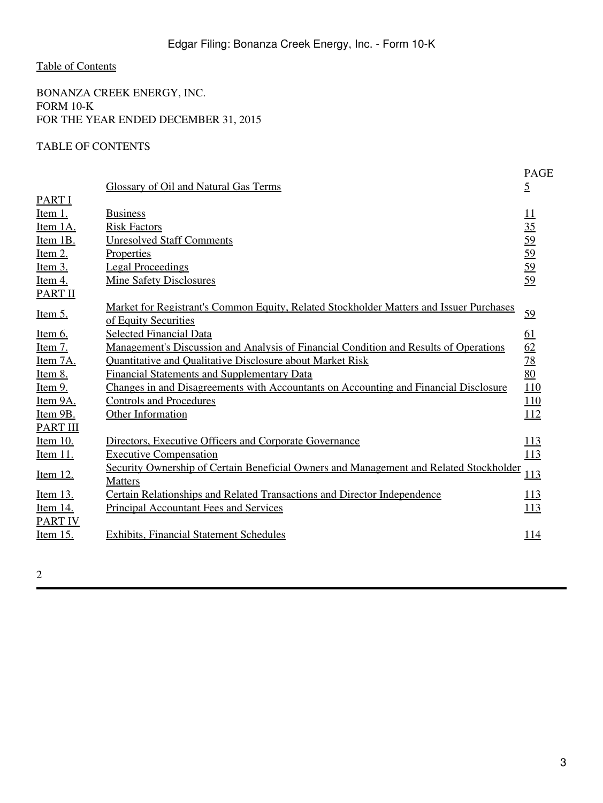<span id="page-2-0"></span>BONANZA CREEK ENERGY, INC. FORM 10-K FOR THE YEAR ENDED DECEMBER 31, 2015

# TABLE OF CONTENTS

|                                  | <b>Glossary of Oil and Natural Gas Terms</b>                                                                    | <b>PAGE</b><br>$\overline{2}$ |
|----------------------------------|-----------------------------------------------------------------------------------------------------------------|-------------------------------|
| <b>PART I</b>                    |                                                                                                                 |                               |
| <u>Item 1.</u>                   | <b>Business</b>                                                                                                 | $\overline{11}$               |
| Item 1A.<br>Item 1B.             | <b>Risk Factors</b><br><b>Unresolved Staff Comments</b>                                                         | $\frac{35}{59}$               |
| Item $2$ .                       | Properties                                                                                                      |                               |
|                                  | <b>Legal Proceedings</b>                                                                                        | 59<br>59                      |
| <u>Item 3.</u>                   | <b>Mine Safety Disclosures</b>                                                                                  | 59                            |
| <u>Item 4.</u><br><b>PART II</b> |                                                                                                                 |                               |
| <u>Item 5.</u>                   | Market for Registrant's Common Equity, Related Stockholder Matters and Issuer Purchases<br>of Equity Securities | 59                            |
| Item 6.                          | <b>Selected Financial Data</b>                                                                                  | <u>61</u>                     |
| <u>Item 7.</u>                   | <u>Management's Discussion and Analysis of Financial Condition and Results of Operations</u>                    | 62                            |
| Item 7A.                         | Quantitative and Qualitative Disclosure about Market Risk                                                       | <u>78</u>                     |
| Item 8.                          | <b>Financial Statements and Supplementary Data</b>                                                              | 80                            |
| <u>Item 9.</u>                   | Changes in and Disagreements with Accountants on Accounting and Financial Disclosure                            | 110                           |
| Item 9A.                         | <b>Controls and Procedures</b>                                                                                  | 110                           |
| Item 9B.                         | <b>Other Information</b>                                                                                        | <u>112</u>                    |
| <b>PART III</b>                  |                                                                                                                 |                               |
| <b>Item 10.</b>                  | Directors, Executive Officers and Corporate Governance                                                          | <u>113</u>                    |
| <u>Item 11.</u>                  | <b>Executive Compensation</b>                                                                                   | 113                           |
| <u>Item 12.</u>                  | Security Ownership of Certain Beneficial Owners and Management and Related Stockholder<br><b>Matters</b>        | 113                           |
| <u>Item 13.</u>                  | Certain Relationships and Related Transactions and Director Independence                                        | 113                           |
| Item 14.                         | <b>Principal Accountant Fees and Services</b>                                                                   | 113                           |
| <b>PART IV</b>                   |                                                                                                                 |                               |
| <u>Item 15.</u>                  | <b>Exhibits, Financial Statement Schedules</b>                                                                  | <u> 114</u>                   |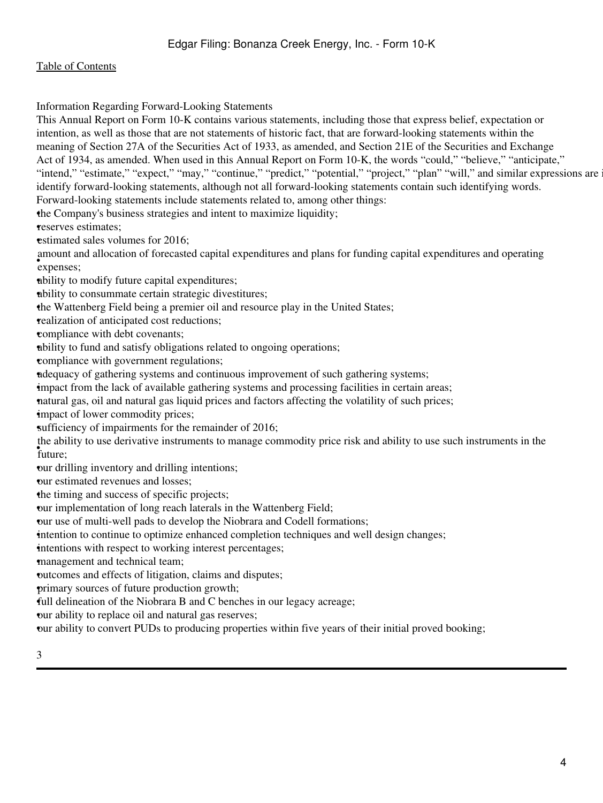Information Regarding Forward-Looking Statements

This Annual Report on Form 10-K contains various statements, including those that express belief, expectation or intention, as well as those that are not statements of historic fact, that are forward-looking statements within the meaning of Section 27A of the Securities Act of 1933, as amended, and Section 21E of the Securities and Exchange Act of 1934, as amended. When used in this Annual Report on Form 10-K, the words "could," "believe," "anticipate," "intend," "estimate," "expect," "may," "continue," "predict," "potential," "project," "plan" "will," and similar expressions are identify forward-looking statements, although not all forward-looking statements contain such identifying words. Forward-looking statements include statements related to, among other things: •the Company's business strategies and intent to maximize liquidity; •reserves estimates; estimated sales volumes for 2016: • expenses; amount and allocation of forecasted capital expenditures and plans for funding capital expenditures and operating •ability to modify future capital expenditures; •ability to consummate certain strategic divestitures; •the Wattenberg Field being a premier oil and resource play in the United States; •realization of anticipated cost reductions; •compliance with debt covenants; •ability to fund and satisfy obligations related to ongoing operations; •compliance with government regulations; •adequacy of gathering systems and continuous improvement of such gathering systems; •impact from the lack of available gathering systems and processing facilities in certain areas; •natural gas, oil and natural gas liquid prices and factors affecting the volatility of such prices; impact of lower commodity prices; sufficiency of impairments for the remainder of 2016; • future; the ability to use derivative instruments to manage commodity price risk and ability to use such instruments in the •our drilling inventory and drilling intentions; •our estimated revenues and losses; •the timing and success of specific projects; •our implementation of long reach laterals in the Wattenberg Field; •our use of multi-well pads to develop the Niobrara and Codell formations; intention to continue to optimize enhanced completion techniques and well design changes; intentions with respect to working interest percentages; •management and technical team; •outcomes and effects of litigation, claims and disputes; •primary sources of future production growth; •full delineation of the Niobrara B and C benches in our legacy acreage;

•our ability to replace oil and natural gas reserves;

•our ability to convert PUDs to producing properties within five years of their initial proved booking;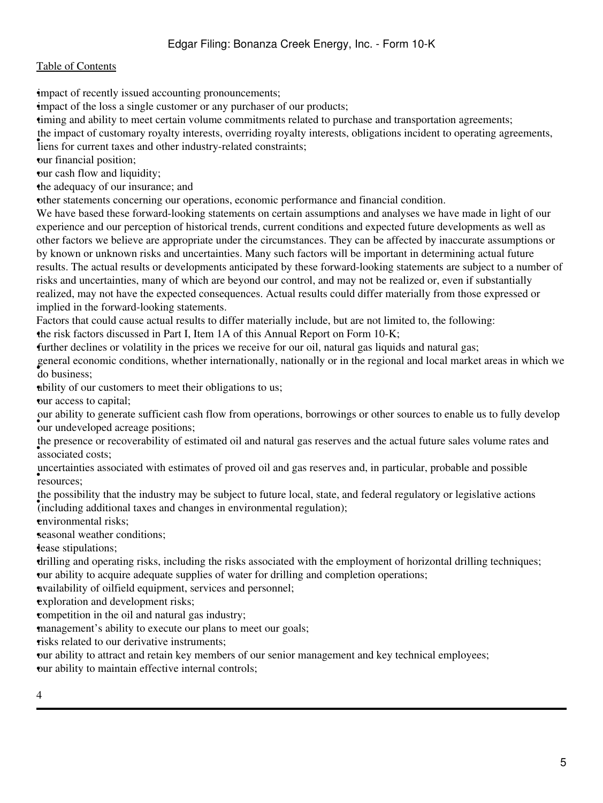impact of recently issued accounting pronouncements;

impact of the loss a single customer or any purchaser of our products;

•timing and ability to meet certain volume commitments related to purchase and transportation agreements;

the impact of customary royalty interests, overriding royalty interests, obligations incident to operating agreements,

liens for current taxes and other industry-related constraints;

•our financial position;

•our cash flow and liquidity;

•the adequacy of our insurance; and

•other statements concerning our operations, economic performance and financial condition.

We have based these forward-looking statements on certain assumptions and analyses we have made in light of our experience and our perception of historical trends, current conditions and expected future developments as well as other factors we believe are appropriate under the circumstances. They can be affected by inaccurate assumptions or by known or unknown risks and uncertainties. Many such factors will be important in determining actual future results. The actual results or developments anticipated by these forward-looking statements are subject to a number of risks and uncertainties, many of which are beyond our control, and may not be realized or, even if substantially realized, may not have the expected consequences. Actual results could differ materially from those expressed or implied in the forward-looking statements.

Factors that could cause actual results to differ materially include, but are not limited to, the following:

•the risk factors discussed in Part I, Item 1A of this Annual Report on Form 10-K;

•further declines or volatility in the prices we receive for our oil, natural gas liquids and natural gas;

• do business; general economic conditions, whether internationally, nationally or in the regional and local market areas in which we

•ability of our customers to meet their obligations to us;

•our access to capital;

• our undeveloped acreage positions; our ability to generate sufficient cash flow from operations, borrowings or other sources to enable us to fully develop

associated costs; the presence or recoverability of estimated oil and natural gas reserves and the actual future sales volume rates and

• resources; uncertainties associated with estimates of proved oil and gas reserves and, in particular, probable and possible

Inceptional taxes and changes in environmental regulation); the possibility that the industry may be subject to future local, state, and federal regulatory or legislative actions

•environmental risks;

•seasonal weather conditions;

**dease** stipulations;

•drilling and operating risks, including the risks associated with the employment of horizontal drilling techniques; •our ability to acquire adequate supplies of water for drilling and completion operations;

•availability of oilfield equipment, services and personnel;

exploration and development risks;

•competition in the oil and natural gas industry;

•management's ability to execute our plans to meet our goals;

risks related to our derivative instruments;

•our ability to attract and retain key members of our senior management and key technical employees; •our ability to maintain effective internal controls;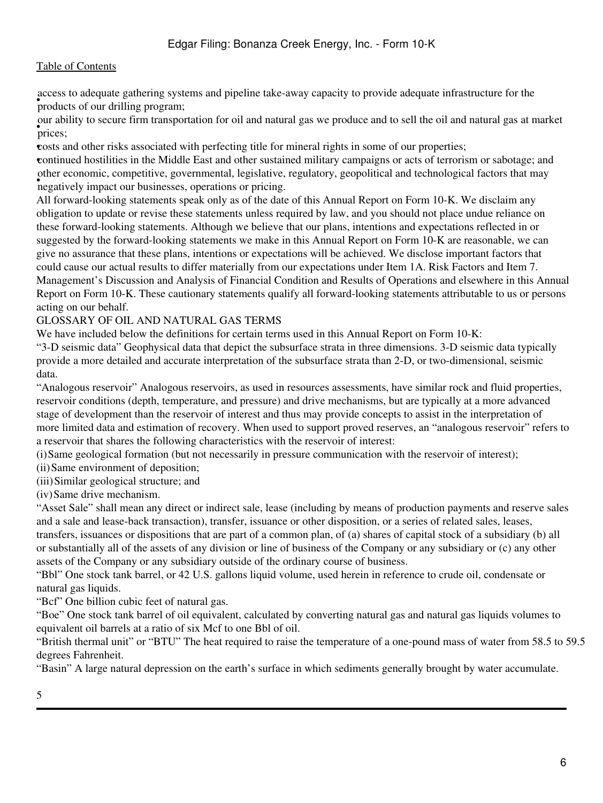**Products** of our drilling program; access to adequate gathering systems and pipeline take-away capacity to provide adequate infrastructure for the

• prices; our ability to secure firm transportation for oil and natural gas we produce and to sell the oil and natural gas at market

•costs and other risks associated with perfecting title for mineral rights in some of our properties; •continued hostilities in the Middle East and other sustained military campaigns or acts of terrorism or sabotage; and • negatively impact our businesses, operations or pricing. other economic, competitive, governmental, legislative, regulatory, geopolitical and technological factors that may

All forward-looking statements speak only as of the date of this Annual Report on Form 10-K. We disclaim any obligation to update or revise these statements unless required by law, and you should not place undue reliance on these forward-looking statements. Although we believe that our plans, intentions and expectations reflected in or suggested by the forward-looking statements we make in this Annual Report on Form 10-K are reasonable, we can give no assurance that these plans, intentions or expectations will be achieved. We disclose important factors that could cause our actual results to differ materially from our expectations under Item 1A. Risk Factors and Item 7. Management's Discussion and Analysis of Financial Condition and Results of Operations and elsewhere in this Annual Report on Form 10-K. These cautionary statements qualify all forward-looking statements attributable to us or persons acting on our behalf.

# <span id="page-5-0"></span>GLOSSARY OF OIL AND NATURAL GAS TERMS

We have included below the definitions for certain terms used in this Annual Report on Form 10-K:

"3-D seismic data" Geophysical data that depict the subsurface strata in three dimensions. 3-D seismic data typically provide a more detailed and accurate interpretation of the subsurface strata than 2-D, or two-dimensional, seismic data.

"Analogous reservoir" Analogous reservoirs, as used in resources assessments, have similar rock and fluid properties, reservoir conditions (depth, temperature, and pressure) and drive mechanisms, but are typically at a more advanced stage of development than the reservoir of interest and thus may provide concepts to assist in the interpretation of more limited data and estimation of recovery. When used to support proved reserves, an "analogous reservoir" refers to a reservoir that shares the following characteristics with the reservoir of interest:

(i)Same geological formation (but not necessarily in pressure communication with the reservoir of interest);

(ii)Same environment of deposition;

(iii)Similar geological structure; and

(iv)Same drive mechanism.

"Asset Sale" shall mean any direct or indirect sale, lease (including by means of production payments and reserve sales and a sale and lease-back transaction), transfer, issuance or other disposition, or a series of related sales, leases, transfers, issuances or dispositions that are part of a common plan, of (a) shares of capital stock of a subsidiary (b) all or substantially all of the assets of any division or line of business of the Company or any subsidiary or (c) any other assets of the Company or any subsidiary outside of the ordinary course of business.

"Bbl" One stock tank barrel, or 42 U.S. gallons liquid volume, used herein in reference to crude oil, condensate or natural gas liquids.

"Bcf" One billion cubic feet of natural gas.

"Boe" One stock tank barrel of oil equivalent, calculated by converting natural gas and natural gas liquids volumes to equivalent oil barrels at a ratio of six Mcf to one Bbl of oil.

"British thermal unit" or "BTU" The heat required to raise the temperature of a one-pound mass of water from 58.5 to 59.5 degrees Fahrenheit.

"Basin" A large natural depression on the earth's surface in which sediments generally brought by water accumulate.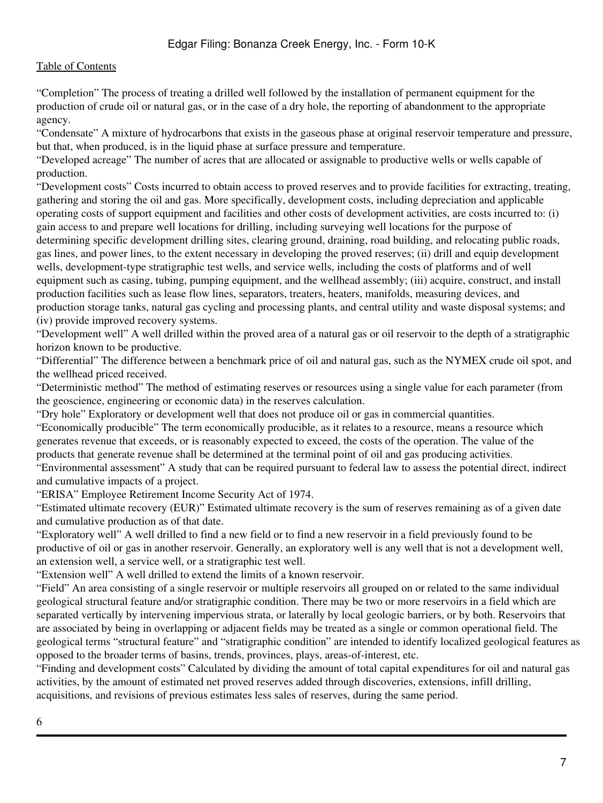"Completion" The process of treating a drilled well followed by the installation of permanent equipment for the production of crude oil or natural gas, or in the case of a dry hole, the reporting of abandonment to the appropriate agency.

"Condensate" A mixture of hydrocarbons that exists in the gaseous phase at original reservoir temperature and pressure, but that, when produced, is in the liquid phase at surface pressure and temperature.

"Developed acreage" The number of acres that are allocated or assignable to productive wells or wells capable of production.

"Development costs" Costs incurred to obtain access to proved reserves and to provide facilities for extracting, treating, gathering and storing the oil and gas. More specifically, development costs, including depreciation and applicable operating costs of support equipment and facilities and other costs of development activities, are costs incurred to: (i) gain access to and prepare well locations for drilling, including surveying well locations for the purpose of determining specific development drilling sites, clearing ground, draining, road building, and relocating public roads, gas lines, and power lines, to the extent necessary in developing the proved reserves; (ii) drill and equip development wells, development-type stratigraphic test wells, and service wells, including the costs of platforms and of well equipment such as casing, tubing, pumping equipment, and the wellhead assembly; (iii) acquire, construct, and install production facilities such as lease flow lines, separators, treaters, heaters, manifolds, measuring devices, and production storage tanks, natural gas cycling and processing plants, and central utility and waste disposal systems; and (iv) provide improved recovery systems.

"Development well" A well drilled within the proved area of a natural gas or oil reservoir to the depth of a stratigraphic horizon known to be productive.

"Differential" The difference between a benchmark price of oil and natural gas, such as the NYMEX crude oil spot, and the wellhead priced received.

"Deterministic method" The method of estimating reserves or resources using a single value for each parameter (from the geoscience, engineering or economic data) in the reserves calculation.

"Dry hole" Exploratory or development well that does not produce oil or gas in commercial quantities.

"Economically producible" The term economically producible, as it relates to a resource, means a resource which generates revenue that exceeds, or is reasonably expected to exceed, the costs of the operation. The value of the products that generate revenue shall be determined at the terminal point of oil and gas producing activities.

"Environmental assessment" A study that can be required pursuant to federal law to assess the potential direct, indirect and cumulative impacts of a project.

"ERISA" Employee Retirement Income Security Act of 1974.

"Estimated ultimate recovery (EUR)" Estimated ultimate recovery is the sum of reserves remaining as of a given date and cumulative production as of that date.

"Exploratory well" A well drilled to find a new field or to find a new reservoir in a field previously found to be productive of oil or gas in another reservoir. Generally, an exploratory well is any well that is not a development well, an extension well, a service well, or a stratigraphic test well.

"Extension well" A well drilled to extend the limits of a known reservoir.

"Field" An area consisting of a single reservoir or multiple reservoirs all grouped on or related to the same individual geological structural feature and/or stratigraphic condition. There may be two or more reservoirs in a field which are separated vertically by intervening impervious strata, or laterally by local geologic barriers, or by both. Reservoirs that are associated by being in overlapping or adjacent fields may be treated as a single or common operational field. The geological terms "structural feature" and "stratigraphic condition" are intended to identify localized geological features as opposed to the broader terms of basins, trends, provinces, plays, areas-of-interest, etc.

"Finding and development costs" Calculated by dividing the amount of total capital expenditures for oil and natural gas activities, by the amount of estimated net proved reserves added through discoveries, extensions, infill drilling, acquisitions, and revisions of previous estimates less sales of reserves, during the same period.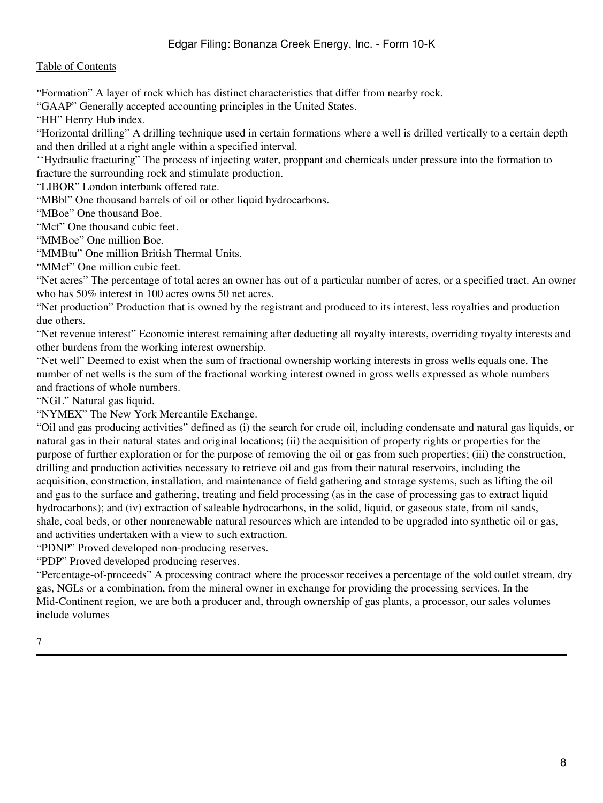# Edgar Filing: Bonanza Creek Energy, Inc. - Form 10-K

### [Table of Contents](#page-2-0)

"Formation" A layer of rock which has distinct characteristics that differ from nearby rock.

"GAAP" Generally accepted accounting principles in the United States.

"HH" Henry Hub index.

"Horizontal drilling" A drilling technique used in certain formations where a well is drilled vertically to a certain depth and then drilled at a right angle within a specified interval.

''Hydraulic fracturing" The process of injecting water, proppant and chemicals under pressure into the formation to fracture the surrounding rock and stimulate production.

"LIBOR" London interbank offered rate.

"MBbl" One thousand barrels of oil or other liquid hydrocarbons.

"MBoe" One thousand Boe.

"Mcf" One thousand cubic feet.

"MMBoe" One million Boe.

"MMBtu" One million British Thermal Units.

"MMcf" One million cubic feet.

"Net acres" The percentage of total acres an owner has out of a particular number of acres, or a specified tract. An owner who has 50% interest in 100 acres owns 50 net acres.

"Net production" Production that is owned by the registrant and produced to its interest, less royalties and production due others.

"Net revenue interest" Economic interest remaining after deducting all royalty interests, overriding royalty interests and other burdens from the working interest ownership.

"Net well" Deemed to exist when the sum of fractional ownership working interests in gross wells equals one. The number of net wells is the sum of the fractional working interest owned in gross wells expressed as whole numbers and fractions of whole numbers.

"NGL" Natural gas liquid.

"NYMEX" The New York Mercantile Exchange.

"Oil and gas producing activities" defined as (i) the search for crude oil, including condensate and natural gas liquids, or natural gas in their natural states and original locations; (ii) the acquisition of property rights or properties for the purpose of further exploration or for the purpose of removing the oil or gas from such properties; (iii) the construction, drilling and production activities necessary to retrieve oil and gas from their natural reservoirs, including the acquisition, construction, installation, and maintenance of field gathering and storage systems, such as lifting the oil and gas to the surface and gathering, treating and field processing (as in the case of processing gas to extract liquid hydrocarbons); and (iv) extraction of saleable hydrocarbons, in the solid, liquid, or gaseous state, from oil sands, shale, coal beds, or other nonrenewable natural resources which are intended to be upgraded into synthetic oil or gas, and activities undertaken with a view to such extraction.

"PDNP" Proved developed non-producing reserves.

"PDP" Proved developed producing reserves.

"Percentage-of-proceeds" A processing contract where the processor receives a percentage of the sold outlet stream, dry gas, NGLs or a combination, from the mineral owner in exchange for providing the processing services. In the Mid-Continent region, we are both a producer and, through ownership of gas plants, a processor, our sales volumes include volumes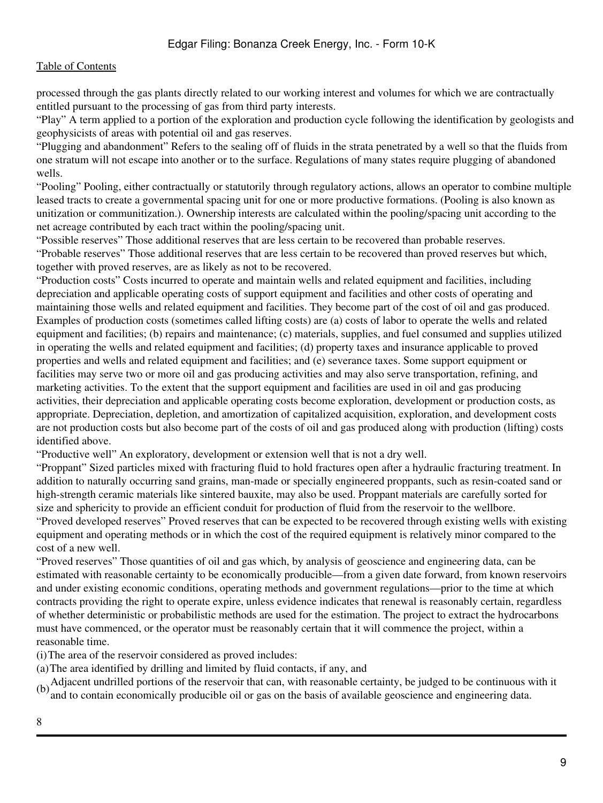processed through the gas plants directly related to our working interest and volumes for which we are contractually entitled pursuant to the processing of gas from third party interests.

"Play" A term applied to a portion of the exploration and production cycle following the identification by geologists and geophysicists of areas with potential oil and gas reserves.

"Plugging and abandonment" Refers to the sealing off of fluids in the strata penetrated by a well so that the fluids from one stratum will not escape into another or to the surface. Regulations of many states require plugging of abandoned wells.

"Pooling" Pooling, either contractually or statutorily through regulatory actions, allows an operator to combine multiple leased tracts to create a governmental spacing unit for one or more productive formations. (Pooling is also known as unitization or communitization.). Ownership interests are calculated within the pooling/spacing unit according to the net acreage contributed by each tract within the pooling/spacing unit.

"Possible reserves" Those additional reserves that are less certain to be recovered than probable reserves. "Probable reserves" Those additional reserves that are less certain to be recovered than proved reserves but which, together with proved reserves, are as likely as not to be recovered.

"Production costs" Costs incurred to operate and maintain wells and related equipment and facilities, including depreciation and applicable operating costs of support equipment and facilities and other costs of operating and maintaining those wells and related equipment and facilities. They become part of the cost of oil and gas produced. Examples of production costs (sometimes called lifting costs) are (a) costs of labor to operate the wells and related equipment and facilities; (b) repairs and maintenance; (c) materials, supplies, and fuel consumed and supplies utilized in operating the wells and related equipment and facilities; (d) property taxes and insurance applicable to proved properties and wells and related equipment and facilities; and (e) severance taxes. Some support equipment or facilities may serve two or more oil and gas producing activities and may also serve transportation, refining, and marketing activities. To the extent that the support equipment and facilities are used in oil and gas producing activities, their depreciation and applicable operating costs become exploration, development or production costs, as appropriate. Depreciation, depletion, and amortization of capitalized acquisition, exploration, and development costs are not production costs but also become part of the costs of oil and gas produced along with production (lifting) costs identified above.

"Productive well" An exploratory, development or extension well that is not a dry well.

"Proppant" Sized particles mixed with fracturing fluid to hold fractures open after a hydraulic fracturing treatment. In addition to naturally occurring sand grains, man-made or specially engineered proppants, such as resin-coated sand or high-strength ceramic materials like sintered bauxite, may also be used. Proppant materials are carefully sorted for size and sphericity to provide an efficient conduit for production of fluid from the reservoir to the wellbore. "Proved developed reserves" Proved reserves that can be expected to be recovered through existing wells with existing equipment and operating methods or in which the cost of the required equipment is relatively minor compared to the cost of a new well.

"Proved reserves" Those quantities of oil and gas which, by analysis of geoscience and engineering data, can be estimated with reasonable certainty to be economically producible—from a given date forward, from known reservoirs and under existing economic conditions, operating methods and government regulations—prior to the time at which contracts providing the right to operate expire, unless evidence indicates that renewal is reasonably certain, regardless of whether deterministic or probabilistic methods are used for the estimation. The project to extract the hydrocarbons must have commenced, or the operator must be reasonably certain that it will commence the project, within a reasonable time.

(i)The area of the reservoir considered as proved includes:

(a)The area identified by drilling and limited by fluid contacts, if any, and

(b)<sup>Adjacent undrilled portions of the reservoir that can, with reasonable certainty, be judged to be continuous with it</sup> and to contain economically producible oil or gas on the basis of available geoscience and engineering data.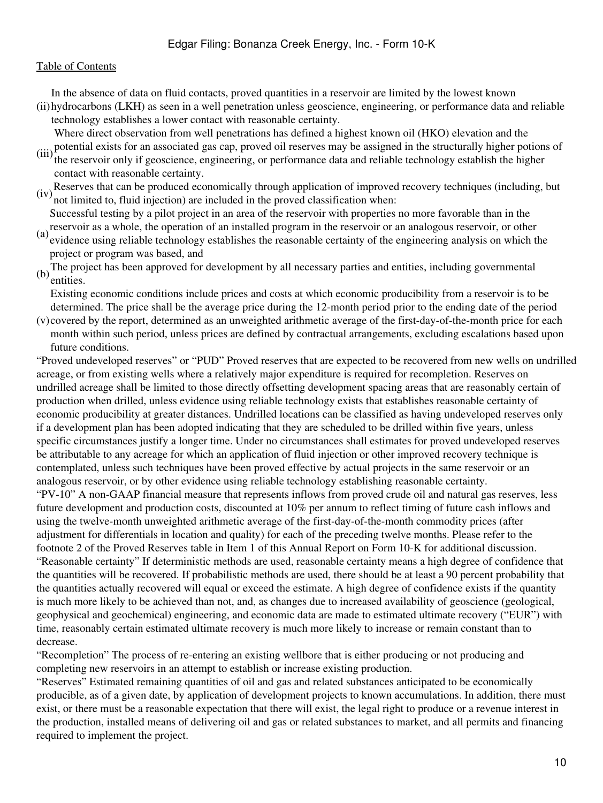In the absence of data on fluid contacts, proved quantities in a reservoir are limited by the lowest known

(ii) hydrocarbons (LKH) as seen in a well penetration unless geoscience, engineering, or performance data and reliable technology establishes a lower contact with reasonable certainty.

Where direct observation from well penetrations has defined a highest known oil (HKO) elevation and the

- (iii) potential exists for an associated gas cap, proved oil reserves may be assigned in the structurally higher potions of (iii) the receiving only if coordinately contained and reliable to the book and reliable to the bi the reservoir only if geoscience, engineering, or performance data and reliable technology establish the higher contact with reasonable certainty.
- (iv)Reserves that can be produced economically through application of improved recovery techniques (including, but not limited to, fluid injection) are included in the proved classification when:
- reservoir as a whole, the operation of an installed program in the reservoir or an analogous reservoir, or other<br>(a) outdones wing reliable to the local set all the analogous reservoir of the operating englysis on which t Successful testing by a pilot project in an area of the reservoir with properties no more favorable than in the
- evidence using reliable technology establishes the reasonable certainty of the engineering analysis on which the project or program was based, and
- (b) The project has been approved for development by all necessary parties and entities, including governmental entities.
- Existing economic conditions include prices and costs at which economic producibility from a reservoir is to be determined. The price shall be the average price during the 12-month period prior to the ending date of the period
- (v) covered by the report, determined as an unweighted arithmetic average of the first-day-of-the-month price for each month within such period, unless prices are defined by contractual arrangements, excluding escalations based upon future conditions.

"Proved undeveloped reserves" or "PUD" Proved reserves that are expected to be recovered from new wells on undrilled acreage, or from existing wells where a relatively major expenditure is required for recompletion. Reserves on undrilled acreage shall be limited to those directly offsetting development spacing areas that are reasonably certain of production when drilled, unless evidence using reliable technology exists that establishes reasonable certainty of economic producibility at greater distances. Undrilled locations can be classified as having undeveloped reserves only if a development plan has been adopted indicating that they are scheduled to be drilled within five years, unless specific circumstances justify a longer time. Under no circumstances shall estimates for proved undeveloped reserves be attributable to any acreage for which an application of fluid injection or other improved recovery technique is contemplated, unless such techniques have been proved effective by actual projects in the same reservoir or an analogous reservoir, or by other evidence using reliable technology establishing reasonable certainty.

"PV-10" A non-GAAP financial measure that represents inflows from proved crude oil and natural gas reserves, less future development and production costs, discounted at 10% per annum to reflect timing of future cash inflows and using the twelve-month unweighted arithmetic average of the first-day-of-the-month commodity prices (after adjustment for differentials in location and quality) for each of the preceding twelve months. Please refer to the footnote 2 of the Proved Reserves table in Item 1 of this Annual Report on Form 10-K for additional discussion. "Reasonable certainty" If deterministic methods are used, reasonable certainty means a high degree of confidence that the quantities will be recovered. If probabilistic methods are used, there should be at least a 90 percent probability that the quantities actually recovered will equal or exceed the estimate. A high degree of confidence exists if the quantity is much more likely to be achieved than not, and, as changes due to increased availability of geoscience (geological, geophysical and geochemical) engineering, and economic data are made to estimated ultimate recovery ("EUR") with time, reasonably certain estimated ultimate recovery is much more likely to increase or remain constant than to decrease.

"Recompletion" The process of re-entering an existing wellbore that is either producing or not producing and completing new reservoirs in an attempt to establish or increase existing production.

"Reserves" Estimated remaining quantities of oil and gas and related substances anticipated to be economically producible, as of a given date, by application of development projects to known accumulations. In addition, there must exist, or there must be a reasonable expectation that there will exist, the legal right to produce or a revenue interest in the production, installed means of delivering oil and gas or related substances to market, and all permits and financing required to implement the project.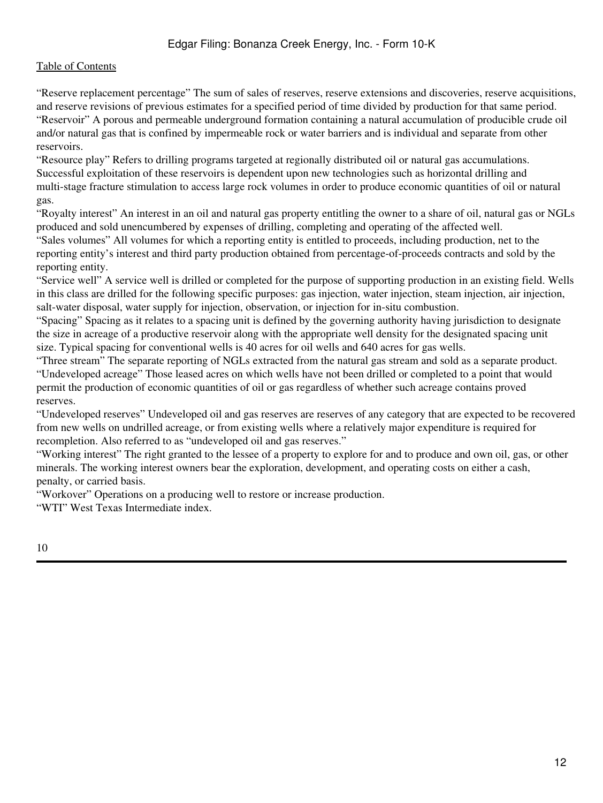"Reserve replacement percentage" The sum of sales of reserves, reserve extensions and discoveries, reserve acquisitions, and reserve revisions of previous estimates for a specified period of time divided by production for that same period. "Reservoir" A porous and permeable underground formation containing a natural accumulation of producible crude oil and/or natural gas that is confined by impermeable rock or water barriers and is individual and separate from other reservoirs.

"Resource play" Refers to drilling programs targeted at regionally distributed oil or natural gas accumulations. Successful exploitation of these reservoirs is dependent upon new technologies such as horizontal drilling and multi-stage fracture stimulation to access large rock volumes in order to produce economic quantities of oil or natural gas.

"Royalty interest" An interest in an oil and natural gas property entitling the owner to a share of oil, natural gas or NGLs produced and sold unencumbered by expenses of drilling, completing and operating of the affected well.

"Sales volumes" All volumes for which a reporting entity is entitled to proceeds, including production, net to the reporting entity's interest and third party production obtained from percentage-of-proceeds contracts and sold by the reporting entity.

"Service well" A service well is drilled or completed for the purpose of supporting production in an existing field. Wells in this class are drilled for the following specific purposes: gas injection, water injection, steam injection, air injection, salt-water disposal, water supply for injection, observation, or injection for in-situ combustion.

"Spacing" Spacing as it relates to a spacing unit is defined by the governing authority having jurisdiction to designate the size in acreage of a productive reservoir along with the appropriate well density for the designated spacing unit size. Typical spacing for conventional wells is 40 acres for oil wells and 640 acres for gas wells.

"Three stream" The separate reporting of NGLs extracted from the natural gas stream and sold as a separate product. "Undeveloped acreage" Those leased acres on which wells have not been drilled or completed to a point that would permit the production of economic quantities of oil or gas regardless of whether such acreage contains proved reserves.

"Undeveloped reserves" Undeveloped oil and gas reserves are reserves of any category that are expected to be recovered from new wells on undrilled acreage, or from existing wells where a relatively major expenditure is required for recompletion. Also referred to as "undeveloped oil and gas reserves."

"Working interest" The right granted to the lessee of a property to explore for and to produce and own oil, gas, or other minerals. The working interest owners bear the exploration, development, and operating costs on either a cash, penalty, or carried basis.

"Workover" Operations on a producing well to restore or increase production.

"WTI" West Texas Intermediate index.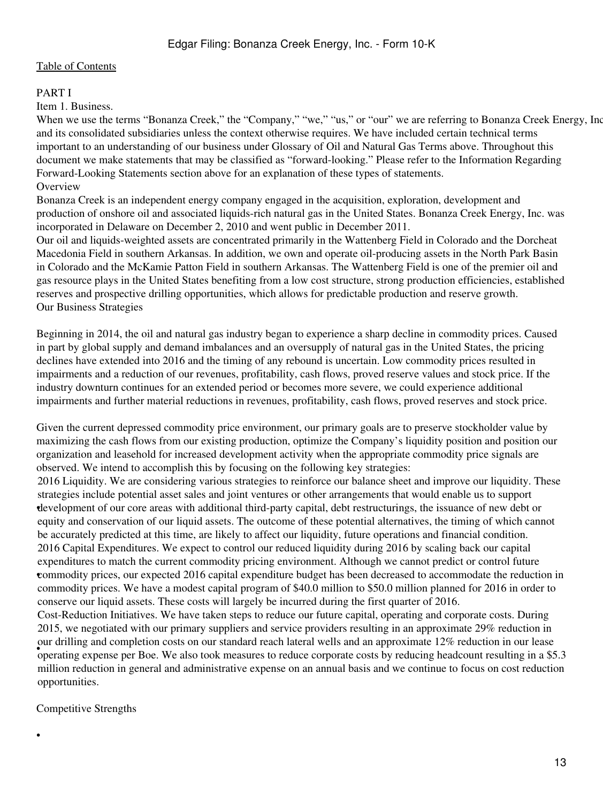#### <span id="page-12-0"></span>PART I

#### <span id="page-12-1"></span>Item 1. Business.

When we use the terms "Bonanza Creek," the "Company," "we," "us," or "our" we are referring to Bonanza Creek Energy, Inc. and its consolidated subsidiaries unless the context otherwise requires. We have included certain technical terms important to an understanding of our business under Glossary of Oil and Natural Gas Terms above. Throughout this document we make statements that may be classified as "forward-looking." Please refer to the Information Regarding Forward-Looking Statements section above for an explanation of these types of statements. **Overview** 

Bonanza Creek is an independent energy company engaged in the acquisition, exploration, development and production of onshore oil and associated liquids-rich natural gas in the United States. Bonanza Creek Energy, Inc. was incorporated in Delaware on December 2, 2010 and went public in December 2011.

Our oil and liquids-weighted assets are concentrated primarily in the Wattenberg Field in Colorado and the Dorcheat Macedonia Field in southern Arkansas. In addition, we own and operate oil-producing assets in the North Park Basin in Colorado and the McKamie Patton Field in southern Arkansas. The Wattenberg Field is one of the premier oil and gas resource plays in the United States benefiting from a low cost structure, strong production efficiencies, established reserves and prospective drilling opportunities, which allows for predictable production and reserve growth. Our Business Strategies

Beginning in 2014, the oil and natural gas industry began to experience a sharp decline in commodity prices. Caused in part by global supply and demand imbalances and an oversupply of natural gas in the United States, the pricing declines have extended into 2016 and the timing of any rebound is uncertain. Low commodity prices resulted in impairments and a reduction of our revenues, profitability, cash flows, proved reserve values and stock price. If the industry downturn continues for an extended period or becomes more severe, we could experience additional impairments and further material reductions in revenues, profitability, cash flows, proved reserves and stock price.

Given the current depressed commodity price environment, our primary goals are to preserve stockholder value by maximizing the cash flows from our existing production, optimize the Company's liquidity position and position our organization and leasehold for increased development activity when the appropriate commodity price signals are observed. We intend to accomplish this by focusing on the following key strategies:

• development of our core areas with additional third-party capital, debt restructurings, the issuance of new debt or 2016 Liquidity. We are considering various strategies to reinforce our balance sheet and improve our liquidity. These strategies include potential asset sales and joint ventures or other arrangements that would enable us to support equity and conservation of our liquid assets. The outcome of these potential alternatives, the timing of which cannot be accurately predicted at this time, are likely to affect our liquidity, future operations and financial condition. • commodity prices, our expected 2016 capital expenditure budget has been decreased to accommodate the reduction in 2016 Capital Expenditures. We expect to control our reduced liquidity during 2016 by scaling back our capital expenditures to match the current commodity pricing environment. Although we cannot predict or control future commodity prices. We have a modest capital program of \$40.0 million to \$50.0 million planned for 2016 in order to conserve our liquid assets. These costs will largely be incurred during the first quarter of 2016.

For different expense per Boe. We also took measures to reduce corporate costs by reducing headcount resulting in a \$5.3 Cost-Reduction Initiatives. We have taken steps to reduce our future capital, operating and corporate costs. During 2015, we negotiated with our primary suppliers and service providers resulting in an approximate 29% reduction in our drilling and completion costs on our standard reach lateral wells and an approximate 12% reduction in our lease million reduction in general and administrative expense on an annual basis and we continue to focus on cost reduction opportunities.

Competitive Strengths

•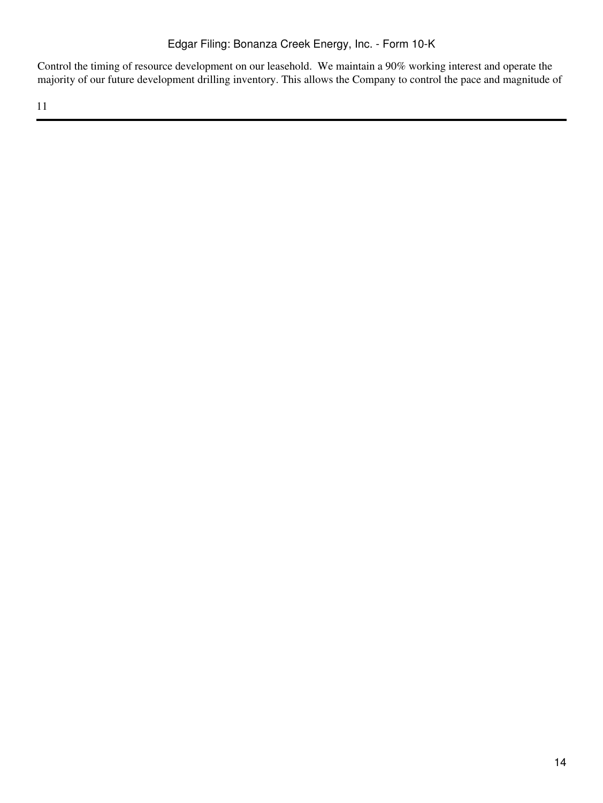Control the timing of resource development on our leasehold. We maintain a 90% working interest and operate the majority of our future development drilling inventory. This allows the Company to control the pace and magnitude of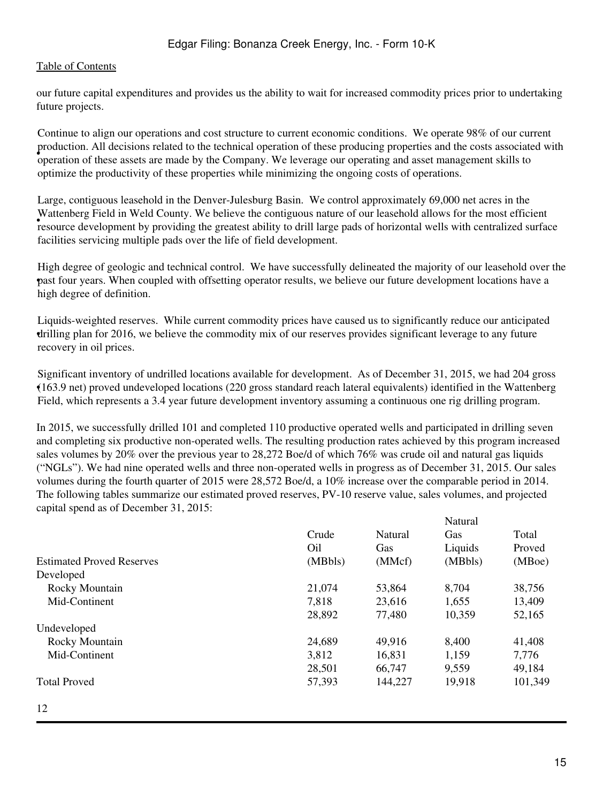our future capital expenditures and provides us the ability to wait for increased commodity prices prior to undertaking future projects.

• operation of these assets are made by the Company. We leverage our operating and asset management skills to Continue to align our operations and cost structure to current economic conditions. We operate 98% of our current production. All decisions related to the technical operation of these producing properties and the costs associated with optimize the productivity of these properties while minimizing the ongoing costs of operations.

resource development by providing the greatest ability to drill large pads of horizontal wells with centralized surface Large, contiguous leasehold in the Denver-Julesburg Basin. We control approximately 69,000 net acres in the Wattenberg Field in Weld County. We believe the contiguous nature of our leasehold allows for the most efficient facilities servicing multiple pads over the life of field development.

• past four years. When coupled with offsetting operator results, we believe our future development locations have a High degree of geologic and technical control. We have successfully delineated the majority of our leasehold over the high degree of definition.

• drilling plan for 2016, we believe the commodity mix of our reserves provides significant leverage to any future Liquids-weighted reserves. While current commodity prices have caused us to significantly reduce our anticipated recovery in oil prices.

• (163.9 net) proved undeveloped locations (220 gross standard reach lateral equivalents) identified in the Wattenberg Significant inventory of undrilled locations available for development. As of December 31, 2015, we had 204 gross Field, which represents a 3.4 year future development inventory assuming a continuous one rig drilling program.

In 2015, we successfully drilled 101 and completed 110 productive operated wells and participated in drilling seven and completing six productive non-operated wells. The resulting production rates achieved by this program increased sales volumes by 20% over the previous year to 28,272 Boe/d of which 76% was crude oil and natural gas liquids ("NGLs"). We had nine operated wells and three non-operated wells in progress as of December 31, 2015. Our sales volumes during the fourth quarter of 2015 were 28,572 Boe/d, a 10% increase over the comparable period in 2014. The following tables summarize our estimated proved reserves, PV-10 reserve value, sales volumes, and projected capital spend as of December 31, 2015:

|                                  |         |         | Natural |         |
|----------------------------------|---------|---------|---------|---------|
|                                  | Crude   | Natural | Gas     | Total   |
|                                  | Oil     | Gas     | Liquids | Proved  |
| <b>Estimated Proved Reserves</b> | (MBbls) | (MMcf)  | (MBbls) | (MBoe)  |
| Developed                        |         |         |         |         |
| Rocky Mountain                   | 21,074  | 53,864  | 8,704   | 38,756  |
| Mid-Continent                    | 7,818   | 23,616  | 1,655   | 13,409  |
|                                  | 28,892  | 77,480  | 10,359  | 52,165  |
| Undeveloped                      |         |         |         |         |
| Rocky Mountain                   | 24,689  | 49,916  | 8,400   | 41,408  |
| Mid-Continent                    | 3,812   | 16,831  | 1,159   | 7,776   |
|                                  | 28,501  | 66,747  | 9,559   | 49,184  |
| <b>Total Proved</b>              | 57,393  | 144,227 | 19,918  | 101,349 |
|                                  |         |         |         |         |

12

Natural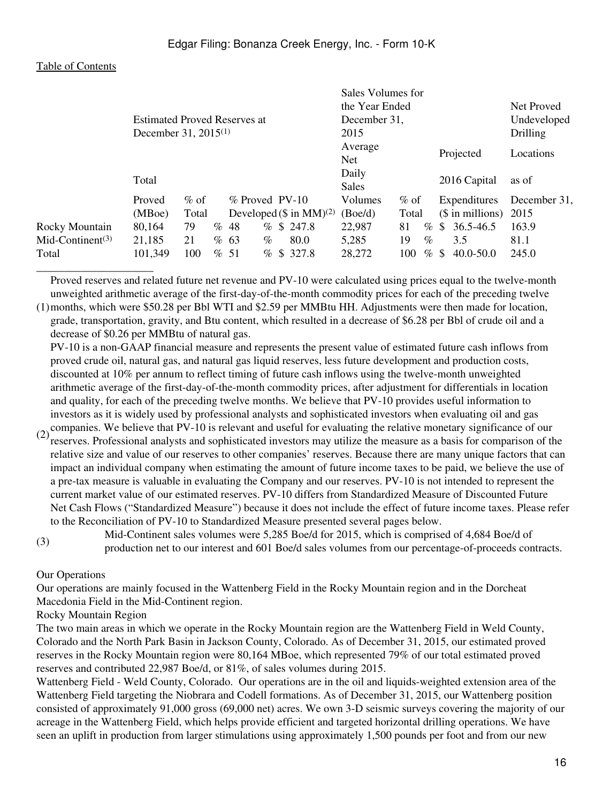| <b>Table of Contents</b> |
|--------------------------|
|--------------------------|

|                              |                                     |        |      |                                 | Sales Volumes for |             |                        |              |  |
|------------------------------|-------------------------------------|--------|------|---------------------------------|-------------------|-------------|------------------------|--------------|--|
|                              |                                     |        |      |                                 | the Year Ended    |             |                        | Net Proved   |  |
|                              | <b>Estimated Proved Reserves at</b> |        |      |                                 | December 31,      |             |                        | Undeveloped  |  |
|                              | December 31, 2015 <sup>(1)</sup>    |        |      |                                 | 2015              |             |                        | Drilling     |  |
|                              |                                     |        |      |                                 | Average           |             | Projected              | Locations    |  |
|                              |                                     |        |      |                                 | <b>Net</b>        |             |                        |              |  |
|                              | Total                               |        |      |                                 | Daily             |             | 2016 Capital           | as of        |  |
|                              |                                     |        |      |                                 | Sales             |             |                        |              |  |
|                              | Proved                              | $%$ of |      | $%$ Proved PV-10                | <b>Volumes</b>    | $%$ of      | Expenditures           | December 31, |  |
|                              | (MBoe)                              | Total  |      | Developed $(\$$ in MM $)^{(2)}$ | (Boe/d)           | Total       | $($$ in millions) 2015 |              |  |
| Rocky Mountain               | 80,164                              | 79     | % 48 | % \$247.8                       | 22,987            | 81<br>$\%$  | $$36.5-46.5$           | 163.9        |  |
| Mid-Continent <sup>(3)</sup> | 21,185                              | 21     | % 63 | 80.0<br>$\%$                    | 5,285             | $\%$<br>19  | 3.5                    | 81.1         |  |
| Total                        | 101,349                             | 100    | % 51 | % \$327.8                       | 28,272            | 100<br>$\%$ | \$<br>$40.0 - 50.0$    | 245.0        |  |
|                              |                                     |        |      |                                 |                   |             |                        |              |  |

Proved reserves and related future net revenue and PV-10 were calculated using prices equal to the twelve-month unweighted arithmetic average of the first-day-of-the-month commodity prices for each of the preceding twelve

(1) months, which were \$50.28 per Bbl WTI and \$2.59 per MMBtu HH. Adjustments were then made for location, grade, transportation, gravity, and Btu content, which resulted in a decrease of \$6.28 per Bbl of crude oil and a decrease of \$0.26 per MMBtu of natural gas.

PV-10 is a non-GAAP financial measure and represents the present value of estimated future cash inflows from proved crude oil, natural gas, and natural gas liquid reserves, less future development and production costs, discounted at 10% per annum to reflect timing of future cash inflows using the twelve-month unweighted arithmetic average of the first-day-of-the-month commodity prices, after adjustment for differentials in location and quality, for each of the preceding twelve months. We believe that PV-10 provides useful information to investors as it is widely used by professional analysts and sophisticated investors when evaluating oil and gas

- (2) companies. We believe that PV-10 is relevant and useful for evaluating the relative monetary significance of our  $(2)$  assembles. Professional analysts and sombittiontal investors may utilize the magnum as a basis for reserves. Professional analysts and sophisticated investors may utilize the measure as a basis for comparison of the relative size and value of our reserves to other companies' reserves. Because there are many unique factors that can impact an individual company when estimating the amount of future income taxes to be paid, we believe the use of a pre-tax measure is valuable in evaluating the Company and our reserves. PV-10 is not intended to represent the current market value of our estimated reserves. PV-10 differs from Standardized Measure of Discounted Future Net Cash Flows ("Standardized Measure") because it does not include the effect of future income taxes. Please refer to the Reconciliation of PV-10 to Standardized Measure presented several pages below.
- (3) Mid-Continent sales volumes were 5,285 Boe/d for 2015, which is comprised of 4,684 Boe/d of production net to our interest and 601 Boe/d sales volumes from our percentage-of-proceeds contracts.

Our Operations

Our operations are mainly focused in the Wattenberg Field in the Rocky Mountain region and in the Dorcheat Macedonia Field in the Mid-Continent region.

Rocky Mountain Region

The two main areas in which we operate in the Rocky Mountain region are the Wattenberg Field in Weld County, Colorado and the North Park Basin in Jackson County, Colorado. As of December 31, 2015, our estimated proved reserves in the Rocky Mountain region were 80,164 MBoe, which represented 79% of our total estimated proved reserves and contributed 22,987 Boe/d, or 81%, of sales volumes during 2015.

Wattenberg Field - Weld County, Colorado. Our operations are in the oil and liquids-weighted extension area of the Wattenberg Field targeting the Niobrara and Codell formations. As of December 31, 2015, our Wattenberg position consisted of approximately 91,000 gross (69,000 net) acres. We own 3-D seismic surveys covering the majority of our acreage in the Wattenberg Field, which helps provide efficient and targeted horizontal drilling operations. We have seen an uplift in production from larger stimulations using approximately 1,500 pounds per foot and from our new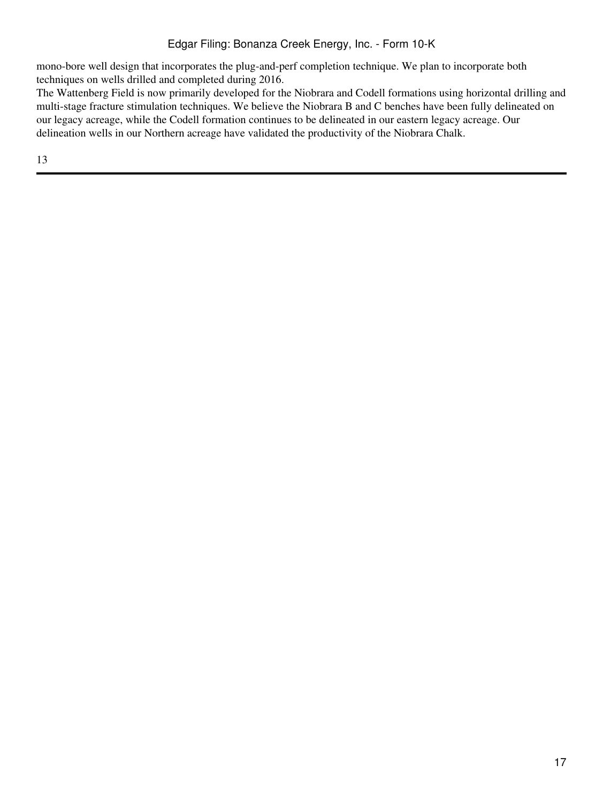mono-bore well design that incorporates the plug-and-perf completion technique. We plan to incorporate both techniques on wells drilled and completed during 2016.

The Wattenberg Field is now primarily developed for the Niobrara and Codell formations using horizontal drilling and multi-stage fracture stimulation techniques. We believe the Niobrara B and C benches have been fully delineated on our legacy acreage, while the Codell formation continues to be delineated in our eastern legacy acreage. Our delineation wells in our Northern acreage have validated the productivity of the Niobrara Chalk.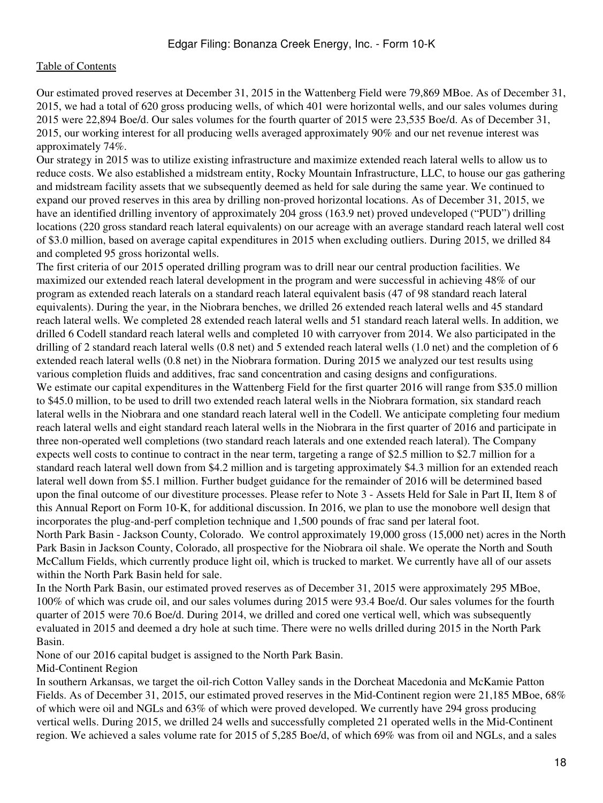Our estimated proved reserves at December 31, 2015 in the Wattenberg Field were 79,869 MBoe. As of December 31, 2015, we had a total of 620 gross producing wells, of which 401 were horizontal wells, and our sales volumes during 2015 were 22,894 Boe/d. Our sales volumes for the fourth quarter of 2015 were 23,535 Boe/d. As of December 31, 2015, our working interest for all producing wells averaged approximately 90% and our net revenue interest was approximately 74%.

Our strategy in 2015 was to utilize existing infrastructure and maximize extended reach lateral wells to allow us to reduce costs. We also established a midstream entity, Rocky Mountain Infrastructure, LLC, to house our gas gathering and midstream facility assets that we subsequently deemed as held for sale during the same year. We continued to expand our proved reserves in this area by drilling non-proved horizontal locations. As of December 31, 2015, we have an identified drilling inventory of approximately 204 gross (163.9 net) proved undeveloped ("PUD") drilling locations (220 gross standard reach lateral equivalents) on our acreage with an average standard reach lateral well cost of \$3.0 million, based on average capital expenditures in 2015 when excluding outliers. During 2015, we drilled 84 and completed 95 gross horizontal wells.

The first criteria of our 2015 operated drilling program was to drill near our central production facilities. We maximized our extended reach lateral development in the program and were successful in achieving 48% of our program as extended reach laterals on a standard reach lateral equivalent basis (47 of 98 standard reach lateral equivalents). During the year, in the Niobrara benches, we drilled 26 extended reach lateral wells and 45 standard reach lateral wells. We completed 28 extended reach lateral wells and 51 standard reach lateral wells. In addition, we drilled 6 Codell standard reach lateral wells and completed 10 with carryover from 2014. We also participated in the drilling of 2 standard reach lateral wells (0.8 net) and 5 extended reach lateral wells (1.0 net) and the completion of 6 extended reach lateral wells (0.8 net) in the Niobrara formation. During 2015 we analyzed our test results using various completion fluids and additives, frac sand concentration and casing designs and configurations. We estimate our capital expenditures in the Wattenberg Field for the first quarter 2016 will range from \$35.0 million to \$45.0 million, to be used to drill two extended reach lateral wells in the Niobrara formation, six standard reach lateral wells in the Niobrara and one standard reach lateral well in the Codell. We anticipate completing four medium reach lateral wells and eight standard reach lateral wells in the Niobrara in the first quarter of 2016 and participate in three non-operated well completions (two standard reach laterals and one extended reach lateral). The Company expects well costs to continue to contract in the near term, targeting a range of \$2.5 million to \$2.7 million for a standard reach lateral well down from \$4.2 million and is targeting approximately \$4.3 million for an extended reach lateral well down from \$5.1 million. Further budget guidance for the remainder of 2016 will be determined based upon the final outcome of our divestiture processes. Please refer to Note 3 - Assets Held for Sale in Part II, Item 8 of this Annual Report on Form 10-K, for additional discussion. In 2016, we plan to use the monobore well design that incorporates the plug-and-perf completion technique and 1,500 pounds of frac sand per lateral foot. North Park Basin - Jackson County, Colorado. We control approximately 19,000 gross (15,000 net) acres in the North

Park Basin in Jackson County, Colorado, all prospective for the Niobrara oil shale. We operate the North and South McCallum Fields, which currently produce light oil, which is trucked to market. We currently have all of our assets within the North Park Basin held for sale.

In the North Park Basin, our estimated proved reserves as of December 31, 2015 were approximately 295 MBoe, 100% of which was crude oil, and our sales volumes during 2015 were 93.4 Boe/d. Our sales volumes for the fourth quarter of 2015 were 70.6 Boe/d. During 2014, we drilled and cored one vertical well, which was subsequently evaluated in 2015 and deemed a dry hole at such time. There were no wells drilled during 2015 in the North Park Basin.

None of our 2016 capital budget is assigned to the North Park Basin.

Mid-Continent Region

In southern Arkansas, we target the oil-rich Cotton Valley sands in the Dorcheat Macedonia and McKamie Patton Fields. As of December 31, 2015, our estimated proved reserves in the Mid-Continent region were 21,185 MBoe, 68% of which were oil and NGLs and 63% of which were proved developed. We currently have 294 gross producing vertical wells. During 2015, we drilled 24 wells and successfully completed 21 operated wells in the Mid-Continent region. We achieved a sales volume rate for 2015 of 5,285 Boe/d, of which 69% was from oil and NGLs, and a sales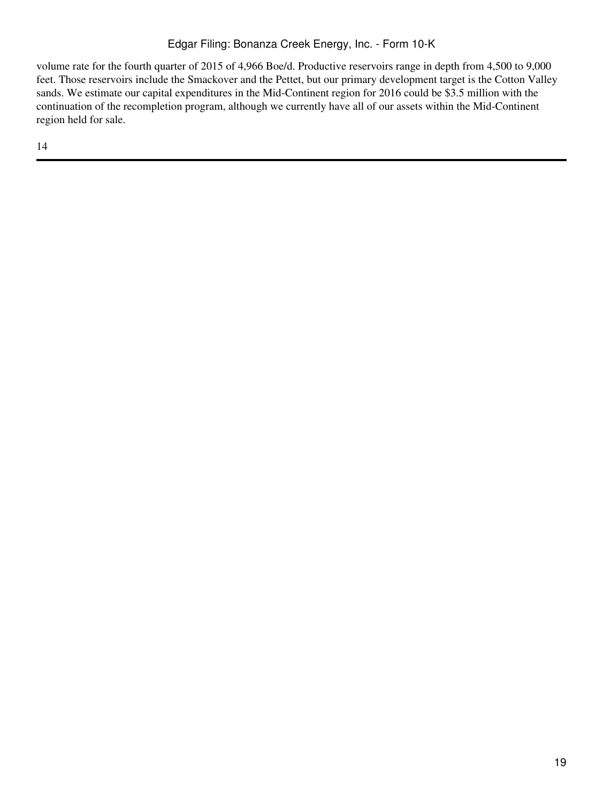# Edgar Filing: Bonanza Creek Energy, Inc. - Form 10-K

volume rate for the fourth quarter of 2015 of 4,966 Boe/d. Productive reservoirs range in depth from 4,500 to 9,000 feet. Those reservoirs include the Smackover and the Pettet, but our primary development target is the Cotton Valley sands. We estimate our capital expenditures in the Mid-Continent region for 2016 could be \$3.5 million with the continuation of the recompletion program, although we currently have all of our assets within the Mid-Continent region held for sale.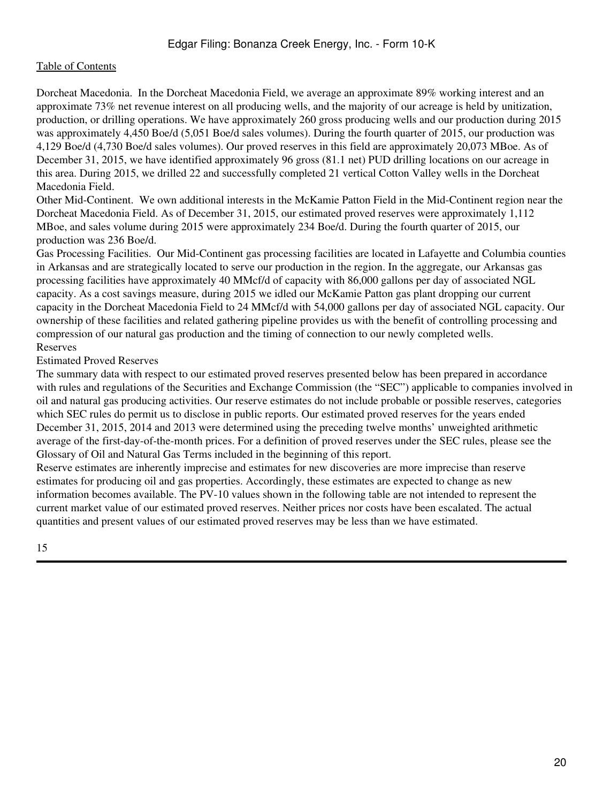Dorcheat Macedonia. In the Dorcheat Macedonia Field, we average an approximate 89% working interest and an approximate 73% net revenue interest on all producing wells, and the majority of our acreage is held by unitization, production, or drilling operations. We have approximately 260 gross producing wells and our production during 2015 was approximately 4,450 Boe/d (5,051 Boe/d sales volumes). During the fourth quarter of 2015, our production was 4,129 Boe/d (4,730 Boe/d sales volumes). Our proved reserves in this field are approximately 20,073 MBoe. As of December 31, 2015, we have identified approximately 96 gross (81.1 net) PUD drilling locations on our acreage in this area. During 2015, we drilled 22 and successfully completed 21 vertical Cotton Valley wells in the Dorcheat Macedonia Field.

Other Mid-Continent. We own additional interests in the McKamie Patton Field in the Mid-Continent region near the Dorcheat Macedonia Field. As of December 31, 2015, our estimated proved reserves were approximately 1,112 MBoe, and sales volume during 2015 were approximately 234 Boe/d. During the fourth quarter of 2015, our production was 236 Boe/d.

Gas Processing Facilities. Our Mid-Continent gas processing facilities are located in Lafayette and Columbia counties in Arkansas and are strategically located to serve our production in the region. In the aggregate, our Arkansas gas processing facilities have approximately 40 MMcf/d of capacity with 86,000 gallons per day of associated NGL capacity. As a cost savings measure, during 2015 we idled our McKamie Patton gas plant dropping our current capacity in the Dorcheat Macedonia Field to 24 MMcf/d with 54,000 gallons per day of associated NGL capacity. Our ownership of these facilities and related gathering pipeline provides us with the benefit of controlling processing and compression of our natural gas production and the timing of connection to our newly completed wells. Reserves

## Estimated Proved Reserves

The summary data with respect to our estimated proved reserves presented below has been prepared in accordance with rules and regulations of the Securities and Exchange Commission (the "SEC") applicable to companies involved in oil and natural gas producing activities. Our reserve estimates do not include probable or possible reserves, categories which SEC rules do permit us to disclose in public reports. Our estimated proved reserves for the years ended December 31, 2015, 2014 and 2013 were determined using the preceding twelve months' unweighted arithmetic average of the first-day-of-the-month prices. For a definition of proved reserves under the SEC rules, please see the Glossary of Oil and Natural Gas Terms included in the beginning of this report.

Reserve estimates are inherently imprecise and estimates for new discoveries are more imprecise than reserve estimates for producing oil and gas properties. Accordingly, these estimates are expected to change as new information becomes available. The PV-10 values shown in the following table are not intended to represent the current market value of our estimated proved reserves. Neither prices nor costs have been escalated. The actual quantities and present values of our estimated proved reserves may be less than we have estimated.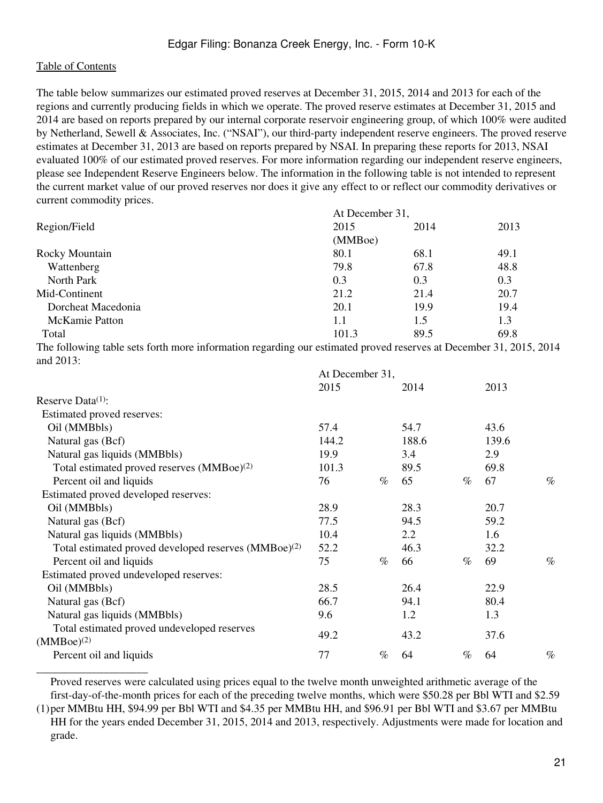\_\_\_\_\_\_\_\_\_\_\_\_\_\_\_\_\_\_\_\_

The table below summarizes our estimated proved reserves at December 31, 2015, 2014 and 2013 for each of the regions and currently producing fields in which we operate. The proved reserve estimates at December 31, 2015 and 2014 are based on reports prepared by our internal corporate reservoir engineering group, of which 100% were audited by Netherland, Sewell & Associates, Inc. ("NSAI"), our third-party independent reserve engineers. The proved reserve estimates at December 31, 2013 are based on reports prepared by NSAI. In preparing these reports for 2013, NSAI evaluated 100% of our estimated proved reserves. For more information regarding our independent reserve engineers, please see Independent Reserve Engineers below. The information in the following table is not intended to represent the current market value of our proved reserves nor does it give any effect to or reflect our commodity derivatives or current commodity prices.

| 2015    | 2014 | 2013            |
|---------|------|-----------------|
| (MMBoe) |      |                 |
| 80.1    | 68.1 | 49.1            |
| 79.8    | 67.8 | 48.8            |
| 0.3     | 0.3  | 0.3             |
| 21.2    | 21.4 | 20.7            |
| 20.1    | 19.9 | 19.4            |
| 1.1     | 1.5  | 1.3             |
| 101.3   | 89.5 | 69.8            |
|         |      | At December 31, |

The following table sets forth more information regarding our estimated proved reserves at December 31, 2015, 2014 and 2013:

|                                                                  | At December 31, |      |       |      |       |      |
|------------------------------------------------------------------|-----------------|------|-------|------|-------|------|
|                                                                  | 2015            |      | 2014  |      | 2013  |      |
| Reserve Data $(1)$ :                                             |                 |      |       |      |       |      |
| Estimated proved reserves:                                       |                 |      |       |      |       |      |
| Oil (MMBbls)                                                     | 57.4            |      | 54.7  |      | 43.6  |      |
| Natural gas (Bcf)                                                | 144.2           |      | 188.6 |      | 139.6 |      |
| Natural gas liquids (MMBbls)                                     | 19.9            |      | 3.4   |      | 2.9   |      |
| Total estimated proved reserves (MMBoe) <sup>(2)</sup>           | 101.3           |      | 89.5  |      | 69.8  |      |
| Percent oil and liquids                                          | 76              | $\%$ | 65    | $\%$ | 67    | $\%$ |
| Estimated proved developed reserves:                             |                 |      |       |      |       |      |
| Oil (MMBbls)                                                     | 28.9            |      | 28.3  |      | 20.7  |      |
| Natural gas (Bcf)                                                | 77.5            |      | 94.5  |      | 59.2  |      |
| Natural gas liquids (MMBbls)                                     | 10.4            |      | 2.2   |      | 1.6   |      |
| Total estimated proved developed reserves (MMBoe) <sup>(2)</sup> | 52.2            |      | 46.3  |      | 32.2  |      |
| Percent oil and liquids                                          | 75              | $\%$ | 66    | $\%$ | 69    | $\%$ |
| Estimated proved undeveloped reserves:                           |                 |      |       |      |       |      |
| Oil (MMBbls)                                                     | 28.5            |      | 26.4  |      | 22.9  |      |
| Natural gas (Bcf)                                                | 66.7            |      | 94.1  |      | 80.4  |      |
| Natural gas liquids (MMBbls)                                     | 9.6             |      | 1.2   |      | 1.3   |      |
| Total estimated proved undeveloped reserves<br>$(MMBoe)^{(2)}$   | 49.2            |      | 43.2  |      | 37.6  |      |
| Percent oil and liquids                                          | 77              | $\%$ | 64    | $\%$ | 64    | $\%$ |

Proved reserves were calculated using prices equal to the twelve month unweighted arithmetic average of the first-day-of-the-month prices for each of the preceding twelve months, which were \$50.28 per Bbl WTI and \$2.59

(1) per MMBtu HH, \$94.99 per Bbl WTI and \$4.35 per MMBtu HH, and \$96.91 per Bbl WTI and \$3.67 per MMBtu HH for the years ended December 31, 2015, 2014 and 2013, respectively. Adjustments were made for location and grade.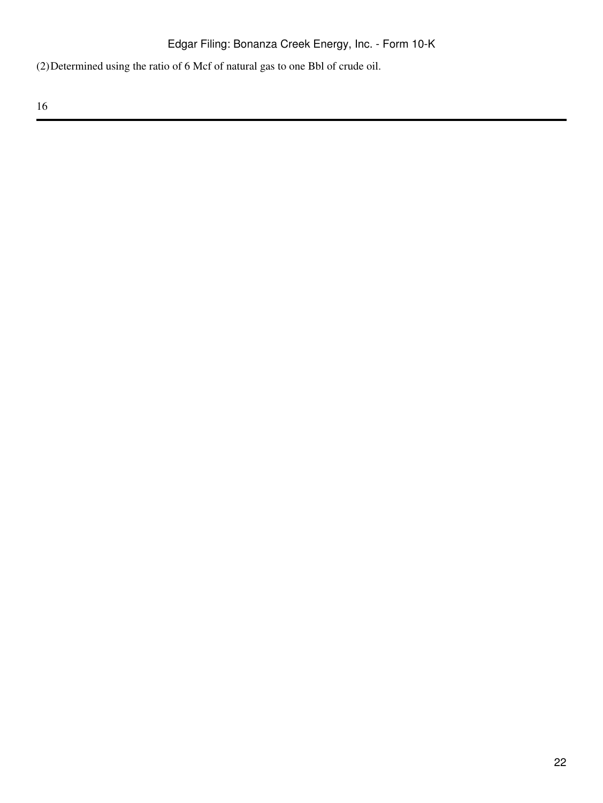(2)Determined using the ratio of 6 Mcf of natural gas to one Bbl of crude oil.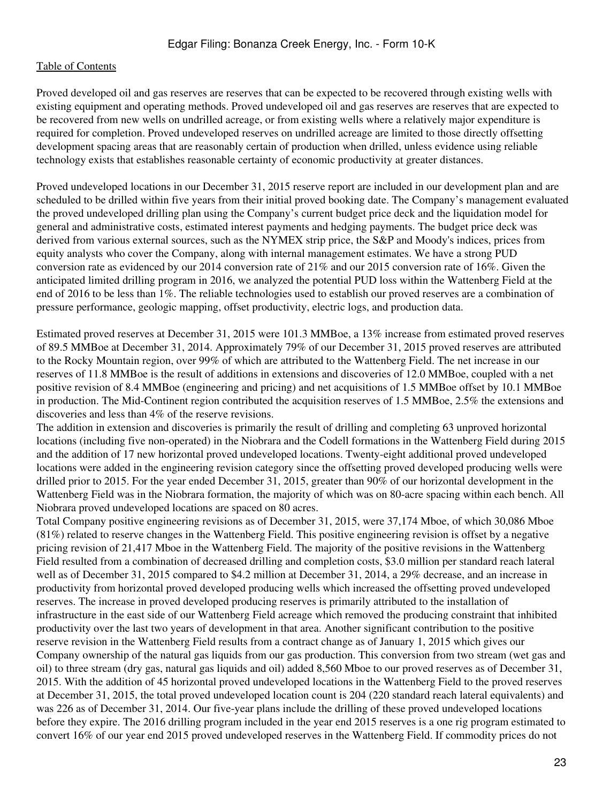Proved developed oil and gas reserves are reserves that can be expected to be recovered through existing wells with existing equipment and operating methods. Proved undeveloped oil and gas reserves are reserves that are expected to be recovered from new wells on undrilled acreage, or from existing wells where a relatively major expenditure is required for completion. Proved undeveloped reserves on undrilled acreage are limited to those directly offsetting development spacing areas that are reasonably certain of production when drilled, unless evidence using reliable technology exists that establishes reasonable certainty of economic productivity at greater distances.

Proved undeveloped locations in our December 31, 2015 reserve report are included in our development plan and are scheduled to be drilled within five years from their initial proved booking date. The Company's management evaluated the proved undeveloped drilling plan using the Company's current budget price deck and the liquidation model for general and administrative costs, estimated interest payments and hedging payments. The budget price deck was derived from various external sources, such as the NYMEX strip price, the S&P and Moody's indices, prices from equity analysts who cover the Company, along with internal management estimates. We have a strong PUD conversion rate as evidenced by our 2014 conversion rate of 21% and our 2015 conversion rate of 16%. Given the anticipated limited drilling program in 2016, we analyzed the potential PUD loss within the Wattenberg Field at the end of 2016 to be less than 1%. The reliable technologies used to establish our proved reserves are a combination of pressure performance, geologic mapping, offset productivity, electric logs, and production data.

Estimated proved reserves at December 31, 2015 were 101.3 MMBoe, a 13% increase from estimated proved reserves of 89.5 MMBoe at December 31, 2014. Approximately 79% of our December 31, 2015 proved reserves are attributed to the Rocky Mountain region, over 99% of which are attributed to the Wattenberg Field. The net increase in our reserves of 11.8 MMBoe is the result of additions in extensions and discoveries of 12.0 MMBoe, coupled with a net positive revision of 8.4 MMBoe (engineering and pricing) and net acquisitions of 1.5 MMBoe offset by 10.1 MMBoe in production. The Mid-Continent region contributed the acquisition reserves of 1.5 MMBoe, 2.5% the extensions and discoveries and less than 4% of the reserve revisions.

The addition in extension and discoveries is primarily the result of drilling and completing 63 unproved horizontal locations (including five non-operated) in the Niobrara and the Codell formations in the Wattenberg Field during 2015 and the addition of 17 new horizontal proved undeveloped locations. Twenty-eight additional proved undeveloped locations were added in the engineering revision category since the offsetting proved developed producing wells were drilled prior to 2015. For the year ended December 31, 2015, greater than 90% of our horizontal development in the Wattenberg Field was in the Niobrara formation, the majority of which was on 80-acre spacing within each bench. All Niobrara proved undeveloped locations are spaced on 80 acres.

Total Company positive engineering revisions as of December 31, 2015, were 37,174 Mboe, of which 30,086 Mboe (81%) related to reserve changes in the Wattenberg Field. This positive engineering revision is offset by a negative pricing revision of 21,417 Mboe in the Wattenberg Field. The majority of the positive revisions in the Wattenberg Field resulted from a combination of decreased drilling and completion costs, \$3.0 million per standard reach lateral well as of December 31, 2015 compared to \$4.2 million at December 31, 2014, a 29% decrease, and an increase in productivity from horizontal proved developed producing wells which increased the offsetting proved undeveloped reserves. The increase in proved developed producing reserves is primarily attributed to the installation of infrastructure in the east side of our Wattenberg Field acreage which removed the producing constraint that inhibited productivity over the last two years of development in that area. Another significant contribution to the positive reserve revision in the Wattenberg Field results from a contract change as of January 1, 2015 which gives our Company ownership of the natural gas liquids from our gas production. This conversion from two stream (wet gas and oil) to three stream (dry gas, natural gas liquids and oil) added 8,560 Mboe to our proved reserves as of December 31, 2015. With the addition of 45 horizontal proved undeveloped locations in the Wattenberg Field to the proved reserves at December 31, 2015, the total proved undeveloped location count is 204 (220 standard reach lateral equivalents) and was 226 as of December 31, 2014. Our five-year plans include the drilling of these proved undeveloped locations before they expire. The 2016 drilling program included in the year end 2015 reserves is a one rig program estimated to convert 16% of our year end 2015 proved undeveloped reserves in the Wattenberg Field. If commodity prices do not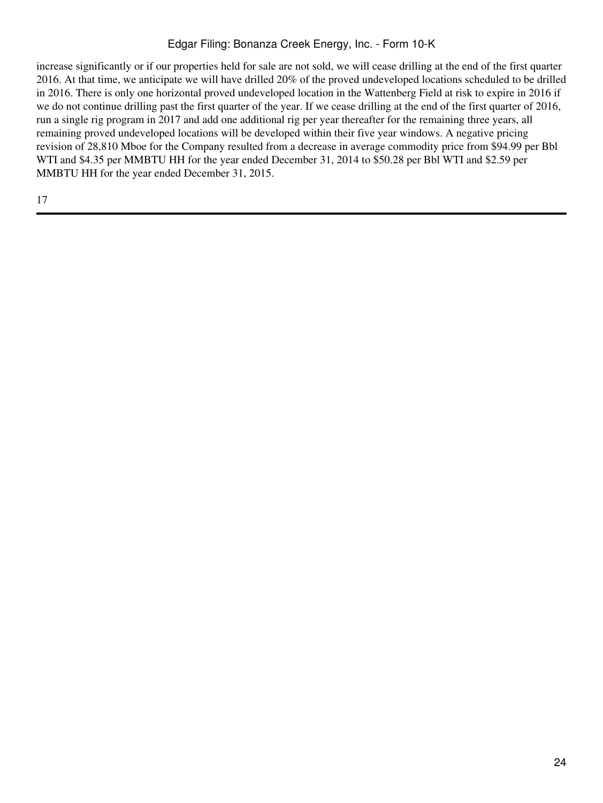# Edgar Filing: Bonanza Creek Energy, Inc. - Form 10-K

increase significantly or if our properties held for sale are not sold, we will cease drilling at the end of the first quarter 2016. At that time, we anticipate we will have drilled 20% of the proved undeveloped locations scheduled to be drilled in 2016. There is only one horizontal proved undeveloped location in the Wattenberg Field at risk to expire in 2016 if we do not continue drilling past the first quarter of the year. If we cease drilling at the end of the first quarter of 2016, run a single rig program in 2017 and add one additional rig per year thereafter for the remaining three years, all remaining proved undeveloped locations will be developed within their five year windows. A negative pricing revision of 28,810 Mboe for the Company resulted from a decrease in average commodity price from \$94.99 per Bbl WTI and \$4.35 per MMBTU HH for the year ended December 31, 2014 to \$50.28 per Bbl WTI and \$2.59 per MMBTU HH for the year ended December 31, 2015.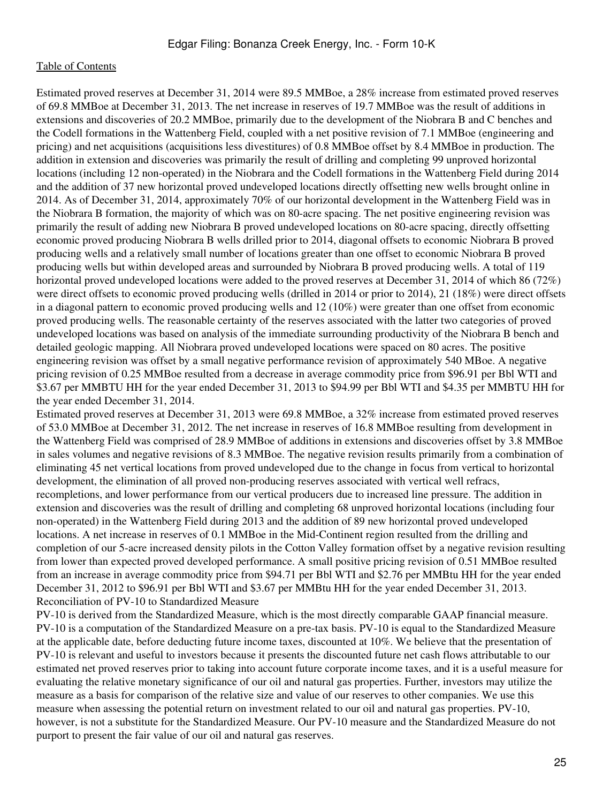Estimated proved reserves at December 31, 2014 were 89.5 MMBoe, a 28% increase from estimated proved reserves of 69.8 MMBoe at December 31, 2013. The net increase in reserves of 19.7 MMBoe was the result of additions in extensions and discoveries of 20.2 MMBoe, primarily due to the development of the Niobrara B and C benches and the Codell formations in the Wattenberg Field, coupled with a net positive revision of 7.1 MMBoe (engineering and pricing) and net acquisitions (acquisitions less divestitures) of 0.8 MMBoe offset by 8.4 MMBoe in production. The addition in extension and discoveries was primarily the result of drilling and completing 99 unproved horizontal locations (including 12 non-operated) in the Niobrara and the Codell formations in the Wattenberg Field during 2014 and the addition of 37 new horizontal proved undeveloped locations directly offsetting new wells brought online in 2014. As of December 31, 2014, approximately 70% of our horizontal development in the Wattenberg Field was in the Niobrara B formation, the majority of which was on 80-acre spacing. The net positive engineering revision was primarily the result of adding new Niobrara B proved undeveloped locations on 80-acre spacing, directly offsetting economic proved producing Niobrara B wells drilled prior to 2014, diagonal offsets to economic Niobrara B proved producing wells and a relatively small number of locations greater than one offset to economic Niobrara B proved producing wells but within developed areas and surrounded by Niobrara B proved producing wells. A total of 119 horizontal proved undeveloped locations were added to the proved reserves at December 31, 2014 of which 86 (72%) were direct offsets to economic proved producing wells (drilled in 2014 or prior to 2014), 21 (18%) were direct offsets in a diagonal pattern to economic proved producing wells and 12 (10%) were greater than one offset from economic proved producing wells. The reasonable certainty of the reserves associated with the latter two categories of proved undeveloped locations was based on analysis of the immediate surrounding productivity of the Niobrara B bench and detailed geologic mapping. All Niobrara proved undeveloped locations were spaced on 80 acres. The positive engineering revision was offset by a small negative performance revision of approximately 540 MBoe. A negative pricing revision of 0.25 MMBoe resulted from a decrease in average commodity price from \$96.91 per Bbl WTI and \$3.67 per MMBTU HH for the year ended December 31, 2013 to \$94.99 per Bbl WTI and \$4.35 per MMBTU HH for the year ended December 31, 2014.

Estimated proved reserves at December 31, 2013 were 69.8 MMBoe, a 32% increase from estimated proved reserves of 53.0 MMBoe at December 31, 2012. The net increase in reserves of 16.8 MMBoe resulting from development in the Wattenberg Field was comprised of 28.9 MMBoe of additions in extensions and discoveries offset by 3.8 MMBoe in sales volumes and negative revisions of 8.3 MMBoe. The negative revision results primarily from a combination of eliminating 45 net vertical locations from proved undeveloped due to the change in focus from vertical to horizontal development, the elimination of all proved non-producing reserves associated with vertical well refracs, recompletions, and lower performance from our vertical producers due to increased line pressure. The addition in extension and discoveries was the result of drilling and completing 68 unproved horizontal locations (including four non-operated) in the Wattenberg Field during 2013 and the addition of 89 new horizontal proved undeveloped locations. A net increase in reserves of 0.1 MMBoe in the Mid-Continent region resulted from the drilling and completion of our 5-acre increased density pilots in the Cotton Valley formation offset by a negative revision resulting from lower than expected proved developed performance. A small positive pricing revision of 0.51 MMBoe resulted from an increase in average commodity price from \$94.71 per Bbl WTI and \$2.76 per MMBtu HH for the year ended December 31, 2012 to \$96.91 per Bbl WTI and \$3.67 per MMBtu HH for the year ended December 31, 2013. Reconciliation of PV-10 to Standardized Measure

PV-10 is derived from the Standardized Measure, which is the most directly comparable GAAP financial measure. PV-10 is a computation of the Standardized Measure on a pre-tax basis. PV-10 is equal to the Standardized Measure at the applicable date, before deducting future income taxes, discounted at 10%. We believe that the presentation of PV-10 is relevant and useful to investors because it presents the discounted future net cash flows attributable to our estimated net proved reserves prior to taking into account future corporate income taxes, and it is a useful measure for evaluating the relative monetary significance of our oil and natural gas properties. Further, investors may utilize the measure as a basis for comparison of the relative size and value of our reserves to other companies. We use this measure when assessing the potential return on investment related to our oil and natural gas properties. PV-10, however, is not a substitute for the Standardized Measure. Our PV-10 measure and the Standardized Measure do not purport to present the fair value of our oil and natural gas reserves.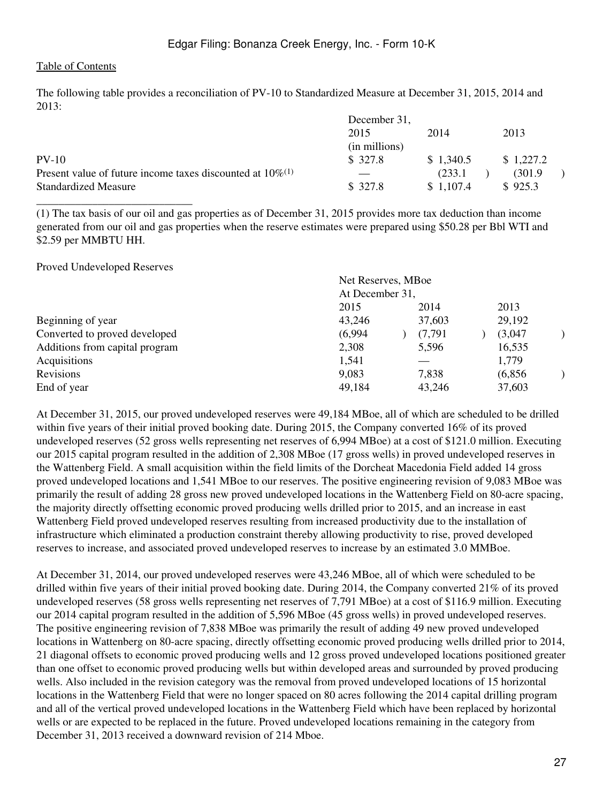The following table provides a reconciliation of PV-10 to Standardized Measure at December 31, 2015, 2014 and 2013:

|                                                                 | December 31,  |           |           |
|-----------------------------------------------------------------|---------------|-----------|-----------|
|                                                                 | 2015          | 2014      | 2013      |
|                                                                 | (in millions) |           |           |
| $PV-10$                                                         | \$ 327.8      | \$1,340.5 | \$1,227.2 |
| Present value of future income taxes discounted at $10\%^{(1)}$ |               | (233.1)   | (301.9)   |
| <b>Standardized Measure</b>                                     | \$327.8       | \$1,107.4 | \$925.3   |
|                                                                 |               |           |           |

(1) The tax basis of our oil and gas properties as of December 31, 2015 provides more tax deduction than income generated from our oil and gas properties when the reserve estimates were prepared using \$50.28 per Bbl WTI and \$2.59 per MMBTU HH.

Proved Undeveloped Reserves

|                                | Net Reserves, MBoe |                 |         |  |
|--------------------------------|--------------------|-----------------|---------|--|
|                                |                    | At December 31, |         |  |
|                                | 2015               | 2014            | 2013    |  |
| Beginning of year              | 43,246             | 37,603          | 29,192  |  |
| Converted to proved developed  | (6,994)            | (7.791)         | (3,047) |  |
| Additions from capital program | 2,308              | 5,596           | 16,535  |  |
| Acquisitions                   | 1,541              |                 | 1,779   |  |
| Revisions                      | 9,083              | 7,838           | (6,856) |  |
| End of year                    | 49,184             | 43,246          | 37,603  |  |
|                                |                    |                 |         |  |

At December 31, 2015, our proved undeveloped reserves were 49,184 MBoe, all of which are scheduled to be drilled within five years of their initial proved booking date. During 2015, the Company converted 16% of its proved undeveloped reserves (52 gross wells representing net reserves of 6,994 MBoe) at a cost of \$121.0 million. Executing our 2015 capital program resulted in the addition of 2,308 MBoe (17 gross wells) in proved undeveloped reserves in the Wattenberg Field. A small acquisition within the field limits of the Dorcheat Macedonia Field added 14 gross proved undeveloped locations and 1,541 MBoe to our reserves. The positive engineering revision of 9,083 MBoe was primarily the result of adding 28 gross new proved undeveloped locations in the Wattenberg Field on 80-acre spacing, the majority directly offsetting economic proved producing wells drilled prior to 2015, and an increase in east Wattenberg Field proved undeveloped reserves resulting from increased productivity due to the installation of infrastructure which eliminated a production constraint thereby allowing productivity to rise, proved developed reserves to increase, and associated proved undeveloped reserves to increase by an estimated 3.0 MMBoe.

At December 31, 2014, our proved undeveloped reserves were 43,246 MBoe, all of which were scheduled to be drilled within five years of their initial proved booking date. During 2014, the Company converted 21% of its proved undeveloped reserves (58 gross wells representing net reserves of 7,791 MBoe) at a cost of \$116.9 million. Executing our 2014 capital program resulted in the addition of 5,596 MBoe (45 gross wells) in proved undeveloped reserves. The positive engineering revision of 7,838 MBoe was primarily the result of adding 49 new proved undeveloped locations in Wattenberg on 80-acre spacing, directly offsetting economic proved producing wells drilled prior to 2014, 21 diagonal offsets to economic proved producing wells and 12 gross proved undeveloped locations positioned greater than one offset to economic proved producing wells but within developed areas and surrounded by proved producing wells. Also included in the revision category was the removal from proved undeveloped locations of 15 horizontal locations in the Wattenberg Field that were no longer spaced on 80 acres following the 2014 capital drilling program and all of the vertical proved undeveloped locations in the Wattenberg Field which have been replaced by horizontal wells or are expected to be replaced in the future. Proved undeveloped locations remaining in the category from December 31, 2013 received a downward revision of 214 Mboe.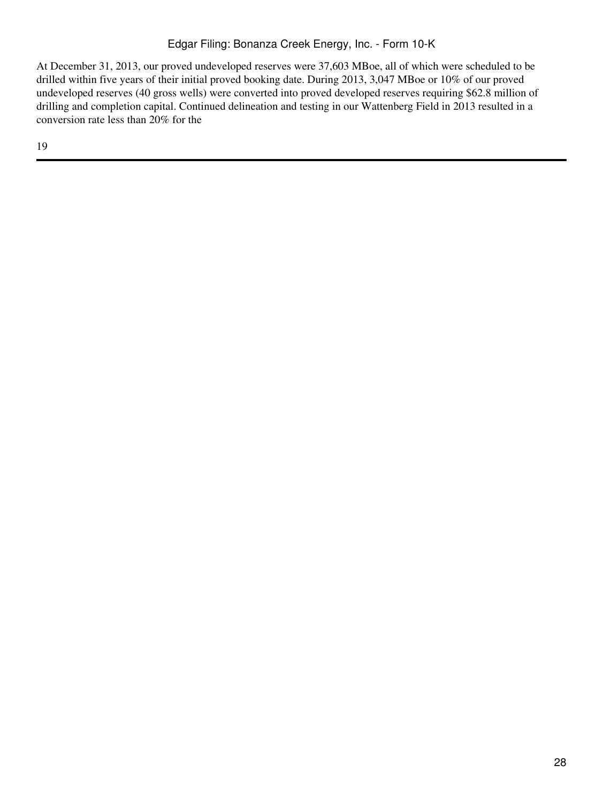At December 31, 2013, our proved undeveloped reserves were 37,603 MBoe, all of which were scheduled to be drilled within five years of their initial proved booking date. During 2013, 3,047 MBoe or 10% of our proved undeveloped reserves (40 gross wells) were converted into proved developed reserves requiring \$62.8 million of drilling and completion capital. Continued delineation and testing in our Wattenberg Field in 2013 resulted in a conversion rate less than 20% for the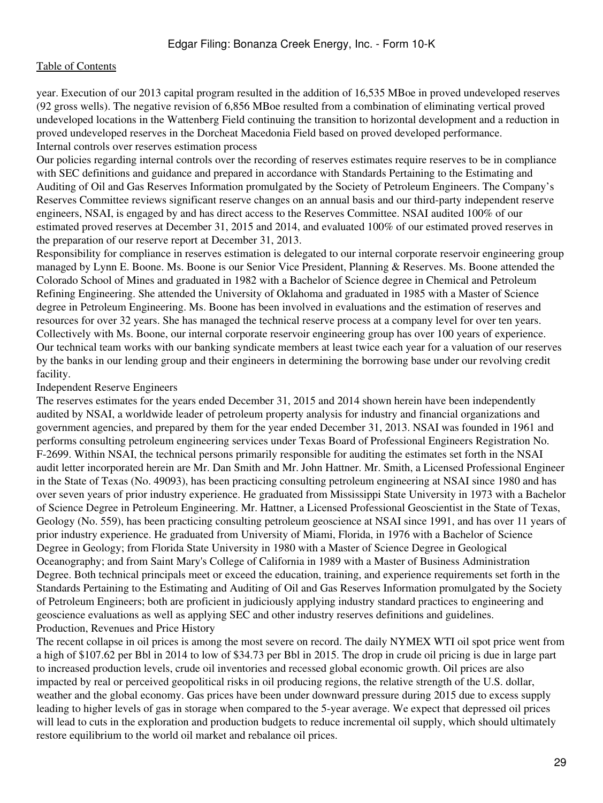year. Execution of our 2013 capital program resulted in the addition of 16,535 MBoe in proved undeveloped reserves (92 gross wells). The negative revision of 6,856 MBoe resulted from a combination of eliminating vertical proved undeveloped locations in the Wattenberg Field continuing the transition to horizontal development and a reduction in proved undeveloped reserves in the Dorcheat Macedonia Field based on proved developed performance. Internal controls over reserves estimation process

Our policies regarding internal controls over the recording of reserves estimates require reserves to be in compliance with SEC definitions and guidance and prepared in accordance with Standards Pertaining to the Estimating and Auditing of Oil and Gas Reserves Information promulgated by the Society of Petroleum Engineers. The Company's Reserves Committee reviews significant reserve changes on an annual basis and our third-party independent reserve engineers, NSAI, is engaged by and has direct access to the Reserves Committee. NSAI audited 100% of our estimated proved reserves at December 31, 2015 and 2014, and evaluated 100% of our estimated proved reserves in the preparation of our reserve report at December 31, 2013.

Responsibility for compliance in reserves estimation is delegated to our internal corporate reservoir engineering group managed by Lynn E. Boone. Ms. Boone is our Senior Vice President, Planning & Reserves. Ms. Boone attended the Colorado School of Mines and graduated in 1982 with a Bachelor of Science degree in Chemical and Petroleum Refining Engineering. She attended the University of Oklahoma and graduated in 1985 with a Master of Science degree in Petroleum Engineering. Ms. Boone has been involved in evaluations and the estimation of reserves and resources for over 32 years. She has managed the technical reserve process at a company level for over ten years. Collectively with Ms. Boone, our internal corporate reservoir engineering group has over 100 years of experience. Our technical team works with our banking syndicate members at least twice each year for a valuation of our reserves by the banks in our lending group and their engineers in determining the borrowing base under our revolving credit facility.

#### Independent Reserve Engineers

The reserves estimates for the years ended December 31, 2015 and 2014 shown herein have been independently audited by NSAI, a worldwide leader of petroleum property analysis for industry and financial organizations and government agencies, and prepared by them for the year ended December 31, 2013. NSAI was founded in 1961 and performs consulting petroleum engineering services under Texas Board of Professional Engineers Registration No. F-2699. Within NSAI, the technical persons primarily responsible for auditing the estimates set forth in the NSAI audit letter incorporated herein are Mr. Dan Smith and Mr. John Hattner. Mr. Smith, a Licensed Professional Engineer in the State of Texas (No. 49093), has been practicing consulting petroleum engineering at NSAI since 1980 and has over seven years of prior industry experience. He graduated from Mississippi State University in 1973 with a Bachelor of Science Degree in Petroleum Engineering. Mr. Hattner, a Licensed Professional Geoscientist in the State of Texas, Geology (No. 559), has been practicing consulting petroleum geoscience at NSAI since 1991, and has over 11 years of prior industry experience. He graduated from University of Miami, Florida, in 1976 with a Bachelor of Science Degree in Geology; from Florida State University in 1980 with a Master of Science Degree in Geological Oceanography; and from Saint Mary's College of California in 1989 with a Master of Business Administration Degree. Both technical principals meet or exceed the education, training, and experience requirements set forth in the Standards Pertaining to the Estimating and Auditing of Oil and Gas Reserves Information promulgated by the Society of Petroleum Engineers; both are proficient in judiciously applying industry standard practices to engineering and geoscience evaluations as well as applying SEC and other industry reserves definitions and guidelines. Production, Revenues and Price History

The recent collapse in oil prices is among the most severe on record. The daily NYMEX WTI oil spot price went from a high of \$107.62 per Bbl in 2014 to low of \$34.73 per Bbl in 2015. The drop in crude oil pricing is due in large part to increased production levels, crude oil inventories and recessed global economic growth. Oil prices are also impacted by real or perceived geopolitical risks in oil producing regions, the relative strength of the U.S. dollar, weather and the global economy. Gas prices have been under downward pressure during 2015 due to excess supply leading to higher levels of gas in storage when compared to the 5-year average. We expect that depressed oil prices will lead to cuts in the exploration and production budgets to reduce incremental oil supply, which should ultimately restore equilibrium to the world oil market and rebalance oil prices.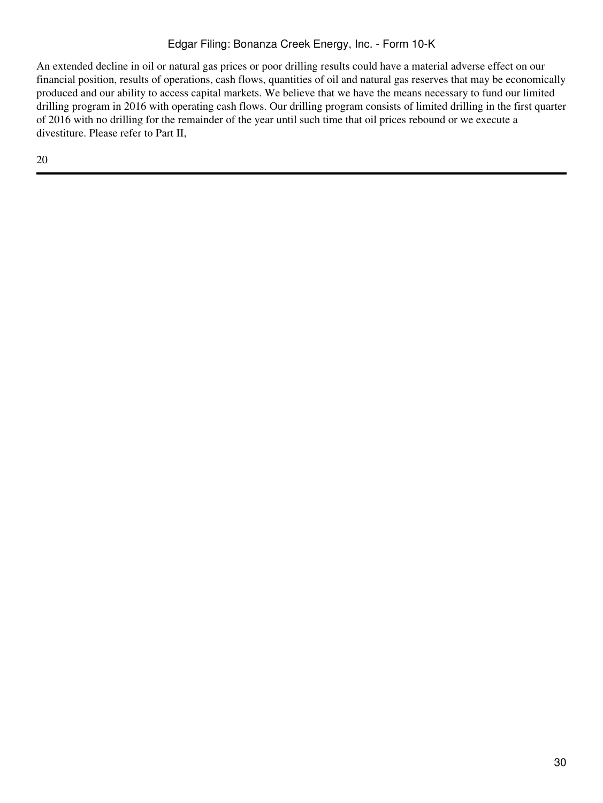# Edgar Filing: Bonanza Creek Energy, Inc. - Form 10-K

An extended decline in oil or natural gas prices or poor drilling results could have a material adverse effect on our financial position, results of operations, cash flows, quantities of oil and natural gas reserves that may be economically produced and our ability to access capital markets. We believe that we have the means necessary to fund our limited drilling program in 2016 with operating cash flows. Our drilling program consists of limited drilling in the first quarter of 2016 with no drilling for the remainder of the year until such time that oil prices rebound or we execute a divestiture. Please refer to Part II,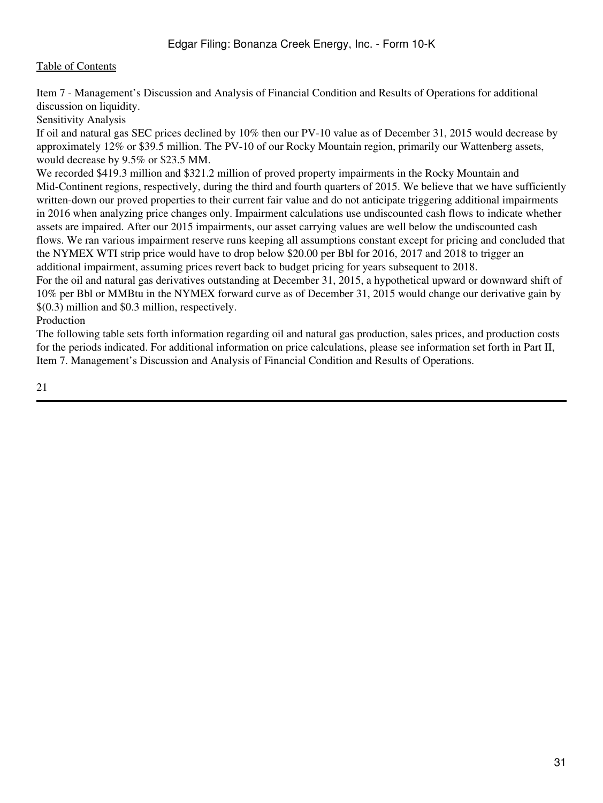Item 7 - Management's Discussion and Analysis of Financial Condition and Results of Operations for additional discussion on liquidity.

Sensitivity Analysis

If oil and natural gas SEC prices declined by 10% then our PV-10 value as of December 31, 2015 would decrease by approximately 12% or \$39.5 million. The PV-10 of our Rocky Mountain region, primarily our Wattenberg assets, would decrease by 9.5% or \$23.5 MM.

We recorded \$419.3 million and \$321.2 million of proved property impairments in the Rocky Mountain and Mid-Continent regions, respectively, during the third and fourth quarters of 2015. We believe that we have sufficiently written-down our proved properties to their current fair value and do not anticipate triggering additional impairments in 2016 when analyzing price changes only. Impairment calculations use undiscounted cash flows to indicate whether assets are impaired. After our 2015 impairments, our asset carrying values are well below the undiscounted cash flows. We ran various impairment reserve runs keeping all assumptions constant except for pricing and concluded that the NYMEX WTI strip price would have to drop below \$20.00 per Bbl for 2016, 2017 and 2018 to trigger an additional impairment, assuming prices revert back to budget pricing for years subsequent to 2018.

For the oil and natural gas derivatives outstanding at December 31, 2015, a hypothetical upward or downward shift of 10% per Bbl or MMBtu in the NYMEX forward curve as of December 31, 2015 would change our derivative gain by \$(0.3) million and \$0.3 million, respectively.

Production

The following table sets forth information regarding oil and natural gas production, sales prices, and production costs for the periods indicated. For additional information on price calculations, please see information set forth in Part II, Item 7. Management's Discussion and Analysis of Financial Condition and Results of Operations.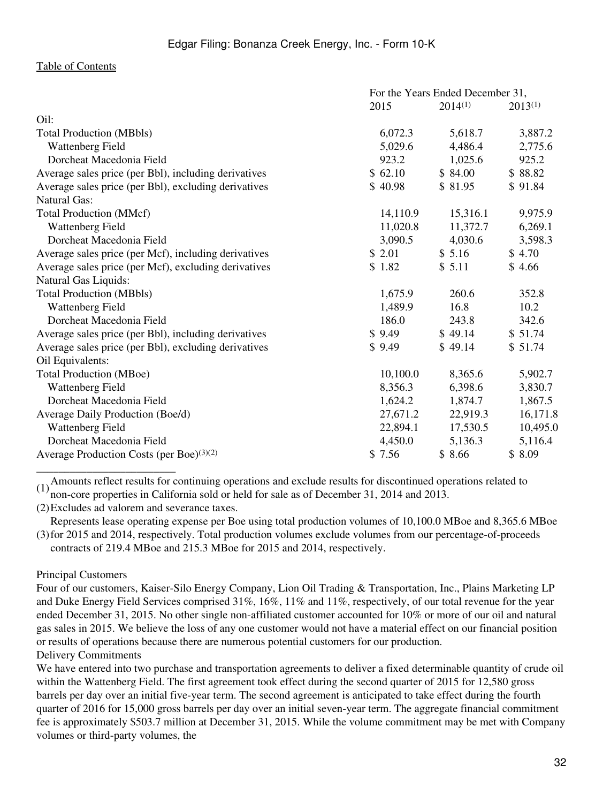|                                                      | For the Years Ended December 31, |              |              |  |  |
|------------------------------------------------------|----------------------------------|--------------|--------------|--|--|
|                                                      | 2015                             | $2014^{(1)}$ | $2013^{(1)}$ |  |  |
| Oil:                                                 |                                  |              |              |  |  |
| <b>Total Production (MBbls)</b>                      | 6,072.3                          | 5,618.7      | 3,887.2      |  |  |
| Wattenberg Field                                     | 5,029.6                          | 4,486.4      | 2,775.6      |  |  |
| Dorcheat Macedonia Field                             | 923.2                            | 1,025.6      | 925.2        |  |  |
| Average sales price (per Bbl), including derivatives | \$62.10                          | \$84.00      | \$88.82      |  |  |
| Average sales price (per Bbl), excluding derivatives | \$40.98                          | \$81.95      | \$91.84      |  |  |
| <b>Natural Gas:</b>                                  |                                  |              |              |  |  |
| <b>Total Production (MMcf)</b>                       | 14,110.9                         | 15,316.1     | 9,975.9      |  |  |
| Wattenberg Field                                     | 11,020.8                         | 11,372.7     | 6,269.1      |  |  |
| Dorcheat Macedonia Field                             | 3,090.5                          | 4,030.6      | 3,598.3      |  |  |
| Average sales price (per Mcf), including derivatives | \$2.01                           | \$5.16       | \$4.70       |  |  |
| Average sales price (per Mcf), excluding derivatives | \$1.82                           | \$5.11       | \$4.66       |  |  |
| Natural Gas Liquids:                                 |                                  |              |              |  |  |
| <b>Total Production (MBbls)</b>                      | 1,675.9                          | 260.6        | 352.8        |  |  |
| Wattenberg Field                                     | 1,489.9                          | 16.8         | 10.2         |  |  |
| Dorcheat Macedonia Field                             | 186.0                            | 243.8        | 342.6        |  |  |
| Average sales price (per Bbl), including derivatives | \$9.49                           | \$49.14      | \$51.74      |  |  |
| Average sales price (per Bbl), excluding derivatives | \$9.49                           | \$49.14      | \$51.74      |  |  |
| Oil Equivalents:                                     |                                  |              |              |  |  |
| <b>Total Production (MBoe)</b>                       | 10,100.0                         | 8,365.6      | 5,902.7      |  |  |
| Wattenberg Field                                     | 8,356.3                          | 6,398.6      | 3,830.7      |  |  |
| Dorcheat Macedonia Field                             | 1,624.2                          | 1,874.7      | 1,867.5      |  |  |
| Average Daily Production (Boe/d)                     | 27,671.2                         | 22,919.3     | 16,171.8     |  |  |
| Wattenberg Field                                     | 22,894.1                         | 17,530.5     | 10,495.0     |  |  |
| Dorcheat Macedonia Field                             | 4,450.0                          | 5,136.3      | 5,116.4      |  |  |
| Average Production Costs (per Boe) <sup>(3)(2)</sup> | \$7.56                           | \$8.66       | \$8.09       |  |  |

(1) Amounts reflect results for continuing operations and exclude results for discontinued operations related to  $(1)$  non-operations in Colifornia cald on hald for sale as of December 21, 2014 and 2012. non-core properties in California sold or held for sale as of December 31, 2014 and 2013.

(2)Excludes ad valorem and severance taxes.

(3) for 2015 and 2014, respectively. Total production volumes exclude volumes from our percentage-of-proceeds Represents lease operating expense per Boe using total production volumes of 10,100.0 MBoe and 8,365.6 MBoe contracts of 219.4 MBoe and 215.3 MBoe for 2015 and 2014, respectively.

#### Principal Customers

Four of our customers, Kaiser-Silo Energy Company, Lion Oil Trading & Transportation, Inc., Plains Marketing LP and Duke Energy Field Services comprised 31%, 16%, 11% and 11%, respectively, of our total revenue for the year ended December 31, 2015. No other single non-affiliated customer accounted for 10% or more of our oil and natural gas sales in 2015. We believe the loss of any one customer would not have a material effect on our financial position or results of operations because there are numerous potential customers for our production. Delivery Commitments

We have entered into two purchase and transportation agreements to deliver a fixed determinable quantity of crude oil within the Wattenberg Field. The first agreement took effect during the second quarter of 2015 for 12,580 gross barrels per day over an initial five-year term. The second agreement is anticipated to take effect during the fourth quarter of 2016 for 15,000 gross barrels per day over an initial seven-year term. The aggregate financial commitment fee is approximately \$503.7 million at December 31, 2015. While the volume commitment may be met with Company volumes or third-party volumes, the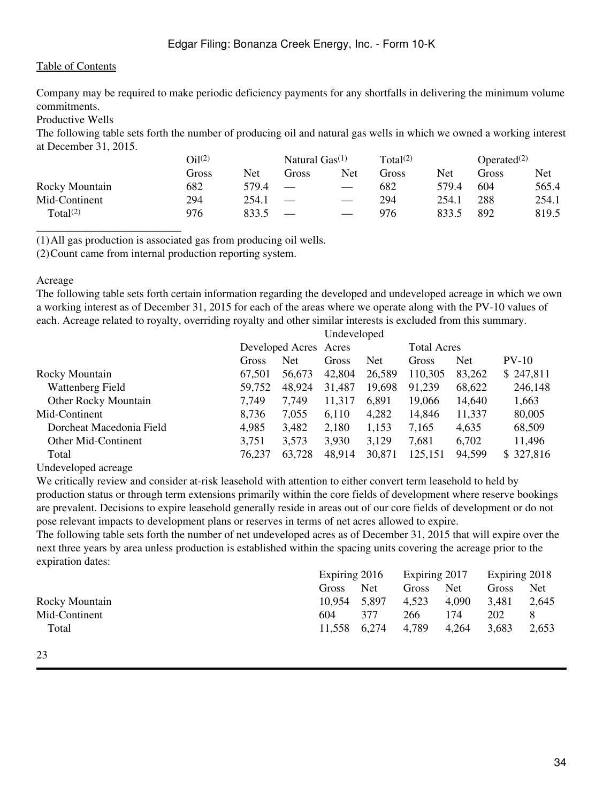## Edgar Filing: Bonanza Creek Energy, Inc. - Form 10-K

### [Table of Contents](#page-2-0)

Company may be required to make periodic deficiency payments for any shortfalls in delivering the minimum volume commitments.

Productive Wells

\_\_\_\_\_\_\_\_\_\_\_\_\_\_\_\_\_\_\_\_\_\_\_\_\_\_

The following table sets forth the number of producing oil and natural gas wells in which we owned a working interest at December 31, 2015.

|                      | O <sub>1</sub> 1 <sup>(2)</sup> |       | Natural $Gas^{(1)}$           |                   | Total <sup>(2)</sup> |       | Operated $(2)$ |       |
|----------------------|---------------------------------|-------|-------------------------------|-------------------|----------------------|-------|----------------|-------|
|                      | Gross                           | Net   | Gross                         | Net               | Gross                | Net   | Gross          | Net   |
| Rocky Mountain       | 682                             | 579.4 | $\hspace{0.05cm}$             | $\hspace{0.05cm}$ | 682                  | 579.4 | 604            | 565.4 |
| Mid-Continent        | 294                             | 254.1 |                               |                   | 294                  | 254.1 | 288            | 254.1 |
| Total <sup>(2)</sup> | 976                             | 833.5 | $\overbrace{\phantom{aaaaa}}$ |                   | 976                  | 833.5 | 892            | 819.5 |

(1)All gas production is associated gas from producing oil wells.

(2)Count came from internal production reporting system.

#### Acreage

The following table sets forth certain information regarding the developed and undeveloped acreage in which we own a working interest as of December 31, 2015 for each of the areas where we operate along with the PV-10 values of each. Acreage related to royalty, overriding royalty and other similar interests is excluded from this summary.

|                             |        |                       | Undeveloped |            |         |                    |           |
|-----------------------------|--------|-----------------------|-------------|------------|---------|--------------------|-----------|
|                             |        | Developed Acres Acres |             |            |         | <b>Total Acres</b> |           |
|                             | Gross  | Net                   | Gross       | <b>Net</b> | Gross   | <b>Net</b>         | $PV-10$   |
| Rocky Mountain              | 67.501 | 56,673                | 42,804      | 26,589     | 110,305 | 83,262             | \$247,811 |
| Wattenberg Field            | 59,752 | 48,924                | 31,487      | 19,698     | 91,239  | 68,622             | 246,148   |
| <b>Other Rocky Mountain</b> | 7,749  | 7,749                 | 11,317      | 6,891      | 19,066  | 14,640             | 1,663     |
| Mid-Continent               | 8,736  | 7,055                 | 6,110       | 4,282      | 14,846  | 11,337             | 80,005    |
| Dorcheat Macedonia Field    | 4,985  | 3,482                 | 2,180       | 1,153      | 7,165   | 4,635              | 68,509    |
| Other Mid-Continent         | 3,751  | 3,573                 | 3,930       | 3,129      | 7,681   | 6,702              | 11,496    |
| Total                       | 76,237 | 63,728                | 48,914      | 30,871     | 125,151 | 94,599             | \$327,816 |
|                             |        |                       |             |            |         |                    |           |

Undeveloped acreage

We critically review and consider at-risk leasehold with attention to either convert term leasehold to held by production status or through term extensions primarily within the core fields of development where reserve bookings are prevalent. Decisions to expire leasehold generally reside in areas out of our core fields of development or do not pose relevant impacts to development plans or reserves in terms of net acres allowed to expire.

The following table sets forth the number of net undeveloped acres as of December 31, 2015 that will expire over the next three years by area unless production is established within the spacing units covering the acreage prior to the expiration dates:

| Expiring 2018  |  |
|----------------|--|
| Net<br>Gross   |  |
| 3,481<br>2,645 |  |
| 202<br>8       |  |
| 3,683<br>2,653 |  |
|                |  |
|                |  |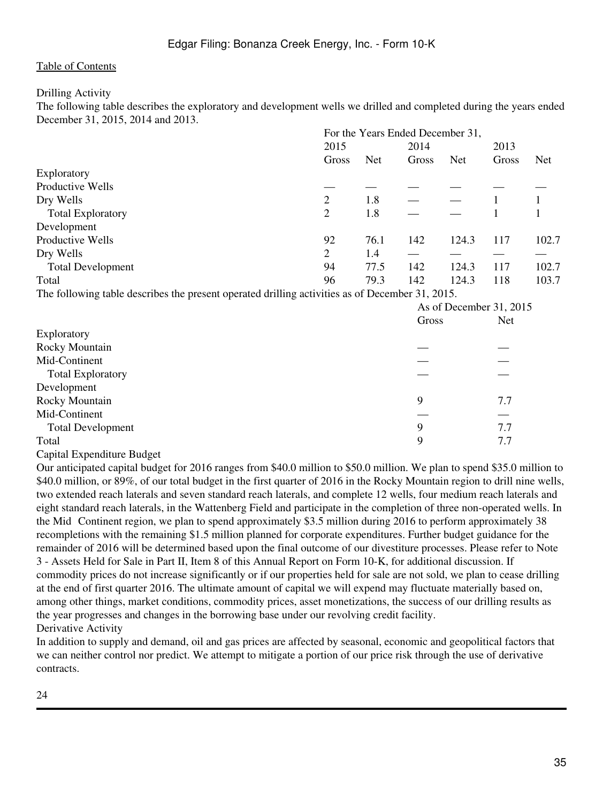### Drilling Activity

The following table describes the exploratory and development wells we drilled and completed during the years ended December 31, 2015, 2014 and 2013.

|                          | For the Years Ended December 31, |            |       |            |       |            |
|--------------------------|----------------------------------|------------|-------|------------|-------|------------|
|                          | 2015                             |            | 2014  |            | 2013  |            |
|                          | Gross                            | <b>Net</b> | Gross | <b>Net</b> | Gross | <b>Net</b> |
| Exploratory              |                                  |            |       |            |       |            |
| Productive Wells         |                                  |            |       |            |       |            |
| Dry Wells                | 2                                | 1.8        |       |            |       |            |
| <b>Total Exploratory</b> | 2                                | 1.8        |       |            |       |            |
| Development              |                                  |            |       |            |       |            |
| Productive Wells         | 92                               | 76.1       | 142   | 124.3      | 117   | 102.7      |
| Dry Wells                | 2                                | 1.4        |       |            |       |            |
| <b>Total Development</b> | 94                               | 77.5       | 142   | 124.3      | 117   | 102.7      |
| Total                    | 96                               | 79.3       | 142   | 124.3      | 118   | 103.7      |

The following table describes the present operated drilling activities as of December 31, 2015.

|                          |       | As of December 31, 2015 |  |  |
|--------------------------|-------|-------------------------|--|--|
|                          | Gross | <b>Net</b>              |  |  |
| Exploratory              |       |                         |  |  |
| Rocky Mountain           |       |                         |  |  |
| Mid-Continent            |       |                         |  |  |
| <b>Total Exploratory</b> |       |                         |  |  |
| Development              |       |                         |  |  |
| Rocky Mountain           | 9     | 7.7                     |  |  |
| Mid-Continent            |       |                         |  |  |
| <b>Total Development</b> | 9     | 7.7                     |  |  |
| Total                    | 9     | 7.7                     |  |  |

#### Capital Expenditure Budget

Our anticipated capital budget for 2016 ranges from \$40.0 million to \$50.0 million. We plan to spend \$35.0 million to \$40.0 million, or 89%, of our total budget in the first quarter of 2016 in the Rocky Mountain region to drill nine wells, two extended reach laterals and seven standard reach laterals, and complete 12 wells, four medium reach laterals and eight standard reach laterals, in the Wattenberg Field and participate in the completion of three non-operated wells. In the Mid‑Continent region, we plan to spend approximately \$3.5 million during 2016 to perform approximately 38 recompletions with the remaining \$1.5 million planned for corporate expenditures. Further budget guidance for the remainder of 2016 will be determined based upon the final outcome of our divestiture processes. Please refer to Note 3 - Assets Held for Sale in Part II, Item 8 of this Annual Report on Form 10-K, for additional discussion. If commodity prices do not increase significantly or if our properties held for sale are not sold, we plan to cease drilling at the end of first quarter 2016. The ultimate amount of capital we will expend may fluctuate materially based on, among other things, market conditions, commodity prices, asset monetizations, the success of our drilling results as the year progresses and changes in the borrowing base under our revolving credit facility. Derivative Activity

In addition to supply and demand, oil and gas prices are affected by seasonal, economic and geopolitical factors that we can neither control nor predict. We attempt to mitigate a portion of our price risk through the use of derivative contracts.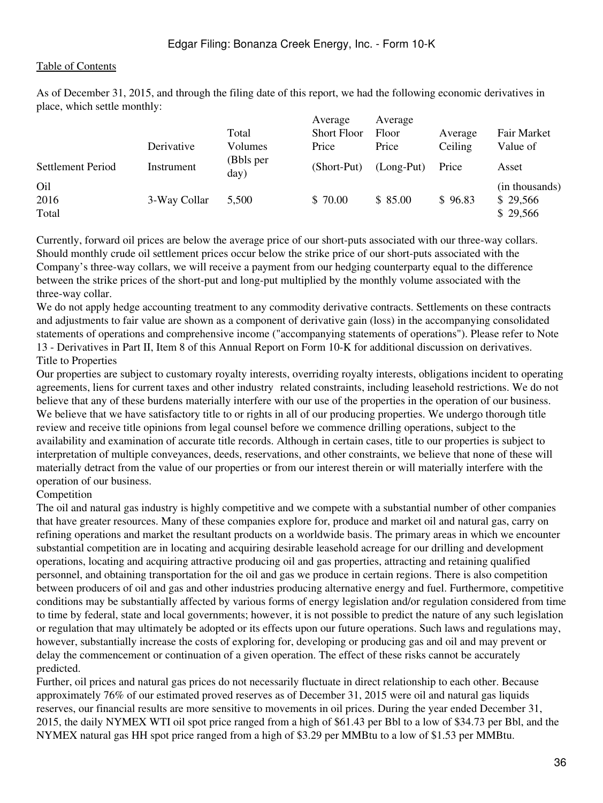As of December 31, 2015, and through the filing date of this report, we had the following economic derivatives in place, which settle monthly:

|                                  | Derivative   | Total<br>Volumes  | Average<br><b>Short Floor</b><br>Price | Average<br>Floor<br>Price | Average<br>Ceiling | Fair Market<br>Value of                |
|----------------------------------|--------------|-------------------|----------------------------------------|---------------------------|--------------------|----------------------------------------|
| Settlement Period                | Instrument   | (Bbls per<br>day) | (Short-Put)                            | $(Long-Put)$              | Price              | Asset                                  |
| O <sub>il</sub><br>2016<br>Total | 3-Way Collar | 5,500             | \$70.00                                | \$85.00                   | \$96.83            | (in thousands)<br>\$29,566<br>\$29,566 |

Currently, forward oil prices are below the average price of our short-puts associated with our three-way collars. Should monthly crude oil settlement prices occur below the strike price of our short-puts associated with the Company's three-way collars, we will receive a payment from our hedging counterparty equal to the difference between the strike prices of the short-put and long-put multiplied by the monthly volume associated with the three-way collar.

We do not apply hedge accounting treatment to any commodity derivative contracts. Settlements on these contracts and adjustments to fair value are shown as a component of derivative gain (loss) in the accompanying consolidated statements of operations and comprehensive income ("accompanying statements of operations"). Please refer to Note 13 - Derivatives in Part II, Item 8 of this Annual Report on Form 10-K for additional discussion on derivatives. Title to Properties

Our properties are subject to customary royalty interests, overriding royalty interests, obligations incident to operating agreements, liens for current taxes and other industry related constraints, including leasehold restrictions. We do not believe that any of these burdens materially interfere with our use of the properties in the operation of our business. We believe that we have satisfactory title to or rights in all of our producing properties. We undergo thorough title review and receive title opinions from legal counsel before we commence drilling operations, subject to the availability and examination of accurate title records. Although in certain cases, title to our properties is subject to interpretation of multiple conveyances, deeds, reservations, and other constraints, we believe that none of these will materially detract from the value of our properties or from our interest therein or will materially interfere with the operation of our business.

#### Competition

The oil and natural gas industry is highly competitive and we compete with a substantial number of other companies that have greater resources. Many of these companies explore for, produce and market oil and natural gas, carry on refining operations and market the resultant products on a worldwide basis. The primary areas in which we encounter substantial competition are in locating and acquiring desirable leasehold acreage for our drilling and development operations, locating and acquiring attractive producing oil and gas properties, attracting and retaining qualified personnel, and obtaining transportation for the oil and gas we produce in certain regions. There is also competition between producers of oil and gas and other industries producing alternative energy and fuel. Furthermore, competitive conditions may be substantially affected by various forms of energy legislation and/or regulation considered from time to time by federal, state and local governments; however, it is not possible to predict the nature of any such legislation or regulation that may ultimately be adopted or its effects upon our future operations. Such laws and regulations may, however, substantially increase the costs of exploring for, developing or producing gas and oil and may prevent or delay the commencement or continuation of a given operation. The effect of these risks cannot be accurately predicted.

Further, oil prices and natural gas prices do not necessarily fluctuate in direct relationship to each other. Because approximately 76% of our estimated proved reserves as of December 31, 2015 were oil and natural gas liquids reserves, our financial results are more sensitive to movements in oil prices. During the year ended December 31, 2015, the daily NYMEX WTI oil spot price ranged from a high of \$61.43 per Bbl to a low of \$34.73 per Bbl, and the NYMEX natural gas HH spot price ranged from a high of \$3.29 per MMBtu to a low of \$1.53 per MMBtu.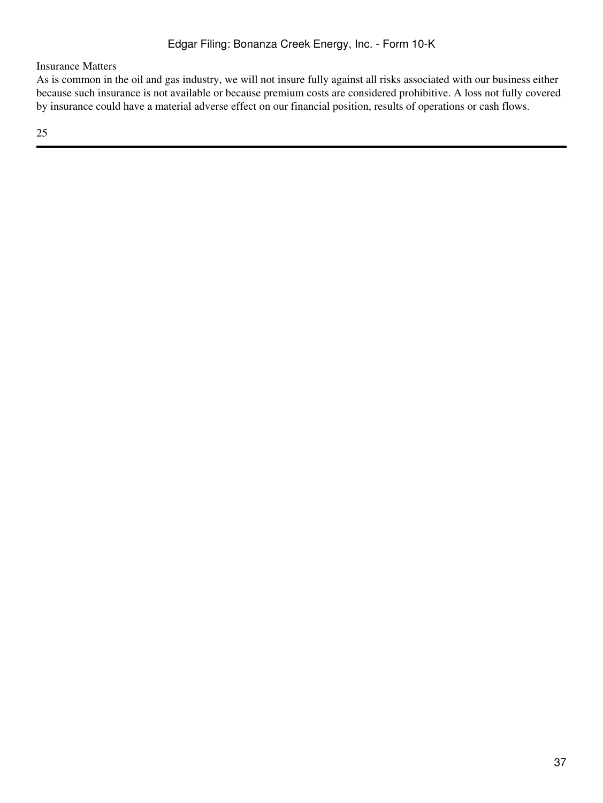Insurance Matters

As is common in the oil and gas industry, we will not insure fully against all risks associated with our business either because such insurance is not available or because premium costs are considered prohibitive. A loss not fully covered by insurance could have a material adverse effect on our financial position, results of operations or cash flows.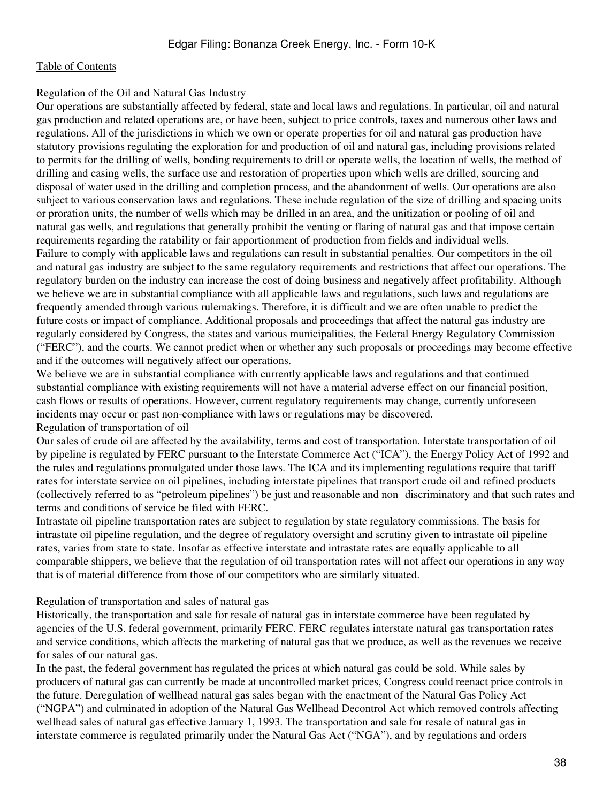### Regulation of the Oil and Natural Gas Industry

Our operations are substantially affected by federal, state and local laws and regulations. In particular, oil and natural gas production and related operations are, or have been, subject to price controls, taxes and numerous other laws and regulations. All of the jurisdictions in which we own or operate properties for oil and natural gas production have statutory provisions regulating the exploration for and production of oil and natural gas, including provisions related to permits for the drilling of wells, bonding requirements to drill or operate wells, the location of wells, the method of drilling and casing wells, the surface use and restoration of properties upon which wells are drilled, sourcing and disposal of water used in the drilling and completion process, and the abandonment of wells. Our operations are also subject to various conservation laws and regulations. These include regulation of the size of drilling and spacing units or proration units, the number of wells which may be drilled in an area, and the unitization or pooling of oil and natural gas wells, and regulations that generally prohibit the venting or flaring of natural gas and that impose certain requirements regarding the ratability or fair apportionment of production from fields and individual wells. Failure to comply with applicable laws and regulations can result in substantial penalties. Our competitors in the oil and natural gas industry are subject to the same regulatory requirements and restrictions that affect our operations. The regulatory burden on the industry can increase the cost of doing business and negatively affect profitability. Although we believe we are in substantial compliance with all applicable laws and regulations, such laws and regulations are frequently amended through various rulemakings. Therefore, it is difficult and we are often unable to predict the future costs or impact of compliance. Additional proposals and proceedings that affect the natural gas industry are regularly considered by Congress, the states and various municipalities, the Federal Energy Regulatory Commission ("FERC"), and the courts. We cannot predict when or whether any such proposals or proceedings may become effective and if the outcomes will negatively affect our operations.

We believe we are in substantial compliance with currently applicable laws and regulations and that continued substantial compliance with existing requirements will not have a material adverse effect on our financial position, cash flows or results of operations. However, current regulatory requirements may change, currently unforeseen incidents may occur or past non-compliance with laws or regulations may be discovered. Regulation of transportation of oil

Our sales of crude oil are affected by the availability, terms and cost of transportation. Interstate transportation of oil by pipeline is regulated by FERC pursuant to the Interstate Commerce Act ("ICA"), the Energy Policy Act of 1992 and the rules and regulations promulgated under those laws. The ICA and its implementing regulations require that tariff rates for interstate service on oil pipelines, including interstate pipelines that transport crude oil and refined products (collectively referred to as "petroleum pipelines") be just and reasonable and non‑discriminatory and that such rates and terms and conditions of service be filed with FERC.

Intrastate oil pipeline transportation rates are subject to regulation by state regulatory commissions. The basis for intrastate oil pipeline regulation, and the degree of regulatory oversight and scrutiny given to intrastate oil pipeline rates, varies from state to state. Insofar as effective interstate and intrastate rates are equally applicable to all comparable shippers, we believe that the regulation of oil transportation rates will not affect our operations in any way that is of material difference from those of our competitors who are similarly situated.

#### Regulation of transportation and sales of natural gas

Historically, the transportation and sale for resale of natural gas in interstate commerce have been regulated by agencies of the U.S. federal government, primarily FERC. FERC regulates interstate natural gas transportation rates and service conditions, which affects the marketing of natural gas that we produce, as well as the revenues we receive for sales of our natural gas.

In the past, the federal government has regulated the prices at which natural gas could be sold. While sales by producers of natural gas can currently be made at uncontrolled market prices, Congress could reenact price controls in the future. Deregulation of wellhead natural gas sales began with the enactment of the Natural Gas Policy Act ("NGPA") and culminated in adoption of the Natural Gas Wellhead Decontrol Act which removed controls affecting wellhead sales of natural gas effective January 1, 1993. The transportation and sale for resale of natural gas in interstate commerce is regulated primarily under the Natural Gas Act ("NGA"), and by regulations and orders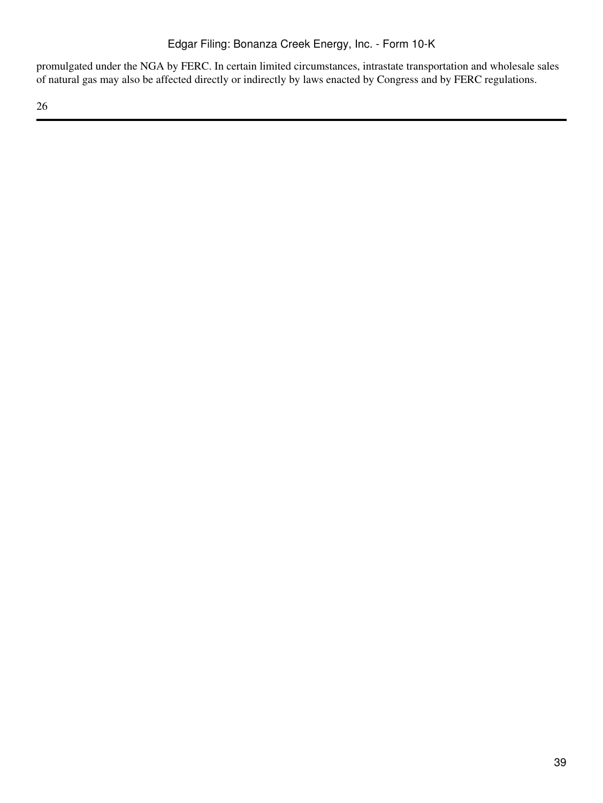promulgated under the NGA by FERC. In certain limited circumstances, intrastate transportation and wholesale sales of natural gas may also be affected directly or indirectly by laws enacted by Congress and by FERC regulations.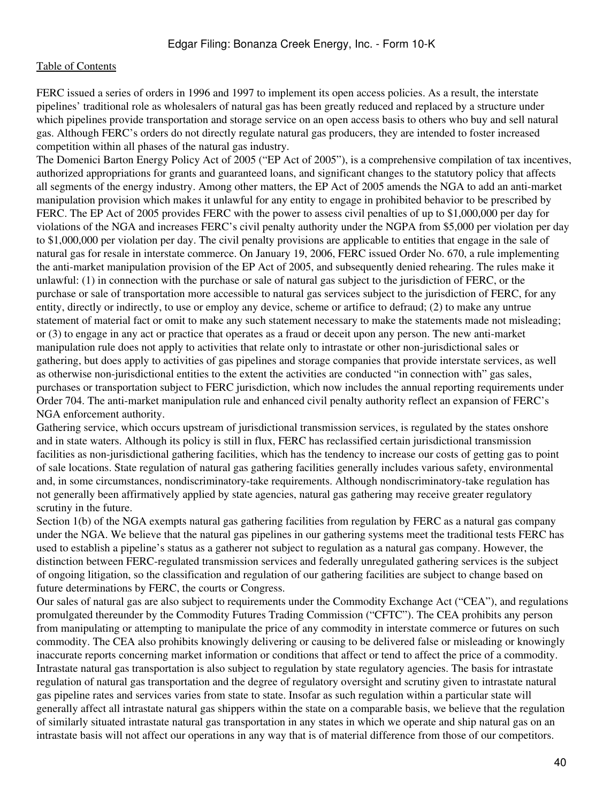FERC issued a series of orders in 1996 and 1997 to implement its open access policies. As a result, the interstate pipelines' traditional role as wholesalers of natural gas has been greatly reduced and replaced by a structure under which pipelines provide transportation and storage service on an open access basis to others who buy and sell natural gas. Although FERC's orders do not directly regulate natural gas producers, they are intended to foster increased competition within all phases of the natural gas industry.

The Domenici Barton Energy Policy Act of 2005 ("EP Act of 2005"), is a comprehensive compilation of tax incentives, authorized appropriations for grants and guaranteed loans, and significant changes to the statutory policy that affects all segments of the energy industry. Among other matters, the EP Act of 2005 amends the NGA to add an anti-market manipulation provision which makes it unlawful for any entity to engage in prohibited behavior to be prescribed by FERC. The EP Act of 2005 provides FERC with the power to assess civil penalties of up to \$1,000,000 per day for violations of the NGA and increases FERC's civil penalty authority under the NGPA from \$5,000 per violation per day to \$1,000,000 per violation per day. The civil penalty provisions are applicable to entities that engage in the sale of natural gas for resale in interstate commerce. On January 19, 2006, FERC issued Order No. 670, a rule implementing the anti-market manipulation provision of the EP Act of 2005, and subsequently denied rehearing. The rules make it unlawful: (1) in connection with the purchase or sale of natural gas subject to the jurisdiction of FERC, or the purchase or sale of transportation more accessible to natural gas services subject to the jurisdiction of FERC, for any entity, directly or indirectly, to use or employ any device, scheme or artifice to defraud; (2) to make any untrue statement of material fact or omit to make any such statement necessary to make the statements made not misleading; or (3) to engage in any act or practice that operates as a fraud or deceit upon any person. The new anti-market manipulation rule does not apply to activities that relate only to intrastate or other non-jurisdictional sales or gathering, but does apply to activities of gas pipelines and storage companies that provide interstate services, as well as otherwise non-jurisdictional entities to the extent the activities are conducted "in connection with" gas sales, purchases or transportation subject to FERC jurisdiction, which now includes the annual reporting requirements under Order 704. The anti-market manipulation rule and enhanced civil penalty authority reflect an expansion of FERC's NGA enforcement authority.

Gathering service, which occurs upstream of jurisdictional transmission services, is regulated by the states onshore and in state waters. Although its policy is still in flux, FERC has reclassified certain jurisdictional transmission facilities as non-jurisdictional gathering facilities, which has the tendency to increase our costs of getting gas to point of sale locations. State regulation of natural gas gathering facilities generally includes various safety, environmental and, in some circumstances, nondiscriminatory-take requirements. Although nondiscriminatory-take regulation has not generally been affirmatively applied by state agencies, natural gas gathering may receive greater regulatory scrutiny in the future.

Section 1(b) of the NGA exempts natural gas gathering facilities from regulation by FERC as a natural gas company under the NGA. We believe that the natural gas pipelines in our gathering systems meet the traditional tests FERC has used to establish a pipeline's status as a gatherer not subject to regulation as a natural gas company. However, the distinction between FERC-regulated transmission services and federally unregulated gathering services is the subject of ongoing litigation, so the classification and regulation of our gathering facilities are subject to change based on future determinations by FERC, the courts or Congress.

Our sales of natural gas are also subject to requirements under the Commodity Exchange Act ("CEA"), and regulations promulgated thereunder by the Commodity Futures Trading Commission ("CFTC"). The CEA prohibits any person from manipulating or attempting to manipulate the price of any commodity in interstate commerce or futures on such commodity. The CEA also prohibits knowingly delivering or causing to be delivered false or misleading or knowingly inaccurate reports concerning market information or conditions that affect or tend to affect the price of a commodity. Intrastate natural gas transportation is also subject to regulation by state regulatory agencies. The basis for intrastate regulation of natural gas transportation and the degree of regulatory oversight and scrutiny given to intrastate natural gas pipeline rates and services varies from state to state. Insofar as such regulation within a particular state will generally affect all intrastate natural gas shippers within the state on a comparable basis, we believe that the regulation of similarly situated intrastate natural gas transportation in any states in which we operate and ship natural gas on an intrastate basis will not affect our operations in any way that is of material difference from those of our competitors.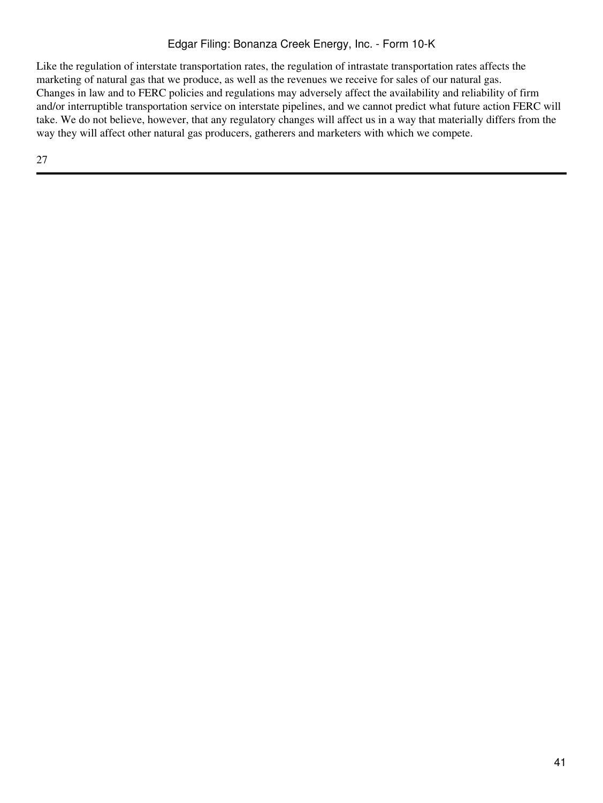Like the regulation of interstate transportation rates, the regulation of intrastate transportation rates affects the marketing of natural gas that we produce, as well as the revenues we receive for sales of our natural gas. Changes in law and to FERC policies and regulations may adversely affect the availability and reliability of firm and/or interruptible transportation service on interstate pipelines, and we cannot predict what future action FERC will take. We do not believe, however, that any regulatory changes will affect us in a way that materially differs from the way they will affect other natural gas producers, gatherers and marketers with which we compete.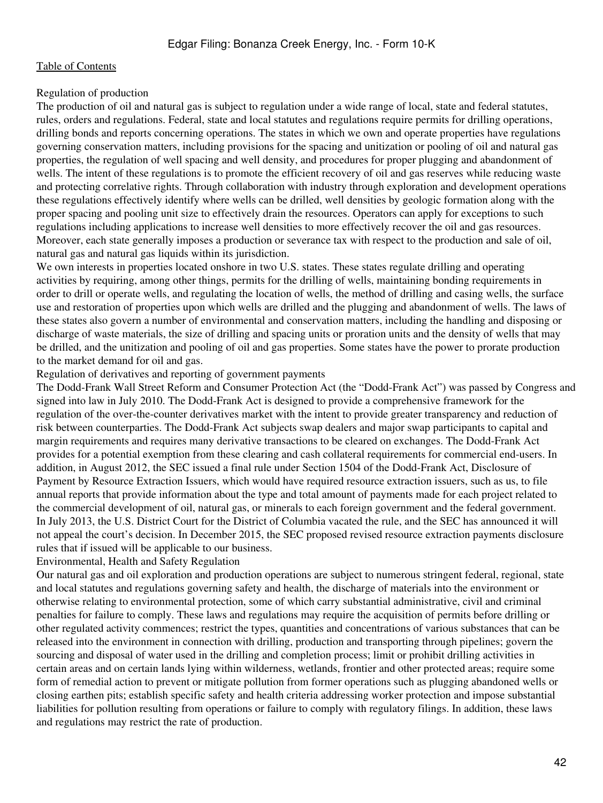### Regulation of production

The production of oil and natural gas is subject to regulation under a wide range of local, state and federal statutes, rules, orders and regulations. Federal, state and local statutes and regulations require permits for drilling operations, drilling bonds and reports concerning operations. The states in which we own and operate properties have regulations governing conservation matters, including provisions for the spacing and unitization or pooling of oil and natural gas properties, the regulation of well spacing and well density, and procedures for proper plugging and abandonment of wells. The intent of these regulations is to promote the efficient recovery of oil and gas reserves while reducing waste and protecting correlative rights. Through collaboration with industry through exploration and development operations these regulations effectively identify where wells can be drilled, well densities by geologic formation along with the proper spacing and pooling unit size to effectively drain the resources. Operators can apply for exceptions to such regulations including applications to increase well densities to more effectively recover the oil and gas resources. Moreover, each state generally imposes a production or severance tax with respect to the production and sale of oil, natural gas and natural gas liquids within its jurisdiction.

We own interests in properties located onshore in two U.S. states. These states regulate drilling and operating activities by requiring, among other things, permits for the drilling of wells, maintaining bonding requirements in order to drill or operate wells, and regulating the location of wells, the method of drilling and casing wells, the surface use and restoration of properties upon which wells are drilled and the plugging and abandonment of wells. The laws of these states also govern a number of environmental and conservation matters, including the handling and disposing or discharge of waste materials, the size of drilling and spacing units or proration units and the density of wells that may be drilled, and the unitization and pooling of oil and gas properties. Some states have the power to prorate production to the market demand for oil and gas.

Regulation of derivatives and reporting of government payments

The Dodd-Frank Wall Street Reform and Consumer Protection Act (the "Dodd-Frank Act") was passed by Congress and signed into law in July 2010. The Dodd-Frank Act is designed to provide a comprehensive framework for the regulation of the over-the-counter derivatives market with the intent to provide greater transparency and reduction of risk between counterparties. The Dodd-Frank Act subjects swap dealers and major swap participants to capital and margin requirements and requires many derivative transactions to be cleared on exchanges. The Dodd-Frank Act provides for a potential exemption from these clearing and cash collateral requirements for commercial end-users. In addition, in August 2012, the SEC issued a final rule under Section 1504 of the Dodd-Frank Act, Disclosure of Payment by Resource Extraction Issuers, which would have required resource extraction issuers, such as us, to file annual reports that provide information about the type and total amount of payments made for each project related to the commercial development of oil, natural gas, or minerals to each foreign government and the federal government. In July 2013, the U.S. District Court for the District of Columbia vacated the rule, and the SEC has announced it will not appeal the court's decision. In December 2015, the SEC proposed revised resource extraction payments disclosure rules that if issued will be applicable to our business.

Environmental, Health and Safety Regulation

Our natural gas and oil exploration and production operations are subject to numerous stringent federal, regional, state and local statutes and regulations governing safety and health, the discharge of materials into the environment or otherwise relating to environmental protection, some of which carry substantial administrative, civil and criminal penalties for failure to comply. These laws and regulations may require the acquisition of permits before drilling or other regulated activity commences; restrict the types, quantities and concentrations of various substances that can be released into the environment in connection with drilling, production and transporting through pipelines; govern the sourcing and disposal of water used in the drilling and completion process; limit or prohibit drilling activities in certain areas and on certain lands lying within wilderness, wetlands, frontier and other protected areas; require some form of remedial action to prevent or mitigate pollution from former operations such as plugging abandoned wells or closing earthen pits; establish specific safety and health criteria addressing worker protection and impose substantial liabilities for pollution resulting from operations or failure to comply with regulatory filings. In addition, these laws and regulations may restrict the rate of production.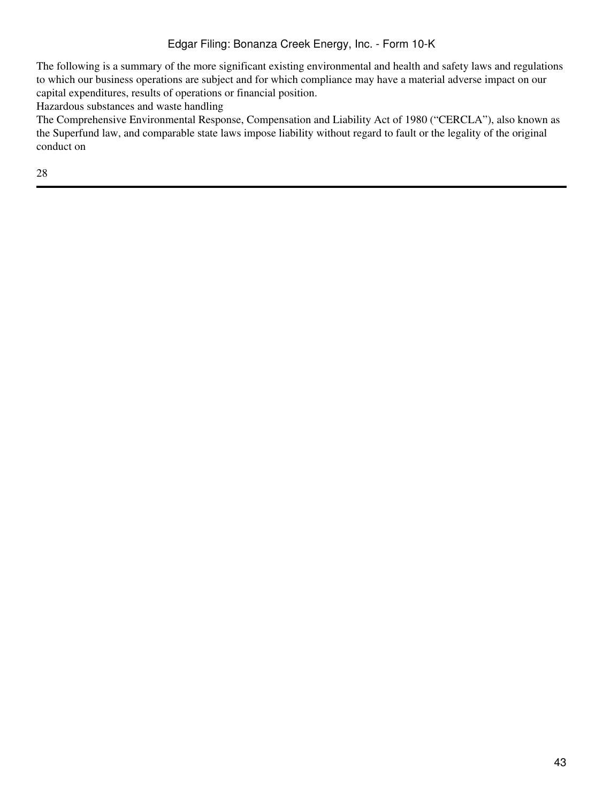The following is a summary of the more significant existing environmental and health and safety laws and regulations to which our business operations are subject and for which compliance may have a material adverse impact on our capital expenditures, results of operations or financial position.

Hazardous substances and waste handling

The Comprehensive Environmental Response, Compensation and Liability Act of 1980 ("CERCLA"), also known as the Superfund law, and comparable state laws impose liability without regard to fault or the legality of the original conduct on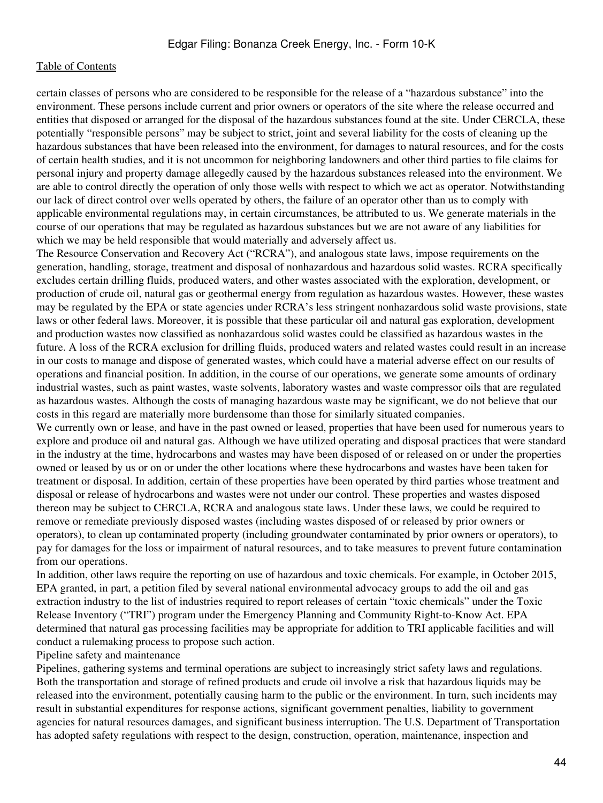certain classes of persons who are considered to be responsible for the release of a "hazardous substance" into the environment. These persons include current and prior owners or operators of the site where the release occurred and entities that disposed or arranged for the disposal of the hazardous substances found at the site. Under CERCLA, these potentially "responsible persons" may be subject to strict, joint and several liability for the costs of cleaning up the hazardous substances that have been released into the environment, for damages to natural resources, and for the costs of certain health studies, and it is not uncommon for neighboring landowners and other third parties to file claims for personal injury and property damage allegedly caused by the hazardous substances released into the environment. We are able to control directly the operation of only those wells with respect to which we act as operator. Notwithstanding our lack of direct control over wells operated by others, the failure of an operator other than us to comply with applicable environmental regulations may, in certain circumstances, be attributed to us. We generate materials in the course of our operations that may be regulated as hazardous substances but we are not aware of any liabilities for which we may be held responsible that would materially and adversely affect us.

The Resource Conservation and Recovery Act ("RCRA"), and analogous state laws, impose requirements on the generation, handling, storage, treatment and disposal of nonhazardous and hazardous solid wastes. RCRA specifically excludes certain drilling fluids, produced waters, and other wastes associated with the exploration, development, or production of crude oil, natural gas or geothermal energy from regulation as hazardous wastes. However, these wastes may be regulated by the EPA or state agencies under RCRA's less stringent nonhazardous solid waste provisions, state laws or other federal laws. Moreover, it is possible that these particular oil and natural gas exploration, development and production wastes now classified as nonhazardous solid wastes could be classified as hazardous wastes in the future. A loss of the RCRA exclusion for drilling fluids, produced waters and related wastes could result in an increase in our costs to manage and dispose of generated wastes, which could have a material adverse effect on our results of operations and financial position. In addition, in the course of our operations, we generate some amounts of ordinary industrial wastes, such as paint wastes, waste solvents, laboratory wastes and waste compressor oils that are regulated as hazardous wastes. Although the costs of managing hazardous waste may be significant, we do not believe that our costs in this regard are materially more burdensome than those for similarly situated companies.

We currently own or lease, and have in the past owned or leased, properties that have been used for numerous years to explore and produce oil and natural gas. Although we have utilized operating and disposal practices that were standard in the industry at the time, hydrocarbons and wastes may have been disposed of or released on or under the properties owned or leased by us or on or under the other locations where these hydrocarbons and wastes have been taken for treatment or disposal. In addition, certain of these properties have been operated by third parties whose treatment and disposal or release of hydrocarbons and wastes were not under our control. These properties and wastes disposed thereon may be subject to CERCLA, RCRA and analogous state laws. Under these laws, we could be required to remove or remediate previously disposed wastes (including wastes disposed of or released by prior owners or operators), to clean up contaminated property (including groundwater contaminated by prior owners or operators), to pay for damages for the loss or impairment of natural resources, and to take measures to prevent future contamination from our operations.

In addition, other laws require the reporting on use of hazardous and toxic chemicals. For example, in October 2015, EPA granted, in part, a petition filed by several national environmental advocacy groups to add the oil and gas extraction industry to the list of industries required to report releases of certain "toxic chemicals" under the Toxic Release Inventory ("TRI") program under the Emergency Planning and Community Right-to-Know Act. EPA determined that natural gas processing facilities may be appropriate for addition to TRI applicable facilities and will conduct a rulemaking process to propose such action.

#### Pipeline safety and maintenance

Pipelines, gathering systems and terminal operations are subject to increasingly strict safety laws and regulations. Both the transportation and storage of refined products and crude oil involve a risk that hazardous liquids may be released into the environment, potentially causing harm to the public or the environment. In turn, such incidents may result in substantial expenditures for response actions, significant government penalties, liability to government agencies for natural resources damages, and significant business interruption. The U.S. Department of Transportation has adopted safety regulations with respect to the design, construction, operation, maintenance, inspection and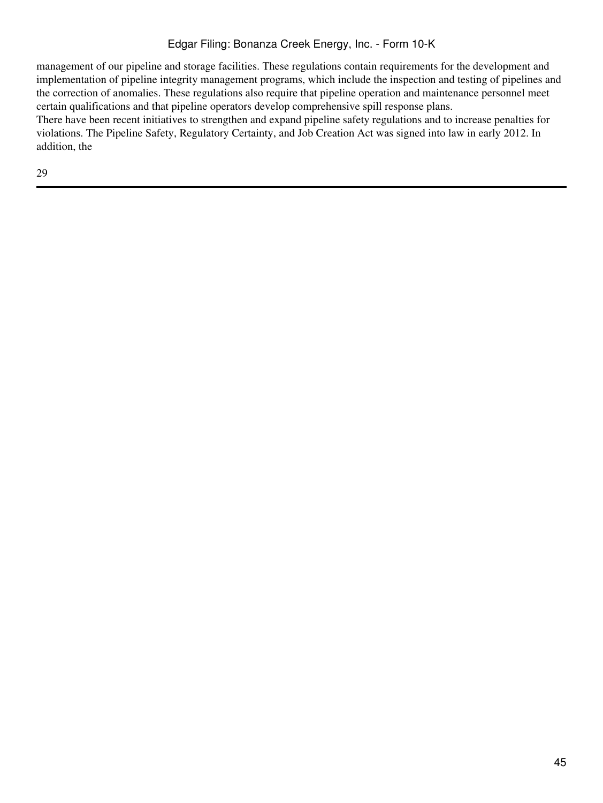management of our pipeline and storage facilities. These regulations contain requirements for the development and implementation of pipeline integrity management programs, which include the inspection and testing of pipelines and the correction of anomalies. These regulations also require that pipeline operation and maintenance personnel meet certain qualifications and that pipeline operators develop comprehensive spill response plans.

There have been recent initiatives to strengthen and expand pipeline safety regulations and to increase penalties for violations. The Pipeline Safety, Regulatory Certainty, and Job Creation Act was signed into law in early 2012. In addition, the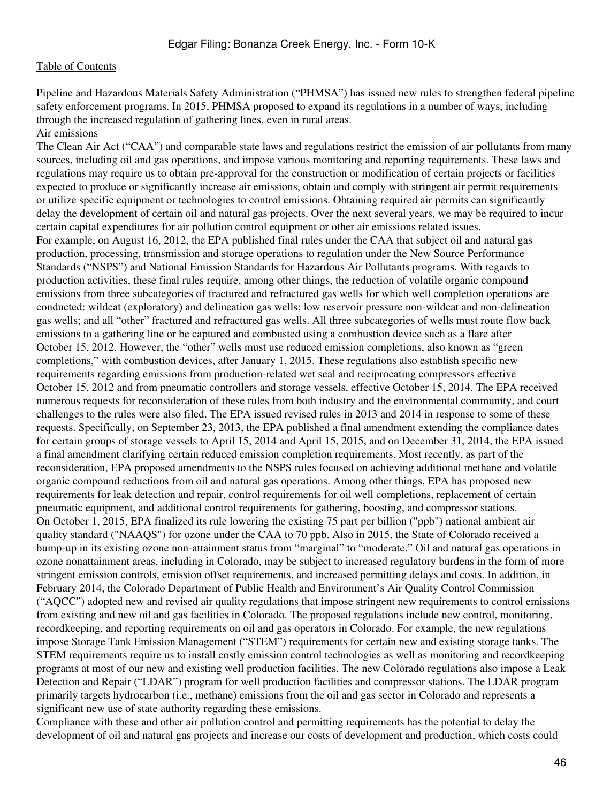Pipeline and Hazardous Materials Safety Administration ("PHMSA") has issued new rules to strengthen federal pipeline safety enforcement programs. In 2015, PHMSA proposed to expand its regulations in a number of ways, including through the increased regulation of gathering lines, even in rural areas. Air emissions

The Clean Air Act ("CAA") and comparable state laws and regulations restrict the emission of air pollutants from many sources, including oil and gas operations, and impose various monitoring and reporting requirements. These laws and regulations may require us to obtain pre-approval for the construction or modification of certain projects or facilities expected to produce or significantly increase air emissions, obtain and comply with stringent air permit requirements or utilize specific equipment or technologies to control emissions. Obtaining required air permits can significantly delay the development of certain oil and natural gas projects. Over the next several years, we may be required to incur certain capital expenditures for air pollution control equipment or other air emissions related issues. For example, on August 16, 2012, the EPA published final rules under the CAA that subject oil and natural gas production, processing, transmission and storage operations to regulation under the New Source Performance Standards ("NSPS") and National Emission Standards for Hazardous Air Pollutants programs. With regards to production activities, these final rules require, among other things, the reduction of volatile organic compound emissions from three subcategories of fractured and refractured gas wells for which well completion operations are conducted: wildcat (exploratory) and delineation gas wells; low reservoir pressure non-wildcat and non-delineation gas wells; and all "other" fractured and refractured gas wells. All three subcategories of wells must route flow back emissions to a gathering line or be captured and combusted using a combustion device such as a flare after October 15, 2012. However, the "other" wells must use reduced emission completions, also known as "green completions," with combustion devices, after January 1, 2015. These regulations also establish specific new requirements regarding emissions from production-related wet seal and reciprocating compressors effective October 15, 2012 and from pneumatic controllers and storage vessels, effective October 15, 2014. The EPA received numerous requests for reconsideration of these rules from both industry and the environmental community, and court challenges to the rules were also filed. The EPA issued revised rules in 2013 and 2014 in response to some of these requests. Specifically, on September 23, 2013, the EPA published a final amendment extending the compliance dates for certain groups of storage vessels to April 15, 2014 and April 15, 2015, and on December 31, 2014, the EPA issued a final amendment clarifying certain reduced emission completion requirements. Most recently, as part of the reconsideration, EPA proposed amendments to the NSPS rules focused on achieving additional methane and volatile organic compound reductions from oil and natural gas operations. Among other things, EPA has proposed new requirements for leak detection and repair, control requirements for oil well completions, replacement of certain pneumatic equipment, and additional control requirements for gathering, boosting, and compressor stations. On October 1, 2015, EPA finalized its rule lowering the existing 75 part per billion ("ppb") national ambient air quality standard ("NAAQS") for ozone under the CAA to 70 ppb. Also in 2015, the State of Colorado received a bump-up in its existing ozone non-attainment status from "marginal" to "moderate." Oil and natural gas operations in ozone nonattainment areas, including in Colorado, may be subject to increased regulatory burdens in the form of more stringent emission controls, emission offset requirements, and increased permitting delays and costs. In addition, in February 2014, the Colorado Department of Public Health and Environment's Air Quality Control Commission ("AQCC") adopted new and revised air quality regulations that impose stringent new requirements to control emissions from existing and new oil and gas facilities in Colorado. The proposed regulations include new control, monitoring, recordkeeping, and reporting requirements on oil and gas operators in Colorado. For example, the new regulations impose Storage Tank Emission Management ("STEM") requirements for certain new and existing storage tanks. The STEM requirements require us to install costly emission control technologies as well as monitoring and recordkeeping programs at most of our new and existing well production facilities. The new Colorado regulations also impose a Leak Detection and Repair ("LDAR") program for well production facilities and compressor stations. The LDAR program primarily targets hydrocarbon (i.e., methane) emissions from the oil and gas sector in Colorado and represents a significant new use of state authority regarding these emissions.

Compliance with these and other air pollution control and permitting requirements has the potential to delay the development of oil and natural gas projects and increase our costs of development and production, which costs could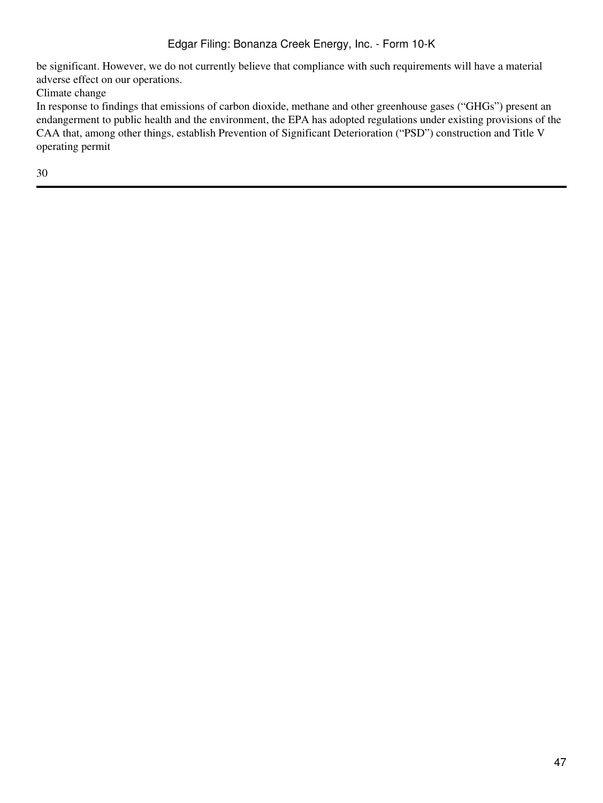be significant. However, we do not currently believe that compliance with such requirements will have a material adverse effect on our operations.

Climate change

In response to findings that emissions of carbon dioxide, methane and other greenhouse gases ("GHGs") present an endangerment to public health and the environment, the EPA has adopted regulations under existing provisions of the CAA that, among other things, establish Prevention of Significant Deterioration ("PSD") construction and Title V operating permit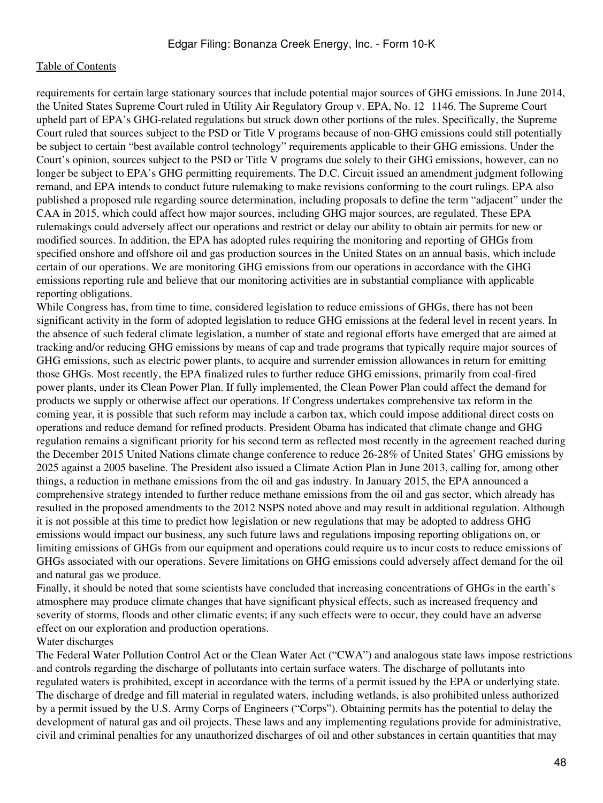requirements for certain large stationary sources that include potential major sources of GHG emissions. In June 2014, the United States Supreme Court ruled in Utility Air Regulatory Group v. EPA, No. 12‑1146. The Supreme Court upheld part of EPA's GHG-related regulations but struck down other portions of the rules. Specifically, the Supreme Court ruled that sources subject to the PSD or Title V programs because of non-GHG emissions could still potentially be subject to certain "best available control technology" requirements applicable to their GHG emissions. Under the Court's opinion, sources subject to the PSD or Title V programs due solely to their GHG emissions, however, can no longer be subject to EPA's GHG permitting requirements. The D.C. Circuit issued an amendment judgment following remand, and EPA intends to conduct future rulemaking to make revisions conforming to the court rulings. EPA also published a proposed rule regarding source determination, including proposals to define the term "adjacent" under the CAA in 2015, which could affect how major sources, including GHG major sources, are regulated. These EPA rulemakings could adversely affect our operations and restrict or delay our ability to obtain air permits for new or modified sources. In addition, the EPA has adopted rules requiring the monitoring and reporting of GHGs from specified onshore and offshore oil and gas production sources in the United States on an annual basis, which include certain of our operations. We are monitoring GHG emissions from our operations in accordance with the GHG emissions reporting rule and believe that our monitoring activities are in substantial compliance with applicable reporting obligations.

While Congress has, from time to time, considered legislation to reduce emissions of GHGs, there has not been significant activity in the form of adopted legislation to reduce GHG emissions at the federal level in recent years. In the absence of such federal climate legislation, a number of state and regional efforts have emerged that are aimed at tracking and/or reducing GHG emissions by means of cap and trade programs that typically require major sources of GHG emissions, such as electric power plants, to acquire and surrender emission allowances in return for emitting those GHGs. Most recently, the EPA finalized rules to further reduce GHG emissions, primarily from coal-fired power plants, under its Clean Power Plan. If fully implemented, the Clean Power Plan could affect the demand for products we supply or otherwise affect our operations. If Congress undertakes comprehensive tax reform in the coming year, it is possible that such reform may include a carbon tax, which could impose additional direct costs on operations and reduce demand for refined products. President Obama has indicated that climate change and GHG regulation remains a significant priority for his second term as reflected most recently in the agreement reached during the December 2015 United Nations climate change conference to reduce 26-28% of United States' GHG emissions by 2025 against a 2005 baseline. The President also issued a Climate Action Plan in June 2013, calling for, among other things, a reduction in methane emissions from the oil and gas industry. In January 2015, the EPA announced a comprehensive strategy intended to further reduce methane emissions from the oil and gas sector, which already has resulted in the proposed amendments to the 2012 NSPS noted above and may result in additional regulation. Although it is not possible at this time to predict how legislation or new regulations that may be adopted to address GHG emissions would impact our business, any such future laws and regulations imposing reporting obligations on, or limiting emissions of GHGs from our equipment and operations could require us to incur costs to reduce emissions of GHGs associated with our operations. Severe limitations on GHG emissions could adversely affect demand for the oil and natural gas we produce.

Finally, it should be noted that some scientists have concluded that increasing concentrations of GHGs in the earth's atmosphere may produce climate changes that have significant physical effects, such as increased frequency and severity of storms, floods and other climatic events; if any such effects were to occur, they could have an adverse effect on our exploration and production operations.

#### Water discharges

The Federal Water Pollution Control Act or the Clean Water Act ("CWA") and analogous state laws impose restrictions and controls regarding the discharge of pollutants into certain surface waters. The discharge of pollutants into regulated waters is prohibited, except in accordance with the terms of a permit issued by the EPA or underlying state. The discharge of dredge and fill material in regulated waters, including wetlands, is also prohibited unless authorized by a permit issued by the U.S. Army Corps of Engineers ("Corps"). Obtaining permits has the potential to delay the development of natural gas and oil projects. These laws and any implementing regulations provide for administrative, civil and criminal penalties for any unauthorized discharges of oil and other substances in certain quantities that may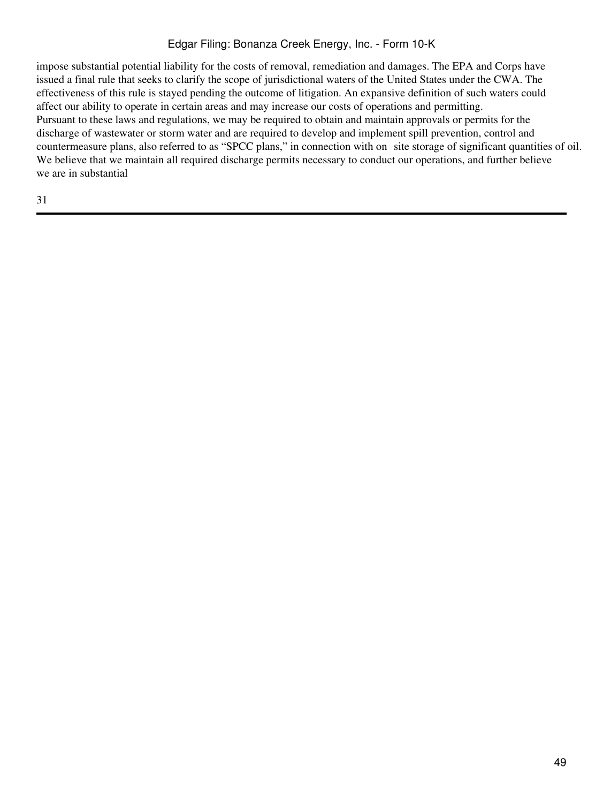impose substantial potential liability for the costs of removal, remediation and damages. The EPA and Corps have issued a final rule that seeks to clarify the scope of jurisdictional waters of the United States under the CWA. The effectiveness of this rule is stayed pending the outcome of litigation. An expansive definition of such waters could affect our ability to operate in certain areas and may increase our costs of operations and permitting. Pursuant to these laws and regulations, we may be required to obtain and maintain approvals or permits for the discharge of wastewater or storm water and are required to develop and implement spill prevention, control and countermeasure plans, also referred to as "SPCC plans," in connection with on site storage of significant quantities of oil. We believe that we maintain all required discharge permits necessary to conduct our operations, and further believe we are in substantial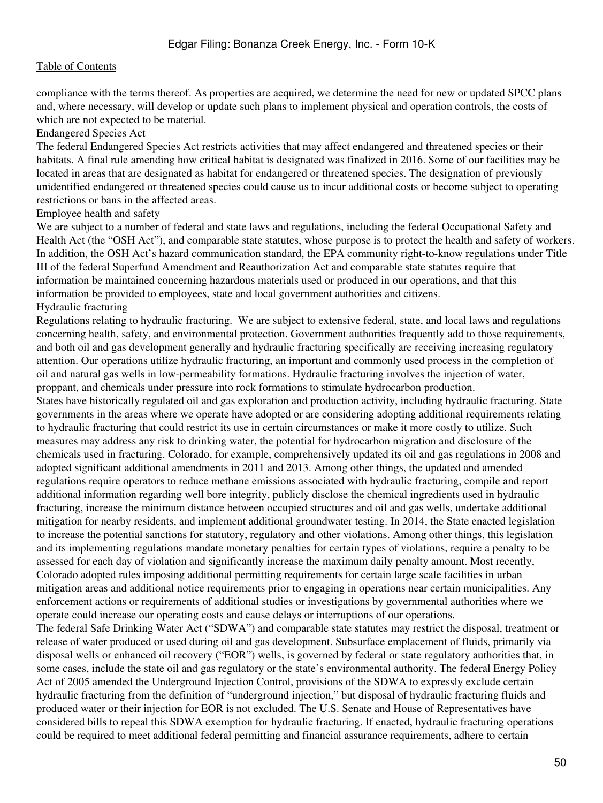compliance with the terms thereof. As properties are acquired, we determine the need for new or updated SPCC plans and, where necessary, will develop or update such plans to implement physical and operation controls, the costs of which are not expected to be material.

#### Endangered Species Act

The federal Endangered Species Act restricts activities that may affect endangered and threatened species or their habitats. A final rule amending how critical habitat is designated was finalized in 2016. Some of our facilities may be located in areas that are designated as habitat for endangered or threatened species. The designation of previously unidentified endangered or threatened species could cause us to incur additional costs or become subject to operating restrictions or bans in the affected areas.

#### Employee health and safety

We are subject to a number of federal and state laws and regulations, including the federal Occupational Safety and Health Act (the "OSH Act"), and comparable state statutes, whose purpose is to protect the health and safety of workers. In addition, the OSH Act's hazard communication standard, the EPA community right-to-know regulations under Title III of the federal Superfund Amendment and Reauthorization Act and comparable state statutes require that information be maintained concerning hazardous materials used or produced in our operations, and that this information be provided to employees, state and local government authorities and citizens. Hydraulic fracturing

Regulations relating to hydraulic fracturing. We are subject to extensive federal, state, and local laws and regulations concerning health, safety, and environmental protection. Government authorities frequently add to those requirements, and both oil and gas development generally and hydraulic fracturing specifically are receiving increasing regulatory attention. Our operations utilize hydraulic fracturing, an important and commonly used process in the completion of oil and natural gas wells in low-permeability formations. Hydraulic fracturing involves the injection of water, proppant, and chemicals under pressure into rock formations to stimulate hydrocarbon production.

States have historically regulated oil and gas exploration and production activity, including hydraulic fracturing. State governments in the areas where we operate have adopted or are considering adopting additional requirements relating to hydraulic fracturing that could restrict its use in certain circumstances or make it more costly to utilize. Such measures may address any risk to drinking water, the potential for hydrocarbon migration and disclosure of the chemicals used in fracturing. Colorado, for example, comprehensively updated its oil and gas regulations in 2008 and adopted significant additional amendments in 2011 and 2013. Among other things, the updated and amended regulations require operators to reduce methane emissions associated with hydraulic fracturing, compile and report additional information regarding well bore integrity, publicly disclose the chemical ingredients used in hydraulic fracturing, increase the minimum distance between occupied structures and oil and gas wells, undertake additional mitigation for nearby residents, and implement additional groundwater testing. In 2014, the State enacted legislation to increase the potential sanctions for statutory, regulatory and other violations. Among other things, this legislation and its implementing regulations mandate monetary penalties for certain types of violations, require a penalty to be assessed for each day of violation and significantly increase the maximum daily penalty amount. Most recently, Colorado adopted rules imposing additional permitting requirements for certain large scale facilities in urban mitigation areas and additional notice requirements prior to engaging in operations near certain municipalities. Any enforcement actions or requirements of additional studies or investigations by governmental authorities where we operate could increase our operating costs and cause delays or interruptions of our operations.

The federal Safe Drinking Water Act ("SDWA") and comparable state statutes may restrict the disposal, treatment or release of water produced or used during oil and gas development. Subsurface emplacement of fluids, primarily via disposal wells or enhanced oil recovery ("EOR") wells, is governed by federal or state regulatory authorities that, in some cases, include the state oil and gas regulatory or the state's environmental authority. The federal Energy Policy Act of 2005 amended the Underground Injection Control, provisions of the SDWA to expressly exclude certain hydraulic fracturing from the definition of "underground injection," but disposal of hydraulic fracturing fluids and produced water or their injection for EOR is not excluded. The U.S. Senate and House of Representatives have considered bills to repeal this SDWA exemption for hydraulic fracturing. If enacted, hydraulic fracturing operations could be required to meet additional federal permitting and financial assurance requirements, adhere to certain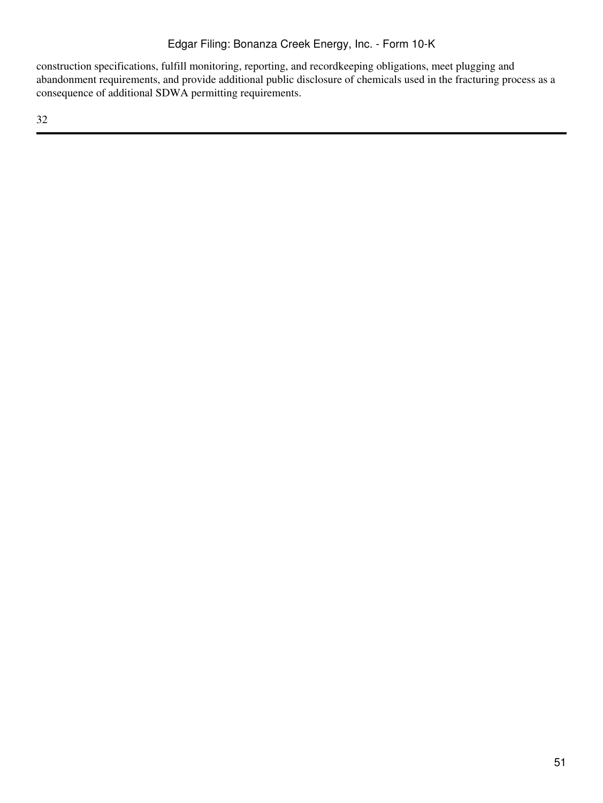construction specifications, fulfill monitoring, reporting, and recordkeeping obligations, meet plugging and abandonment requirements, and provide additional public disclosure of chemicals used in the fracturing process as a consequence of additional SDWA permitting requirements.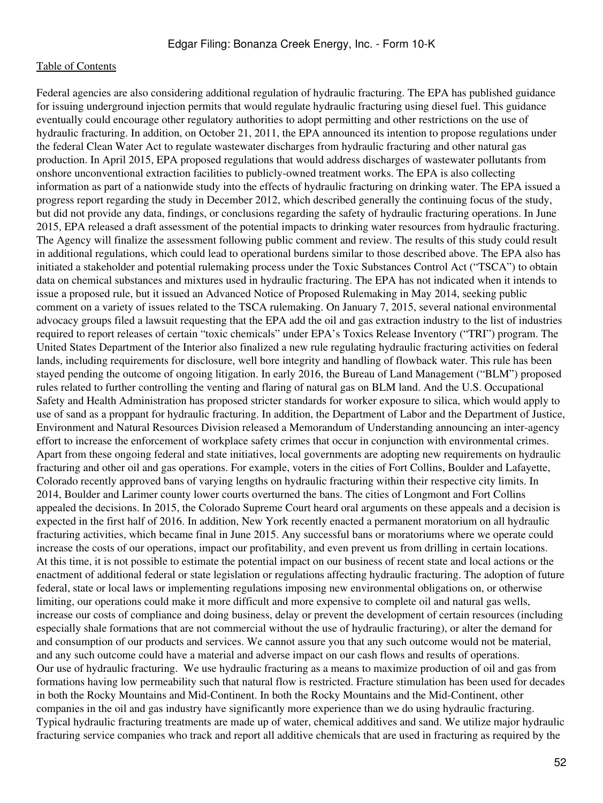Federal agencies are also considering additional regulation of hydraulic fracturing. The EPA has published guidance for issuing underground injection permits that would regulate hydraulic fracturing using diesel fuel. This guidance eventually could encourage other regulatory authorities to adopt permitting and other restrictions on the use of hydraulic fracturing. In addition, on October 21, 2011, the EPA announced its intention to propose regulations under the federal Clean Water Act to regulate wastewater discharges from hydraulic fracturing and other natural gas production. In April 2015, EPA proposed regulations that would address discharges of wastewater pollutants from onshore unconventional extraction facilities to publicly-owned treatment works. The EPA is also collecting information as part of a nationwide study into the effects of hydraulic fracturing on drinking water. The EPA issued a progress report regarding the study in December 2012, which described generally the continuing focus of the study, but did not provide any data, findings, or conclusions regarding the safety of hydraulic fracturing operations. In June 2015, EPA released a draft assessment of the potential impacts to drinking water resources from hydraulic fracturing. The Agency will finalize the assessment following public comment and review. The results of this study could result in additional regulations, which could lead to operational burdens similar to those described above. The EPA also has initiated a stakeholder and potential rulemaking process under the Toxic Substances Control Act ("TSCA") to obtain data on chemical substances and mixtures used in hydraulic fracturing. The EPA has not indicated when it intends to issue a proposed rule, but it issued an Advanced Notice of Proposed Rulemaking in May 2014, seeking public comment on a variety of issues related to the TSCA rulemaking. On January 7, 2015, several national environmental advocacy groups filed a lawsuit requesting that the EPA add the oil and gas extraction industry to the list of industries required to report releases of certain "toxic chemicals" under EPA's Toxics Release Inventory ("TRI") program. The United States Department of the Interior also finalized a new rule regulating hydraulic fracturing activities on federal lands, including requirements for disclosure, well bore integrity and handling of flowback water. This rule has been stayed pending the outcome of ongoing litigation. In early 2016, the Bureau of Land Management ("BLM") proposed rules related to further controlling the venting and flaring of natural gas on BLM land. And the U.S. Occupational Safety and Health Administration has proposed stricter standards for worker exposure to silica, which would apply to use of sand as a proppant for hydraulic fracturing. In addition, the Department of Labor and the Department of Justice, Environment and Natural Resources Division released a Memorandum of Understanding announcing an inter-agency effort to increase the enforcement of workplace safety crimes that occur in conjunction with environmental crimes. Apart from these ongoing federal and state initiatives, local governments are adopting new requirements on hydraulic fracturing and other oil and gas operations. For example, voters in the cities of Fort Collins, Boulder and Lafayette, Colorado recently approved bans of varying lengths on hydraulic fracturing within their respective city limits. In 2014, Boulder and Larimer county lower courts overturned the bans. The cities of Longmont and Fort Collins appealed the decisions. In 2015, the Colorado Supreme Court heard oral arguments on these appeals and a decision is expected in the first half of 2016. In addition, New York recently enacted a permanent moratorium on all hydraulic fracturing activities, which became final in June 2015. Any successful bans or moratoriums where we operate could increase the costs of our operations, impact our profitability, and even prevent us from drilling in certain locations. At this time, it is not possible to estimate the potential impact on our business of recent state and local actions or the enactment of additional federal or state legislation or regulations affecting hydraulic fracturing. The adoption of future federal, state or local laws or implementing regulations imposing new environmental obligations on, or otherwise limiting, our operations could make it more difficult and more expensive to complete oil and natural gas wells, increase our costs of compliance and doing business, delay or prevent the development of certain resources (including especially shale formations that are not commercial without the use of hydraulic fracturing), or alter the demand for and consumption of our products and services. We cannot assure you that any such outcome would not be material, and any such outcome could have a material and adverse impact on our cash flows and results of operations. Our use of hydraulic fracturing. We use hydraulic fracturing as a means to maximize production of oil and gas from formations having low permeability such that natural flow is restricted. Fracture stimulation has been used for decades in both the Rocky Mountains and Mid-Continent. In both the Rocky Mountains and the Mid-Continent, other companies in the oil and gas industry have significantly more experience than we do using hydraulic fracturing. Typical hydraulic fracturing treatments are made up of water, chemical additives and sand. We utilize major hydraulic fracturing service companies who track and report all additive chemicals that are used in fracturing as required by the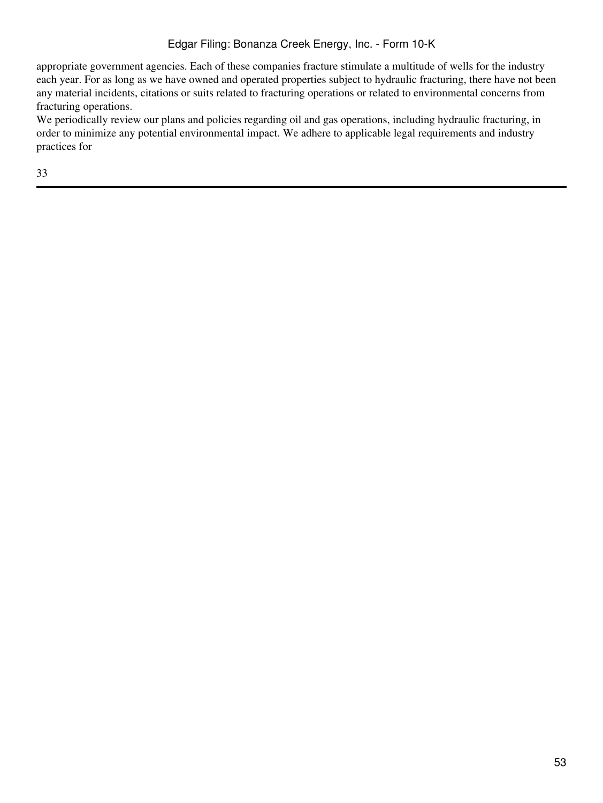appropriate government agencies. Each of these companies fracture stimulate a multitude of wells for the industry each year. For as long as we have owned and operated properties subject to hydraulic fracturing, there have not been any material incidents, citations or suits related to fracturing operations or related to environmental concerns from fracturing operations.

We periodically review our plans and policies regarding oil and gas operations, including hydraulic fracturing, in order to minimize any potential environmental impact. We adhere to applicable legal requirements and industry practices for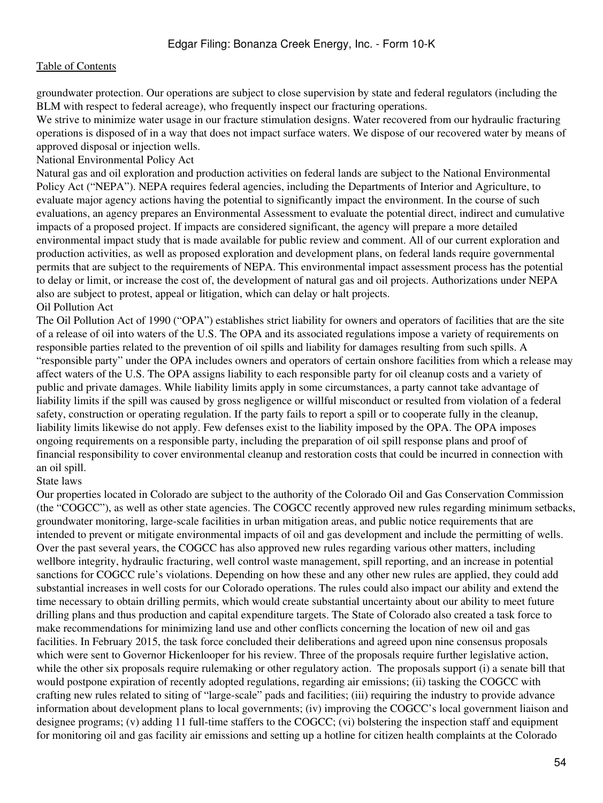groundwater protection. Our operations are subject to close supervision by state and federal regulators (including the BLM with respect to federal acreage), who frequently inspect our fracturing operations.

We strive to minimize water usage in our fracture stimulation designs. Water recovered from our hydraulic fracturing operations is disposed of in a way that does not impact surface waters. We dispose of our recovered water by means of approved disposal or injection wells.

National Environmental Policy Act

Natural gas and oil exploration and production activities on federal lands are subject to the National Environmental Policy Act ("NEPA"). NEPA requires federal agencies, including the Departments of Interior and Agriculture, to evaluate major agency actions having the potential to significantly impact the environment. In the course of such evaluations, an agency prepares an Environmental Assessment to evaluate the potential direct, indirect and cumulative impacts of a proposed project. If impacts are considered significant, the agency will prepare a more detailed environmental impact study that is made available for public review and comment. All of our current exploration and production activities, as well as proposed exploration and development plans, on federal lands require governmental permits that are subject to the requirements of NEPA. This environmental impact assessment process has the potential to delay or limit, or increase the cost of, the development of natural gas and oil projects. Authorizations under NEPA also are subject to protest, appeal or litigation, which can delay or halt projects. Oil Pollution Act

The Oil Pollution Act of 1990 ("OPA") establishes strict liability for owners and operators of facilities that are the site of a release of oil into waters of the U.S. The OPA and its associated regulations impose a variety of requirements on responsible parties related to the prevention of oil spills and liability for damages resulting from such spills. A "responsible party" under the OPA includes owners and operators of certain onshore facilities from which a release may affect waters of the U.S. The OPA assigns liability to each responsible party for oil cleanup costs and a variety of public and private damages. While liability limits apply in some circumstances, a party cannot take advantage of liability limits if the spill was caused by gross negligence or willful misconduct or resulted from violation of a federal safety, construction or operating regulation. If the party fails to report a spill or to cooperate fully in the cleanup, liability limits likewise do not apply. Few defenses exist to the liability imposed by the OPA. The OPA imposes ongoing requirements on a responsible party, including the preparation of oil spill response plans and proof of financial responsibility to cover environmental cleanup and restoration costs that could be incurred in connection with an oil spill.

State laws

Our properties located in Colorado are subject to the authority of the Colorado Oil and Gas Conservation Commission (the "COGCC"), as well as other state agencies. The COGCC recently approved new rules regarding minimum setbacks, groundwater monitoring, large-scale facilities in urban mitigation areas, and public notice requirements that are intended to prevent or mitigate environmental impacts of oil and gas development and include the permitting of wells. Over the past several years, the COGCC has also approved new rules regarding various other matters, including wellbore integrity, hydraulic fracturing, well control waste management, spill reporting, and an increase in potential sanctions for COGCC rule's violations. Depending on how these and any other new rules are applied, they could add substantial increases in well costs for our Colorado operations. The rules could also impact our ability and extend the time necessary to obtain drilling permits, which would create substantial uncertainty about our ability to meet future drilling plans and thus production and capital expenditure targets. The State of Colorado also created a task force to make recommendations for minimizing land use and other conflicts concerning the location of new oil and gas facilities. In February 2015, the task force concluded their deliberations and agreed upon nine consensus proposals which were sent to Governor Hickenlooper for his review. Three of the proposals require further legislative action, while the other six proposals require rulemaking or other regulatory action. The proposals support (i) a senate bill that would postpone expiration of recently adopted regulations, regarding air emissions; (ii) tasking the COGCC with crafting new rules related to siting of "large-scale" pads and facilities; (iii) requiring the industry to provide advance information about development plans to local governments; (iv) improving the COGCC's local government liaison and designee programs; (v) adding 11 full-time staffers to the COGCC; (vi) bolstering the inspection staff and equipment for monitoring oil and gas facility air emissions and setting up a hotline for citizen health complaints at the Colorado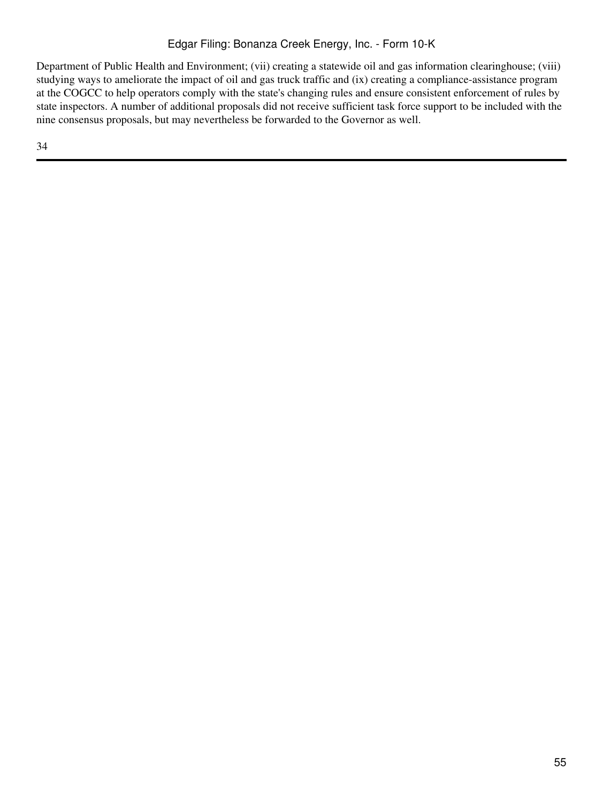Department of Public Health and Environment; (vii) creating a statewide oil and gas information clearinghouse; (viii) studying ways to ameliorate the impact of oil and gas truck traffic and (ix) creating a compliance-assistance program at the COGCC to help operators comply with the state's changing rules and ensure consistent enforcement of rules by state inspectors. A number of additional proposals did not receive sufficient task force support to be included with the nine consensus proposals, but may nevertheless be forwarded to the Governor as well.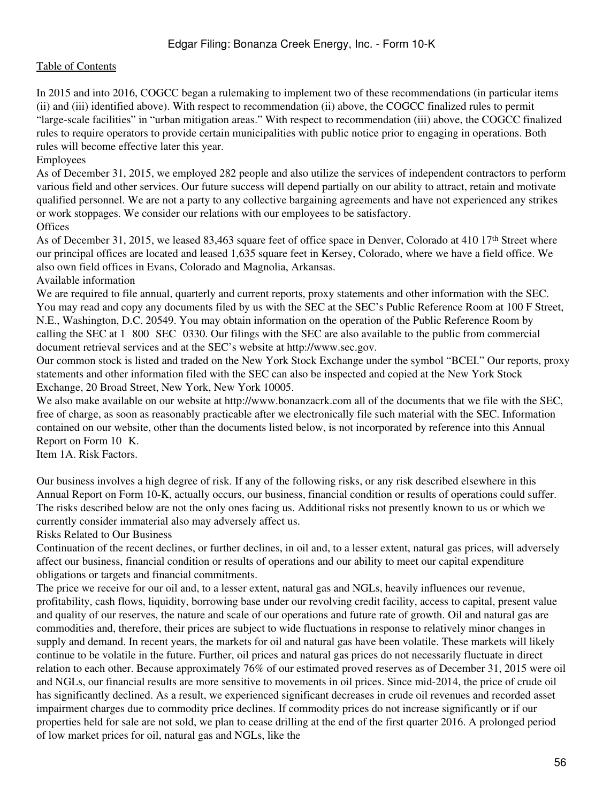In 2015 and into 2016, COGCC began a rulemaking to implement two of these recommendations (in particular items (ii) and (iii) identified above). With respect to recommendation (ii) above, the COGCC finalized rules to permit "large-scale facilities" in "urban mitigation areas." With respect to recommendation (iii) above, the COGCC finalized rules to require operators to provide certain municipalities with public notice prior to engaging in operations. Both rules will become effective later this year.

Employees

As of December 31, 2015, we employed 282 people and also utilize the services of independent contractors to perform various field and other services. Our future success will depend partially on our ability to attract, retain and motivate qualified personnel. We are not a party to any collective bargaining agreements and have not experienced any strikes or work stoppages. We consider our relations with our employees to be satisfactory. **Offices** 

As of December 31, 2015, we leased 83,463 square feet of office space in Denver, Colorado at 410 17<sup>th</sup> Street where our principal offices are located and leased 1,635 square feet in Kersey, Colorado, where we have a field office. We also own field offices in Evans, Colorado and Magnolia, Arkansas.

Available information

We are required to file annual, quarterly and current reports, proxy statements and other information with the SEC. You may read and copy any documents filed by us with the SEC at the SEC's Public Reference Room at 100 F Street, N.E., Washington, D.C. 20549. You may obtain information on the operation of the Public Reference Room by calling the SEC at 1–800–SEC–0330. Our filings with the SEC are also available to the public from commercial document retrieval services and at the SEC's website at http://www.sec.gov.

Our common stock is listed and traded on the New York Stock Exchange under the symbol "BCEI." Our reports, proxy statements and other information filed with the SEC can also be inspected and copied at the New York Stock Exchange, 20 Broad Street, New York, New York 10005.

We also make available on our website at http://www.bonanzacrk.com all of the documents that we file with the SEC, free of charge, as soon as reasonably practicable after we electronically file such material with the SEC. Information contained on our website, other than the documents listed below, is not incorporated by reference into this Annual Report on Form 10 K.

Item 1A. Risk Factors.

Our business involves a high degree of risk. If any of the following risks, or any risk described elsewhere in this Annual Report on Form 10-K, actually occurs, our business, financial condition or results of operations could suffer. The risks described below are not the only ones facing us. Additional risks not presently known to us or which we currently consider immaterial also may adversely affect us.

Risks Related to Our Business

Continuation of the recent declines, or further declines, in oil and, to a lesser extent, natural gas prices, will adversely affect our business, financial condition or results of operations and our ability to meet our capital expenditure obligations or targets and financial commitments.

The price we receive for our oil and, to a lesser extent, natural gas and NGLs, heavily influences our revenue, profitability, cash flows, liquidity, borrowing base under our revolving credit facility, access to capital, present value and quality of our reserves, the nature and scale of our operations and future rate of growth. Oil and natural gas are commodities and, therefore, their prices are subject to wide fluctuations in response to relatively minor changes in supply and demand. In recent years, the markets for oil and natural gas have been volatile. These markets will likely continue to be volatile in the future. Further, oil prices and natural gas prices do not necessarily fluctuate in direct relation to each other. Because approximately 76% of our estimated proved reserves as of December 31, 2015 were oil and NGLs, our financial results are more sensitive to movements in oil prices. Since mid-2014, the price of crude oil has significantly declined. As a result, we experienced significant decreases in crude oil revenues and recorded asset impairment charges due to commodity price declines. If commodity prices do not increase significantly or if our properties held for sale are not sold, we plan to cease drilling at the end of the first quarter 2016. A prolonged period of low market prices for oil, natural gas and NGLs, like the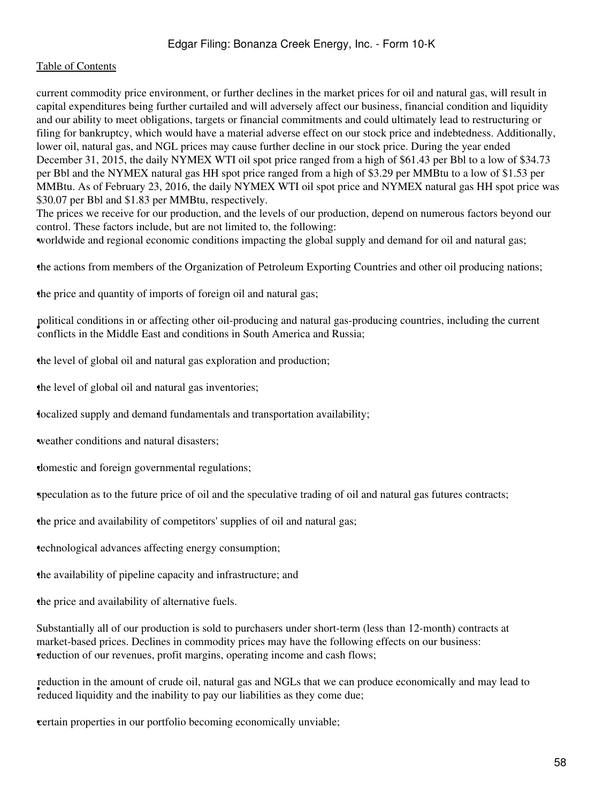current commodity price environment, or further declines in the market prices for oil and natural gas, will result in capital expenditures being further curtailed and will adversely affect our business, financial condition and liquidity and our ability to meet obligations, targets or financial commitments and could ultimately lead to restructuring or filing for bankruptcy, which would have a material adverse effect on our stock price and indebtedness. Additionally, lower oil, natural gas, and NGL prices may cause further decline in our stock price. During the year ended December 31, 2015, the daily NYMEX WTI oil spot price ranged from a high of \$61.43 per Bbl to a low of \$34.73 per Bbl and the NYMEX natural gas HH spot price ranged from a high of \$3.29 per MMBtu to a low of \$1.53 per MMBtu. As of February 23, 2016, the daily NYMEX WTI oil spot price and NYMEX natural gas HH spot price was \$30.07 per Bbl and \$1.83 per MMBtu, respectively.

The prices we receive for our production, and the levels of our production, depend on numerous factors beyond our control. These factors include, but are not limited to, the following:

•worldwide and regional economic conditions impacting the global supply and demand for oil and natural gas;

•the actions from members of the Organization of Petroleum Exporting Countries and other oil producing nations;

•the price and quantity of imports of foreign oil and natural gas;

• conflicts in the Middle East and conditions in South America and Russia; political conditions in or affecting other oil-producing and natural gas-producing countries, including the current

•the level of global oil and natural gas exploration and production;

•the level of global oil and natural gas inventories;

•localized supply and demand fundamentals and transportation availability;

•weather conditions and natural disasters;

•domestic and foreign governmental regulations;

•speculation as to the future price of oil and the speculative trading of oil and natural gas futures contracts;

•the price and availability of competitors' supplies of oil and natural gas;

•technological advances affecting energy consumption;

•the availability of pipeline capacity and infrastructure; and

•the price and availability of alternative fuels.

Substantially all of our production is sold to purchasers under short-term (less than 12-month) contracts at market-based prices. Declines in commodity prices may have the following effects on our business: reduction of our revenues, profit margins, operating income and cash flows;

reduced liquidity and the inability to pay our liabilities as they come due; reduction in the amount of crude oil, natural gas and NGLs that we can produce economically and may lead to

•certain properties in our portfolio becoming economically unviable;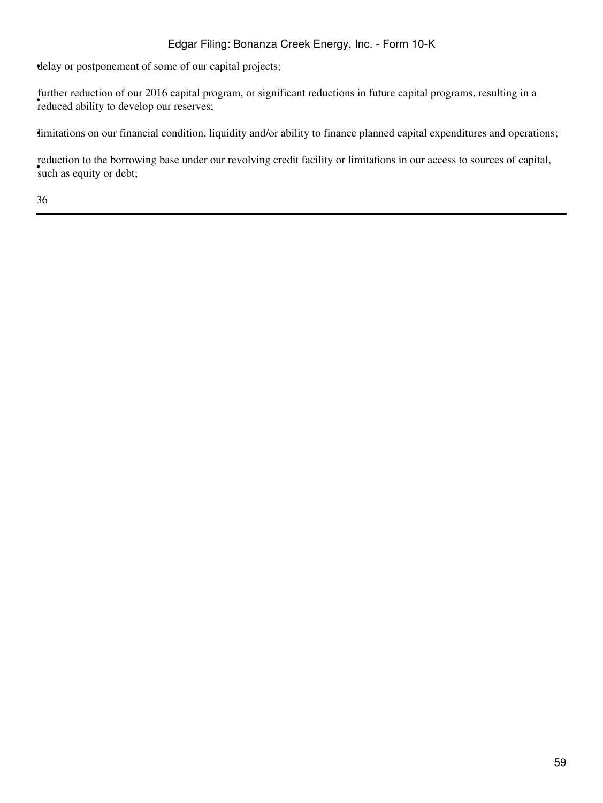•delay or postponement of some of our capital projects;

reduced ability to develop our reserves; further reduction of our 2016 capital program, or significant reductions in future capital programs, resulting in a

•limitations on our financial condition, liquidity and/or ability to finance planned capital expenditures and operations;

such as equity or debt; reduction to the borrowing base under our revolving credit facility or limitations in our access to sources of capital,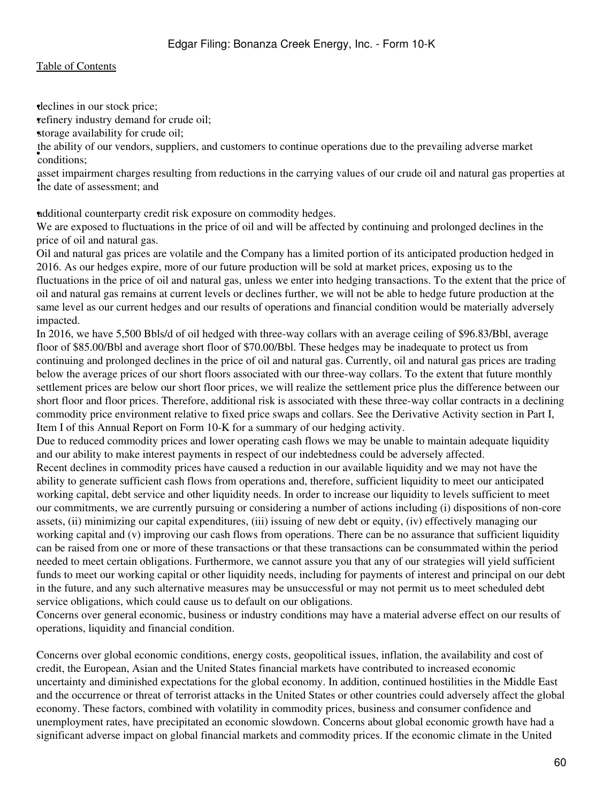•declines in our stock price;

•refinery industry demand for crude oil;

storage availability for crude oil;

• conditions; the ability of our vendors, suppliers, and customers to continue operations due to the prevailing adverse market

the date of assessment; and asset impairment charges resulting from reductions in the carrying values of our crude oil and natural gas properties at

•additional counterparty credit risk exposure on commodity hedges.

We are exposed to fluctuations in the price of oil and will be affected by continuing and prolonged declines in the price of oil and natural gas.

Oil and natural gas prices are volatile and the Company has a limited portion of its anticipated production hedged in 2016. As our hedges expire, more of our future production will be sold at market prices, exposing us to the fluctuations in the price of oil and natural gas, unless we enter into hedging transactions. To the extent that the price of oil and natural gas remains at current levels or declines further, we will not be able to hedge future production at the same level as our current hedges and our results of operations and financial condition would be materially adversely impacted.

In 2016, we have 5,500 Bbls/d of oil hedged with three-way collars with an average ceiling of \$96.83/Bbl, average floor of \$85.00/Bbl and average short floor of \$70.00/Bbl. These hedges may be inadequate to protect us from continuing and prolonged declines in the price of oil and natural gas. Currently, oil and natural gas prices are trading below the average prices of our short floors associated with our three-way collars. To the extent that future monthly settlement prices are below our short floor prices, we will realize the settlement price plus the difference between our short floor and floor prices. Therefore, additional risk is associated with these three-way collar contracts in a declining commodity price environment relative to fixed price swaps and collars. See the Derivative Activity section in Part I, Item I of this Annual Report on Form 10-K for a summary of our hedging activity.

Due to reduced commodity prices and lower operating cash flows we may be unable to maintain adequate liquidity and our ability to make interest payments in respect of our indebtedness could be adversely affected.

Recent declines in commodity prices have caused a reduction in our available liquidity and we may not have the ability to generate sufficient cash flows from operations and, therefore, sufficient liquidity to meet our anticipated working capital, debt service and other liquidity needs. In order to increase our liquidity to levels sufficient to meet our commitments, we are currently pursuing or considering a number of actions including (i) dispositions of non-core assets, (ii) minimizing our capital expenditures, (iii) issuing of new debt or equity, (iv) effectively managing our working capital and (v) improving our cash flows from operations. There can be no assurance that sufficient liquidity can be raised from one or more of these transactions or that these transactions can be consummated within the period needed to meet certain obligations. Furthermore, we cannot assure you that any of our strategies will yield sufficient funds to meet our working capital or other liquidity needs, including for payments of interest and principal on our debt in the future, and any such alternative measures may be unsuccessful or may not permit us to meet scheduled debt service obligations, which could cause us to default on our obligations.

Concerns over general economic, business or industry conditions may have a material adverse effect on our results of operations, liquidity and financial condition.

Concerns over global economic conditions, energy costs, geopolitical issues, inflation, the availability and cost of credit, the European, Asian and the United States financial markets have contributed to increased economic uncertainty and diminished expectations for the global economy. In addition, continued hostilities in the Middle East and the occurrence or threat of terrorist attacks in the United States or other countries could adversely affect the global economy. These factors, combined with volatility in commodity prices, business and consumer confidence and unemployment rates, have precipitated an economic slowdown. Concerns about global economic growth have had a significant adverse impact on global financial markets and commodity prices. If the economic climate in the United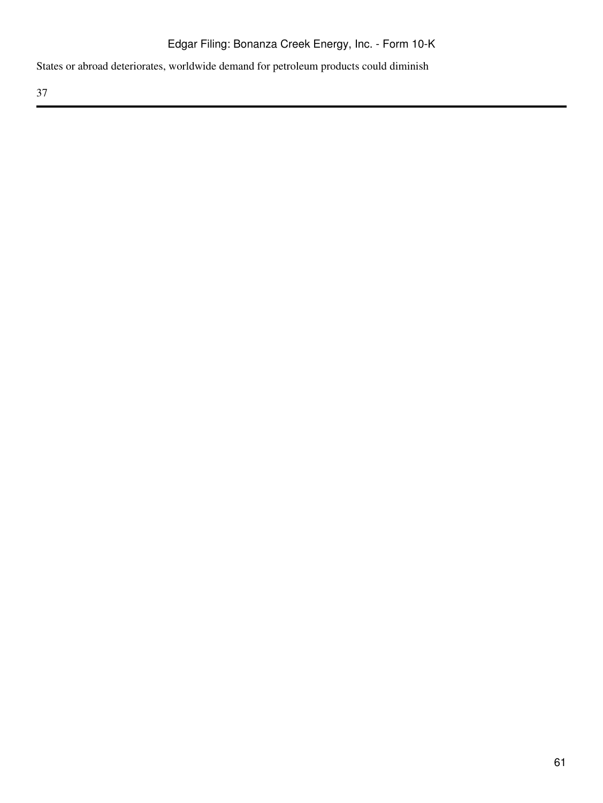States or abroad deteriorates, worldwide demand for petroleum products could diminish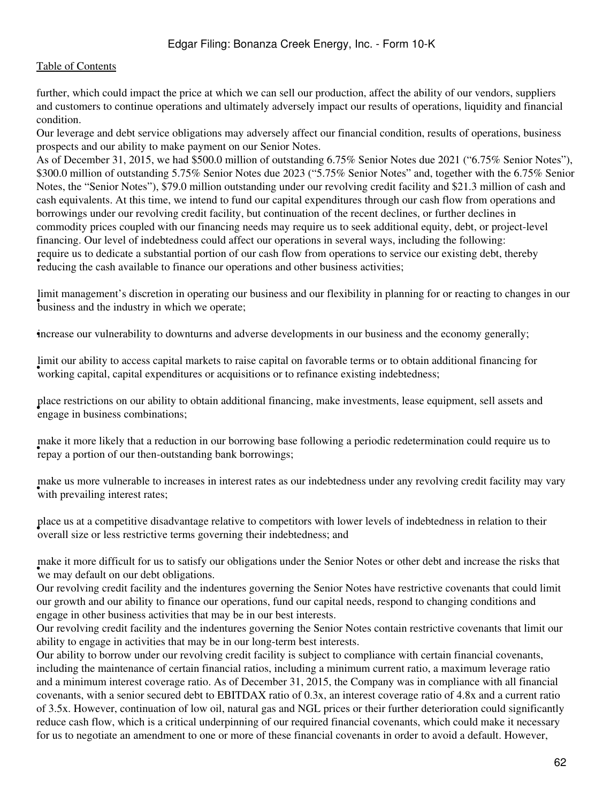further, which could impact the price at which we can sell our production, affect the ability of our vendors, suppliers and customers to continue operations and ultimately adversely impact our results of operations, liquidity and financial condition.

Our leverage and debt service obligations may adversely affect our financial condition, results of operations, business prospects and our ability to make payment on our Senior Notes.

As of December 31, 2015, we had \$500.0 million of outstanding 6.75% Senior Notes due 2021 ("6.75% Senior Notes"), \$300.0 million of outstanding 5.75% Senior Notes due 2023 ("5.75% Senior Notes" and, together with the 6.75% Senior Notes, the "Senior Notes"), \$79.0 million outstanding under our revolving credit facility and \$21.3 million of cash and cash equivalents. At this time, we intend to fund our capital expenditures through our cash flow from operations and borrowings under our revolving credit facility, but continuation of the recent declines, or further declines in commodity prices coupled with our financing needs may require us to seek additional equity, debt, or project-level financing. Our level of indebtedness could affect our operations in several ways, including the following: reducing the cash available to finance our operations and other business activities; require us to dedicate a substantial portion of our cash flow from operations to service our existing debt, thereby

**Find management's discretion in operating our** limit management's discretion in operating our business and our flexibility in planning for or reacting to changes in our

•increase our vulnerability to downturns and adverse developments in our business and the economy generally;

working capital, capital expenditures or acquisitions or to refinance existing indebtedness; limit our ability to access capital markets to raise capital on favorable terms or to obtain additional financing for

• engage in business combinations; place restrictions on our ability to obtain additional financing, make investments, lease equipment, sell assets and

repay a portion of our then-outstanding bank borrowings; make it more likely that a reduction in our borrowing base following a periodic redetermination could require us to

with prevailing interest rates; make us more vulnerable to increases in interest rates as our indebtedness under any revolving credit facility may vary

• overall size or less restrictive terms governing their indebtedness; and place us at a competitive disadvantage relative to competitors with lower levels of indebtedness in relation to their

we may default on our debt obligations. make it more difficult for us to satisfy our obligations under the Senior Notes or other debt and increase the risks that

Our revolving credit facility and the indentures governing the Senior Notes have restrictive covenants that could limit our growth and our ability to finance our operations, fund our capital needs, respond to changing conditions and engage in other business activities that may be in our best interests.

Our revolving credit facility and the indentures governing the Senior Notes contain restrictive covenants that limit our ability to engage in activities that may be in our long-term best interests.

Our ability to borrow under our revolving credit facility is subject to compliance with certain financial covenants, including the maintenance of certain financial ratios, including a minimum current ratio, a maximum leverage ratio and a minimum interest coverage ratio. As of December 31, 2015, the Company was in compliance with all financial covenants, with a senior secured debt to EBITDAX ratio of 0.3x, an interest coverage ratio of 4.8x and a current ratio of 3.5x. However, continuation of low oil, natural gas and NGL prices or their further deterioration could significantly reduce cash flow, which is a critical underpinning of our required financial covenants, which could make it necessary for us to negotiate an amendment to one or more of these financial covenants in order to avoid a default. However,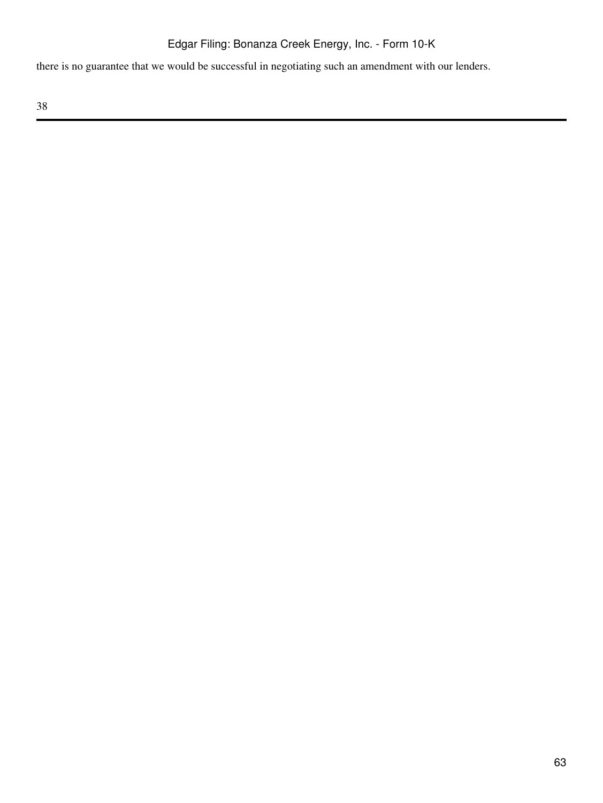there is no guarantee that we would be successful in negotiating such an amendment with our lenders.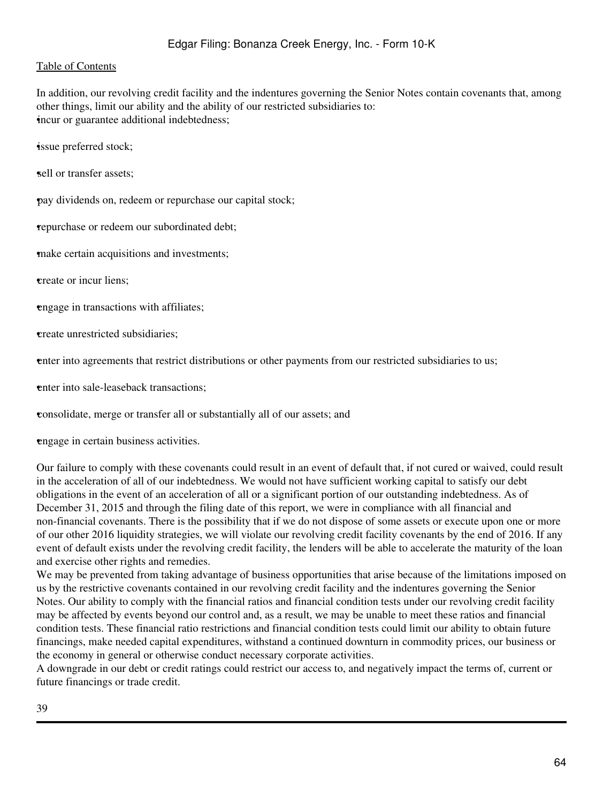In addition, our revolving credit facility and the indentures governing the Senior Notes contain covenants that, among other things, limit our ability and the ability of our restricted subsidiaries to: •incur or guarantee additional indebtedness;

•issue preferred stock;

sell or transfer assets:

•pay dividends on, redeem or repurchase our capital stock;

•repurchase or redeem our subordinated debt;

•make certain acquisitions and investments;

•create or incur liens;

•engage in transactions with affiliates;

•create unrestricted subsidiaries;

•enter into agreements that restrict distributions or other payments from our restricted subsidiaries to us;

**enter into sale-leaseback transactions:** 

•consolidate, merge or transfer all or substantially all of our assets; and

•engage in certain business activities.

Our failure to comply with these covenants could result in an event of default that, if not cured or waived, could result in the acceleration of all of our indebtedness. We would not have sufficient working capital to satisfy our debt obligations in the event of an acceleration of all or a significant portion of our outstanding indebtedness. As of December 31, 2015 and through the filing date of this report, we were in compliance with all financial and non-financial covenants. There is the possibility that if we do not dispose of some assets or execute upon one or more of our other 2016 liquidity strategies, we will violate our revolving credit facility covenants by the end of 2016. If any event of default exists under the revolving credit facility, the lenders will be able to accelerate the maturity of the loan and exercise other rights and remedies.

We may be prevented from taking advantage of business opportunities that arise because of the limitations imposed on us by the restrictive covenants contained in our revolving credit facility and the indentures governing the Senior Notes. Our ability to comply with the financial ratios and financial condition tests under our revolving credit facility may be affected by events beyond our control and, as a result, we may be unable to meet these ratios and financial condition tests. These financial ratio restrictions and financial condition tests could limit our ability to obtain future financings, make needed capital expenditures, withstand a continued downturn in commodity prices, our business or the economy in general or otherwise conduct necessary corporate activities.

A downgrade in our debt or credit ratings could restrict our access to, and negatively impact the terms of, current or future financings or trade credit.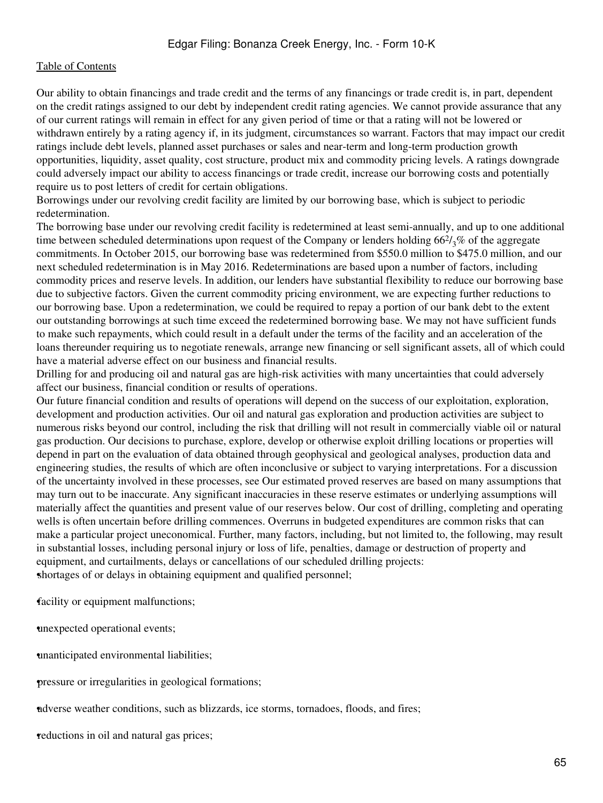Our ability to obtain financings and trade credit and the terms of any financings or trade credit is, in part, dependent on the credit ratings assigned to our debt by independent credit rating agencies. We cannot provide assurance that any of our current ratings will remain in effect for any given period of time or that a rating will not be lowered or withdrawn entirely by a rating agency if, in its judgment, circumstances so warrant. Factors that may impact our credit ratings include debt levels, planned asset purchases or sales and near-term and long-term production growth opportunities, liquidity, asset quality, cost structure, product mix and commodity pricing levels. A ratings downgrade could adversely impact our ability to access financings or trade credit, increase our borrowing costs and potentially require us to post letters of credit for certain obligations.

Borrowings under our revolving credit facility are limited by our borrowing base, which is subject to periodic redetermination.

The borrowing base under our revolving credit facility is redetermined at least semi-annually, and up to one additional time between scheduled determinations upon request of the Company or lenders holding  $66\frac{2}{3}\%$  of the aggregate commitments. In October 2015, our borrowing base was redetermined from \$550.0 million to \$475.0 million, and our next scheduled redetermination is in May 2016. Redeterminations are based upon a number of factors, including commodity prices and reserve levels. In addition, our lenders have substantial flexibility to reduce our borrowing base due to subjective factors. Given the current commodity pricing environment, we are expecting further reductions to our borrowing base. Upon a redetermination, we could be required to repay a portion of our bank debt to the extent our outstanding borrowings at such time exceed the redetermined borrowing base. We may not have sufficient funds to make such repayments, which could result in a default under the terms of the facility and an acceleration of the loans thereunder requiring us to negotiate renewals, arrange new financing or sell significant assets, all of which could have a material adverse effect on our business and financial results.

Drilling for and producing oil and natural gas are high-risk activities with many uncertainties that could adversely affect our business, financial condition or results of operations.

Our future financial condition and results of operations will depend on the success of our exploitation, exploration, development and production activities. Our oil and natural gas exploration and production activities are subject to numerous risks beyond our control, including the risk that drilling will not result in commercially viable oil or natural gas production. Our decisions to purchase, explore, develop or otherwise exploit drilling locations or properties will depend in part on the evaluation of data obtained through geophysical and geological analyses, production data and engineering studies, the results of which are often inconclusive or subject to varying interpretations. For a discussion of the uncertainty involved in these processes, see Our estimated proved reserves are based on many assumptions that may turn out to be inaccurate. Any significant inaccuracies in these reserve estimates or underlying assumptions will materially affect the quantities and present value of our reserves below. Our cost of drilling, completing and operating wells is often uncertain before drilling commences. Overruns in budgeted expenditures are common risks that can make a particular project uneconomical. Further, many factors, including, but not limited to, the following, may result in substantial losses, including personal injury or loss of life, penalties, damage or destruction of property and equipment, and curtailments, delays or cancellations of our scheduled drilling projects: shortages of or delays in obtaining equipment and qualified personnel;

facility or equipment malfunctions;

•unexpected operational events;

•unanticipated environmental liabilities;

•pressure or irregularities in geological formations;

•adverse weather conditions, such as blizzards, ice storms, tornadoes, floods, and fires;

reductions in oil and natural gas prices;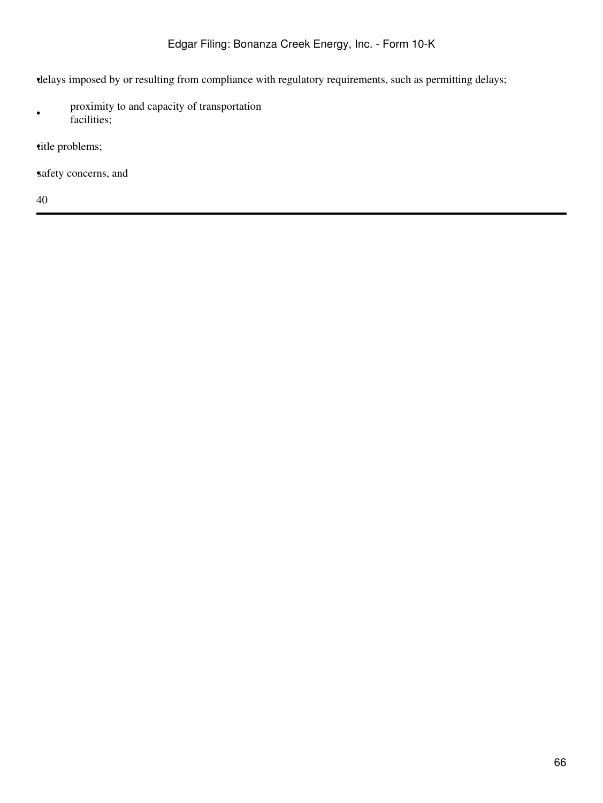•delays imposed by or resulting from compliance with regulatory requirements, such as permitting delays;

• proximity to and capacity of transportation facilities;

title problems;

safety concerns, and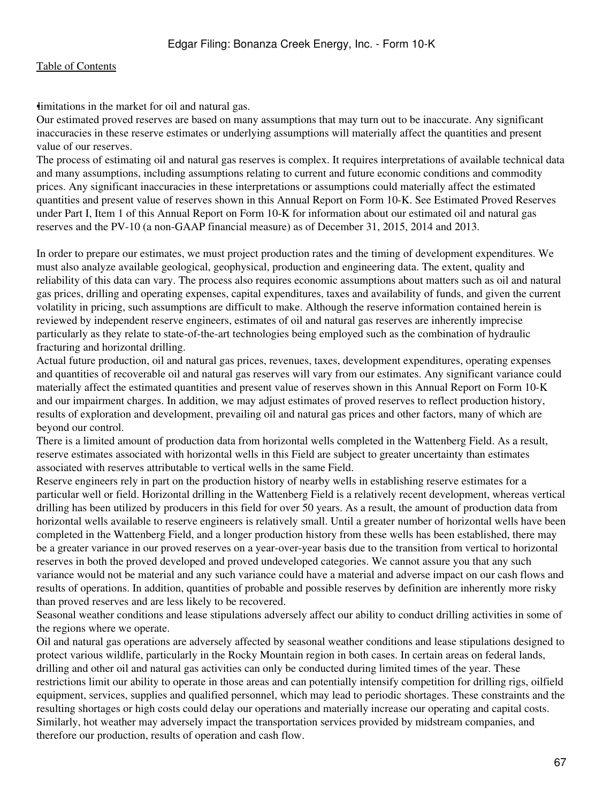imitations in the market for oil and natural gas.

Our estimated proved reserves are based on many assumptions that may turn out to be inaccurate. Any significant inaccuracies in these reserve estimates or underlying assumptions will materially affect the quantities and present value of our reserves.

The process of estimating oil and natural gas reserves is complex. It requires interpretations of available technical data and many assumptions, including assumptions relating to current and future economic conditions and commodity prices. Any significant inaccuracies in these interpretations or assumptions could materially affect the estimated quantities and present value of reserves shown in this Annual Report on Form 10-K. See Estimated Proved Reserves under Part I, Item 1 of this Annual Report on Form 10-K for information about our estimated oil and natural gas reserves and the PV-10 (a non-GAAP financial measure) as of December 31, 2015, 2014 and 2013.

In order to prepare our estimates, we must project production rates and the timing of development expenditures. We must also analyze available geological, geophysical, production and engineering data. The extent, quality and reliability of this data can vary. The process also requires economic assumptions about matters such as oil and natural gas prices, drilling and operating expenses, capital expenditures, taxes and availability of funds, and given the current volatility in pricing, such assumptions are difficult to make. Although the reserve information contained herein is reviewed by independent reserve engineers, estimates of oil and natural gas reserves are inherently imprecise particularly as they relate to state-of-the-art technologies being employed such as the combination of hydraulic fracturing and horizontal drilling.

Actual future production, oil and natural gas prices, revenues, taxes, development expenditures, operating expenses and quantities of recoverable oil and natural gas reserves will vary from our estimates. Any significant variance could materially affect the estimated quantities and present value of reserves shown in this Annual Report on Form 10-K and our impairment charges. In addition, we may adjust estimates of proved reserves to reflect production history, results of exploration and development, prevailing oil and natural gas prices and other factors, many of which are beyond our control.

There is a limited amount of production data from horizontal wells completed in the Wattenberg Field. As a result, reserve estimates associated with horizontal wells in this Field are subject to greater uncertainty than estimates associated with reserves attributable to vertical wells in the same Field.

Reserve engineers rely in part on the production history of nearby wells in establishing reserve estimates for a particular well or field. Horizontal drilling in the Wattenberg Field is a relatively recent development, whereas vertical drilling has been utilized by producers in this field for over 50 years. As a result, the amount of production data from horizontal wells available to reserve engineers is relatively small. Until a greater number of horizontal wells have been completed in the Wattenberg Field, and a longer production history from these wells has been established, there may be a greater variance in our proved reserves on a year-over-year basis due to the transition from vertical to horizontal reserves in both the proved developed and proved undeveloped categories. We cannot assure you that any such variance would not be material and any such variance could have a material and adverse impact on our cash flows and results of operations. In addition, quantities of probable and possible reserves by definition are inherently more risky than proved reserves and are less likely to be recovered.

Seasonal weather conditions and lease stipulations adversely affect our ability to conduct drilling activities in some of the regions where we operate.

Oil and natural gas operations are adversely affected by seasonal weather conditions and lease stipulations designed to protect various wildlife, particularly in the Rocky Mountain region in both cases. In certain areas on federal lands, drilling and other oil and natural gas activities can only be conducted during limited times of the year. These restrictions limit our ability to operate in those areas and can potentially intensify competition for drilling rigs, oilfield equipment, services, supplies and qualified personnel, which may lead to periodic shortages. These constraints and the resulting shortages or high costs could delay our operations and materially increase our operating and capital costs. Similarly, hot weather may adversely impact the transportation services provided by midstream companies, and therefore our production, results of operation and cash flow.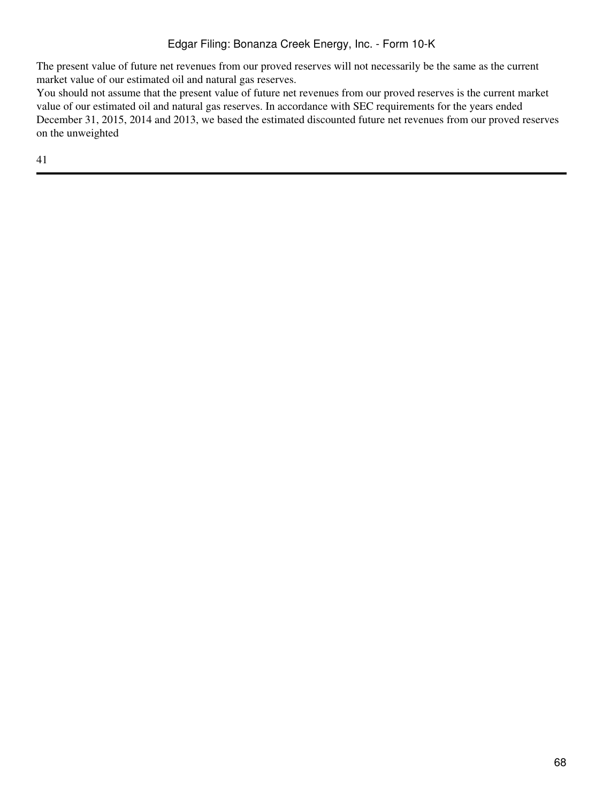The present value of future net revenues from our proved reserves will not necessarily be the same as the current market value of our estimated oil and natural gas reserves.

You should not assume that the present value of future net revenues from our proved reserves is the current market value of our estimated oil and natural gas reserves. In accordance with SEC requirements for the years ended December 31, 2015, 2014 and 2013, we based the estimated discounted future net revenues from our proved reserves on the unweighted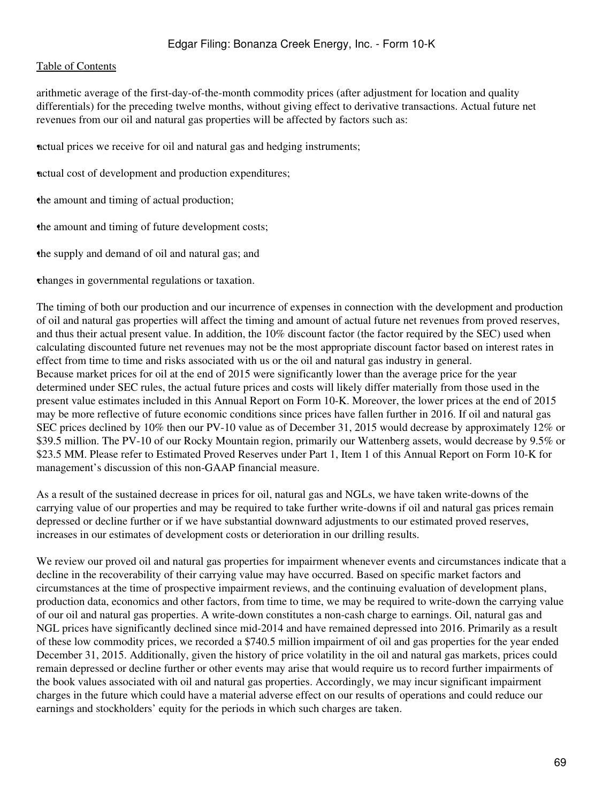arithmetic average of the first-day-of-the-month commodity prices (after adjustment for location and quality differentials) for the preceding twelve months, without giving effect to derivative transactions. Actual future net revenues from our oil and natural gas properties will be affected by factors such as:

•actual prices we receive for oil and natural gas and hedging instruments;

•actual cost of development and production expenditures;

•the amount and timing of actual production;

the amount and timing of future development costs;

•the supply and demand of oil and natural gas; and

•changes in governmental regulations or taxation.

The timing of both our production and our incurrence of expenses in connection with the development and production of oil and natural gas properties will affect the timing and amount of actual future net revenues from proved reserves, and thus their actual present value. In addition, the 10% discount factor (the factor required by the SEC) used when calculating discounted future net revenues may not be the most appropriate discount factor based on interest rates in effect from time to time and risks associated with us or the oil and natural gas industry in general. Because market prices for oil at the end of 2015 were significantly lower than the average price for the year determined under SEC rules, the actual future prices and costs will likely differ materially from those used in the present value estimates included in this Annual Report on Form 10-K. Moreover, the lower prices at the end of 2015 may be more reflective of future economic conditions since prices have fallen further in 2016. If oil and natural gas SEC prices declined by 10% then our PV-10 value as of December 31, 2015 would decrease by approximately 12% or \$39.5 million. The PV-10 of our Rocky Mountain region, primarily our Wattenberg assets, would decrease by 9.5% or \$23.5 MM. Please refer to Estimated Proved Reserves under Part 1, Item 1 of this Annual Report on Form 10-K for management's discussion of this non-GAAP financial measure.

As a result of the sustained decrease in prices for oil, natural gas and NGLs, we have taken write-downs of the carrying value of our properties and may be required to take further write-downs if oil and natural gas prices remain depressed or decline further or if we have substantial downward adjustments to our estimated proved reserves, increases in our estimates of development costs or deterioration in our drilling results.

We review our proved oil and natural gas properties for impairment whenever events and circumstances indicate that a decline in the recoverability of their carrying value may have occurred. Based on specific market factors and circumstances at the time of prospective impairment reviews, and the continuing evaluation of development plans, production data, economics and other factors, from time to time, we may be required to write-down the carrying value of our oil and natural gas properties. A write-down constitutes a non-cash charge to earnings. Oil, natural gas and NGL prices have significantly declined since mid-2014 and have remained depressed into 2016. Primarily as a result of these low commodity prices, we recorded a \$740.5 million impairment of oil and gas properties for the year ended December 31, 2015. Additionally, given the history of price volatility in the oil and natural gas markets, prices could remain depressed or decline further or other events may arise that would require us to record further impairments of the book values associated with oil and natural gas properties. Accordingly, we may incur significant impairment charges in the future which could have a material adverse effect on our results of operations and could reduce our earnings and stockholders' equity for the periods in which such charges are taken.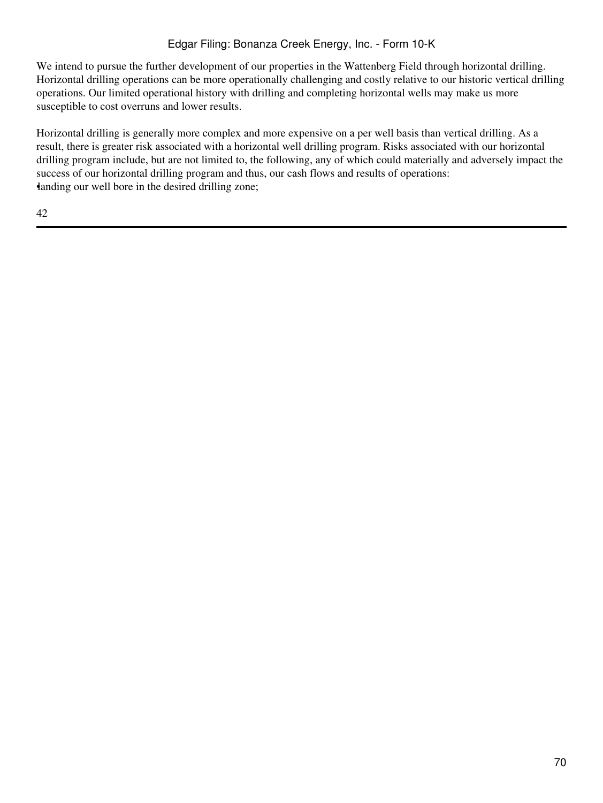We intend to pursue the further development of our properties in the Wattenberg Field through horizontal drilling. Horizontal drilling operations can be more operationally challenging and costly relative to our historic vertical drilling operations. Our limited operational history with drilling and completing horizontal wells may make us more susceptible to cost overruns and lower results.

Horizontal drilling is generally more complex and more expensive on a per well basis than vertical drilling. As a result, there is greater risk associated with a horizontal well drilling program. Risks associated with our horizontal drilling program include, but are not limited to, the following, any of which could materially and adversely impact the success of our horizontal drilling program and thus, our cash flows and results of operations: •landing our well bore in the desired drilling zone;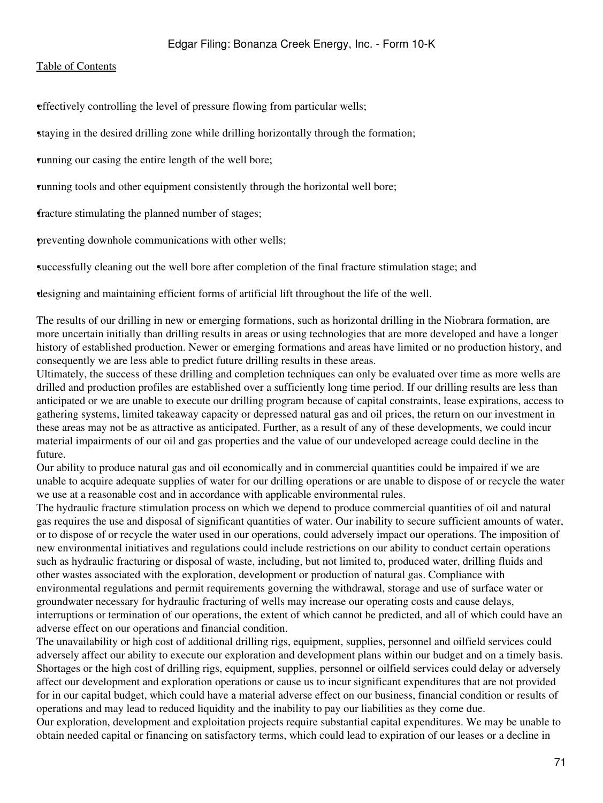•effectively controlling the level of pressure flowing from particular wells;

•staying in the desired drilling zone while drilling horizontally through the formation;

•running our casing the entire length of the well bore;

•running tools and other equipment consistently through the horizontal well bore;

fracture stimulating the planned number of stages;

•preventing downhole communications with other wells;

•successfully cleaning out the well bore after completion of the final fracture stimulation stage; and

•designing and maintaining efficient forms of artificial lift throughout the life of the well.

The results of our drilling in new or emerging formations, such as horizontal drilling in the Niobrara formation, are more uncertain initially than drilling results in areas or using technologies that are more developed and have a longer history of established production. Newer or emerging formations and areas have limited or no production history, and consequently we are less able to predict future drilling results in these areas.

Ultimately, the success of these drilling and completion techniques can only be evaluated over time as more wells are drilled and production profiles are established over a sufficiently long time period. If our drilling results are less than anticipated or we are unable to execute our drilling program because of capital constraints, lease expirations, access to gathering systems, limited takeaway capacity or depressed natural gas and oil prices, the return on our investment in these areas may not be as attractive as anticipated. Further, as a result of any of these developments, we could incur material impairments of our oil and gas properties and the value of our undeveloped acreage could decline in the future.

Our ability to produce natural gas and oil economically and in commercial quantities could be impaired if we are unable to acquire adequate supplies of water for our drilling operations or are unable to dispose of or recycle the water we use at a reasonable cost and in accordance with applicable environmental rules.

The hydraulic fracture stimulation process on which we depend to produce commercial quantities of oil and natural gas requires the use and disposal of significant quantities of water. Our inability to secure sufficient amounts of water, or to dispose of or recycle the water used in our operations, could adversely impact our operations. The imposition of new environmental initiatives and regulations could include restrictions on our ability to conduct certain operations such as hydraulic fracturing or disposal of waste, including, but not limited to, produced water, drilling fluids and other wastes associated with the exploration, development or production of natural gas. Compliance with environmental regulations and permit requirements governing the withdrawal, storage and use of surface water or groundwater necessary for hydraulic fracturing of wells may increase our operating costs and cause delays, interruptions or termination of our operations, the extent of which cannot be predicted, and all of which could have an adverse effect on our operations and financial condition.

The unavailability or high cost of additional drilling rigs, equipment, supplies, personnel and oilfield services could adversely affect our ability to execute our exploration and development plans within our budget and on a timely basis. Shortages or the high cost of drilling rigs, equipment, supplies, personnel or oilfield services could delay or adversely affect our development and exploration operations or cause us to incur significant expenditures that are not provided for in our capital budget, which could have a material adverse effect on our business, financial condition or results of operations and may lead to reduced liquidity and the inability to pay our liabilities as they come due.

Our exploration, development and exploitation projects require substantial capital expenditures. We may be unable to obtain needed capital or financing on satisfactory terms, which could lead to expiration of our leases or a decline in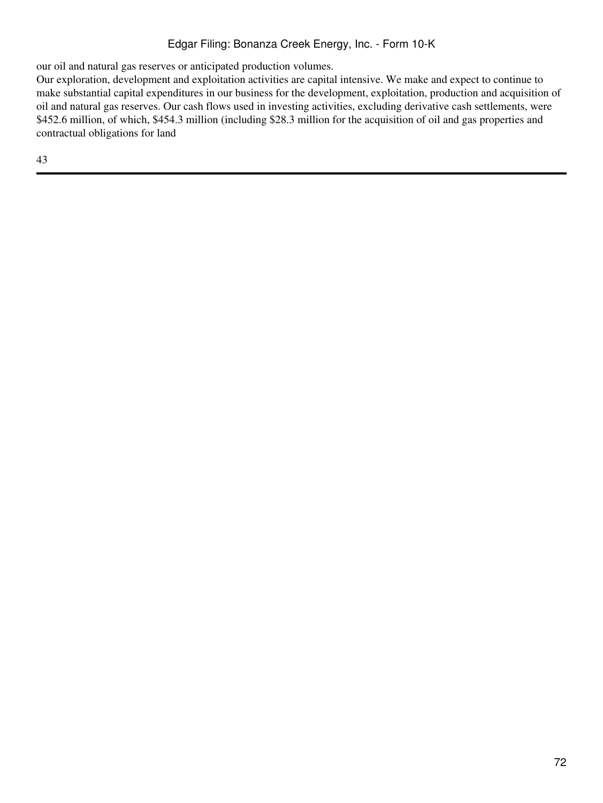our oil and natural gas reserves or anticipated production volumes.

Our exploration, development and exploitation activities are capital intensive. We make and expect to continue to make substantial capital expenditures in our business for the development, exploitation, production and acquisition of oil and natural gas reserves. Our cash flows used in investing activities, excluding derivative cash settlements, were \$452.6 million, of which, \$454.3 million (including \$28.3 million for the acquisition of oil and gas properties and contractual obligations for land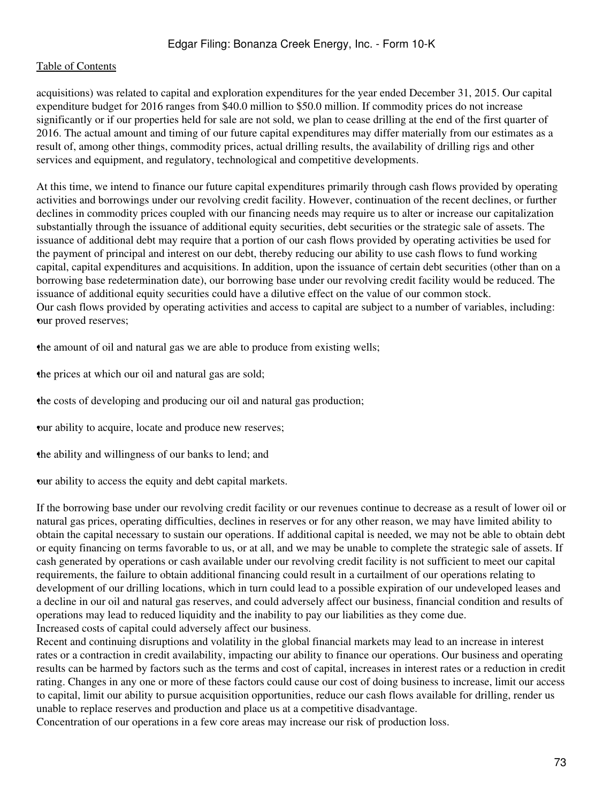acquisitions) was related to capital and exploration expenditures for the year ended December 31, 2015. Our capital expenditure budget for 2016 ranges from \$40.0 million to \$50.0 million. If commodity prices do not increase significantly or if our properties held for sale are not sold, we plan to cease drilling at the end of the first quarter of 2016. The actual amount and timing of our future capital expenditures may differ materially from our estimates as a result of, among other things, commodity prices, actual drilling results, the availability of drilling rigs and other services and equipment, and regulatory, technological and competitive developments.

At this time, we intend to finance our future capital expenditures primarily through cash flows provided by operating activities and borrowings under our revolving credit facility. However, continuation of the recent declines, or further declines in commodity prices coupled with our financing needs may require us to alter or increase our capitalization substantially through the issuance of additional equity securities, debt securities or the strategic sale of assets. The issuance of additional debt may require that a portion of our cash flows provided by operating activities be used for the payment of principal and interest on our debt, thereby reducing our ability to use cash flows to fund working capital, capital expenditures and acquisitions. In addition, upon the issuance of certain debt securities (other than on a borrowing base redetermination date), our borrowing base under our revolving credit facility would be reduced. The issuance of additional equity securities could have a dilutive effect on the value of our common stock. Our cash flows provided by operating activities and access to capital are subject to a number of variables, including: our proved reserves;

•the amount of oil and natural gas we are able to produce from existing wells;

the prices at which our oil and natural gas are sold;

•the costs of developing and producing our oil and natural gas production;

•our ability to acquire, locate and produce new reserves;

•the ability and willingness of our banks to lend; and

•our ability to access the equity and debt capital markets.

If the borrowing base under our revolving credit facility or our revenues continue to decrease as a result of lower oil or natural gas prices, operating difficulties, declines in reserves or for any other reason, we may have limited ability to obtain the capital necessary to sustain our operations. If additional capital is needed, we may not be able to obtain debt or equity financing on terms favorable to us, or at all, and we may be unable to complete the strategic sale of assets. If cash generated by operations or cash available under our revolving credit facility is not sufficient to meet our capital requirements, the failure to obtain additional financing could result in a curtailment of our operations relating to development of our drilling locations, which in turn could lead to a possible expiration of our undeveloped leases and a decline in our oil and natural gas reserves, and could adversely affect our business, financial condition and results of operations may lead to reduced liquidity and the inability to pay our liabilities as they come due. Increased costs of capital could adversely affect our business.

Recent and continuing disruptions and volatility in the global financial markets may lead to an increase in interest rates or a contraction in credit availability, impacting our ability to finance our operations. Our business and operating results can be harmed by factors such as the terms and cost of capital, increases in interest rates or a reduction in credit rating. Changes in any one or more of these factors could cause our cost of doing business to increase, limit our access to capital, limit our ability to pursue acquisition opportunities, reduce our cash flows available for drilling, render us unable to replace reserves and production and place us at a competitive disadvantage.

Concentration of our operations in a few core areas may increase our risk of production loss.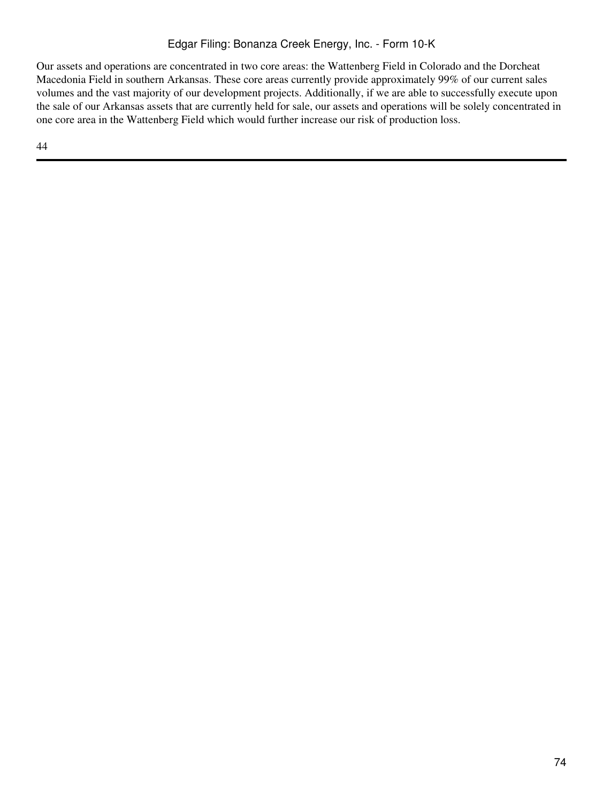# Edgar Filing: Bonanza Creek Energy, Inc. - Form 10-K

Our assets and operations are concentrated in two core areas: the Wattenberg Field in Colorado and the Dorcheat Macedonia Field in southern Arkansas. These core areas currently provide approximately 99% of our current sales volumes and the vast majority of our development projects. Additionally, if we are able to successfully execute upon the sale of our Arkansas assets that are currently held for sale, our assets and operations will be solely concentrated in one core area in the Wattenberg Field which would further increase our risk of production loss.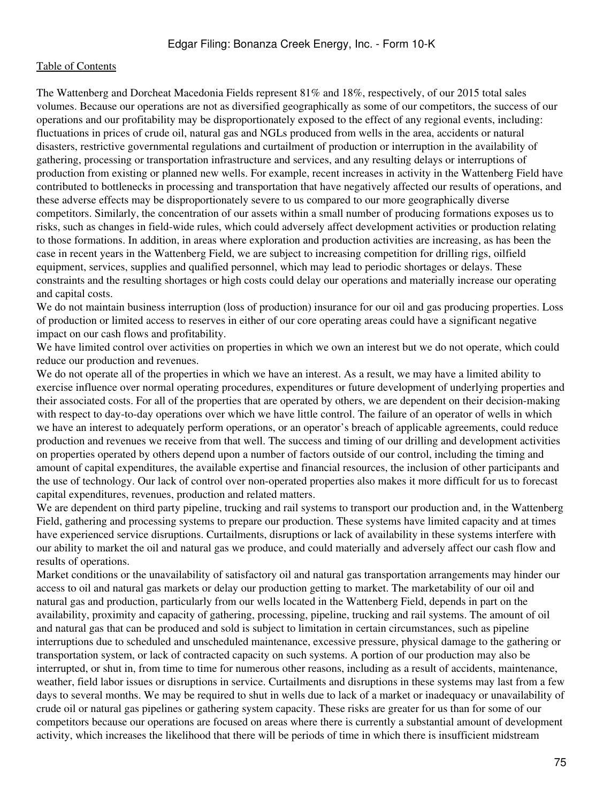The Wattenberg and Dorcheat Macedonia Fields represent 81% and 18%, respectively, of our 2015 total sales volumes. Because our operations are not as diversified geographically as some of our competitors, the success of our operations and our profitability may be disproportionately exposed to the effect of any regional events, including: fluctuations in prices of crude oil, natural gas and NGLs produced from wells in the area, accidents or natural disasters, restrictive governmental regulations and curtailment of production or interruption in the availability of gathering, processing or transportation infrastructure and services, and any resulting delays or interruptions of production from existing or planned new wells. For example, recent increases in activity in the Wattenberg Field have contributed to bottlenecks in processing and transportation that have negatively affected our results of operations, and these adverse effects may be disproportionately severe to us compared to our more geographically diverse competitors. Similarly, the concentration of our assets within a small number of producing formations exposes us to risks, such as changes in field-wide rules, which could adversely affect development activities or production relating to those formations. In addition, in areas where exploration and production activities are increasing, as has been the case in recent years in the Wattenberg Field, we are subject to increasing competition for drilling rigs, oilfield equipment, services, supplies and qualified personnel, which may lead to periodic shortages or delays. These constraints and the resulting shortages or high costs could delay our operations and materially increase our operating and capital costs.

We do not maintain business interruption (loss of production) insurance for our oil and gas producing properties. Loss of production or limited access to reserves in either of our core operating areas could have a significant negative impact on our cash flows and profitability.

We have limited control over activities on properties in which we own an interest but we do not operate, which could reduce our production and revenues.

We do not operate all of the properties in which we have an interest. As a result, we may have a limited ability to exercise influence over normal operating procedures, expenditures or future development of underlying properties and their associated costs. For all of the properties that are operated by others, we are dependent on their decision-making with respect to day-to-day operations over which we have little control. The failure of an operator of wells in which we have an interest to adequately perform operations, or an operator's breach of applicable agreements, could reduce production and revenues we receive from that well. The success and timing of our drilling and development activities on properties operated by others depend upon a number of factors outside of our control, including the timing and amount of capital expenditures, the available expertise and financial resources, the inclusion of other participants and the use of technology. Our lack of control over non-operated properties also makes it more difficult for us to forecast capital expenditures, revenues, production and related matters.

We are dependent on third party pipeline, trucking and rail systems to transport our production and, in the Wattenberg Field, gathering and processing systems to prepare our production. These systems have limited capacity and at times have experienced service disruptions. Curtailments, disruptions or lack of availability in these systems interfere with our ability to market the oil and natural gas we produce, and could materially and adversely affect our cash flow and results of operations.

Market conditions or the unavailability of satisfactory oil and natural gas transportation arrangements may hinder our access to oil and natural gas markets or delay our production getting to market. The marketability of our oil and natural gas and production, particularly from our wells located in the Wattenberg Field, depends in part on the availability, proximity and capacity of gathering, processing, pipeline, trucking and rail systems. The amount of oil and natural gas that can be produced and sold is subject to limitation in certain circumstances, such as pipeline interruptions due to scheduled and unscheduled maintenance, excessive pressure, physical damage to the gathering or transportation system, or lack of contracted capacity on such systems. A portion of our production may also be interrupted, or shut in, from time to time for numerous other reasons, including as a result of accidents, maintenance, weather, field labor issues or disruptions in service. Curtailments and disruptions in these systems may last from a few days to several months. We may be required to shut in wells due to lack of a market or inadequacy or unavailability of crude oil or natural gas pipelines or gathering system capacity. These risks are greater for us than for some of our competitors because our operations are focused on areas where there is currently a substantial amount of development activity, which increases the likelihood that there will be periods of time in which there is insufficient midstream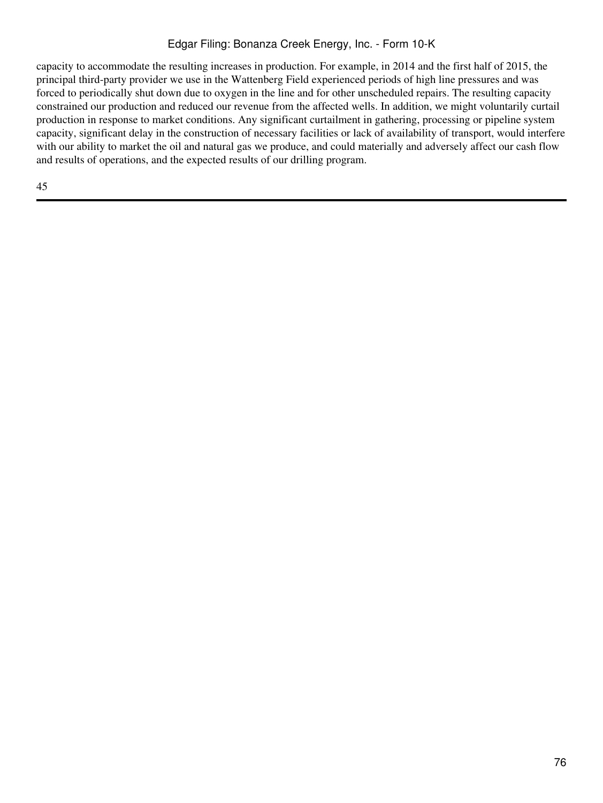# Edgar Filing: Bonanza Creek Energy, Inc. - Form 10-K

capacity to accommodate the resulting increases in production. For example, in 2014 and the first half of 2015, the principal third-party provider we use in the Wattenberg Field experienced periods of high line pressures and was forced to periodically shut down due to oxygen in the line and for other unscheduled repairs. The resulting capacity constrained our production and reduced our revenue from the affected wells. In addition, we might voluntarily curtail production in response to market conditions. Any significant curtailment in gathering, processing or pipeline system capacity, significant delay in the construction of necessary facilities or lack of availability of transport, would interfere with our ability to market the oil and natural gas we produce, and could materially and adversely affect our cash flow and results of operations, and the expected results of our drilling program.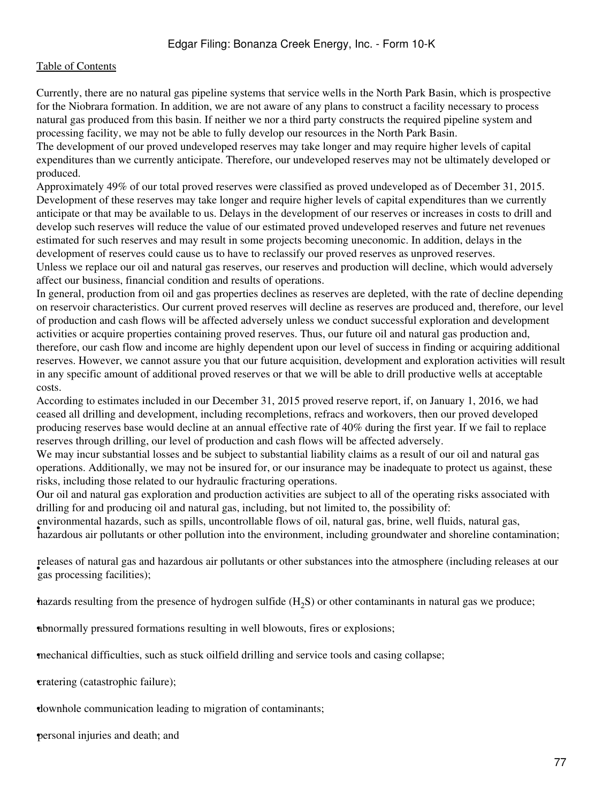Currently, there are no natural gas pipeline systems that service wells in the North Park Basin, which is prospective for the Niobrara formation. In addition, we are not aware of any plans to construct a facility necessary to process natural gas produced from this basin. If neither we nor a third party constructs the required pipeline system and processing facility, we may not be able to fully develop our resources in the North Park Basin.

The development of our proved undeveloped reserves may take longer and may require higher levels of capital expenditures than we currently anticipate. Therefore, our undeveloped reserves may not be ultimately developed or produced.

Approximately 49% of our total proved reserves were classified as proved undeveloped as of December 31, 2015. Development of these reserves may take longer and require higher levels of capital expenditures than we currently anticipate or that may be available to us. Delays in the development of our reserves or increases in costs to drill and develop such reserves will reduce the value of our estimated proved undeveloped reserves and future net revenues estimated for such reserves and may result in some projects becoming uneconomic. In addition, delays in the development of reserves could cause us to have to reclassify our proved reserves as unproved reserves.

Unless we replace our oil and natural gas reserves, our reserves and production will decline, which would adversely affect our business, financial condition and results of operations.

In general, production from oil and gas properties declines as reserves are depleted, with the rate of decline depending on reservoir characteristics. Our current proved reserves will decline as reserves are produced and, therefore, our level of production and cash flows will be affected adversely unless we conduct successful exploration and development activities or acquire properties containing proved reserves. Thus, our future oil and natural gas production and, therefore, our cash flow and income are highly dependent upon our level of success in finding or acquiring additional reserves. However, we cannot assure you that our future acquisition, development and exploration activities will result in any specific amount of additional proved reserves or that we will be able to drill productive wells at acceptable costs.

According to estimates included in our December 31, 2015 proved reserve report, if, on January 1, 2016, we had ceased all drilling and development, including recompletions, refracs and workovers, then our proved developed producing reserves base would decline at an annual effective rate of 40% during the first year. If we fail to replace reserves through drilling, our level of production and cash flows will be affected adversely.

We may incur substantial losses and be subject to substantial liability claims as a result of our oil and natural gas operations. Additionally, we may not be insured for, or our insurance may be inadequate to protect us against, these risks, including those related to our hydraulic fracturing operations.

Our oil and natural gas exploration and production activities are subject to all of the operating risks associated with drilling for and producing oil and natural gas, including, but not limited to, the possibility of:

• hazardous air pollutants or other pollution into the environment, including groundwater and shoreline contamination; environmental hazards, such as spills, uncontrollable flows of oil, natural gas, brine, well fluids, natural gas,

• electron of matural gas and gas in releases of natural gas and hazardous air pollutants or other substances into the atmosphere (including releases at our

hazards resulting from the presence of hydrogen sulfide  $(H<sub>2</sub>S)$  or other contaminants in natural gas we produce;

•abnormally pressured formations resulting in well blowouts, fires or explosions;

•mechanical difficulties, such as stuck oilfield drilling and service tools and casing collapse;

•cratering (catastrophic failure);

•downhole communication leading to migration of contaminants;

•personal injuries and death; and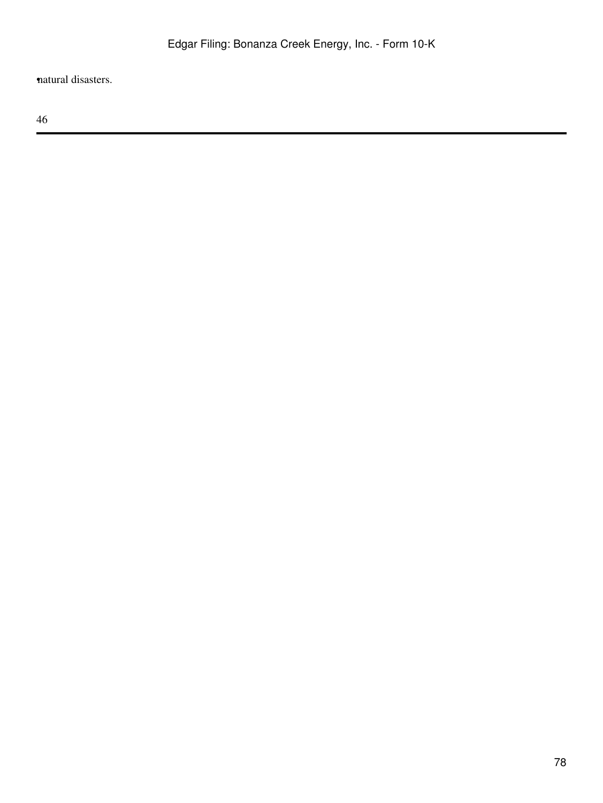•natural disasters.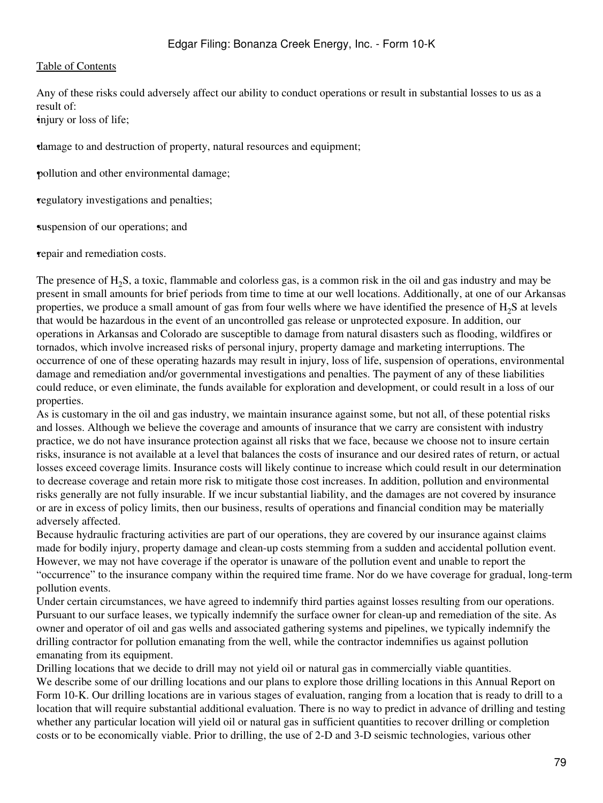Any of these risks could adversely affect our ability to conduct operations or result in substantial losses to us as a result of:

•injury or loss of life;

•damage to and destruction of property, natural resources and equipment;

•pollution and other environmental damage;

•regulatory investigations and penalties;

suspension of our operations; and

•repair and remediation costs.

The presence of H<sub>2</sub>S, a toxic, flammable and colorless gas, is a common risk in the oil and gas industry and may be present in small amounts for brief periods from time to time at our well locations. Additionally, at one of our Arkansas properties, we produce a small amount of gas from four wells where we have identified the presence of  $H_2S$  at levels that would be hazardous in the event of an uncontrolled gas release or unprotected exposure. In addition, our operations in Arkansas and Colorado are susceptible to damage from natural disasters such as flooding, wildfires or tornados, which involve increased risks of personal injury, property damage and marketing interruptions. The occurrence of one of these operating hazards may result in injury, loss of life, suspension of operations, environmental damage and remediation and/or governmental investigations and penalties. The payment of any of these liabilities could reduce, or even eliminate, the funds available for exploration and development, or could result in a loss of our properties.

As is customary in the oil and gas industry, we maintain insurance against some, but not all, of these potential risks and losses. Although we believe the coverage and amounts of insurance that we carry are consistent with industry practice, we do not have insurance protection against all risks that we face, because we choose not to insure certain risks, insurance is not available at a level that balances the costs of insurance and our desired rates of return, or actual losses exceed coverage limits. Insurance costs will likely continue to increase which could result in our determination to decrease coverage and retain more risk to mitigate those cost increases. In addition, pollution and environmental risks generally are not fully insurable. If we incur substantial liability, and the damages are not covered by insurance or are in excess of policy limits, then our business, results of operations and financial condition may be materially adversely affected.

Because hydraulic fracturing activities are part of our operations, they are covered by our insurance against claims made for bodily injury, property damage and clean-up costs stemming from a sudden and accidental pollution event. However, we may not have coverage if the operator is unaware of the pollution event and unable to report the "occurrence" to the insurance company within the required time frame. Nor do we have coverage for gradual, long-term pollution events.

Under certain circumstances, we have agreed to indemnify third parties against losses resulting from our operations. Pursuant to our surface leases, we typically indemnify the surface owner for clean-up and remediation of the site. As owner and operator of oil and gas wells and associated gathering systems and pipelines, we typically indemnify the drilling contractor for pollution emanating from the well, while the contractor indemnifies us against pollution emanating from its equipment.

Drilling locations that we decide to drill may not yield oil or natural gas in commercially viable quantities. We describe some of our drilling locations and our plans to explore those drilling locations in this Annual Report on Form 10-K. Our drilling locations are in various stages of evaluation, ranging from a location that is ready to drill to a location that will require substantial additional evaluation. There is no way to predict in advance of drilling and testing whether any particular location will yield oil or natural gas in sufficient quantities to recover drilling or completion costs or to be economically viable. Prior to drilling, the use of 2-D and 3-D seismic technologies, various other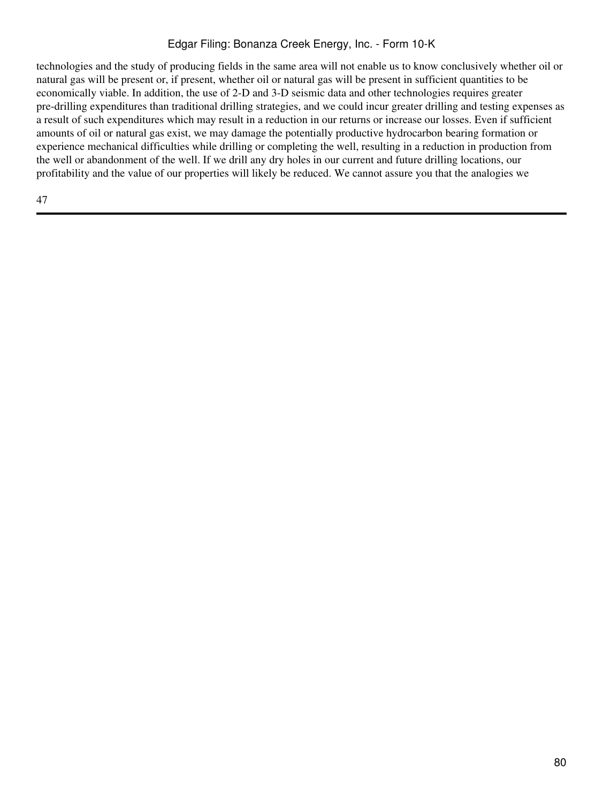# Edgar Filing: Bonanza Creek Energy, Inc. - Form 10-K

technologies and the study of producing fields in the same area will not enable us to know conclusively whether oil or natural gas will be present or, if present, whether oil or natural gas will be present in sufficient quantities to be economically viable. In addition, the use of 2-D and 3-D seismic data and other technologies requires greater pre-drilling expenditures than traditional drilling strategies, and we could incur greater drilling and testing expenses as a result of such expenditures which may result in a reduction in our returns or increase our losses. Even if sufficient amounts of oil or natural gas exist, we may damage the potentially productive hydrocarbon bearing formation or experience mechanical difficulties while drilling or completing the well, resulting in a reduction in production from the well or abandonment of the well. If we drill any dry holes in our current and future drilling locations, our profitability and the value of our properties will likely be reduced. We cannot assure you that the analogies we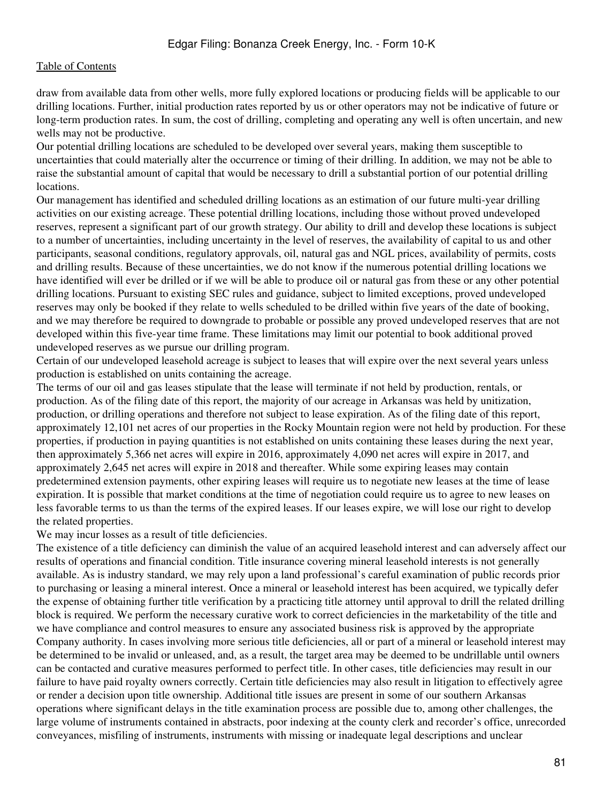draw from available data from other wells, more fully explored locations or producing fields will be applicable to our drilling locations. Further, initial production rates reported by us or other operators may not be indicative of future or long-term production rates. In sum, the cost of drilling, completing and operating any well is often uncertain, and new wells may not be productive.

Our potential drilling locations are scheduled to be developed over several years, making them susceptible to uncertainties that could materially alter the occurrence or timing of their drilling. In addition, we may not be able to raise the substantial amount of capital that would be necessary to drill a substantial portion of our potential drilling locations.

Our management has identified and scheduled drilling locations as an estimation of our future multi-year drilling activities on our existing acreage. These potential drilling locations, including those without proved undeveloped reserves, represent a significant part of our growth strategy. Our ability to drill and develop these locations is subject to a number of uncertainties, including uncertainty in the level of reserves, the availability of capital to us and other participants, seasonal conditions, regulatory approvals, oil, natural gas and NGL prices, availability of permits, costs and drilling results. Because of these uncertainties, we do not know if the numerous potential drilling locations we have identified will ever be drilled or if we will be able to produce oil or natural gas from these or any other potential drilling locations. Pursuant to existing SEC rules and guidance, subject to limited exceptions, proved undeveloped reserves may only be booked if they relate to wells scheduled to be drilled within five years of the date of booking, and we may therefore be required to downgrade to probable or possible any proved undeveloped reserves that are not developed within this five-year time frame. These limitations may limit our potential to book additional proved undeveloped reserves as we pursue our drilling program.

Certain of our undeveloped leasehold acreage is subject to leases that will expire over the next several years unless production is established on units containing the acreage.

The terms of our oil and gas leases stipulate that the lease will terminate if not held by production, rentals, or production. As of the filing date of this report, the majority of our acreage in Arkansas was held by unitization, production, or drilling operations and therefore not subject to lease expiration. As of the filing date of this report, approximately 12,101 net acres of our properties in the Rocky Mountain region were not held by production. For these properties, if production in paying quantities is not established on units containing these leases during the next year, then approximately 5,366 net acres will expire in 2016, approximately 4,090 net acres will expire in 2017, and approximately 2,645 net acres will expire in 2018 and thereafter. While some expiring leases may contain predetermined extension payments, other expiring leases will require us to negotiate new leases at the time of lease expiration. It is possible that market conditions at the time of negotiation could require us to agree to new leases on less favorable terms to us than the terms of the expired leases. If our leases expire, we will lose our right to develop the related properties.

We may incur losses as a result of title deficiencies.

The existence of a title deficiency can diminish the value of an acquired leasehold interest and can adversely affect our results of operations and financial condition. Title insurance covering mineral leasehold interests is not generally available. As is industry standard, we may rely upon a land professional's careful examination of public records prior to purchasing or leasing a mineral interest. Once a mineral or leasehold interest has been acquired, we typically defer the expense of obtaining further title verification by a practicing title attorney until approval to drill the related drilling block is required. We perform the necessary curative work to correct deficiencies in the marketability of the title and we have compliance and control measures to ensure any associated business risk is approved by the appropriate Company authority. In cases involving more serious title deficiencies, all or part of a mineral or leasehold interest may be determined to be invalid or unleased, and, as a result, the target area may be deemed to be undrillable until owners can be contacted and curative measures performed to perfect title. In other cases, title deficiencies may result in our failure to have paid royalty owners correctly. Certain title deficiencies may also result in litigation to effectively agree or render a decision upon title ownership. Additional title issues are present in some of our southern Arkansas operations where significant delays in the title examination process are possible due to, among other challenges, the large volume of instruments contained in abstracts, poor indexing at the county clerk and recorder's office, unrecorded conveyances, misfiling of instruments, instruments with missing or inadequate legal descriptions and unclear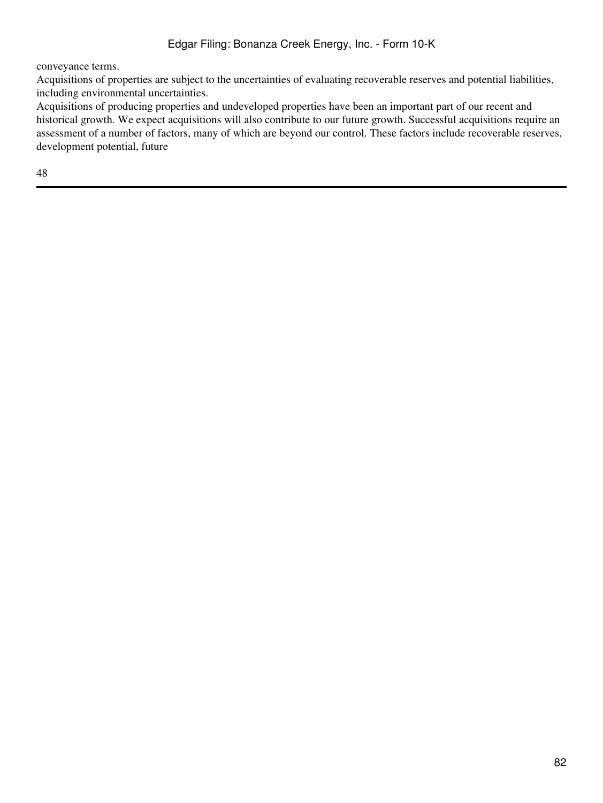conveyance terms.

Acquisitions of properties are subject to the uncertainties of evaluating recoverable reserves and potential liabilities, including environmental uncertainties.

Acquisitions of producing properties and undeveloped properties have been an important part of our recent and historical growth. We expect acquisitions will also contribute to our future growth. Successful acquisitions require an assessment of a number of factors, many of which are beyond our control. These factors include recoverable reserves, development potential, future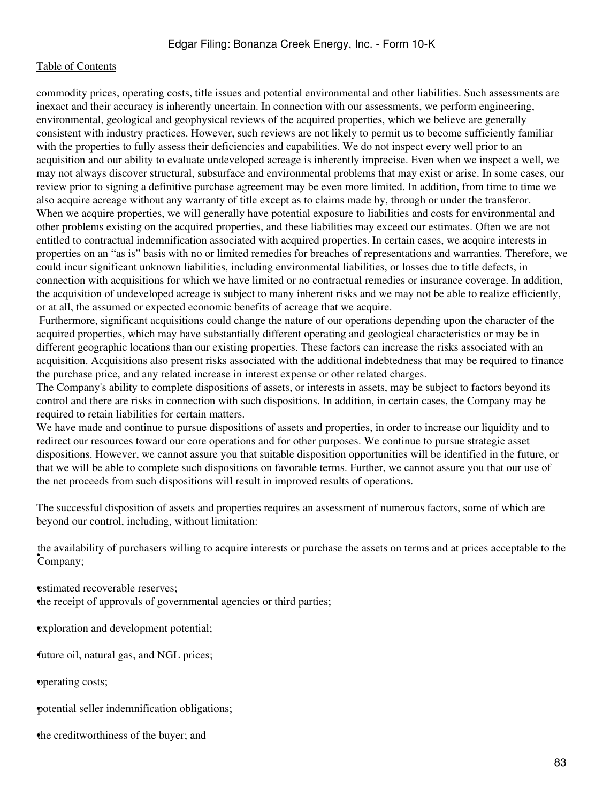commodity prices, operating costs, title issues and potential environmental and other liabilities. Such assessments are inexact and their accuracy is inherently uncertain. In connection with our assessments, we perform engineering, environmental, geological and geophysical reviews of the acquired properties, which we believe are generally consistent with industry practices. However, such reviews are not likely to permit us to become sufficiently familiar with the properties to fully assess their deficiencies and capabilities. We do not inspect every well prior to an acquisition and our ability to evaluate undeveloped acreage is inherently imprecise. Even when we inspect a well, we may not always discover structural, subsurface and environmental problems that may exist or arise. In some cases, our review prior to signing a definitive purchase agreement may be even more limited. In addition, from time to time we also acquire acreage without any warranty of title except as to claims made by, through or under the transferor. When we acquire properties, we will generally have potential exposure to liabilities and costs for environmental and other problems existing on the acquired properties, and these liabilities may exceed our estimates. Often we are not entitled to contractual indemnification associated with acquired properties. In certain cases, we acquire interests in properties on an "as is" basis with no or limited remedies for breaches of representations and warranties. Therefore, we could incur significant unknown liabilities, including environmental liabilities, or losses due to title defects, in connection with acquisitions for which we have limited or no contractual remedies or insurance coverage. In addition, the acquisition of undeveloped acreage is subject to many inherent risks and we may not be able to realize efficiently, or at all, the assumed or expected economic benefits of acreage that we acquire.

 Furthermore, significant acquisitions could change the nature of our operations depending upon the character of the acquired properties, which may have substantially different operating and geological characteristics or may be in different geographic locations than our existing properties. These factors can increase the risks associated with an acquisition. Acquisitions also present risks associated with the additional indebtedness that may be required to finance the purchase price, and any related increase in interest expense or other related charges.

The Company's ability to complete dispositions of assets, or interests in assets, may be subject to factors beyond its control and there are risks in connection with such dispositions. In addition, in certain cases, the Company may be required to retain liabilities for certain matters.

We have made and continue to pursue dispositions of assets and properties, in order to increase our liquidity and to redirect our resources toward our core operations and for other purposes. We continue to pursue strategic asset dispositions. However, we cannot assure you that suitable disposition opportunities will be identified in the future, or that we will be able to complete such dispositions on favorable terms. Further, we cannot assure you that our use of the net proceeds from such dispositions will result in improved results of operations.

The successful disposition of assets and properties requires an assessment of numerous factors, some of which are beyond our control, including, without limitation:

• Company; the availability of purchasers willing to acquire interests or purchase the assets on terms and at prices acceptable to the

**estimated recoverable reserves:** 

the receipt of approvals of governmental agencies or third parties;

exploration and development potential;

•future oil, natural gas, and NGL prices;

•operating costs;

•potential seller indemnification obligations;

the creditworthiness of the buyer; and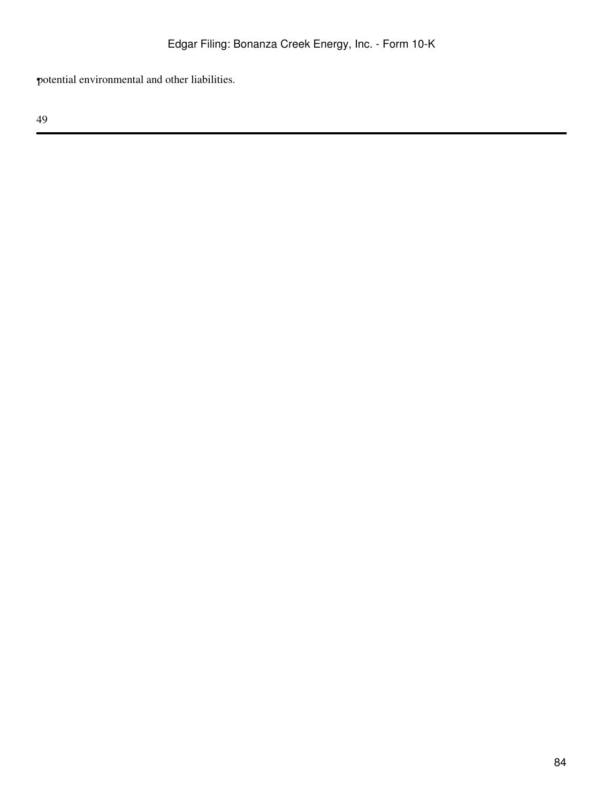•potential environmental and other liabilities.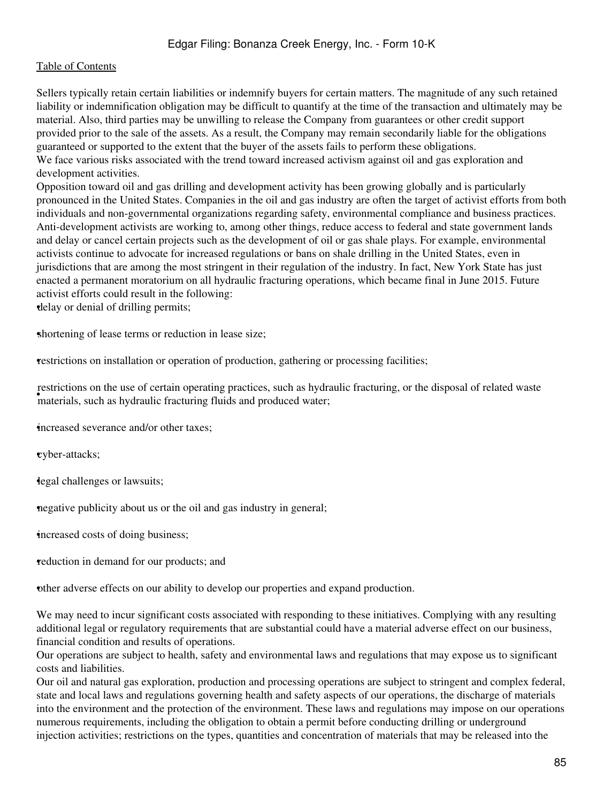Sellers typically retain certain liabilities or indemnify buyers for certain matters. The magnitude of any such retained liability or indemnification obligation may be difficult to quantify at the time of the transaction and ultimately may be material. Also, third parties may be unwilling to release the Company from guarantees or other credit support provided prior to the sale of the assets. As a result, the Company may remain secondarily liable for the obligations guaranteed or supported to the extent that the buyer of the assets fails to perform these obligations. We face various risks associated with the trend toward increased activism against oil and gas exploration and development activities.

Opposition toward oil and gas drilling and development activity has been growing globally and is particularly pronounced in the United States. Companies in the oil and gas industry are often the target of activist efforts from both individuals and non-governmental organizations regarding safety, environmental compliance and business practices. Anti-development activists are working to, among other things, reduce access to federal and state government lands and delay or cancel certain projects such as the development of oil or gas shale plays. For example, environmental activists continue to advocate for increased regulations or bans on shale drilling in the United States, even in jurisdictions that are among the most stringent in their regulation of the industry. In fact, New York State has just enacted a permanent moratorium on all hydraulic fracturing operations, which became final in June 2015. Future activist efforts could result in the following:

•delay or denial of drilling permits;

shortening of lease terms or reduction in lease size;

•restrictions on installation or operation of production, gathering or processing facilities;

**Exercises** of the use of eertain operating practices, such as hydraulic fracturing fluids and produced water; restrictions on the use of certain operating practices, such as hydraulic fracturing, or the disposal of related waste

•increased severance and/or other taxes;

•cyber-attacks;

•legal challenges or lawsuits;

•negative publicity about us or the oil and gas industry in general;

•increased costs of doing business;

•reduction in demand for our products; and

•other adverse effects on our ability to develop our properties and expand production.

We may need to incur significant costs associated with responding to these initiatives. Complying with any resulting additional legal or regulatory requirements that are substantial could have a material adverse effect on our business, financial condition and results of operations.

Our operations are subject to health, safety and environmental laws and regulations that may expose us to significant costs and liabilities.

Our oil and natural gas exploration, production and processing operations are subject to stringent and complex federal, state and local laws and regulations governing health and safety aspects of our operations, the discharge of materials into the environment and the protection of the environment. These laws and regulations may impose on our operations numerous requirements, including the obligation to obtain a permit before conducting drilling or underground injection activities; restrictions on the types, quantities and concentration of materials that may be released into the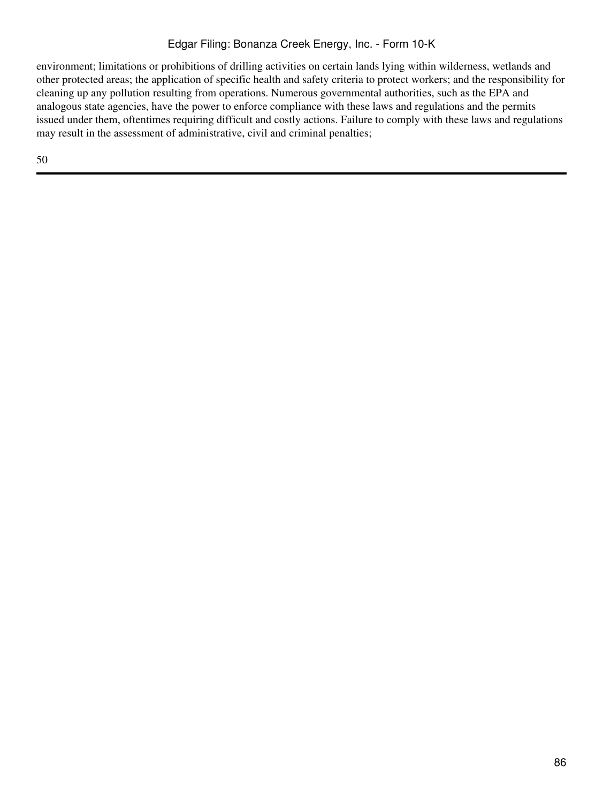# Edgar Filing: Bonanza Creek Energy, Inc. - Form 10-K

environment; limitations or prohibitions of drilling activities on certain lands lying within wilderness, wetlands and other protected areas; the application of specific health and safety criteria to protect workers; and the responsibility for cleaning up any pollution resulting from operations. Numerous governmental authorities, such as the EPA and analogous state agencies, have the power to enforce compliance with these laws and regulations and the permits issued under them, oftentimes requiring difficult and costly actions. Failure to comply with these laws and regulations may result in the assessment of administrative, civil and criminal penalties;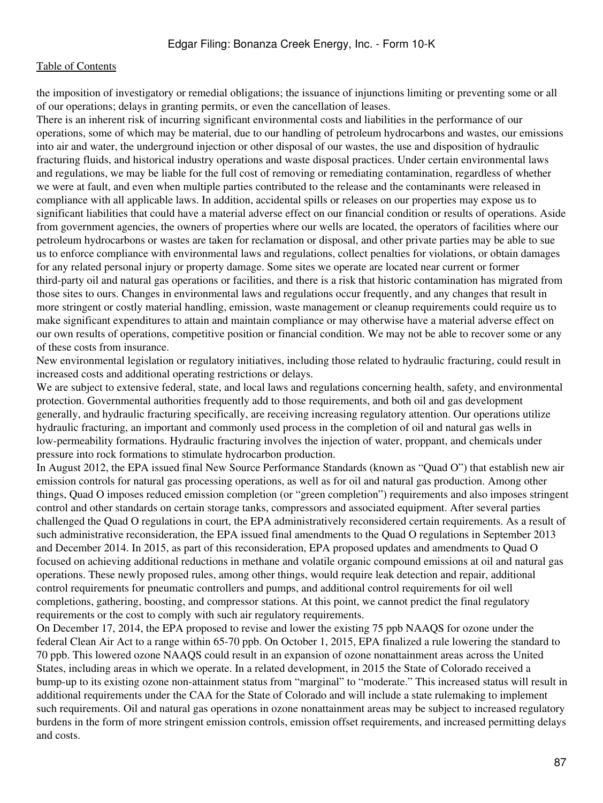the imposition of investigatory or remedial obligations; the issuance of injunctions limiting or preventing some or all of our operations; delays in granting permits, or even the cancellation of leases.

There is an inherent risk of incurring significant environmental costs and liabilities in the performance of our operations, some of which may be material, due to our handling of petroleum hydrocarbons and wastes, our emissions into air and water, the underground injection or other disposal of our wastes, the use and disposition of hydraulic fracturing fluids, and historical industry operations and waste disposal practices. Under certain environmental laws and regulations, we may be liable for the full cost of removing or remediating contamination, regardless of whether we were at fault, and even when multiple parties contributed to the release and the contaminants were released in compliance with all applicable laws. In addition, accidental spills or releases on our properties may expose us to significant liabilities that could have a material adverse effect on our financial condition or results of operations. Aside from government agencies, the owners of properties where our wells are located, the operators of facilities where our petroleum hydrocarbons or wastes are taken for reclamation or disposal, and other private parties may be able to sue us to enforce compliance with environmental laws and regulations, collect penalties for violations, or obtain damages for any related personal injury or property damage. Some sites we operate are located near current or former third-party oil and natural gas operations or facilities, and there is a risk that historic contamination has migrated from those sites to ours. Changes in environmental laws and regulations occur frequently, and any changes that result in more stringent or costly material handling, emission, waste management or cleanup requirements could require us to make significant expenditures to attain and maintain compliance or may otherwise have a material adverse effect on our own results of operations, competitive position or financial condition. We may not be able to recover some or any of these costs from insurance.

New environmental legislation or regulatory initiatives, including those related to hydraulic fracturing, could result in increased costs and additional operating restrictions or delays.

We are subject to extensive federal, state, and local laws and regulations concerning health, safety, and environmental protection. Governmental authorities frequently add to those requirements, and both oil and gas development generally, and hydraulic fracturing specifically, are receiving increasing regulatory attention. Our operations utilize hydraulic fracturing, an important and commonly used process in the completion of oil and natural gas wells in low-permeability formations. Hydraulic fracturing involves the injection of water, proppant, and chemicals under pressure into rock formations to stimulate hydrocarbon production.

In August 2012, the EPA issued final New Source Performance Standards (known as "Quad O") that establish new air emission controls for natural gas processing operations, as well as for oil and natural gas production. Among other things, Quad O imposes reduced emission completion (or "green completion") requirements and also imposes stringent control and other standards on certain storage tanks, compressors and associated equipment. After several parties challenged the Quad O regulations in court, the EPA administratively reconsidered certain requirements. As a result of such administrative reconsideration, the EPA issued final amendments to the Quad O regulations in September 2013 and December 2014. In 2015, as part of this reconsideration, EPA proposed updates and amendments to Quad O focused on achieving additional reductions in methane and volatile organic compound emissions at oil and natural gas operations. These newly proposed rules, among other things, would require leak detection and repair, additional control requirements for pneumatic controllers and pumps, and additional control requirements for oil well completions, gathering, boosting, and compressor stations. At this point, we cannot predict the final regulatory requirements or the cost to comply with such air regulatory requirements.

On December 17, 2014, the EPA proposed to revise and lower the existing 75 ppb NAAQS for ozone under the federal Clean Air Act to a range within 65-70 ppb. On October 1, 2015, EPA finalized a rule lowering the standard to 70 ppb. This lowered ozone NAAQS could result in an expansion of ozone nonattainment areas across the United States, including areas in which we operate. In a related development, in 2015 the State of Colorado received a bump-up to its existing ozone non-attainment status from "marginal" to "moderate." This increased status will result in additional requirements under the CAA for the State of Colorado and will include a state rulemaking to implement such requirements. Oil and natural gas operations in ozone nonattainment areas may be subject to increased regulatory burdens in the form of more stringent emission controls, emission offset requirements, and increased permitting delays and costs.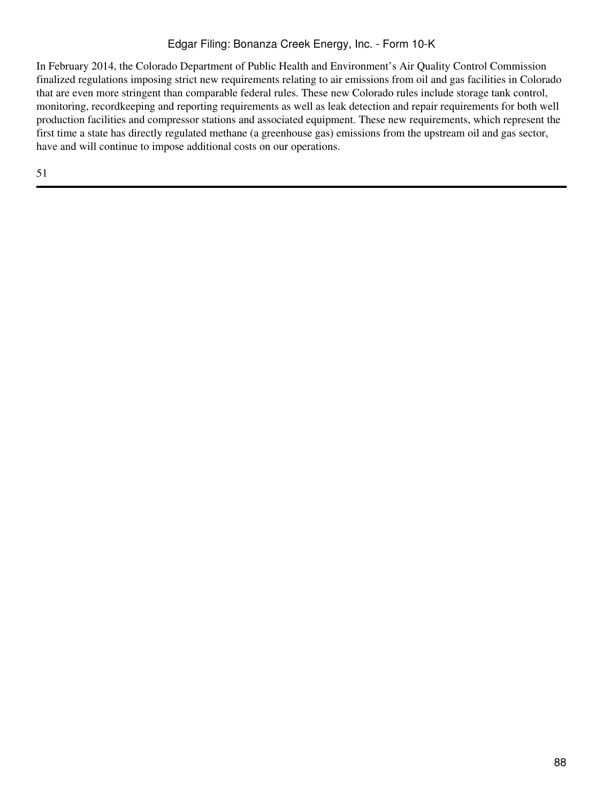# Edgar Filing: Bonanza Creek Energy, Inc. - Form 10-K

In February 2014, the Colorado Department of Public Health and Environment's Air Quality Control Commission finalized regulations imposing strict new requirements relating to air emissions from oil and gas facilities in Colorado that are even more stringent than comparable federal rules. These new Colorado rules include storage tank control, monitoring, recordkeeping and reporting requirements as well as leak detection and repair requirements for both well production facilities and compressor stations and associated equipment. These new requirements, which represent the first time a state has directly regulated methane (a greenhouse gas) emissions from the upstream oil and gas sector, have and will continue to impose additional costs on our operations.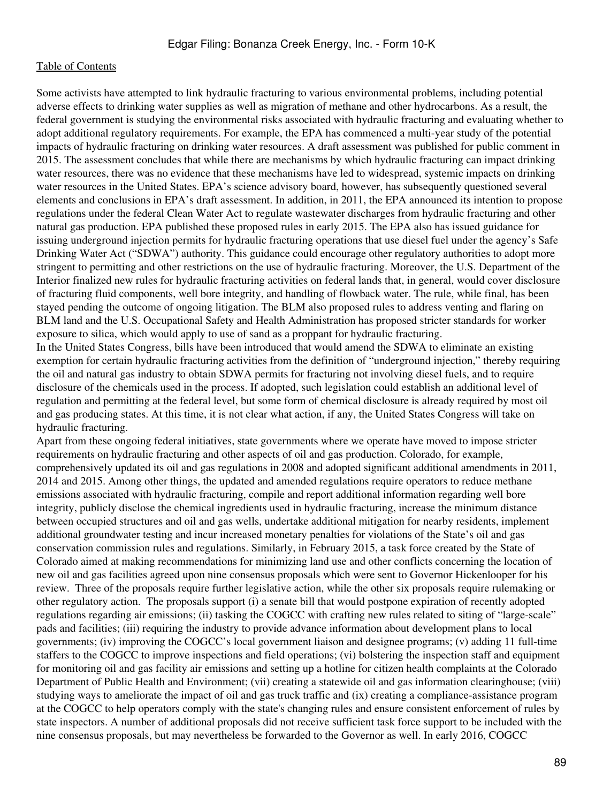Some activists have attempted to link hydraulic fracturing to various environmental problems, including potential adverse effects to drinking water supplies as well as migration of methane and other hydrocarbons. As a result, the federal government is studying the environmental risks associated with hydraulic fracturing and evaluating whether to adopt additional regulatory requirements. For example, the EPA has commenced a multi-year study of the potential impacts of hydraulic fracturing on drinking water resources. A draft assessment was published for public comment in 2015. The assessment concludes that while there are mechanisms by which hydraulic fracturing can impact drinking water resources, there was no evidence that these mechanisms have led to widespread, systemic impacts on drinking water resources in the United States. EPA's science advisory board, however, has subsequently questioned several elements and conclusions in EPA's draft assessment. In addition, in 2011, the EPA announced its intention to propose regulations under the federal Clean Water Act to regulate wastewater discharges from hydraulic fracturing and other natural gas production. EPA published these proposed rules in early 2015. The EPA also has issued guidance for issuing underground injection permits for hydraulic fracturing operations that use diesel fuel under the agency's Safe Drinking Water Act ("SDWA") authority. This guidance could encourage other regulatory authorities to adopt more stringent to permitting and other restrictions on the use of hydraulic fracturing. Moreover, the U.S. Department of the Interior finalized new rules for hydraulic fracturing activities on federal lands that, in general, would cover disclosure of fracturing fluid components, well bore integrity, and handling of flowback water. The rule, while final, has been stayed pending the outcome of ongoing litigation. The BLM also proposed rules to address venting and flaring on BLM land and the U.S. Occupational Safety and Health Administration has proposed stricter standards for worker exposure to silica, which would apply to use of sand as a proppant for hydraulic fracturing.

In the United States Congress, bills have been introduced that would amend the SDWA to eliminate an existing exemption for certain hydraulic fracturing activities from the definition of "underground injection," thereby requiring the oil and natural gas industry to obtain SDWA permits for fracturing not involving diesel fuels, and to require disclosure of the chemicals used in the process. If adopted, such legislation could establish an additional level of regulation and permitting at the federal level, but some form of chemical disclosure is already required by most oil and gas producing states. At this time, it is not clear what action, if any, the United States Congress will take on hydraulic fracturing.

Apart from these ongoing federal initiatives, state governments where we operate have moved to impose stricter requirements on hydraulic fracturing and other aspects of oil and gas production. Colorado, for example, comprehensively updated its oil and gas regulations in 2008 and adopted significant additional amendments in 2011, 2014 and 2015. Among other things, the updated and amended regulations require operators to reduce methane emissions associated with hydraulic fracturing, compile and report additional information regarding well bore integrity, publicly disclose the chemical ingredients used in hydraulic fracturing, increase the minimum distance between occupied structures and oil and gas wells, undertake additional mitigation for nearby residents, implement additional groundwater testing and incur increased monetary penalties for violations of the State's oil and gas conservation commission rules and regulations. Similarly, in February 2015, a task force created by the State of Colorado aimed at making recommendations for minimizing land use and other conflicts concerning the location of new oil and gas facilities agreed upon nine consensus proposals which were sent to Governor Hickenlooper for his review. Three of the proposals require further legislative action, while the other six proposals require rulemaking or other regulatory action. The proposals support (i) a senate bill that would postpone expiration of recently adopted regulations regarding air emissions; (ii) tasking the COGCC with crafting new rules related to siting of "large-scale" pads and facilities; (iii) requiring the industry to provide advance information about development plans to local governments; (iv) improving the COGCC's local government liaison and designee programs; (v) adding 11 full-time staffers to the COGCC to improve inspections and field operations; (vi) bolstering the inspection staff and equipment for monitoring oil and gas facility air emissions and setting up a hotline for citizen health complaints at the Colorado Department of Public Health and Environment; (vii) creating a statewide oil and gas information clearinghouse; (viii) studying ways to ameliorate the impact of oil and gas truck traffic and (ix) creating a compliance-assistance program at the COGCC to help operators comply with the state's changing rules and ensure consistent enforcement of rules by state inspectors. A number of additional proposals did not receive sufficient task force support to be included with the nine consensus proposals, but may nevertheless be forwarded to the Governor as well. In early 2016, COGCC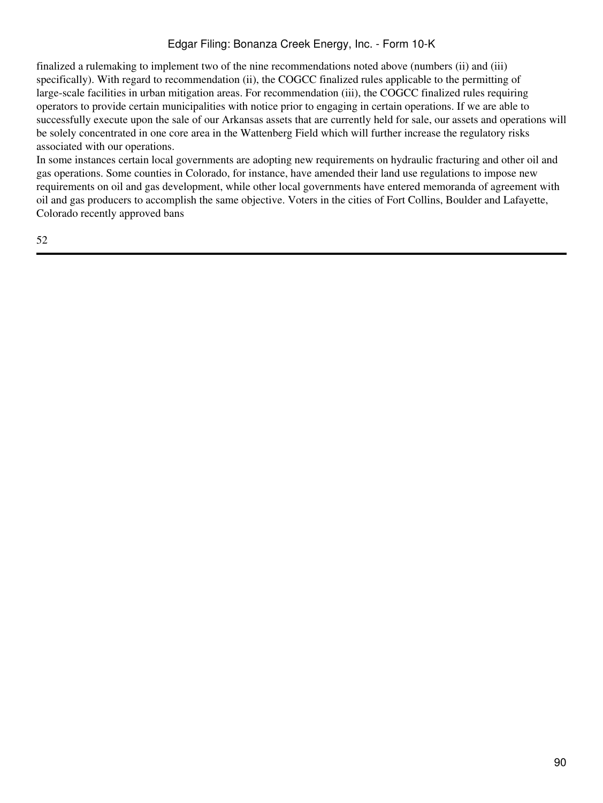# Edgar Filing: Bonanza Creek Energy, Inc. - Form 10-K

finalized a rulemaking to implement two of the nine recommendations noted above (numbers (ii) and (iii) specifically). With regard to recommendation (ii), the COGCC finalized rules applicable to the permitting of large-scale facilities in urban mitigation areas. For recommendation (iii), the COGCC finalized rules requiring operators to provide certain municipalities with notice prior to engaging in certain operations. If we are able to successfully execute upon the sale of our Arkansas assets that are currently held for sale, our assets and operations will be solely concentrated in one core area in the Wattenberg Field which will further increase the regulatory risks associated with our operations.

In some instances certain local governments are adopting new requirements on hydraulic fracturing and other oil and gas operations. Some counties in Colorado, for instance, have amended their land use regulations to impose new requirements on oil and gas development, while other local governments have entered memoranda of agreement with oil and gas producers to accomplish the same objective. Voters in the cities of Fort Collins, Boulder and Lafayette, Colorado recently approved bans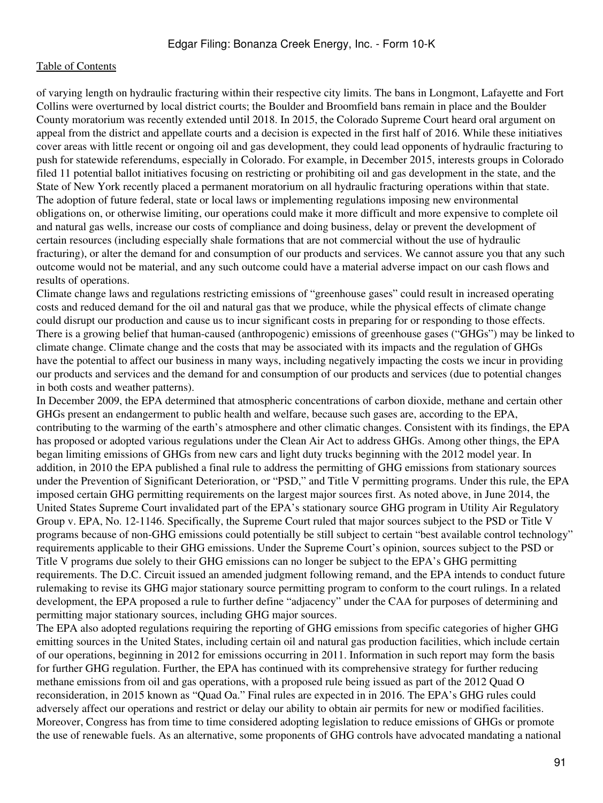of varying length on hydraulic fracturing within their respective city limits. The bans in Longmont, Lafayette and Fort Collins were overturned by local district courts; the Boulder and Broomfield bans remain in place and the Boulder County moratorium was recently extended until 2018. In 2015, the Colorado Supreme Court heard oral argument on appeal from the district and appellate courts and a decision is expected in the first half of 2016. While these initiatives cover areas with little recent or ongoing oil and gas development, they could lead opponents of hydraulic fracturing to push for statewide referendums, especially in Colorado. For example, in December 2015, interests groups in Colorado filed 11 potential ballot initiatives focusing on restricting or prohibiting oil and gas development in the state, and the State of New York recently placed a permanent moratorium on all hydraulic fracturing operations within that state. The adoption of future federal, state or local laws or implementing regulations imposing new environmental obligations on, or otherwise limiting, our operations could make it more difficult and more expensive to complete oil and natural gas wells, increase our costs of compliance and doing business, delay or prevent the development of certain resources (including especially shale formations that are not commercial without the use of hydraulic fracturing), or alter the demand for and consumption of our products and services. We cannot assure you that any such outcome would not be material, and any such outcome could have a material adverse impact on our cash flows and results of operations.

Climate change laws and regulations restricting emissions of "greenhouse gases" could result in increased operating costs and reduced demand for the oil and natural gas that we produce, while the physical effects of climate change could disrupt our production and cause us to incur significant costs in preparing for or responding to those effects. There is a growing belief that human-caused (anthropogenic) emissions of greenhouse gases ("GHGs") may be linked to climate change. Climate change and the costs that may be associated with its impacts and the regulation of GHGs have the potential to affect our business in many ways, including negatively impacting the costs we incur in providing our products and services and the demand for and consumption of our products and services (due to potential changes in both costs and weather patterns).

In December 2009, the EPA determined that atmospheric concentrations of carbon dioxide, methane and certain other GHGs present an endangerment to public health and welfare, because such gases are, according to the EPA, contributing to the warming of the earth's atmosphere and other climatic changes. Consistent with its findings, the EPA has proposed or adopted various regulations under the Clean Air Act to address GHGs. Among other things, the EPA began limiting emissions of GHGs from new cars and light duty trucks beginning with the 2012 model year. In addition, in 2010 the EPA published a final rule to address the permitting of GHG emissions from stationary sources under the Prevention of Significant Deterioration, or "PSD," and Title V permitting programs. Under this rule, the EPA imposed certain GHG permitting requirements on the largest major sources first. As noted above, in June 2014, the United States Supreme Court invalidated part of the EPA's stationary source GHG program in Utility Air Regulatory Group v. EPA, No. 12-1146. Specifically, the Supreme Court ruled that major sources subject to the PSD or Title V programs because of non-GHG emissions could potentially be still subject to certain "best available control technology" requirements applicable to their GHG emissions. Under the Supreme Court's opinion, sources subject to the PSD or Title V programs due solely to their GHG emissions can no longer be subject to the EPA's GHG permitting requirements. The D.C. Circuit issued an amended judgment following remand, and the EPA intends to conduct future rulemaking to revise its GHG major stationary source permitting program to conform to the court rulings. In a related development, the EPA proposed a rule to further define "adjacency" under the CAA for purposes of determining and permitting major stationary sources, including GHG major sources.

The EPA also adopted regulations requiring the reporting of GHG emissions from specific categories of higher GHG emitting sources in the United States, including certain oil and natural gas production facilities, which include certain of our operations, beginning in 2012 for emissions occurring in 2011. Information in such report may form the basis for further GHG regulation. Further, the EPA has continued with its comprehensive strategy for further reducing methane emissions from oil and gas operations, with a proposed rule being issued as part of the 2012 Quad O reconsideration, in 2015 known as "Quad Oa." Final rules are expected in in 2016. The EPA's GHG rules could adversely affect our operations and restrict or delay our ability to obtain air permits for new or modified facilities. Moreover, Congress has from time to time considered adopting legislation to reduce emissions of GHGs or promote the use of renewable fuels. As an alternative, some proponents of GHG controls have advocated mandating a national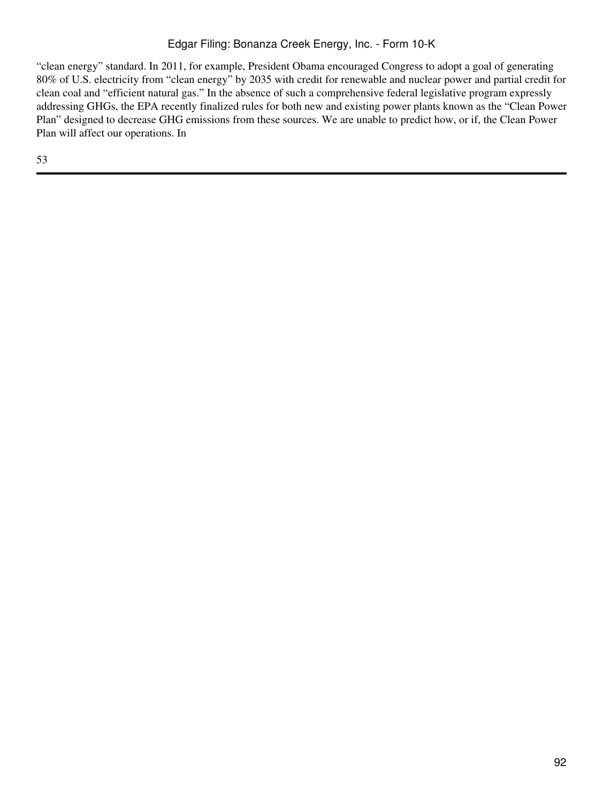# Edgar Filing: Bonanza Creek Energy, Inc. - Form 10-K

"clean energy" standard. In 2011, for example, President Obama encouraged Congress to adopt a goal of generating 80% of U.S. electricity from "clean energy" by 2035 with credit for renewable and nuclear power and partial credit for clean coal and "efficient natural gas." In the absence of such a comprehensive federal legislative program expressly addressing GHGs, the EPA recently finalized rules for both new and existing power plants known as the "Clean Power Plan" designed to decrease GHG emissions from these sources. We are unable to predict how, or if, the Clean Power Plan will affect our operations. In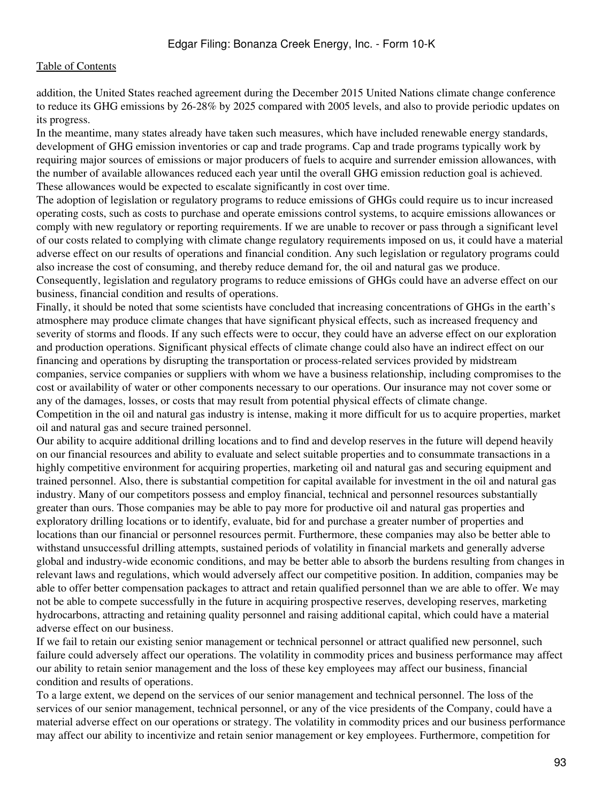addition, the United States reached agreement during the December 2015 United Nations climate change conference to reduce its GHG emissions by 26-28% by 2025 compared with 2005 levels, and also to provide periodic updates on its progress.

In the meantime, many states already have taken such measures, which have included renewable energy standards, development of GHG emission inventories or cap and trade programs. Cap and trade programs typically work by requiring major sources of emissions or major producers of fuels to acquire and surrender emission allowances, with the number of available allowances reduced each year until the overall GHG emission reduction goal is achieved. These allowances would be expected to escalate significantly in cost over time.

The adoption of legislation or regulatory programs to reduce emissions of GHGs could require us to incur increased operating costs, such as costs to purchase and operate emissions control systems, to acquire emissions allowances or comply with new regulatory or reporting requirements. If we are unable to recover or pass through a significant level of our costs related to complying with climate change regulatory requirements imposed on us, it could have a material adverse effect on our results of operations and financial condition. Any such legislation or regulatory programs could also increase the cost of consuming, and thereby reduce demand for, the oil and natural gas we produce.

Consequently, legislation and regulatory programs to reduce emissions of GHGs could have an adverse effect on our business, financial condition and results of operations.

Finally, it should be noted that some scientists have concluded that increasing concentrations of GHGs in the earth's atmosphere may produce climate changes that have significant physical effects, such as increased frequency and severity of storms and floods. If any such effects were to occur, they could have an adverse effect on our exploration and production operations. Significant physical effects of climate change could also have an indirect effect on our financing and operations by disrupting the transportation or process-related services provided by midstream companies, service companies or suppliers with whom we have a business relationship, including compromises to the cost or availability of water or other components necessary to our operations. Our insurance may not cover some or any of the damages, losses, or costs that may result from potential physical effects of climate change. Competition in the oil and natural gas industry is intense, making it more difficult for us to acquire properties, market oil and natural gas and secure trained personnel.

Our ability to acquire additional drilling locations and to find and develop reserves in the future will depend heavily on our financial resources and ability to evaluate and select suitable properties and to consummate transactions in a highly competitive environment for acquiring properties, marketing oil and natural gas and securing equipment and trained personnel. Also, there is substantial competition for capital available for investment in the oil and natural gas industry. Many of our competitors possess and employ financial, technical and personnel resources substantially greater than ours. Those companies may be able to pay more for productive oil and natural gas properties and exploratory drilling locations or to identify, evaluate, bid for and purchase a greater number of properties and locations than our financial or personnel resources permit. Furthermore, these companies may also be better able to withstand unsuccessful drilling attempts, sustained periods of volatility in financial markets and generally adverse global and industry-wide economic conditions, and may be better able to absorb the burdens resulting from changes in relevant laws and regulations, which would adversely affect our competitive position. In addition, companies may be able to offer better compensation packages to attract and retain qualified personnel than we are able to offer. We may not be able to compete successfully in the future in acquiring prospective reserves, developing reserves, marketing hydrocarbons, attracting and retaining quality personnel and raising additional capital, which could have a material adverse effect on our business.

If we fail to retain our existing senior management or technical personnel or attract qualified new personnel, such failure could adversely affect our operations. The volatility in commodity prices and business performance may affect our ability to retain senior management and the loss of these key employees may affect our business, financial condition and results of operations.

To a large extent, we depend on the services of our senior management and technical personnel. The loss of the services of our senior management, technical personnel, or any of the vice presidents of the Company, could have a material adverse effect on our operations or strategy. The volatility in commodity prices and our business performance may affect our ability to incentivize and retain senior management or key employees. Furthermore, competition for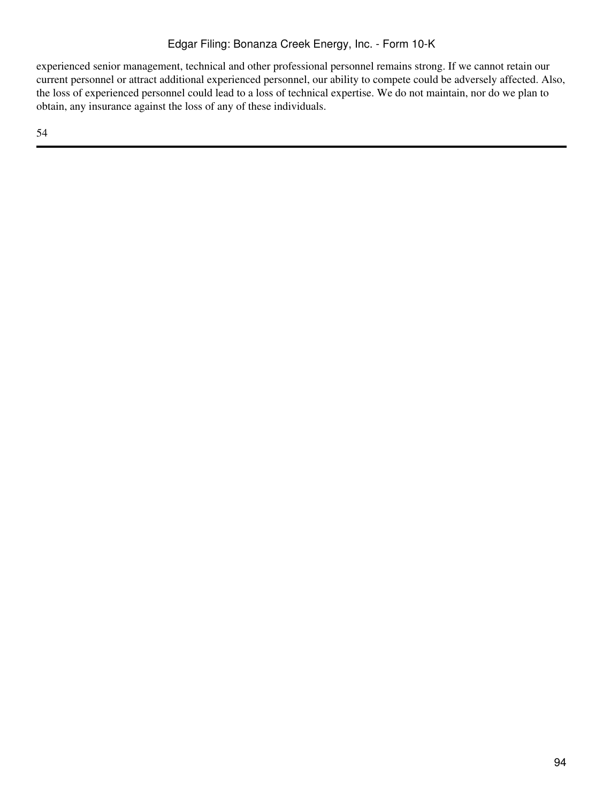experienced senior management, technical and other professional personnel remains strong. If we cannot retain our current personnel or attract additional experienced personnel, our ability to compete could be adversely affected. Also, the loss of experienced personnel could lead to a loss of technical expertise. We do not maintain, nor do we plan to obtain, any insurance against the loss of any of these individuals.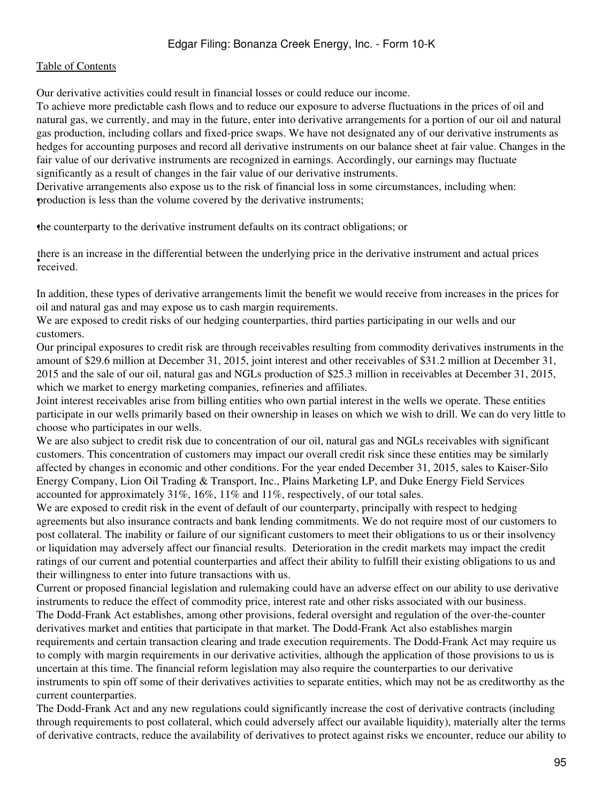Our derivative activities could result in financial losses or could reduce our income.

To achieve more predictable cash flows and to reduce our exposure to adverse fluctuations in the prices of oil and natural gas, we currently, and may in the future, enter into derivative arrangements for a portion of our oil and natural gas production, including collars and fixed-price swaps. We have not designated any of our derivative instruments as hedges for accounting purposes and record all derivative instruments on our balance sheet at fair value. Changes in the fair value of our derivative instruments are recognized in earnings. Accordingly, our earnings may fluctuate significantly as a result of changes in the fair value of our derivative instruments.

Derivative arrangements also expose us to the risk of financial loss in some circumstances, including when: •production is less than the volume covered by the derivative instruments;

•the counterparty to the derivative instrument defaults on its contract obligations; or

• received. there is an increase in the differential between the underlying price in the derivative instrument and actual prices

In addition, these types of derivative arrangements limit the benefit we would receive from increases in the prices for oil and natural gas and may expose us to cash margin requirements.

We are exposed to credit risks of our hedging counterparties, third parties participating in our wells and our customers.

Our principal exposures to credit risk are through receivables resulting from commodity derivatives instruments in the amount of \$29.6 million at December 31, 2015, joint interest and other receivables of \$31.2 million at December 31, 2015 and the sale of our oil, natural gas and NGLs production of \$25.3 million in receivables at December 31, 2015, which we market to energy marketing companies, refineries and affiliates.

Joint interest receivables arise from billing entities who own partial interest in the wells we operate. These entities participate in our wells primarily based on their ownership in leases on which we wish to drill. We can do very little to choose who participates in our wells.

We are also subject to credit risk due to concentration of our oil, natural gas and NGLs receivables with significant customers. This concentration of customers may impact our overall credit risk since these entities may be similarly affected by changes in economic and other conditions. For the year ended December 31, 2015, sales to Kaiser-Silo Energy Company, Lion Oil Trading & Transport, Inc., Plains Marketing LP, and Duke Energy Field Services accounted for approximately 31%, 16%, 11% and 11%, respectively, of our total sales.

We are exposed to credit risk in the event of default of our counterparty, principally with respect to hedging agreements but also insurance contracts and bank lending commitments. We do not require most of our customers to post collateral. The inability or failure of our significant customers to meet their obligations to us or their insolvency or liquidation may adversely affect our financial results. Deterioration in the credit markets may impact the credit ratings of our current and potential counterparties and affect their ability to fulfill their existing obligations to us and their willingness to enter into future transactions with us.

Current or proposed financial legislation and rulemaking could have an adverse effect on our ability to use derivative instruments to reduce the effect of commodity price, interest rate and other risks associated with our business. The Dodd-Frank Act establishes, among other provisions, federal oversight and regulation of the over-the-counter derivatives market and entities that participate in that market. The Dodd-Frank Act also establishes margin requirements and certain transaction clearing and trade execution requirements. The Dodd-Frank Act may require us to comply with margin requirements in our derivative activities, although the application of those provisions to us is uncertain at this time. The financial reform legislation may also require the counterparties to our derivative instruments to spin off some of their derivatives activities to separate entities, which may not be as creditworthy as the current counterparties.

The Dodd-Frank Act and any new regulations could significantly increase the cost of derivative contracts (including through requirements to post collateral, which could adversely affect our available liquidity), materially alter the terms of derivative contracts, reduce the availability of derivatives to protect against risks we encounter, reduce our ability to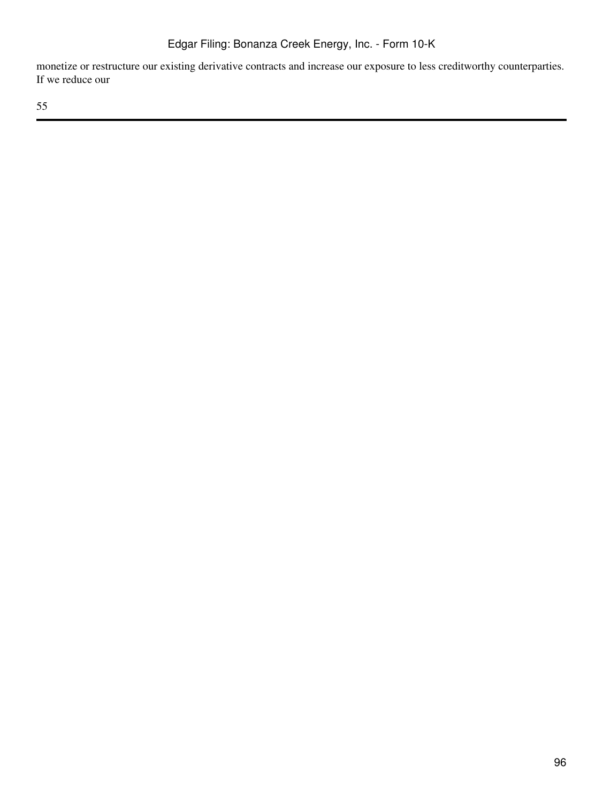monetize or restructure our existing derivative contracts and increase our exposure to less creditworthy counterparties. If we reduce our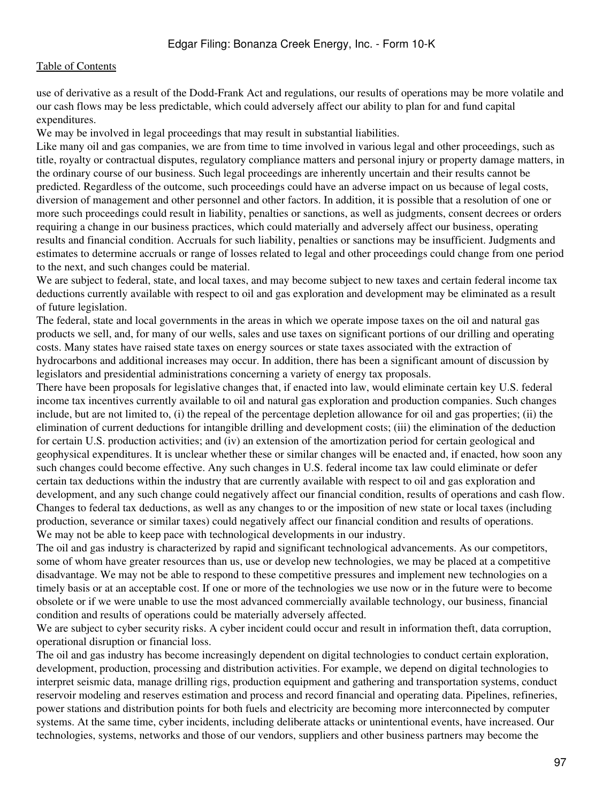use of derivative as a result of the Dodd-Frank Act and regulations, our results of operations may be more volatile and our cash flows may be less predictable, which could adversely affect our ability to plan for and fund capital expenditures.

We may be involved in legal proceedings that may result in substantial liabilities.

Like many oil and gas companies, we are from time to time involved in various legal and other proceedings, such as title, royalty or contractual disputes, regulatory compliance matters and personal injury or property damage matters, in the ordinary course of our business. Such legal proceedings are inherently uncertain and their results cannot be predicted. Regardless of the outcome, such proceedings could have an adverse impact on us because of legal costs, diversion of management and other personnel and other factors. In addition, it is possible that a resolution of one or more such proceedings could result in liability, penalties or sanctions, as well as judgments, consent decrees or orders requiring a change in our business practices, which could materially and adversely affect our business, operating results and financial condition. Accruals for such liability, penalties or sanctions may be insufficient. Judgments and estimates to determine accruals or range of losses related to legal and other proceedings could change from one period to the next, and such changes could be material.

We are subject to federal, state, and local taxes, and may become subject to new taxes and certain federal income tax deductions currently available with respect to oil and gas exploration and development may be eliminated as a result of future legislation.

The federal, state and local governments in the areas in which we operate impose taxes on the oil and natural gas products we sell, and, for many of our wells, sales and use taxes on significant portions of our drilling and operating costs. Many states have raised state taxes on energy sources or state taxes associated with the extraction of hydrocarbons and additional increases may occur. In addition, there has been a significant amount of discussion by legislators and presidential administrations concerning a variety of energy tax proposals.

There have been proposals for legislative changes that, if enacted into law, would eliminate certain key U.S. federal income tax incentives currently available to oil and natural gas exploration and production companies. Such changes include, but are not limited to, (i) the repeal of the percentage depletion allowance for oil and gas properties; (ii) the elimination of current deductions for intangible drilling and development costs; (iii) the elimination of the deduction for certain U.S. production activities; and (iv) an extension of the amortization period for certain geological and geophysical expenditures. It is unclear whether these or similar changes will be enacted and, if enacted, how soon any such changes could become effective. Any such changes in U.S. federal income tax law could eliminate or defer certain tax deductions within the industry that are currently available with respect to oil and gas exploration and development, and any such change could negatively affect our financial condition, results of operations and cash flow. Changes to federal tax deductions, as well as any changes to or the imposition of new state or local taxes (including production, severance or similar taxes) could negatively affect our financial condition and results of operations. We may not be able to keep pace with technological developments in our industry.

The oil and gas industry is characterized by rapid and significant technological advancements. As our competitors, some of whom have greater resources than us, use or develop new technologies, we may be placed at a competitive disadvantage. We may not be able to respond to these competitive pressures and implement new technologies on a timely basis or at an acceptable cost. If one or more of the technologies we use now or in the future were to become obsolete or if we were unable to use the most advanced commercially available technology, our business, financial condition and results of operations could be materially adversely affected.

We are subject to cyber security risks. A cyber incident could occur and result in information theft, data corruption, operational disruption or financial loss.

The oil and gas industry has become increasingly dependent on digital technologies to conduct certain exploration, development, production, processing and distribution activities. For example, we depend on digital technologies to interpret seismic data, manage drilling rigs, production equipment and gathering and transportation systems, conduct reservoir modeling and reserves estimation and process and record financial and operating data. Pipelines, refineries, power stations and distribution points for both fuels and electricity are becoming more interconnected by computer systems. At the same time, cyber incidents, including deliberate attacks or unintentional events, have increased. Our technologies, systems, networks and those of our vendors, suppliers and other business partners may become the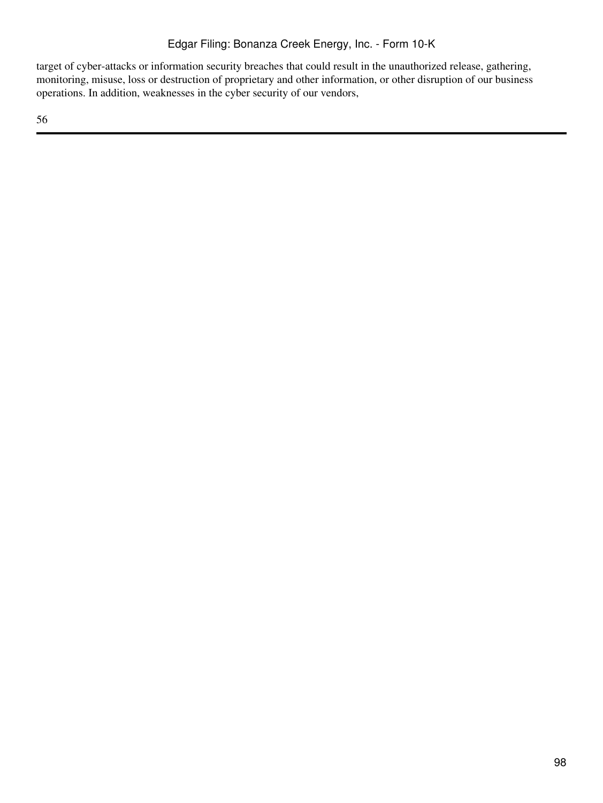target of cyber-attacks or information security breaches that could result in the unauthorized release, gathering, monitoring, misuse, loss or destruction of proprietary and other information, or other disruption of our business operations. In addition, weaknesses in the cyber security of our vendors,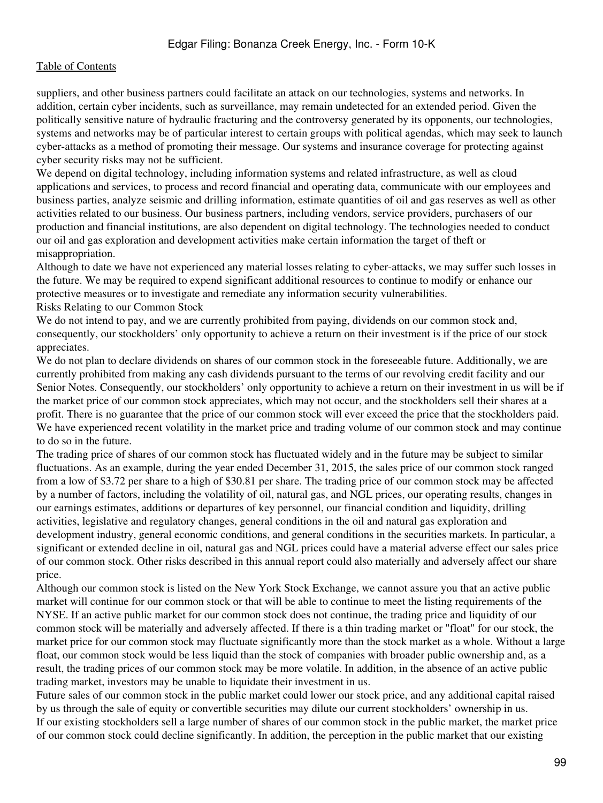suppliers, and other business partners could facilitate an attack on our technologies, systems and networks. In addition, certain cyber incidents, such as surveillance, may remain undetected for an extended period. Given the politically sensitive nature of hydraulic fracturing and the controversy generated by its opponents, our technologies, systems and networks may be of particular interest to certain groups with political agendas, which may seek to launch cyber-attacks as a method of promoting their message. Our systems and insurance coverage for protecting against cyber security risks may not be sufficient.

We depend on digital technology, including information systems and related infrastructure, as well as cloud applications and services, to process and record financial and operating data, communicate with our employees and business parties, analyze seismic and drilling information, estimate quantities of oil and gas reserves as well as other activities related to our business. Our business partners, including vendors, service providers, purchasers of our production and financial institutions, are also dependent on digital technology. The technologies needed to conduct our oil and gas exploration and development activities make certain information the target of theft or misappropriation.

Although to date we have not experienced any material losses relating to cyber-attacks, we may suffer such losses in the future. We may be required to expend significant additional resources to continue to modify or enhance our protective measures or to investigate and remediate any information security vulnerabilities.

Risks Relating to our Common Stock

We do not intend to pay, and we are currently prohibited from paying, dividends on our common stock and, consequently, our stockholders' only opportunity to achieve a return on their investment is if the price of our stock appreciates.

We do not plan to declare dividends on shares of our common stock in the foreseeable future. Additionally, we are currently prohibited from making any cash dividends pursuant to the terms of our revolving credit facility and our Senior Notes. Consequently, our stockholders' only opportunity to achieve a return on their investment in us will be if the market price of our common stock appreciates, which may not occur, and the stockholders sell their shares at a profit. There is no guarantee that the price of our common stock will ever exceed the price that the stockholders paid. We have experienced recent volatility in the market price and trading volume of our common stock and may continue to do so in the future.

The trading price of shares of our common stock has fluctuated widely and in the future may be subject to similar fluctuations. As an example, during the year ended December 31, 2015, the sales price of our common stock ranged from a low of \$3.72 per share to a high of \$30.81 per share. The trading price of our common stock may be affected by a number of factors, including the volatility of oil, natural gas, and NGL prices, our operating results, changes in our earnings estimates, additions or departures of key personnel, our financial condition and liquidity, drilling activities, legislative and regulatory changes, general conditions in the oil and natural gas exploration and development industry, general economic conditions, and general conditions in the securities markets. In particular, a significant or extended decline in oil, natural gas and NGL prices could have a material adverse effect our sales price of our common stock. Other risks described in this annual report could also materially and adversely affect our share price.

Although our common stock is listed on the New York Stock Exchange, we cannot assure you that an active public market will continue for our common stock or that will be able to continue to meet the listing requirements of the NYSE. If an active public market for our common stock does not continue, the trading price and liquidity of our common stock will be materially and adversely affected. If there is a thin trading market or "float" for our stock, the market price for our common stock may fluctuate significantly more than the stock market as a whole. Without a large float, our common stock would be less liquid than the stock of companies with broader public ownership and, as a result, the trading prices of our common stock may be more volatile. In addition, in the absence of an active public trading market, investors may be unable to liquidate their investment in us.

Future sales of our common stock in the public market could lower our stock price, and any additional capital raised by us through the sale of equity or convertible securities may dilute our current stockholders' ownership in us. If our existing stockholders sell a large number of shares of our common stock in the public market, the market price of our common stock could decline significantly. In addition, the perception in the public market that our existing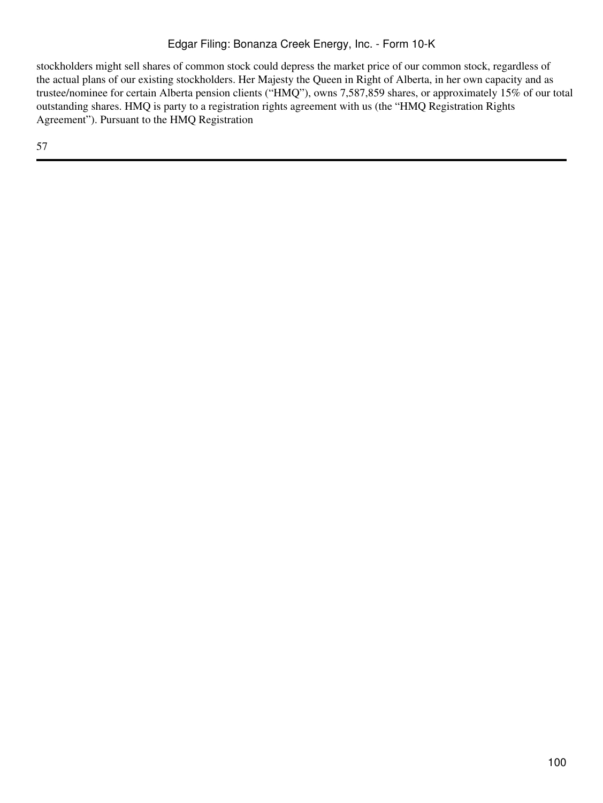stockholders might sell shares of common stock could depress the market price of our common stock, regardless of the actual plans of our existing stockholders. Her Majesty the Queen in Right of Alberta, in her own capacity and as trustee/nominee for certain Alberta pension clients ("HMQ"), owns 7,587,859 shares, or approximately 15% of our total outstanding shares. HMQ is party to a registration rights agreement with us (the "HMQ Registration Rights Agreement"). Pursuant to the HMQ Registration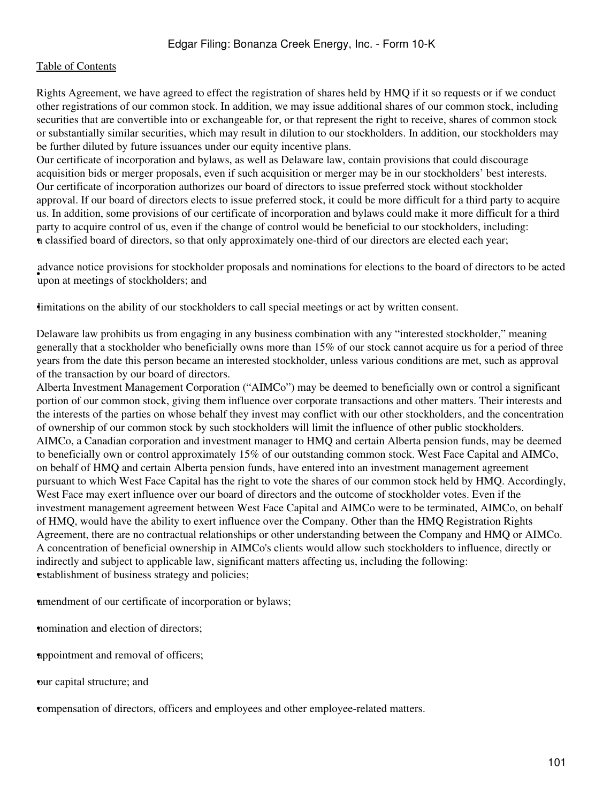Rights Agreement, we have agreed to effect the registration of shares held by HMQ if it so requests or if we conduct other registrations of our common stock. In addition, we may issue additional shares of our common stock, including securities that are convertible into or exchangeable for, or that represent the right to receive, shares of common stock or substantially similar securities, which may result in dilution to our stockholders. In addition, our stockholders may be further diluted by future issuances under our equity incentive plans.

Our certificate of incorporation and bylaws, as well as Delaware law, contain provisions that could discourage acquisition bids or merger proposals, even if such acquisition or merger may be in our stockholders' best interests. Our certificate of incorporation authorizes our board of directors to issue preferred stock without stockholder approval. If our board of directors elects to issue preferred stock, it could be more difficult for a third party to acquire us. In addition, some provisions of our certificate of incorporation and bylaws could make it more difficult for a third party to acquire control of us, even if the change of control would be beneficial to our stockholders, including: •a classified board of directors, so that only approximately one-third of our directors are elected each year;

upon at meetings of stockholders; and advance notice provisions for stockholder proposals and nominations for elections to the board of directors to be acted

•limitations on the ability of our stockholders to call special meetings or act by written consent.

Delaware law prohibits us from engaging in any business combination with any "interested stockholder," meaning generally that a stockholder who beneficially owns more than 15% of our stock cannot acquire us for a period of three years from the date this person became an interested stockholder, unless various conditions are met, such as approval of the transaction by our board of directors.

Alberta Investment Management Corporation ("AIMCo") may be deemed to beneficially own or control a significant portion of our common stock, giving them influence over corporate transactions and other matters. Their interests and the interests of the parties on whose behalf they invest may conflict with our other stockholders, and the concentration of ownership of our common stock by such stockholders will limit the influence of other public stockholders. AIMCo, a Canadian corporation and investment manager to HMQ and certain Alberta pension funds, may be deemed to beneficially own or control approximately 15% of our outstanding common stock. West Face Capital and AIMCo, on behalf of HMQ and certain Alberta pension funds, have entered into an investment management agreement pursuant to which West Face Capital has the right to vote the shares of our common stock held by HMQ. Accordingly, West Face may exert influence over our board of directors and the outcome of stockholder votes. Even if the investment management agreement between West Face Capital and AIMCo were to be terminated, AIMCo, on behalf of HMQ, would have the ability to exert influence over the Company. Other than the HMQ Registration Rights Agreement, there are no contractual relationships or other understanding between the Company and HMQ or AIMCo. A concentration of beneficial ownership in AIMCo's clients would allow such stockholders to influence, directly or indirectly and subject to applicable law, significant matters affecting us, including the following: establishment of business strategy and policies;

•amendment of our certificate of incorporation or bylaws;

nomination and election of directors;

•appointment and removal of officers;

•our capital structure; and

•compensation of directors, officers and employees and other employee-related matters.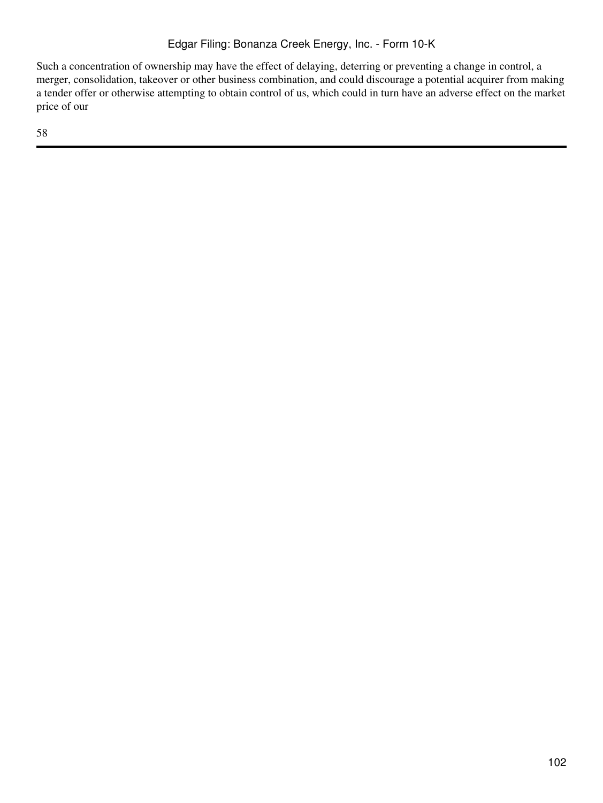Such a concentration of ownership may have the effect of delaying, deterring or preventing a change in control, a merger, consolidation, takeover or other business combination, and could discourage a potential acquirer from making a tender offer or otherwise attempting to obtain control of us, which could in turn have an adverse effect on the market price of our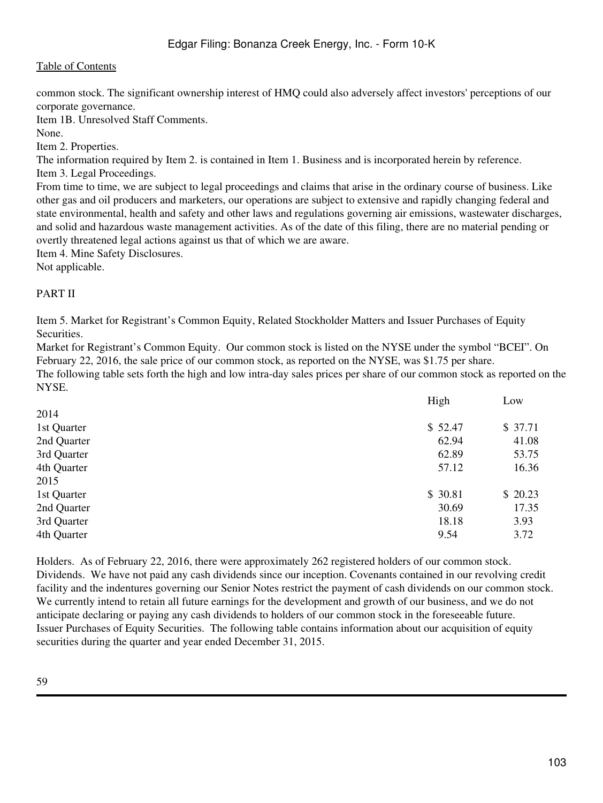common stock. The significant ownership interest of HMQ could also adversely affect investors' perceptions of our corporate governance.

Item 1B. Unresolved Staff Comments.

None.

Item 2. Properties.

The information required by Item 2. is contained in Item 1. Business and is incorporated herein by reference.

Item 3. Legal Proceedings.

From time to time, we are subject to legal proceedings and claims that arise in the ordinary course of business. Like other gas and oil producers and marketers, our operations are subject to extensive and rapidly changing federal and state environmental, health and safety and other laws and regulations governing air emissions, wastewater discharges, and solid and hazardous waste management activities. As of the date of this filing, there are no material pending or overtly threatened legal actions against us that of which we are aware.

Item 4. Mine Safety Disclosures.

Not applicable.

## PART II

Item 5. Market for Registrant's Common Equity, Related Stockholder Matters and Issuer Purchases of Equity Securities.

Market for Registrant's Common Equity. Our common stock is listed on the NYSE under the symbol "BCEI". On February 22, 2016, the sale price of our common stock, as reported on the NYSE, was \$1.75 per share.

The following table sets forth the high and low intra-day sales prices per share of our common stock as reported on the NYSE.

|             | High    | Low     |
|-------------|---------|---------|
| 2014        |         |         |
| 1st Quarter | \$52.47 | \$37.71 |
| 2nd Quarter | 62.94   | 41.08   |
| 3rd Quarter | 62.89   | 53.75   |
| 4th Quarter | 57.12   | 16.36   |
| 2015        |         |         |
| 1st Quarter | \$30.81 | \$20.23 |
| 2nd Quarter | 30.69   | 17.35   |
| 3rd Quarter | 18.18   | 3.93    |
| 4th Quarter | 9.54    | 3.72    |
|             |         |         |

Holders. As of February 22, 2016, there were approximately 262 registered holders of our common stock. Dividends. We have not paid any cash dividends since our inception. Covenants contained in our revolving credit facility and the indentures governing our Senior Notes restrict the payment of cash dividends on our common stock. We currently intend to retain all future earnings for the development and growth of our business, and we do not anticipate declaring or paying any cash dividends to holders of our common stock in the foreseeable future. Issuer Purchases of Equity Securities. The following table contains information about our acquisition of equity securities during the quarter and year ended December 31, 2015.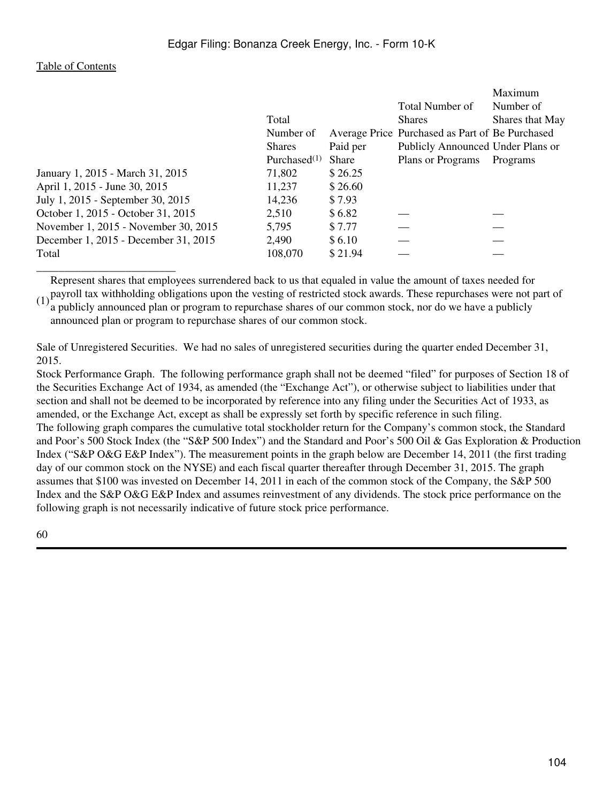\_\_\_\_\_\_\_\_\_\_\_\_\_\_\_\_\_\_\_\_\_\_\_\_\_

| Number of                                       |
|-------------------------------------------------|
|                                                 |
| Shares that May                                 |
| Average Price Purchased as Part of Be Purchased |
| Publicly Announced Under Plans or               |
| Programs                                        |
|                                                 |
|                                                 |
|                                                 |
|                                                 |
|                                                 |
|                                                 |
|                                                 |
|                                                 |

(1) payroll tax withholding obligations upon the vesting of restricted stock awards. These repurchases were not part of  $(1)$  a multiply appearance along a program to repurchase above a four common stack part do we have a Represent shares that employees surrendered back to us that equaled in value the amount of taxes needed for

a publicly announced plan or program to repurchase shares of our common stock, nor do we have a publicly announced plan or program to repurchase shares of our common stock.

Sale of Unregistered Securities. We had no sales of unregistered securities during the quarter ended December 31, 2015.

Stock Performance Graph. The following performance graph shall not be deemed "filed" for purposes of Section 18 of the Securities Exchange Act of 1934, as amended (the "Exchange Act"), or otherwise subject to liabilities under that section and shall not be deemed to be incorporated by reference into any filing under the Securities Act of 1933, as amended, or the Exchange Act, except as shall be expressly set forth by specific reference in such filing. The following graph compares the cumulative total stockholder return for the Company's common stock, the Standard and Poor's 500 Stock Index (the "S&P 500 Index") and the Standard and Poor's 500 Oil & Gas Exploration & Production Index ("S&P O&G E&P Index"). The measurement points in the graph below are December 14, 2011 (the first trading day of our common stock on the NYSE) and each fiscal quarter thereafter through December 31, 2015. The graph assumes that \$100 was invested on December 14, 2011 in each of the common stock of the Company, the S&P 500 Index and the S&P O&G E&P Index and assumes reinvestment of any dividends. The stock price performance on the following graph is not necessarily indicative of future stock price performance.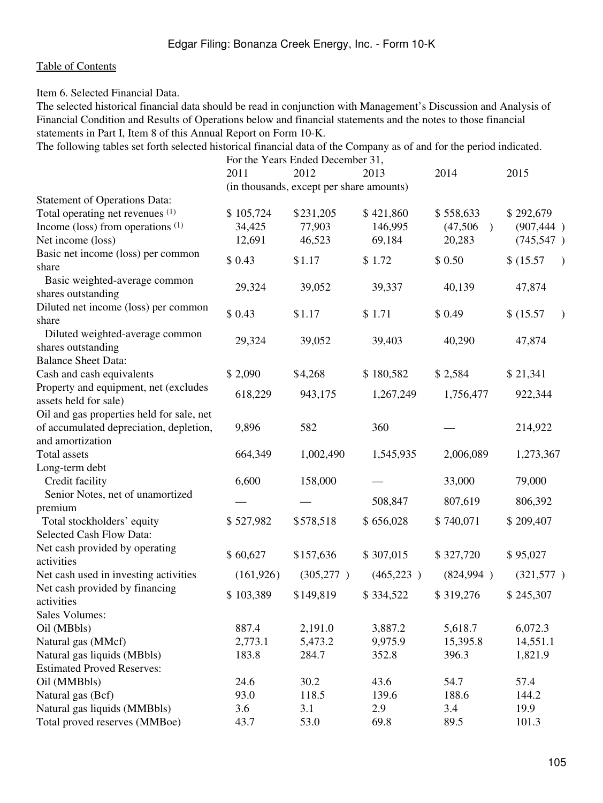Item 6. Selected Financial Data.

The selected historical financial data should be read in conjunction with Management's Discussion and Analysis of Financial Condition and Results of Operations below and financial statements and the notes to those financial statements in Part I, Item 8 of this Annual Report on Form 10-K.

The following tables set forth selected historical financial data of the Company as of and for the period indicated. For the Years Ended December 31,

|                                           | T'OI THE TURNS ENGLIT DUCCHNOCI 91,      |            |            |                           |                        |
|-------------------------------------------|------------------------------------------|------------|------------|---------------------------|------------------------|
|                                           | 2011                                     | 2012       | 2013       | 2014                      | 2015                   |
|                                           | (in thousands, except per share amounts) |            |            |                           |                        |
| <b>Statement of Operations Data:</b>      |                                          |            |            |                           |                        |
| Total operating net revenues (1)          | \$105,724                                | \$231,205  | \$421,860  | \$558,633                 | \$292,679              |
| Income (loss) from operations $(1)$       | 34,425                                   | 77,903     | 146,995    | (47,506)<br>$\rightarrow$ | (907, 444)             |
| Net income (loss)                         | 12,691                                   | 46,523     | 69,184     | 20,283                    | (745, 547)             |
| Basic net income (loss) per common        | \$0.43                                   | \$1.17     | \$1.72     | \$0.50                    | \$(15.57)              |
| share                                     |                                          |            |            |                           |                        |
| Basic weighted-average common             | 29,324                                   | 39,052     | 39,337     | 40,139                    | 47,874                 |
| shares outstanding                        |                                          |            |            |                           |                        |
| Diluted net income (loss) per common      | \$0.43                                   | \$1.17     | \$1.71     | \$0.49                    | \$(15.57)<br>$\lambda$ |
| share                                     |                                          |            |            |                           |                        |
| Diluted weighted-average common           | 29,324                                   | 39,052     | 39,403     | 40,290                    | 47,874                 |
| shares outstanding                        |                                          |            |            |                           |                        |
| <b>Balance Sheet Data:</b>                |                                          |            |            |                           |                        |
| Cash and cash equivalents                 | \$ 2,090                                 | \$4,268    | \$180,582  | \$2,584                   | \$21,341               |
| Property and equipment, net (excludes     | 618,229                                  | 943,175    | 1,267,249  | 1,756,477                 | 922,344                |
| assets held for sale)                     |                                          |            |            |                           |                        |
| Oil and gas properties held for sale, net |                                          |            |            |                           |                        |
| of accumulated depreciation, depletion,   | 9,896                                    | 582        | 360        |                           | 214,922                |
| and amortization                          |                                          |            |            |                           |                        |
| Total assets                              | 664,349                                  | 1,002,490  | 1,545,935  | 2,006,089                 | 1,273,367              |
| Long-term debt                            |                                          |            |            |                           |                        |
| Credit facility                           | 6,600                                    | 158,000    |            | 33,000                    | 79,000                 |
| Senior Notes, net of unamortized          |                                          |            | 508,847    | 807,619                   | 806,392                |
| premium                                   |                                          |            |            |                           |                        |
| Total stockholders' equity                | \$527,982                                | \$578,518  | \$656,028  | \$740,071                 | \$209,407              |
| Selected Cash Flow Data:                  |                                          |            |            |                           |                        |
| Net cash provided by operating            | \$60,627                                 | \$157,636  | \$307,015  | \$327,720                 | \$95,027               |
| activities                                |                                          |            |            |                           |                        |
| Net cash used in investing activities     | (161, 926)                               | (305, 277) | (465, 223) | (824,994)                 | (321,577)              |
| Net cash provided by financing            | \$103,389                                | \$149,819  | \$334,522  | \$319,276                 | \$245,307              |
| activities                                |                                          |            |            |                           |                        |
| <b>Sales Volumes:</b>                     |                                          |            |            |                           |                        |
| Oil (MBbls)                               | 887.4                                    | 2,191.0    | 3,887.2    | 5,618.7                   | 6,072.3                |
| Natural gas (MMcf)                        | 2,773.1                                  | 5,473.2    | 9,975.9    | 15,395.8                  | 14,551.1               |
| Natural gas liquids (MBbls)               | 183.8                                    | 284.7      | 352.8      | 396.3                     | 1,821.9                |
| <b>Estimated Proved Reserves:</b>         |                                          |            |            |                           |                        |
| Oil (MMBbls)                              | 24.6                                     | 30.2       | 43.6       | 54.7                      | 57.4                   |
| Natural gas (Bcf)                         | 93.0                                     | 118.5      | 139.6      | 188.6                     | 144.2                  |
| Natural gas liquids (MMBbls)              | 3.6                                      | 3.1        | 2.9        | 3.4                       | 19.9                   |
| Total proved reserves (MMBoe)             | 43.7                                     | 53.0       | 69.8       | 89.5                      | 101.3                  |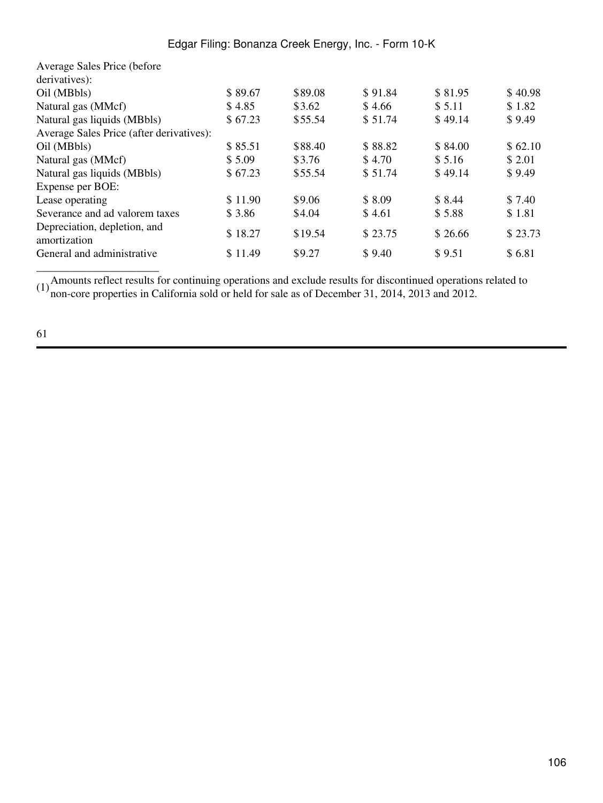| Edgar Filing: Bonanza Creek Energy, Inc. - Form 10-K |  |  |
|------------------------------------------------------|--|--|
|------------------------------------------------------|--|--|

| Average Sales Price (before)                 |         |         |         |         |         |
|----------------------------------------------|---------|---------|---------|---------|---------|
| derivatives):                                |         |         |         |         |         |
| Oil (MBbls)                                  | \$89.67 | \$89.08 | \$91.84 | \$81.95 | \$40.98 |
| Natural gas (MMcf)                           | \$4.85  | \$3.62  | \$4.66  | \$5.11  | \$1.82  |
| Natural gas liquids (MBbls)                  | \$67.23 | \$55.54 | \$51.74 | \$49.14 | \$9.49  |
| Average Sales Price (after derivatives):     |         |         |         |         |         |
| Oil (MBbls)                                  | \$85.51 | \$88.40 | \$88.82 | \$84.00 | \$62.10 |
| Natural gas (MMcf)                           | \$5.09  | \$3.76  | \$4.70  | \$5.16  | \$ 2.01 |
| Natural gas liquids (MBbls)                  | \$67.23 | \$55.54 | \$51.74 | \$49.14 | \$9.49  |
| Expense per BOE:                             |         |         |         |         |         |
| Lease operating                              | \$11.90 | \$9.06  | \$8.09  | \$ 8.44 | \$7.40  |
| Severance and ad valorem taxes               | \$3.86  | \$4.04  | \$4.61  | \$5.88  | \$1.81  |
| Depreciation, depletion, and<br>amortization | \$18.27 | \$19.54 | \$23.75 | \$26.66 | \$23.73 |
| General and administrative                   | \$11.49 | \$9.27  | \$9.40  | \$9.51  | \$6.81  |
|                                              |         |         |         |         |         |

(1)Amounts reflect results for continuing operations and exclude results for discontinued operations related to non-core properties in California sold or held for sale as of December 31, 2014, 2013 and 2012.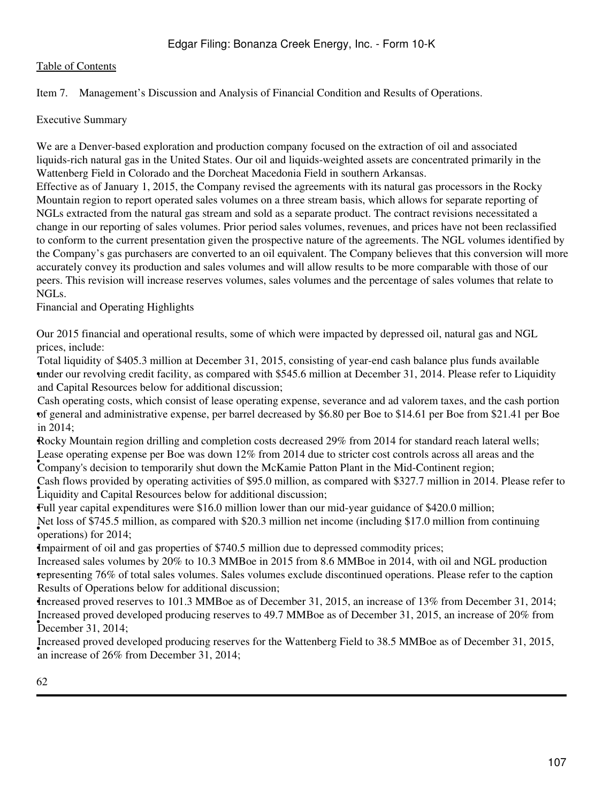## Item 7. Management's Discussion and Analysis of Financial Condition and Results of Operations.

Executive Summary

We are a Denver-based exploration and production company focused on the extraction of oil and associated liquids-rich natural gas in the United States. Our oil and liquids-weighted assets are concentrated primarily in the Wattenberg Field in Colorado and the Dorcheat Macedonia Field in southern Arkansas.

Effective as of January 1, 2015, the Company revised the agreements with its natural gas processors in the Rocky Mountain region to report operated sales volumes on a three stream basis, which allows for separate reporting of NGLs extracted from the natural gas stream and sold as a separate product. The contract revisions necessitated a change in our reporting of sales volumes. Prior period sales volumes, revenues, and prices have not been reclassified to conform to the current presentation given the prospective nature of the agreements. The NGL volumes identified by the Company's gas purchasers are converted to an oil equivalent. The Company believes that this conversion will more accurately convey its production and sales volumes and will allow results to be more comparable with those of our peers. This revision will increase reserves volumes, sales volumes and the percentage of sales volumes that relate to NGLs.

Financial and Operating Highlights

Our 2015 financial and operational results, some of which were impacted by depressed oil, natural gas and NGL prices, include:

under our revolving credit facility, as compared with \$545.6 million at December 31, 2014. Please refer to Liquidity Total liquidity of \$405.3 million at December 31, 2015, consisting of year-end cash balance plus funds available and Capital Resources below for additional discussion;

• of general and administrative expense, per barrel decreased by \$6.80 per Boe to \$14.61 per Boe from \$21.41 per Boe Cash operating costs, which consist of lease operating expense, severance and ad valorem taxes, and the cash portion in 2014;

•Rocky Mountain region drilling and completion costs decreased 29% from 2014 for standard reach lateral wells; Company's decision to temporarily shut down the McKamie Patton Plant in the Mid-Continent region; Lease operating expense per Boe was down 12% from 2014 due to stricter cost controls across all areas and the

Liquidity and Capital Resources below for additional discussion; Cash flows provided by operating activities of \$95.0 million, as compared with \$327.7 million in 2014. Please refer to

•Full year capital expenditures were \$16.0 million lower than our mid-year guidance of \$420.0 million;  $\frac{1}{2}$  (bet ioss of  $\frac{1}{2}$  +  $\frac{1}{2}$ ). The operations) for 2014; Net loss of \$745.5 million, as compared with \$20.3 million net income (including \$17.0 million from continuing

•Impairment of oil and gas properties of \$740.5 million due to depressed commodity prices;

• representing 76% of total sales volumes. Sales volumes exclude discontinued operations. Please refer to the caption Increased sales volumes by 20% to 10.3 MMBoe in 2015 from 8.6 MMBoe in 2014, with oil and NGL production Results of Operations below for additional discussion;

•Increased proved reserves to 101.3 MMBoe as of December 31, 2015, an increase of 13% from December 31, 2014; Pecember 31, 2014; Increased proved developed producing reserves to 49.7 MMBoe as of December 31, 2015, an increase of 20% from

an increase of 26% from December 31, 2014; Increased proved developed producing reserves for the Wattenberg Field to 38.5 MMBoe as of December 31, 2015,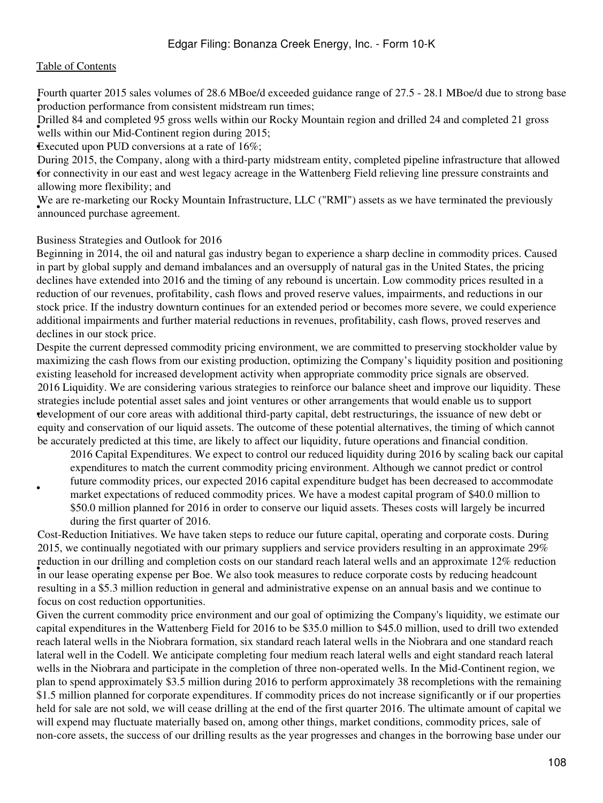• production performance from consistent midstream run times; Fourth quarter 2015 sales volumes of 28.6 MBoe/d exceeded guidance range of 27.5 - 28.1 MBoe/d due to strong base

wells within our Mid-Continent region during 2015; Drilled 84 and completed 95 gross wells within our Rocky Mountain region and drilled 24 and completed 21 gross

•Executed upon PUD conversions at a rate of 16%;

for connectivity in our east and west legacy acreage in the Wattenberg Field relieving line pressure constraints and During 2015, the Company, along with a third-party midstream entity, completed pipeline infrastructure that allowed allowing more flexibility; and

• The arc is markeding our Rocky We are re-marketing our Rocky Mountain Infrastructure, LLC ("RMI") assets as we have terminated the previously

#### Business Strategies and Outlook for 2016

Beginning in 2014, the oil and natural gas industry began to experience a sharp decline in commodity prices. Caused in part by global supply and demand imbalances and an oversupply of natural gas in the United States, the pricing declines have extended into 2016 and the timing of any rebound is uncertain. Low commodity prices resulted in a reduction of our revenues, profitability, cash flows and proved reserve values, impairments, and reductions in our stock price. If the industry downturn continues for an extended period or becomes more severe, we could experience additional impairments and further material reductions in revenues, profitability, cash flows, proved reserves and declines in our stock price.

Despite the current depressed commodity pricing environment, we are committed to preserving stockholder value by maximizing the cash flows from our existing production, optimizing the Company's liquidity position and positioning existing leasehold for increased development activity when appropriate commodity price signals are observed. • development of our core areas with additional third-party capital, debt restructurings, the issuance of new debt or 2016 Liquidity. We are considering various strategies to reinforce our balance sheet and improve our liquidity. These strategies include potential asset sales and joint ventures or other arrangements that would enable us to support equity and conservation of our liquid assets. The outcome of these potential alternatives, the timing of which cannot be accurately predicted at this time, are likely to affect our liquidity, future operations and financial condition.

2016 Capital Expenditures. We expect to control our reduced liquidity during 2016 by scaling back our capital expenditures to match the current commodity pricing environment. Although we cannot predict or control future commodity prices, our expected 2016 capital expenditure budget has been decreased to accommodate market expectations of reduced commodity prices. We have a modest capital program of \$40.0 million to \$50.0 million planned for 2016 in order to conserve our liquid assets. Theses costs will largely be incurred

during the first quarter of 2016.

•

in our lease operating expense per Boe. We also took measures to reduce corporate costs by reducing headcount Cost-Reduction Initiatives. We have taken steps to reduce our future capital, operating and corporate costs. During 2015, we continually negotiated with our primary suppliers and service providers resulting in an approximate 29% reduction in our drilling and completion costs on our standard reach lateral wells and an approximate 12% reduction resulting in a \$5.3 million reduction in general and administrative expense on an annual basis and we continue to focus on cost reduction opportunities.

Given the current commodity price environment and our goal of optimizing the Company's liquidity, we estimate our capital expenditures in the Wattenberg Field for 2016 to be \$35.0 million to \$45.0 million, used to drill two extended reach lateral wells in the Niobrara formation, six standard reach lateral wells in the Niobrara and one standard reach lateral well in the Codell. We anticipate completing four medium reach lateral wells and eight standard reach lateral wells in the Niobrara and participate in the completion of three non-operated wells. In the Mid-Continent region, we plan to spend approximately \$3.5 million during 2016 to perform approximately 38 recompletions with the remaining \$1.5 million planned for corporate expenditures. If commodity prices do not increase significantly or if our properties held for sale are not sold, we will cease drilling at the end of the first quarter 2016. The ultimate amount of capital we will expend may fluctuate materially based on, among other things, market conditions, commodity prices, sale of non-core assets, the success of our drilling results as the year progresses and changes in the borrowing base under our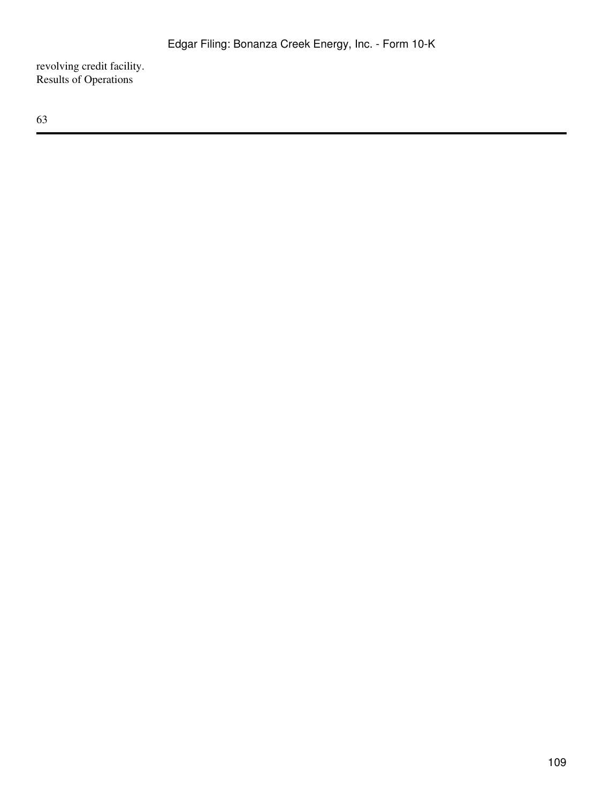revolving credit facility. Results of Operations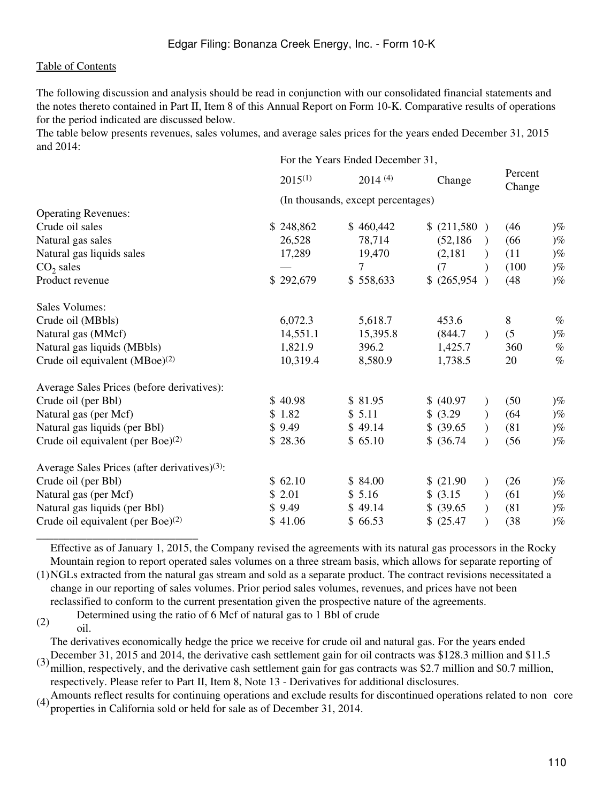The following discussion and analysis should be read in conjunction with our consolidated financial statements and the notes thereto contained in Part II, Item 8 of this Annual Report on Form 10-K. Comparative results of operations for the period indicated are discussed below.

The table below presents revenues, sales volumes, and average sales prices for the years ended December 31, 2015 and 2014:

|                                                           | For the Years Ended December 31, |                                    |                      |                   |
|-----------------------------------------------------------|----------------------------------|------------------------------------|----------------------|-------------------|
|                                                           | $2015^{(1)}$                     | 2014(4)                            | Change               | Percent<br>Change |
|                                                           |                                  | (In thousands, except percentages) |                      |                   |
| <b>Operating Revenues:</b>                                |                                  |                                    |                      |                   |
| Crude oil sales                                           | \$248,862                        | \$460,442                          | \$ (211,580 )        | (46)<br>$)\%$     |
| Natural gas sales                                         | 26,528                           | 78,714                             | (52, 186)            | $)\%$<br>(66)     |
| Natural gas liquids sales                                 | 17,289                           | 19,470                             | (2,181)              | $)\%$<br>(11)     |
| $CO2$ sales                                               |                                  | 7                                  | (7)                  | $)\%$<br>(100)    |
| Product revenue                                           | \$292,679                        | \$558,633                          | \$ (265,954)         | (48)<br>$)\%$     |
| <b>Sales Volumes:</b>                                     |                                  |                                    |                      |                   |
| Crude oil (MBbls)                                         | 6,072.3                          | 5,618.7                            | 453.6                | 8<br>$\%$         |
| Natural gas (MMcf)                                        | 14,551.1                         | 15,395.8                           | (844.7)<br>$\lambda$ | (5)<br>$)\%$      |
| Natural gas liquids (MBbls)                               | 1,821.9                          | 396.2                              | 1,425.7              | $\%$<br>360       |
| Crude oil equivalent $(MBoe)^{(2)}$                       | 10,319.4                         | 8,580.9                            | 1,738.5              | $\%$<br>20        |
| Average Sales Prices (before derivatives):                |                                  |                                    |                      |                   |
| Crude oil (per Bbl)                                       | \$40.98                          | \$81.95                            | \$ (40.97)           | (50)<br>$)$ %     |
| Natural gas (per Mcf)                                     | \$1.82                           | \$5.11                             | \$ (3.29)            | (64)<br>$)\%$     |
| Natural gas liquids (per Bbl)                             | \$9.49                           | \$49.14                            | \$ (39.65)           | $)\%$<br>(81)     |
| Crude oil equivalent (per Boe) $^{(2)}$                   | \$28.36                          | \$65.10                            | \$ (36.74)           | $)\%$<br>(56)     |
| Average Sales Prices (after derivatives) <sup>(3)</sup> : |                                  |                                    |                      |                   |
| Crude oil (per Bbl)                                       | \$62.10                          | \$84.00                            | \$ (21.90)           | (26)<br>$)\%$     |
| Natural gas (per Mcf)                                     | \$2.01                           | \$5.16                             | \$ (3.15)            | (61)<br>$)\%$     |
| Natural gas liquids (per Bbl)                             | \$9.49                           | \$49.14                            | \$ (39.65)           | (81)<br>$)\%$     |
| Crude oil equivalent (per Boe) $^{(2)}$                   | \$41.06                          | \$66.53                            | \$ (25.47)           | $)\%$<br>(38)     |

Effective as of January 1, 2015, the Company revised the agreements with its natural gas processors in the Rocky Mountain region to report operated sales volumes on a three stream basis, which allows for separate reporting of

(1) NGLs extracted from the natural gas stream and sold as a separate product. The contract revisions necessitated a change in our reporting of sales volumes. Prior period sales volumes, revenues, and prices have not been reclassified to conform to the current presentation given the prospective nature of the agreements.

(2) Determined using the ratio of 6 Mcf of natural gas to 1 Bbl of crude oil.

\_\_\_\_\_\_\_\_\_\_\_\_\_\_\_\_\_\_\_\_\_\_\_\_\_\_\_\_\_

(3) December 31, 2015 and 2014, the derivative cash settlement gain for oil contracts was \$128.3 million and \$11.5  $\frac{1}{5}$ The derivatives economically hedge the price we receive for crude oil and natural gas. For the years ended

million, respectively, and the derivative cash settlement gain for gas contracts was \$2.7 million and \$0.7 million, respectively. Please refer to Part II, Item 8, Note 13 - Derivatives for additional disclosures.

 $(4)$ Amounts reflect results for continuing operations and exclude results for discontinued operations related to non core properties in California sold or held for sale as of December 31, 2014.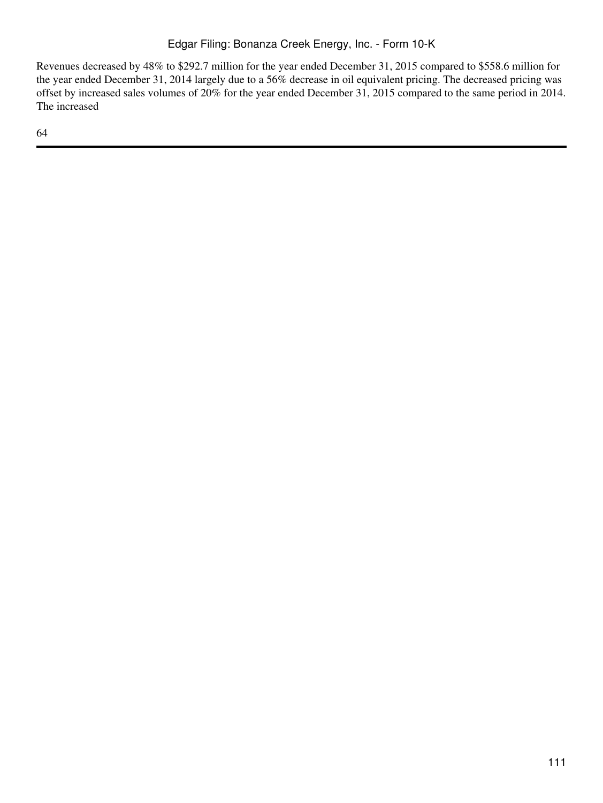Revenues decreased by 48% to \$292.7 million for the year ended December 31, 2015 compared to \$558.6 million for the year ended December 31, 2014 largely due to a 56% decrease in oil equivalent pricing. The decreased pricing was offset by increased sales volumes of 20% for the year ended December 31, 2015 compared to the same period in 2014. The increased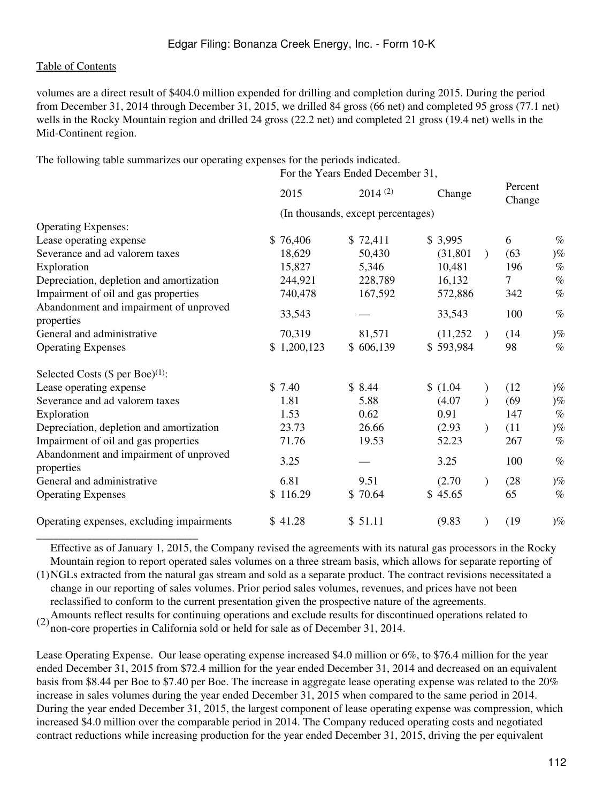\_\_\_\_\_\_\_\_\_\_\_\_\_\_\_\_\_\_\_\_\_\_\_\_\_\_\_\_\_

volumes are a direct result of \$404.0 million expended for drilling and completion during 2015. During the period from December 31, 2014 through December 31, 2015, we drilled 84 gross (66 net) and completed 95 gross (77.1 net) wells in the Rocky Mountain region and drilled 24 gross (22.2 net) and completed 21 gross (19.4 net) wells in the Mid-Continent region.

The following table summarizes our operating expenses for the periods indicated.

|                                                      | For the Years Ended December 31, |                                    |                        |                   |
|------------------------------------------------------|----------------------------------|------------------------------------|------------------------|-------------------|
|                                                      | 2015                             | 2014(2)                            | Change                 | Percent<br>Change |
|                                                      |                                  | (In thousands, except percentages) |                        |                   |
| <b>Operating Expenses:</b>                           |                                  |                                    |                        |                   |
| Lease operating expense                              | \$76,406                         | \$72,411                           | \$3,995                | 6<br>$\%$         |
| Severance and ad valorem taxes                       | 18,629                           | 50,430                             | (31, 801)<br>$\lambda$ | (63)<br>$)\%$     |
| Exploration                                          | 15,827                           | 5,346                              | 10,481                 | $\%$<br>196       |
| Depreciation, depletion and amortization             | 244,921                          | 228,789                            | 16,132                 | $\%$<br>7         |
| Impairment of oil and gas properties                 | 740,478                          | 167,592                            | 572,886                | $\%$<br>342       |
| Abandonment and impairment of unproved<br>properties | 33,543                           |                                    | 33,543                 | 100<br>$\%$       |
| General and administrative                           | 70,319                           | 81,571                             | (11,252)<br>$\lambda$  | $)\%$<br>(14)     |
| <b>Operating Expenses</b>                            | \$1,200,123                      | \$606,139                          | \$593,984              | 98<br>$\%$        |
| Selected Costs $(\$$ per Boe $)^{(1)}$ :             |                                  |                                    |                        |                   |
| Lease operating expense                              | \$7.40                           | \$8.44                             | \$(1.04)               | (12)<br>$)\%$     |
| Severance and ad valorem taxes                       | 1.81                             | 5.88                               | (4.07)                 | (69)<br>$)\%$     |
| Exploration                                          | 1.53                             | 0.62                               | 0.91                   | 147<br>$\%$       |
| Depreciation, depletion and amortization             | 23.73                            | 26.66                              | (2.93)                 | (11)<br>$)\%$     |
| Impairment of oil and gas properties                 | 71.76                            | 19.53                              | 52.23                  | $\%$<br>267       |
| Abandonment and impairment of unproved<br>properties | 3.25                             |                                    | 3.25                   | 100<br>$\%$       |
| General and administrative                           | 6.81                             | 9.51                               | (2.70)                 | $)\%$<br>(28)     |
| <b>Operating Expenses</b>                            | \$116.29                         | \$70.64                            | \$45.65                | 65<br>$\%$        |
| Operating expenses, excluding impairments            | \$41.28                          | \$51.11                            | (9.83)                 | (19)<br>$)\%$     |

Effective as of January 1, 2015, the Company revised the agreements with its natural gas processors in the Rocky Mountain region to report operated sales volumes on a three stream basis, which allows for separate reporting of

(1) NGLs extracted from the natural gas stream and sold as a separate product. The contract revisions necessitated a change in our reporting of sales volumes. Prior period sales volumes, revenues, and prices have not been reclassified to conform to the current presentation given the prospective nature of the agreements.

(2) Amounts reflect results for continuing operations and exclude results for discontinued operations related to non-core properties in California sold or held for sale as of December 31, 2014.

Lease Operating Expense. Our lease operating expense increased \$4.0 million or 6%, to \$76.4 million for the year ended December 31, 2015 from \$72.4 million for the year ended December 31, 2014 and decreased on an equivalent basis from \$8.44 per Boe to \$7.40 per Boe. The increase in aggregate lease operating expense was related to the 20% increase in sales volumes during the year ended December 31, 2015 when compared to the same period in 2014. During the year ended December 31, 2015, the largest component of lease operating expense was compression, which increased \$4.0 million over the comparable period in 2014. The Company reduced operating costs and negotiated contract reductions while increasing production for the year ended December 31, 2015, driving the per equivalent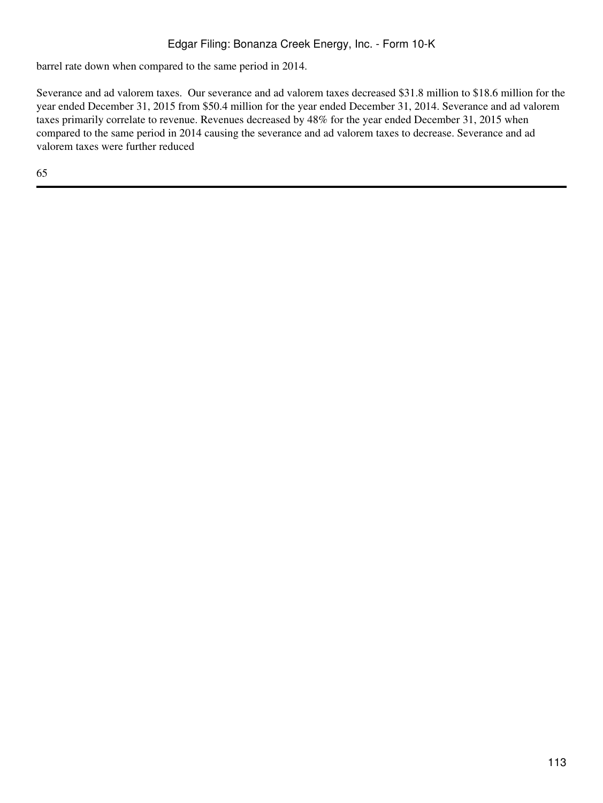barrel rate down when compared to the same period in 2014.

Severance and ad valorem taxes. Our severance and ad valorem taxes decreased \$31.8 million to \$18.6 million for the year ended December 31, 2015 from \$50.4 million for the year ended December 31, 2014. Severance and ad valorem taxes primarily correlate to revenue. Revenues decreased by 48% for the year ended December 31, 2015 when compared to the same period in 2014 causing the severance and ad valorem taxes to decrease. Severance and ad valorem taxes were further reduced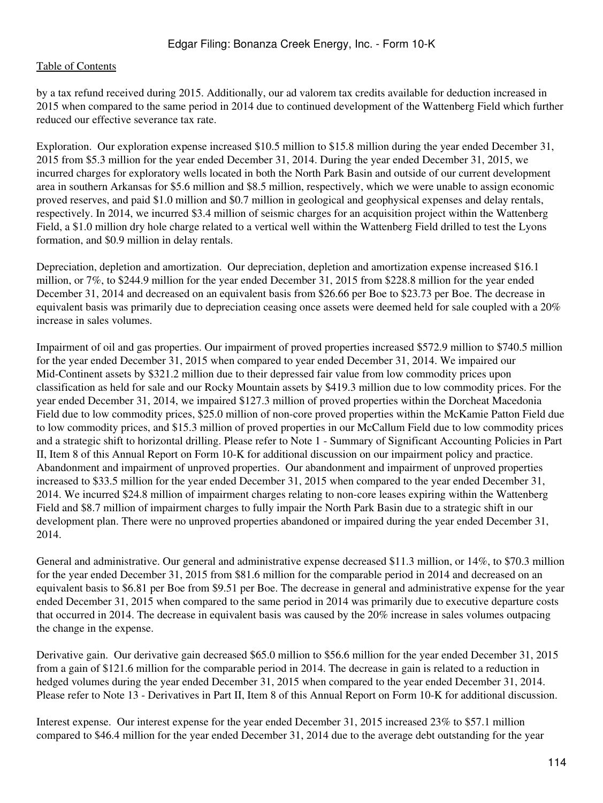by a tax refund received during 2015. Additionally, our ad valorem tax credits available for deduction increased in 2015 when compared to the same period in 2014 due to continued development of the Wattenberg Field which further reduced our effective severance tax rate.

Exploration. Our exploration expense increased \$10.5 million to \$15.8 million during the year ended December 31, 2015 from \$5.3 million for the year ended December 31, 2014. During the year ended December 31, 2015, we incurred charges for exploratory wells located in both the North Park Basin and outside of our current development area in southern Arkansas for \$5.6 million and \$8.5 million, respectively, which we were unable to assign economic proved reserves, and paid \$1.0 million and \$0.7 million in geological and geophysical expenses and delay rentals, respectively. In 2014, we incurred \$3.4 million of seismic charges for an acquisition project within the Wattenberg Field, a \$1.0 million dry hole charge related to a vertical well within the Wattenberg Field drilled to test the Lyons formation, and \$0.9 million in delay rentals.

Depreciation, depletion and amortization. Our depreciation, depletion and amortization expense increased \$16.1 million, or 7%, to \$244.9 million for the year ended December 31, 2015 from \$228.8 million for the year ended December 31, 2014 and decreased on an equivalent basis from \$26.66 per Boe to \$23.73 per Boe. The decrease in equivalent basis was primarily due to depreciation ceasing once assets were deemed held for sale coupled with a 20% increase in sales volumes.

Impairment of oil and gas properties. Our impairment of proved properties increased \$572.9 million to \$740.5 million for the year ended December 31, 2015 when compared to year ended December 31, 2014. We impaired our Mid-Continent assets by \$321.2 million due to their depressed fair value from low commodity prices upon classification as held for sale and our Rocky Mountain assets by \$419.3 million due to low commodity prices. For the year ended December 31, 2014, we impaired \$127.3 million of proved properties within the Dorcheat Macedonia Field due to low commodity prices, \$25.0 million of non-core proved properties within the McKamie Patton Field due to low commodity prices, and \$15.3 million of proved properties in our McCallum Field due to low commodity prices and a strategic shift to horizontal drilling. Please refer to Note 1 - Summary of Significant Accounting Policies in Part II, Item 8 of this Annual Report on Form 10-K for additional discussion on our impairment policy and practice. Abandonment and impairment of unproved properties. Our abandonment and impairment of unproved properties increased to \$33.5 million for the year ended December 31, 2015 when compared to the year ended December 31, 2014. We incurred \$24.8 million of impairment charges relating to non-core leases expiring within the Wattenberg Field and \$8.7 million of impairment charges to fully impair the North Park Basin due to a strategic shift in our development plan. There were no unproved properties abandoned or impaired during the year ended December 31, 2014.

General and administrative. Our general and administrative expense decreased \$11.3 million, or 14%, to \$70.3 million for the year ended December 31, 2015 from \$81.6 million for the comparable period in 2014 and decreased on an equivalent basis to \$6.81 per Boe from \$9.51 per Boe. The decrease in general and administrative expense for the year ended December 31, 2015 when compared to the same period in 2014 was primarily due to executive departure costs that occurred in 2014. The decrease in equivalent basis was caused by the 20% increase in sales volumes outpacing the change in the expense.

Derivative gain. Our derivative gain decreased \$65.0 million to \$56.6 million for the year ended December 31, 2015 from a gain of \$121.6 million for the comparable period in 2014. The decrease in gain is related to a reduction in hedged volumes during the year ended December 31, 2015 when compared to the year ended December 31, 2014. Please refer to Note 13 - Derivatives in Part II, Item 8 of this Annual Report on Form 10-K for additional discussion.

Interest expense. Our interest expense for the year ended December 31, 2015 increased 23% to \$57.1 million compared to \$46.4 million for the year ended December 31, 2014 due to the average debt outstanding for the year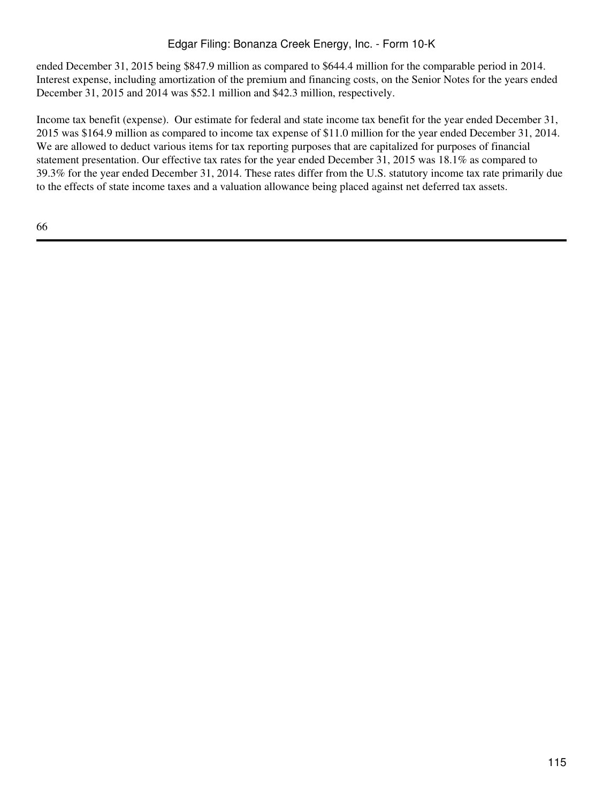ended December 31, 2015 being \$847.9 million as compared to \$644.4 million for the comparable period in 2014. Interest expense, including amortization of the premium and financing costs, on the Senior Notes for the years ended December 31, 2015 and 2014 was \$52.1 million and \$42.3 million, respectively.

Income tax benefit (expense). Our estimate for federal and state income tax benefit for the year ended December 31, 2015 was \$164.9 million as compared to income tax expense of \$11.0 million for the year ended December 31, 2014. We are allowed to deduct various items for tax reporting purposes that are capitalized for purposes of financial statement presentation. Our effective tax rates for the year ended December 31, 2015 was 18.1% as compared to 39.3% for the year ended December 31, 2014. These rates differ from the U.S. statutory income tax rate primarily due to the effects of state income taxes and a valuation allowance being placed against net deferred tax assets.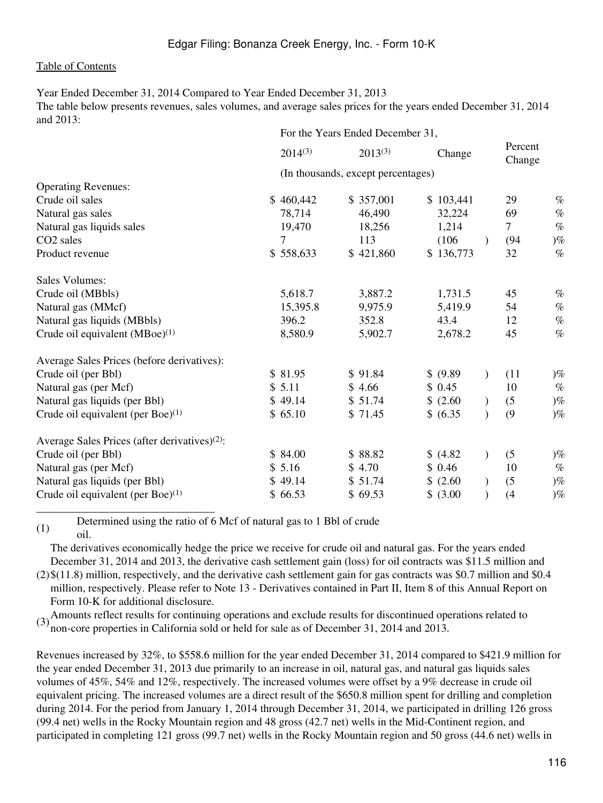Year Ended December 31, 2014 Compared to Year Ended December 31, 2013 The table below presents revenues, sales volumes, and average sales prices for the years ended December 31, 2014 and  $2013$ 

|                                                           | For the Years Ended December 31, |                                    |                           |                   |
|-----------------------------------------------------------|----------------------------------|------------------------------------|---------------------------|-------------------|
|                                                           | $2014^{(3)}$                     | $2013^{(3)}$                       | Change                    | Percent<br>Change |
|                                                           |                                  | (In thousands, except percentages) |                           |                   |
| <b>Operating Revenues:</b>                                |                                  |                                    |                           |                   |
| Crude oil sales                                           | \$460,442                        | \$357,001                          | \$103,441                 | 29<br>$\%$        |
| Natural gas sales                                         | 78,714                           | 46,490                             | 32,224                    | 69<br>$\%$        |
| Natural gas liquids sales                                 | 19,470                           | 18,256                             | 1,214                     | $\tau$<br>$\%$    |
| CO <sub>2</sub> sales                                     | 7                                | 113                                | (106)<br>$\lambda$        | (94)<br>$)\%$     |
| Product revenue                                           | \$558,633                        | \$421,860                          | \$136,773                 | 32<br>$\%$        |
| Sales Volumes:                                            |                                  |                                    |                           |                   |
| Crude oil (MBbls)                                         | 5,618.7                          | 3,887.2                            | 1,731.5                   | 45<br>$\%$        |
| Natural gas (MMcf)                                        | 15,395.8                         | 9,975.9                            | 5,419.9                   | $\%$<br>54        |
| Natural gas liquids (MBbls)                               | 396.2                            | 352.8                              | 43.4                      | $\%$<br>12        |
| Crude oil equivalent $(MBoe)^{(1)}$                       | 8,580.9                          | 5,902.7                            | 2,678.2                   | $\%$<br>45        |
| Average Sales Prices (before derivatives):                |                                  |                                    |                           |                   |
| Crude oil (per Bbl)                                       | \$81.95                          | \$91.84                            | \$ (9.89)<br>$\lambda$    | (11)<br>$)\%$     |
| Natural gas (per Mcf)                                     | \$5.11                           | \$4.66                             | \$0.45                    | $\%$<br>10        |
| Natural gas liquids (per Bbl)                             | \$49.14                          | \$51.74                            | \$ (2.60)                 | (5)<br>$)\%$      |
| Crude oil equivalent (per Boe) $(1)$                      | \$65.10                          | \$71.45                            | \$ (6.35)                 | $)\%$<br>(9)      |
| Average Sales Prices (after derivatives) <sup>(2)</sup> : |                                  |                                    |                           |                   |
| Crude oil (per Bbl)                                       | \$84.00                          | \$88.82                            | \$(4.82)<br>$\mathcal{E}$ | (5)<br>$)\%$      |
| Natural gas (per Mcf)                                     | \$5.16                           | \$4.70                             | \$0.46                    | 10<br>$\%$        |
| Natural gas liquids (per Bbl)                             | \$49.14                          | \$51.74                            | \$ (2.60)                 | (5)<br>$)\%$      |
| Crude oil equivalent (per Boe) $(1)$                      | \$66.53                          | \$69.53                            | \$ (3.00)                 | $)\%$<br>(4)      |

(1) Determined using the ratio of 6 Mcf of natural gas to 1 Bbl of crude oil.

\_\_\_\_\_\_\_\_\_\_\_\_\_\_\_\_\_\_\_\_\_\_\_\_\_\_\_\_\_\_\_\_

The derivatives economically hedge the price we receive for crude oil and natural gas. For the years ended December 31, 2014 and 2013, the derivative cash settlement gain (loss) for oil contracts was \$11.5 million and

(2) \$(11.8) million, respectively, and the derivative cash settlement gain for gas contracts was \$0.7 million and \$0.4 million, respectively. Please refer to Note 13 - Derivatives contained in Part II, Item 8 of this Annual Report on Form 10-K for additional disclosure.

(3)<sup>Amounts reflect results</sup> for continuing operations and exclude results for discontinued operations related to non-core properties in California sold or held for sale as of December 31, 2014 and 2013.

Revenues increased by 32%, to \$558.6 million for the year ended December 31, 2014 compared to \$421.9 million for the year ended December 31, 2013 due primarily to an increase in oil, natural gas, and natural gas liquids sales volumes of 45%, 54% and 12%, respectively. The increased volumes were offset by a 9% decrease in crude oil equivalent pricing. The increased volumes are a direct result of the \$650.8 million spent for drilling and completion during 2014. For the period from January 1, 2014 through December 31, 2014, we participated in drilling 126 gross (99.4 net) wells in the Rocky Mountain region and 48 gross (42.7 net) wells in the Mid-Continent region, and participated in completing 121 gross (99.7 net) wells in the Rocky Mountain region and 50 gross (44.6 net) wells in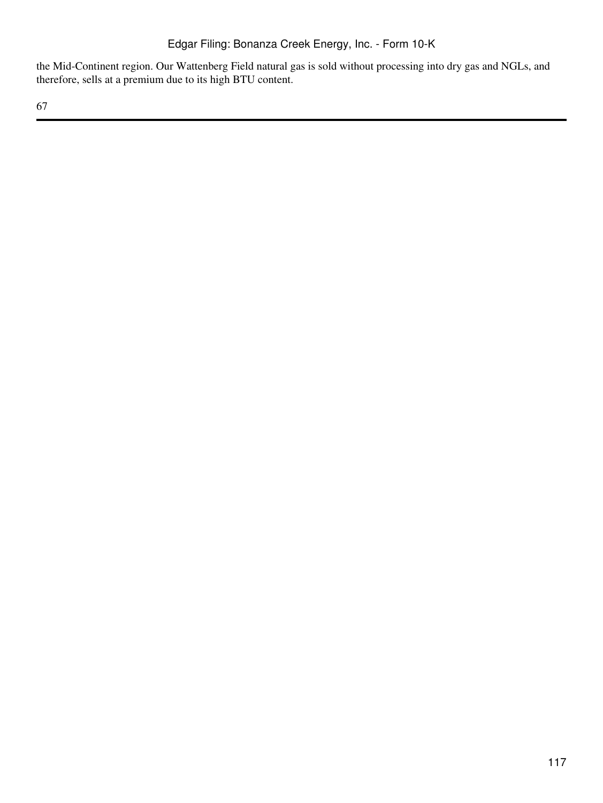the Mid-Continent region. Our Wattenberg Field natural gas is sold without processing into dry gas and NGLs, and therefore, sells at a premium due to its high BTU content.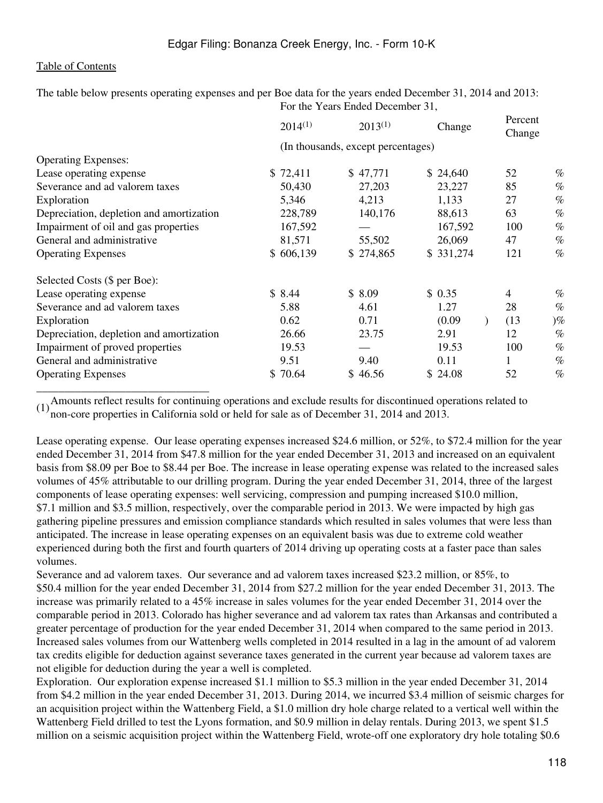The table below presents operating expenses and per Boe data for the years ended December 31, 2014 and 2013: For the Years Ended December 31,

| $2014^{(1)}$ | $2013^{(1)}$ | Change    | Percent<br>Change                  |           |
|--------------|--------------|-----------|------------------------------------|-----------|
|              |              |           |                                    |           |
|              |              |           |                                    |           |
| \$72,411     | \$47,771     | \$24,640  | 52                                 | $\%$      |
| 50,430       | 27,203       | 23,227    | 85                                 | $\%$      |
| 5,346        | 4,213        | 1,133     | 27                                 | $\%$      |
| 228,789      | 140,176      | 88,613    | 63                                 | $\%$      |
| 167,592      |              | 167,592   | 100                                | $\%$      |
| 81,571       | 55,502       | 26,069    | 47                                 | $\%$      |
| \$606,139    | \$274,865    | \$331,274 | 121                                | $\%$      |
|              |              |           |                                    |           |
| \$8.44       | \$8.09       | \$0.35    | $\overline{4}$                     | $\%$      |
| 5.88         | 4.61         | 1.27      | 28                                 | $\%$      |
| 0.62         | 0.71         | (0.09)    | (13)                               | $)\%$     |
| 26.66        | 23.75        | 2.91      | 12                                 | $\%$      |
| 19.53        |              | 19.53     | 100                                | $\%$      |
| 9.51         | 9.40         | 0.11      |                                    | $\%$      |
| \$70.64      | \$46.56      | \$24.08   | 52                                 | $\%$      |
|              |              |           | (In thousands, except percentages) | $\lambda$ |

\_\_\_\_\_\_\_\_\_\_\_\_\_\_\_\_\_\_\_\_\_\_\_\_\_\_\_\_\_\_\_ (1) Amounts reflect results for continuing operations and exclude results for discontinued operations related to  $(1)$  non-operations in Colifornia sold or hald for sola se of December 21, 2014 and 2012. non-core properties in California sold or held for sale as of December 31, 2014 and 2013.

Lease operating expense. Our lease operating expenses increased \$24.6 million, or 52%, to \$72.4 million for the year ended December 31, 2014 from \$47.8 million for the year ended December 31, 2013 and increased on an equivalent basis from \$8.09 per Boe to \$8.44 per Boe. The increase in lease operating expense was related to the increased sales volumes of 45% attributable to our drilling program. During the year ended December 31, 2014, three of the largest components of lease operating expenses: well servicing, compression and pumping increased \$10.0 million, \$7.1 million and \$3.5 million, respectively, over the comparable period in 2013. We were impacted by high gas gathering pipeline pressures and emission compliance standards which resulted in sales volumes that were less than anticipated. The increase in lease operating expenses on an equivalent basis was due to extreme cold weather experienced during both the first and fourth quarters of 2014 driving up operating costs at a faster pace than sales volumes.

Severance and ad valorem taxes. Our severance and ad valorem taxes increased \$23.2 million, or 85%, to \$50.4 million for the year ended December 31, 2014 from \$27.2 million for the year ended December 31, 2013. The increase was primarily related to a 45% increase in sales volumes for the year ended December 31, 2014 over the comparable period in 2013. Colorado has higher severance and ad valorem tax rates than Arkansas and contributed a greater percentage of production for the year ended December 31, 2014 when compared to the same period in 2013. Increased sales volumes from our Wattenberg wells completed in 2014 resulted in a lag in the amount of ad valorem tax credits eligible for deduction against severance taxes generated in the current year because ad valorem taxes are not eligible for deduction during the year a well is completed.

Exploration. Our exploration expense increased \$1.1 million to \$5.3 million in the year ended December 31, 2014 from \$4.2 million in the year ended December 31, 2013. During 2014, we incurred \$3.4 million of seismic charges for an acquisition project within the Wattenberg Field, a \$1.0 million dry hole charge related to a vertical well within the Wattenberg Field drilled to test the Lyons formation, and \$0.9 million in delay rentals. During 2013, we spent \$1.5 million on a seismic acquisition project within the Wattenberg Field, wrote-off one exploratory dry hole totaling \$0.6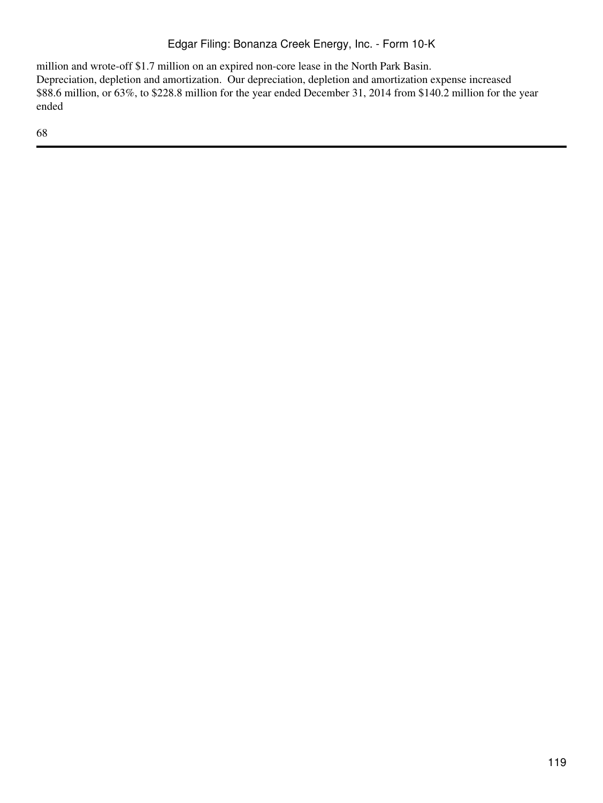million and wrote-off \$1.7 million on an expired non-core lease in the North Park Basin. Depreciation, depletion and amortization. Our depreciation, depletion and amortization expense increased \$88.6 million, or 63%, to \$228.8 million for the year ended December 31, 2014 from \$140.2 million for the year ended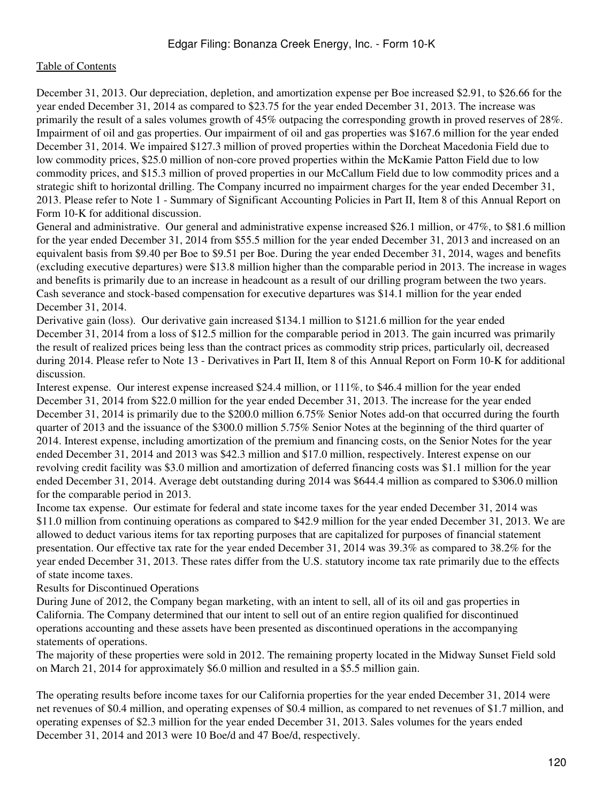December 31, 2013. Our depreciation, depletion, and amortization expense per Boe increased \$2.91, to \$26.66 for the year ended December 31, 2014 as compared to \$23.75 for the year ended December 31, 2013. The increase was primarily the result of a sales volumes growth of 45% outpacing the corresponding growth in proved reserves of 28%. Impairment of oil and gas properties. Our impairment of oil and gas properties was \$167.6 million for the year ended December 31, 2014. We impaired \$127.3 million of proved properties within the Dorcheat Macedonia Field due to low commodity prices, \$25.0 million of non-core proved properties within the McKamie Patton Field due to low commodity prices, and \$15.3 million of proved properties in our McCallum Field due to low commodity prices and a strategic shift to horizontal drilling. The Company incurred no impairment charges for the year ended December 31, 2013. Please refer to Note 1 - Summary of Significant Accounting Policies in Part II, Item 8 of this Annual Report on Form 10-K for additional discussion.

General and administrative. Our general and administrative expense increased \$26.1 million, or 47%, to \$81.6 million for the year ended December 31, 2014 from \$55.5 million for the year ended December 31, 2013 and increased on an equivalent basis from \$9.40 per Boe to \$9.51 per Boe. During the year ended December 31, 2014, wages and benefits (excluding executive departures) were \$13.8 million higher than the comparable period in 2013. The increase in wages and benefits is primarily due to an increase in headcount as a result of our drilling program between the two years. Cash severance and stock-based compensation for executive departures was \$14.1 million for the year ended December 31, 2014.

Derivative gain (loss). Our derivative gain increased \$134.1 million to \$121.6 million for the year ended December 31, 2014 from a loss of \$12.5 million for the comparable period in 2013. The gain incurred was primarily the result of realized prices being less than the contract prices as commodity strip prices, particularly oil, decreased during 2014. Please refer to Note 13 - Derivatives in Part II, Item 8 of this Annual Report on Form 10-K for additional discussion.

Interest expense. Our interest expense increased \$24.4 million, or 111%, to \$46.4 million for the year ended December 31, 2014 from \$22.0 million for the year ended December 31, 2013. The increase for the year ended December 31, 2014 is primarily due to the \$200.0 million 6.75% Senior Notes add-on that occurred during the fourth quarter of 2013 and the issuance of the \$300.0 million 5.75% Senior Notes at the beginning of the third quarter of 2014. Interest expense, including amortization of the premium and financing costs, on the Senior Notes for the year ended December 31, 2014 and 2013 was \$42.3 million and \$17.0 million, respectively. Interest expense on our revolving credit facility was \$3.0 million and amortization of deferred financing costs was \$1.1 million for the year ended December 31, 2014. Average debt outstanding during 2014 was \$644.4 million as compared to \$306.0 million for the comparable period in 2013.

Income tax expense. Our estimate for federal and state income taxes for the year ended December 31, 2014 was \$11.0 million from continuing operations as compared to \$42.9 million for the year ended December 31, 2013. We are allowed to deduct various items for tax reporting purposes that are capitalized for purposes of financial statement presentation. Our effective tax rate for the year ended December 31, 2014 was 39.3% as compared to 38.2% for the year ended December 31, 2013. These rates differ from the U.S. statutory income tax rate primarily due to the effects of state income taxes.

Results for Discontinued Operations

During June of 2012, the Company began marketing, with an intent to sell, all of its oil and gas properties in California. The Company determined that our intent to sell out of an entire region qualified for discontinued operations accounting and these assets have been presented as discontinued operations in the accompanying statements of operations.

The majority of these properties were sold in 2012. The remaining property located in the Midway Sunset Field sold on March 21, 2014 for approximately \$6.0 million and resulted in a \$5.5 million gain.

The operating results before income taxes for our California properties for the year ended December 31, 2014 were net revenues of \$0.4 million, and operating expenses of \$0.4 million, as compared to net revenues of \$1.7 million, and operating expenses of \$2.3 million for the year ended December 31, 2013. Sales volumes for the years ended December 31, 2014 and 2013 were 10 Boe/d and 47 Boe/d, respectively.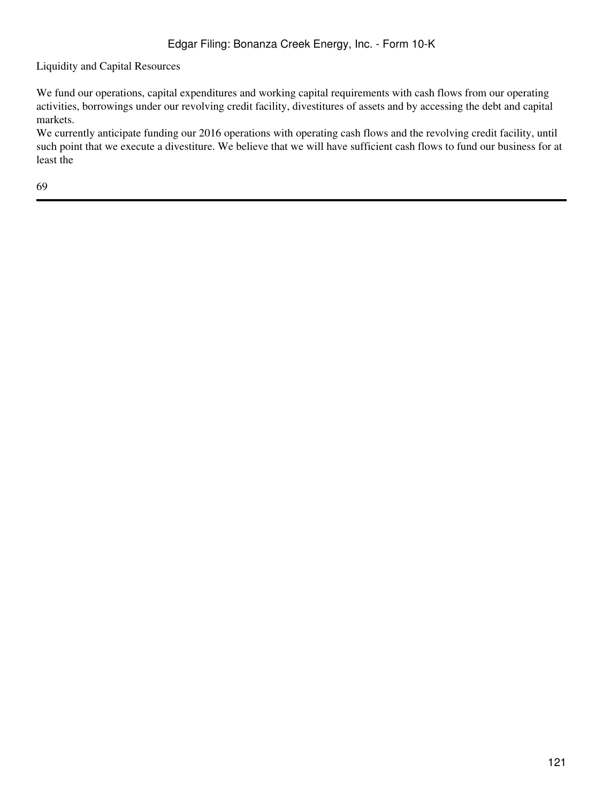Liquidity and Capital Resources

We fund our operations, capital expenditures and working capital requirements with cash flows from our operating activities, borrowings under our revolving credit facility, divestitures of assets and by accessing the debt and capital markets.

We currently anticipate funding our 2016 operations with operating cash flows and the revolving credit facility, until such point that we execute a divestiture. We believe that we will have sufficient cash flows to fund our business for at least the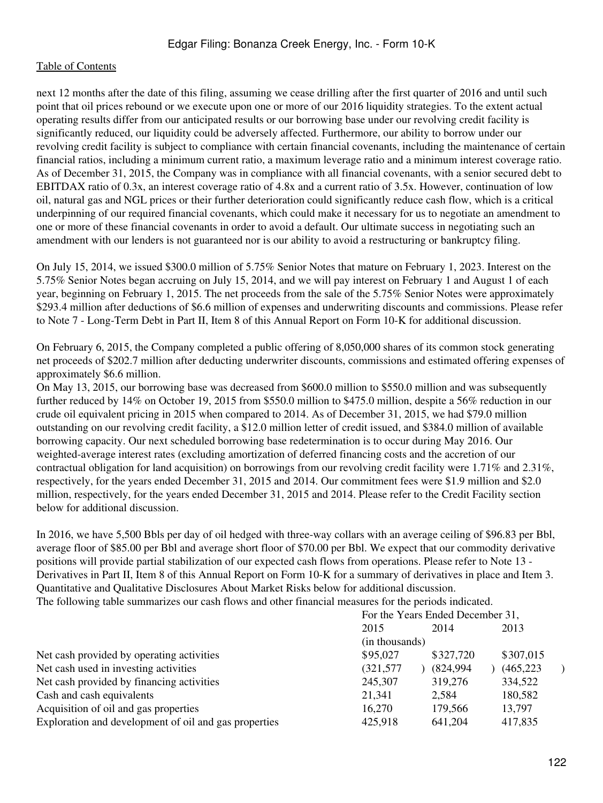next 12 months after the date of this filing, assuming we cease drilling after the first quarter of 2016 and until such point that oil prices rebound or we execute upon one or more of our 2016 liquidity strategies. To the extent actual operating results differ from our anticipated results or our borrowing base under our revolving credit facility is significantly reduced, our liquidity could be adversely affected. Furthermore, our ability to borrow under our revolving credit facility is subject to compliance with certain financial covenants, including the maintenance of certain financial ratios, including a minimum current ratio, a maximum leverage ratio and a minimum interest coverage ratio. As of December 31, 2015, the Company was in compliance with all financial covenants, with a senior secured debt to EBITDAX ratio of 0.3x, an interest coverage ratio of 4.8x and a current ratio of 3.5x. However, continuation of low oil, natural gas and NGL prices or their further deterioration could significantly reduce cash flow, which is a critical underpinning of our required financial covenants, which could make it necessary for us to negotiate an amendment to one or more of these financial covenants in order to avoid a default. Our ultimate success in negotiating such an amendment with our lenders is not guaranteed nor is our ability to avoid a restructuring or bankruptcy filing.

On July 15, 2014, we issued \$300.0 million of 5.75% Senior Notes that mature on February 1, 2023. Interest on the 5.75% Senior Notes began accruing on July 15, 2014, and we will pay interest on February 1 and August 1 of each year, beginning on February 1, 2015. The net proceeds from the sale of the 5.75% Senior Notes were approximately \$293.4 million after deductions of \$6.6 million of expenses and underwriting discounts and commissions. Please refer to Note 7 - Long-Term Debt in Part II, Item 8 of this Annual Report on Form 10-K for additional discussion.

On February 6, 2015, the Company completed a public offering of 8,050,000 shares of its common stock generating net proceeds of \$202.7 million after deducting underwriter discounts, commissions and estimated offering expenses of approximately \$6.6 million.

On May 13, 2015, our borrowing base was decreased from \$600.0 million to \$550.0 million and was subsequently further reduced by 14% on October 19, 2015 from \$550.0 million to \$475.0 million, despite a 56% reduction in our crude oil equivalent pricing in 2015 when compared to 2014. As of December 31, 2015, we had \$79.0 million outstanding on our revolving credit facility, a \$12.0 million letter of credit issued, and \$384.0 million of available borrowing capacity. Our next scheduled borrowing base redetermination is to occur during May 2016. Our weighted-average interest rates (excluding amortization of deferred financing costs and the accretion of our contractual obligation for land acquisition) on borrowings from our revolving credit facility were 1.71% and 2.31%, respectively, for the years ended December 31, 2015 and 2014. Our commitment fees were \$1.9 million and \$2.0 million, respectively, for the years ended December 31, 2015 and 2014. Please refer to the Credit Facility section below for additional discussion.

In 2016, we have 5,500 Bbls per day of oil hedged with three-way collars with an average ceiling of \$96.83 per Bbl, average floor of \$85.00 per Bbl and average short floor of \$70.00 per Bbl. We expect that our commodity derivative positions will provide partial stabilization of our expected cash flows from operations. Please refer to Note 13 - Derivatives in Part II, Item 8 of this Annual Report on Form 10-K for a summary of derivatives in place and Item 3. Quantitative and Qualitative Disclosures About Market Risks below for additional discussion.

The following table summarizes our cash flows and other financial measures for the periods indicated.

| For the Years Ended December 31, |                                                  |            |
|----------------------------------|--------------------------------------------------|------------|
|                                  | 2014                                             | 2013       |
| (in thousands)                   |                                                  |            |
|                                  | \$327,720                                        | \$307,015  |
| (321, 577)                       |                                                  | (465, 223) |
|                                  | 319,276                                          | 334,522    |
|                                  | 2,584                                            | 180,582    |
| 16,270                           | 179,566                                          | 13,797     |
|                                  | 641,204                                          | 417,835    |
|                                  | 2015<br>\$95,027<br>245,307<br>21,341<br>425,918 | (824,994)  |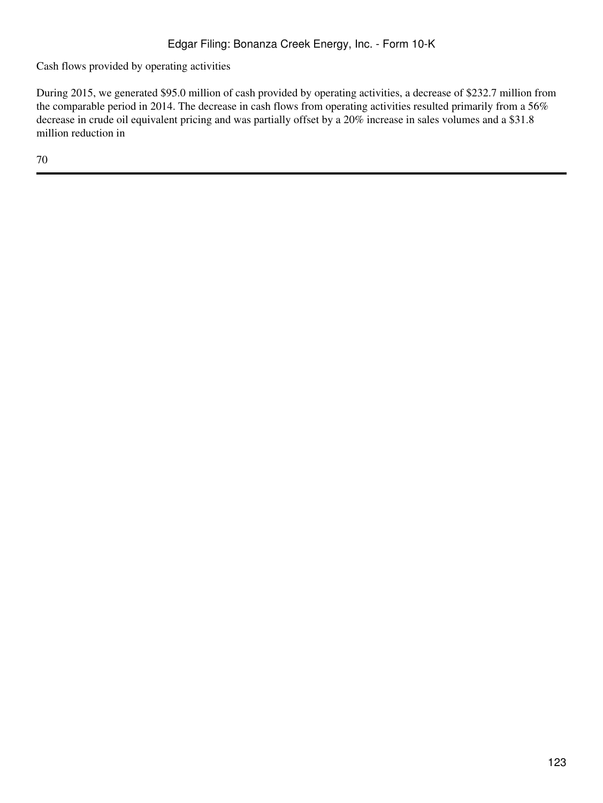Cash flows provided by operating activities

During 2015, we generated \$95.0 million of cash provided by operating activities, a decrease of \$232.7 million from the comparable period in 2014. The decrease in cash flows from operating activities resulted primarily from a 56% decrease in crude oil equivalent pricing and was partially offset by a 20% increase in sales volumes and a \$31.8 million reduction in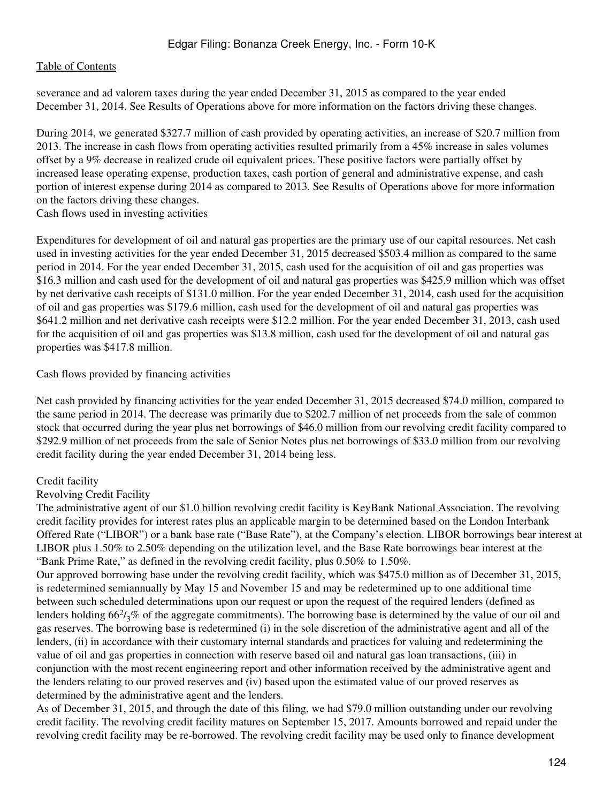severance and ad valorem taxes during the year ended December 31, 2015 as compared to the year ended December 31, 2014. See Results of Operations above for more information on the factors driving these changes.

During 2014, we generated \$327.7 million of cash provided by operating activities, an increase of \$20.7 million from 2013. The increase in cash flows from operating activities resulted primarily from a 45% increase in sales volumes offset by a 9% decrease in realized crude oil equivalent prices. These positive factors were partially offset by increased lease operating expense, production taxes, cash portion of general and administrative expense, and cash portion of interest expense during 2014 as compared to 2013. See Results of Operations above for more information on the factors driving these changes.

Cash flows used in investing activities

Expenditures for development of oil and natural gas properties are the primary use of our capital resources. Net cash used in investing activities for the year ended December 31, 2015 decreased \$503.4 million as compared to the same period in 2014. For the year ended December 31, 2015, cash used for the acquisition of oil and gas properties was \$16.3 million and cash used for the development of oil and natural gas properties was \$425.9 million which was offset by net derivative cash receipts of \$131.0 million. For the year ended December 31, 2014, cash used for the acquisition of oil and gas properties was \$179.6 million, cash used for the development of oil and natural gas properties was \$641.2 million and net derivative cash receipts were \$12.2 million. For the year ended December 31, 2013, cash used for the acquisition of oil and gas properties was \$13.8 million, cash used for the development of oil and natural gas properties was \$417.8 million.

Cash flows provided by financing activities

Net cash provided by financing activities for the year ended December 31, 2015 decreased \$74.0 million, compared to the same period in 2014. The decrease was primarily due to \$202.7 million of net proceeds from the sale of common stock that occurred during the year plus net borrowings of \$46.0 million from our revolving credit facility compared to \$292.9 million of net proceeds from the sale of Senior Notes plus net borrowings of \$33.0 million from our revolving credit facility during the year ended December 31, 2014 being less.

# Credit facility

#### Revolving Credit Facility

The administrative agent of our \$1.0 billion revolving credit facility is KeyBank National Association. The revolving credit facility provides for interest rates plus an applicable margin to be determined based on the London Interbank Offered Rate ("LIBOR") or a bank base rate ("Base Rate"), at the Company's election. LIBOR borrowings bear interest at LIBOR plus 1.50% to 2.50% depending on the utilization level, and the Base Rate borrowings bear interest at the "Bank Prime Rate," as defined in the revolving credit facility, plus 0.50% to 1.50%.

Our approved borrowing base under the revolving credit facility, which was \$475.0 million as of December 31, 2015, is redetermined semiannually by May 15 and November 15 and may be redetermined up to one additional time between such scheduled determinations upon our request or upon the request of the required lenders (defined as lenders holding  $66\frac{2}{3}$ % of the aggregate commitments). The borrowing base is determined by the value of our oil and gas reserves. The borrowing base is redetermined (i) in the sole discretion of the administrative agent and all of the lenders, (ii) in accordance with their customary internal standards and practices for valuing and redetermining the value of oil and gas properties in connection with reserve based oil and natural gas loan transactions, (iii) in conjunction with the most recent engineering report and other information received by the administrative agent and the lenders relating to our proved reserves and (iv) based upon the estimated value of our proved reserves as determined by the administrative agent and the lenders.

As of December 31, 2015, and through the date of this filing, we had \$79.0 million outstanding under our revolving credit facility. The revolving credit facility matures on September 15, 2017. Amounts borrowed and repaid under the revolving credit facility may be re-borrowed. The revolving credit facility may be used only to finance development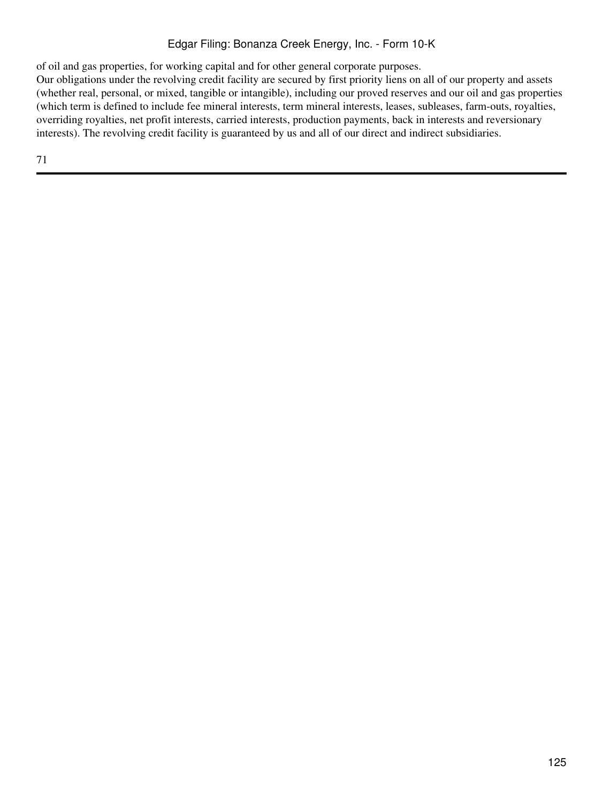of oil and gas properties, for working capital and for other general corporate purposes.

Our obligations under the revolving credit facility are secured by first priority liens on all of our property and assets (whether real, personal, or mixed, tangible or intangible), including our proved reserves and our oil and gas properties (which term is defined to include fee mineral interests, term mineral interests, leases, subleases, farm-outs, royalties, overriding royalties, net profit interests, carried interests, production payments, back in interests and reversionary interests). The revolving credit facility is guaranteed by us and all of our direct and indirect subsidiaries.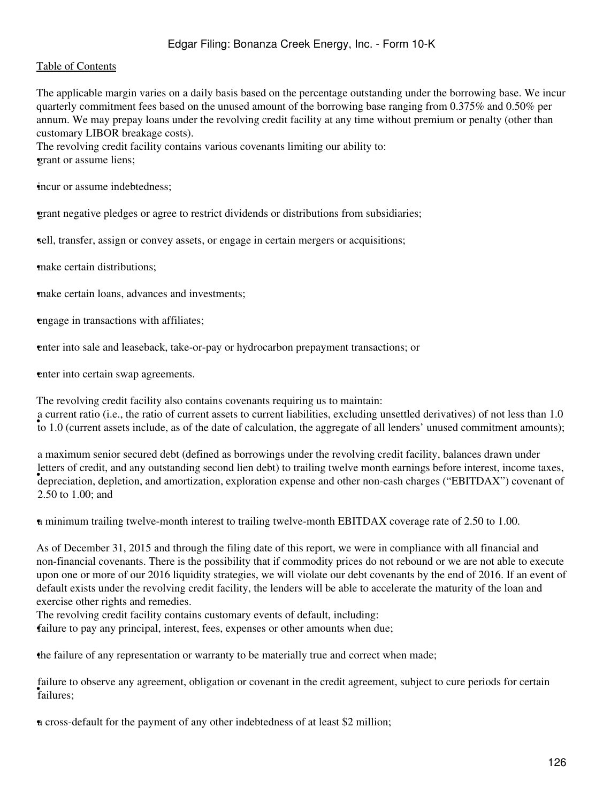#### [Table of Contents](#page-2-0)

The applicable margin varies on a daily basis based on the percentage outstanding under the borrowing base. We incur quarterly commitment fees based on the unused amount of the borrowing base ranging from 0.375% and 0.50% per annum. We may prepay loans under the revolving credit facility at any time without premium or penalty (other than customary LIBOR breakage costs).

The revolving credit facility contains various covenants limiting our ability to: •grant or assume liens;

•incur or assume indebtedness;

•grant negative pledges or agree to restrict dividends or distributions from subsidiaries;

•sell, transfer, assign or convey assets, or engage in certain mergers or acquisitions;

•make certain distributions;

make certain loans, advances and investments;

•engage in transactions with affiliates;

•enter into sale and leaseback, take-or-pay or hydrocarbon prepayment transactions; or

enter into certain swap agreements.

The revolving credit facility also contains covenants requiring us to maintain: to 1.0 (current assets include, as of the date of calculation, the aggregate of all lenders' unused commitment amounts); a current ratio (i.e., the ratio of current assets to current liabilities, excluding unsettled derivatives) of not less than 1.0

• depreciation, depletion, and amortization, exploration expense and other non-cash charges ("EBITDAX") covenant of a maximum senior secured debt (defined as borrowings under the revolving credit facility, balances drawn under letters of credit, and any outstanding second lien debt) to trailing twelve month earnings before interest, income taxes, 2.50 to 1.00; and

•a minimum trailing twelve-month interest to trailing twelve-month EBITDAX coverage rate of 2.50 to 1.00.

As of December 31, 2015 and through the filing date of this report, we were in compliance with all financial and non-financial covenants. There is the possibility that if commodity prices do not rebound or we are not able to execute upon one or more of our 2016 liquidity strategies, we will violate our debt covenants by the end of 2016. If an event of default exists under the revolving credit facility, the lenders will be able to accelerate the maturity of the loan and exercise other rights and remedies.

The revolving credit facility contains customary events of default, including:

•failure to pay any principal, interest, fees, expenses or other amounts when due;

•the failure of any representation or warranty to be materially true and correct when made;

• failures; failure to observe any agreement, obligation or covenant in the credit agreement, subject to cure periods for certain

•a cross-default for the payment of any other indebtedness of at least \$2 million;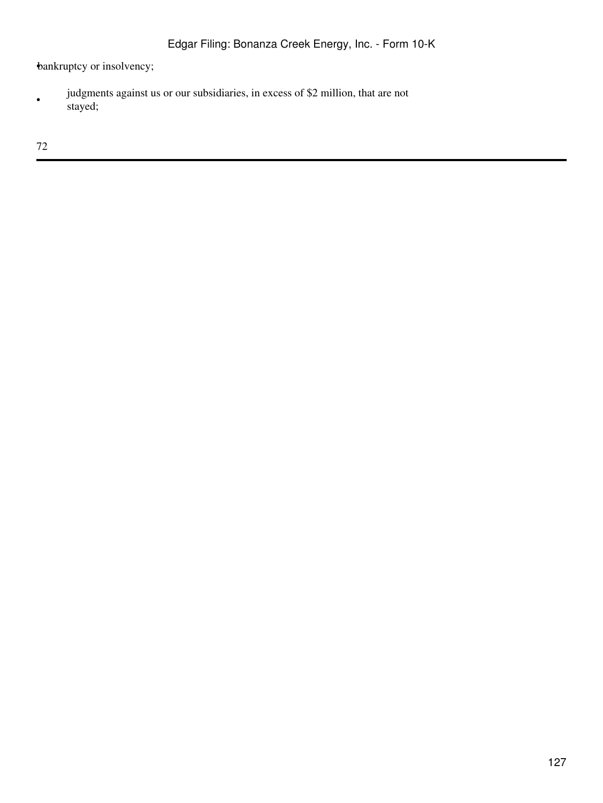bankruptcy or insolvency;

• judgments against us or our subsidiaries, in excess of \$2 million, that are not stayed;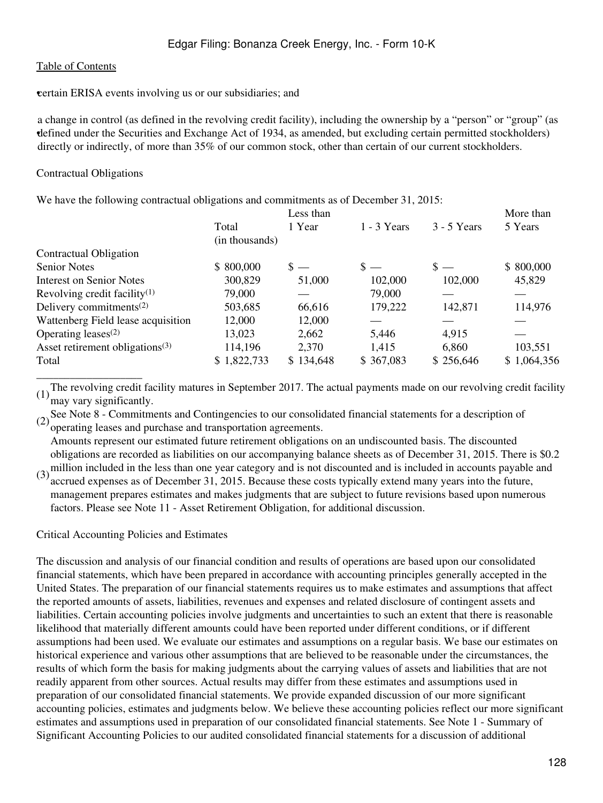**example ERISA** events involving us or our subsidiaries; and

• defined under the Securities and Exchange Act of 1934, as amended, but excluding certain permitted stockholders) a change in control (as defined in the revolving credit facility), including the ownership by a "person" or "group" (as directly or indirectly, of more than  $35\%$  of our common stock, other than certain of our current stockholders.

#### Contractual Obligations

We have the following contractual obligations and commitments as of December 31, 2015:

|                                                  |                | Less than      |                |                | More than   |
|--------------------------------------------------|----------------|----------------|----------------|----------------|-------------|
|                                                  | Total          | 1 Year         | $1 - 3$ Years  | $3 - 5$ Years  | 5 Years     |
|                                                  | (in thousands) |                |                |                |             |
| Contractual Obligation                           |                |                |                |                |             |
| <b>Senior Notes</b>                              | \$800,000      | $\mathbf{s}$ — | $\mathbf{s} =$ | $\mathbf{s} =$ | \$800,000   |
| Interest on Senior Notes                         | 300,829        | 51,000         | 102,000        | 102,000        | 45,829      |
| Revolving credit facility <sup>(1)</sup>         | 79,000         |                | 79,000         |                |             |
| Delivery commitments <sup><math>(2)</math></sup> | 503,685        | 66,616         | 179,222        | 142,871        | 114,976     |
| Wattenberg Field lease acquisition               | 12,000         | 12,000         |                |                |             |
| Operating leases $(2)$                           | 13,023         | 2,662          | 5,446          | 4,915          |             |
| Asset retirement obligations <sup>(3)</sup>      | 114,196        | 2,370          | 1,415          | 6,860          | 103,551     |
| Total                                            | \$1,822,733    | \$134,648      | \$367,083      | \$256,646      | \$1,064,356 |
|                                                  |                |                |                |                |             |

(1)The revolving credit facility matures in September 2017. The actual payments made on our revolving credit facility may vary significantly.

(2) See Note 8 - Commitments and Contingencies to our consolidated financial statements for a description of operating leases and purchase and transportation agreements.

Amounts represent our estimated future retirement obligations on an undiscounted basis. The discounted obligations are recorded as liabilities on our accompanying balance sheets as of December 31, 2015. There is \$0.2

(3) million included in the less than one year category and is not discounted and is included in accounts payable and<br>contract a manage as of December 21, 2015. Because these sects turically artend many years into the futu accrued expenses as of December 31, 2015. Because these costs typically extend many years into the future, management prepares estimates and makes judgments that are subject to future revisions based upon numerous factors. Please see Note 11 - Asset Retirement Obligation, for additional discussion.

#### Critical Accounting Policies and Estimates

The discussion and analysis of our financial condition and results of operations are based upon our consolidated financial statements, which have been prepared in accordance with accounting principles generally accepted in the United States. The preparation of our financial statements requires us to make estimates and assumptions that affect the reported amounts of assets, liabilities, revenues and expenses and related disclosure of contingent assets and liabilities. Certain accounting policies involve judgments and uncertainties to such an extent that there is reasonable likelihood that materially different amounts could have been reported under different conditions, or if different assumptions had been used. We evaluate our estimates and assumptions on a regular basis. We base our estimates on historical experience and various other assumptions that are believed to be reasonable under the circumstances, the results of which form the basis for making judgments about the carrying values of assets and liabilities that are not readily apparent from other sources. Actual results may differ from these estimates and assumptions used in preparation of our consolidated financial statements. We provide expanded discussion of our more significant accounting policies, estimates and judgments below. We believe these accounting policies reflect our more significant estimates and assumptions used in preparation of our consolidated financial statements. See Note 1 - Summary of Significant Accounting Policies to our audited consolidated financial statements for a discussion of additional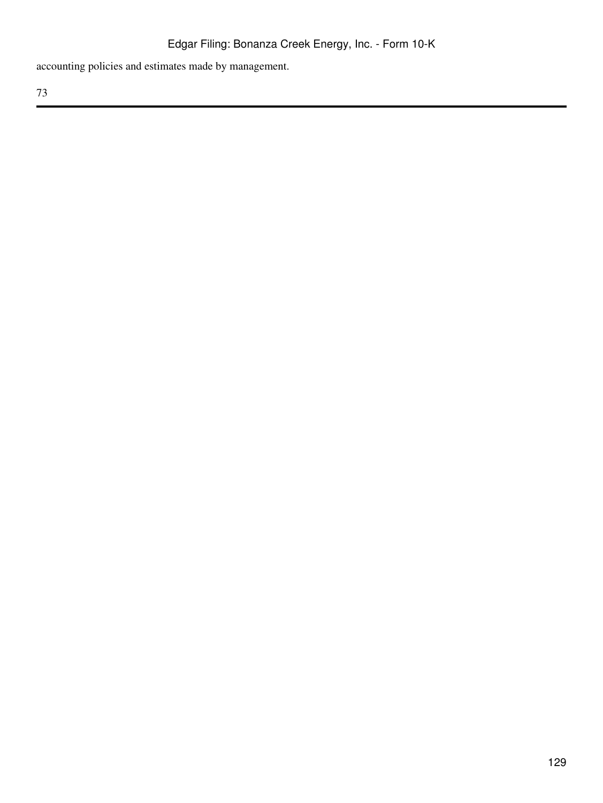accounting policies and estimates made by management.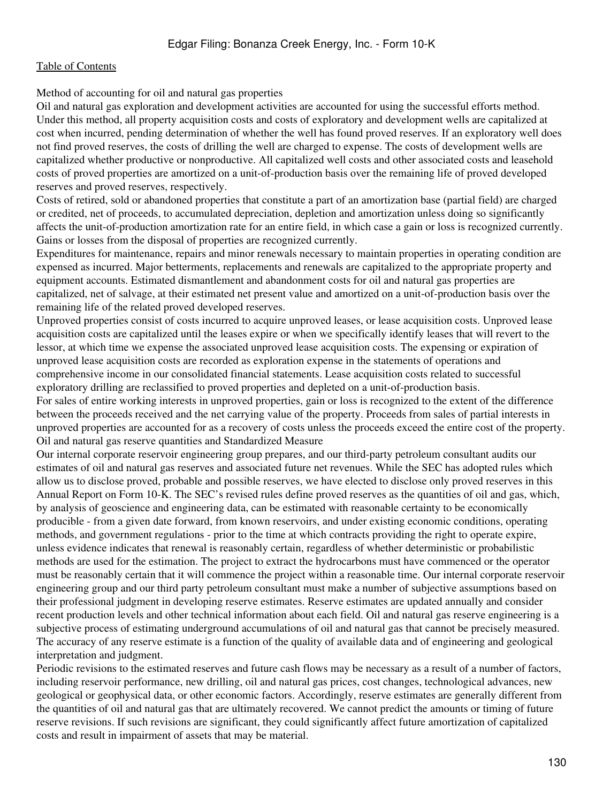Method of accounting for oil and natural gas properties

Oil and natural gas exploration and development activities are accounted for using the successful efforts method. Under this method, all property acquisition costs and costs of exploratory and development wells are capitalized at cost when incurred, pending determination of whether the well has found proved reserves. If an exploratory well does not find proved reserves, the costs of drilling the well are charged to expense. The costs of development wells are capitalized whether productive or nonproductive. All capitalized well costs and other associated costs and leasehold costs of proved properties are amortized on a unit-of-production basis over the remaining life of proved developed reserves and proved reserves, respectively.

Costs of retired, sold or abandoned properties that constitute a part of an amortization base (partial field) are charged or credited, net of proceeds, to accumulated depreciation, depletion and amortization unless doing so significantly affects the unit-of-production amortization rate for an entire field, in which case a gain or loss is recognized currently. Gains or losses from the disposal of properties are recognized currently.

Expenditures for maintenance, repairs and minor renewals necessary to maintain properties in operating condition are expensed as incurred. Major betterments, replacements and renewals are capitalized to the appropriate property and equipment accounts. Estimated dismantlement and abandonment costs for oil and natural gas properties are capitalized, net of salvage, at their estimated net present value and amortized on a unit-of-production basis over the remaining life of the related proved developed reserves.

Unproved properties consist of costs incurred to acquire unproved leases, or lease acquisition costs. Unproved lease acquisition costs are capitalized until the leases expire or when we specifically identify leases that will revert to the lessor, at which time we expense the associated unproved lease acquisition costs. The expensing or expiration of unproved lease acquisition costs are recorded as exploration expense in the statements of operations and comprehensive income in our consolidated financial statements. Lease acquisition costs related to successful exploratory drilling are reclassified to proved properties and depleted on a unit-of-production basis.

For sales of entire working interests in unproved properties, gain or loss is recognized to the extent of the difference between the proceeds received and the net carrying value of the property. Proceeds from sales of partial interests in unproved properties are accounted for as a recovery of costs unless the proceeds exceed the entire cost of the property. Oil and natural gas reserve quantities and Standardized Measure

Our internal corporate reservoir engineering group prepares, and our third-party petroleum consultant audits our estimates of oil and natural gas reserves and associated future net revenues. While the SEC has adopted rules which allow us to disclose proved, probable and possible reserves, we have elected to disclose only proved reserves in this Annual Report on Form 10-K. The SEC's revised rules define proved reserves as the quantities of oil and gas, which, by analysis of geoscience and engineering data, can be estimated with reasonable certainty to be economically producible - from a given date forward, from known reservoirs, and under existing economic conditions, operating methods, and government regulations - prior to the time at which contracts providing the right to operate expire, unless evidence indicates that renewal is reasonably certain, regardless of whether deterministic or probabilistic methods are used for the estimation. The project to extract the hydrocarbons must have commenced or the operator must be reasonably certain that it will commence the project within a reasonable time. Our internal corporate reservoir engineering group and our third party petroleum consultant must make a number of subjective assumptions based on their professional judgment in developing reserve estimates. Reserve estimates are updated annually and consider recent production levels and other technical information about each field. Oil and natural gas reserve engineering is a subjective process of estimating underground accumulations of oil and natural gas that cannot be precisely measured. The accuracy of any reserve estimate is a function of the quality of available data and of engineering and geological interpretation and judgment.

Periodic revisions to the estimated reserves and future cash flows may be necessary as a result of a number of factors, including reservoir performance, new drilling, oil and natural gas prices, cost changes, technological advances, new geological or geophysical data, or other economic factors. Accordingly, reserve estimates are generally different from the quantities of oil and natural gas that are ultimately recovered. We cannot predict the amounts or timing of future reserve revisions. If such revisions are significant, they could significantly affect future amortization of capitalized costs and result in impairment of assets that may be material.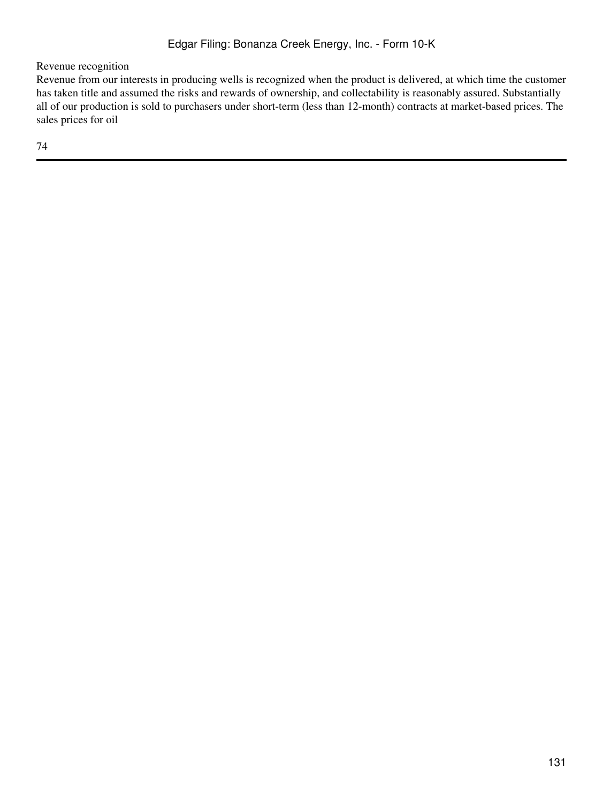Revenue recognition

Revenue from our interests in producing wells is recognized when the product is delivered, at which time the customer has taken title and assumed the risks and rewards of ownership, and collectability is reasonably assured. Substantially all of our production is sold to purchasers under short-term (less than 12-month) contracts at market-based prices. The sales prices for oil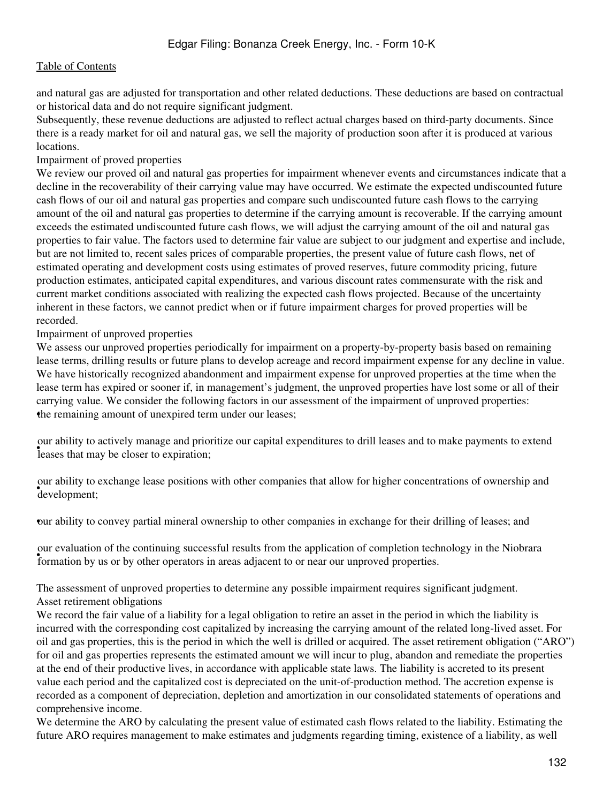and natural gas are adjusted for transportation and other related deductions. These deductions are based on contractual or historical data and do not require significant judgment.

Subsequently, these revenue deductions are adjusted to reflect actual charges based on third-party documents. Since there is a ready market for oil and natural gas, we sell the majority of production soon after it is produced at various locations.

## Impairment of proved properties

We review our proved oil and natural gas properties for impairment whenever events and circumstances indicate that a decline in the recoverability of their carrying value may have occurred. We estimate the expected undiscounted future cash flows of our oil and natural gas properties and compare such undiscounted future cash flows to the carrying amount of the oil and natural gas properties to determine if the carrying amount is recoverable. If the carrying amount exceeds the estimated undiscounted future cash flows, we will adjust the carrying amount of the oil and natural gas properties to fair value. The factors used to determine fair value are subject to our judgment and expertise and include, but are not limited to, recent sales prices of comparable properties, the present value of future cash flows, net of estimated operating and development costs using estimates of proved reserves, future commodity pricing, future production estimates, anticipated capital expenditures, and various discount rates commensurate with the risk and current market conditions associated with realizing the expected cash flows projected. Because of the uncertainty inherent in these factors, we cannot predict when or if future impairment charges for proved properties will be recorded.

Impairment of unproved properties

We assess our unproved properties periodically for impairment on a property-by-property basis based on remaining lease terms, drilling results or future plans to develop acreage and record impairment expense for any decline in value. We have historically recognized abandonment and impairment expense for unproved properties at the time when the lease term has expired or sooner if, in management's judgment, the unproved properties have lost some or all of their carrying value. We consider the following factors in our assessment of the impairment of unproved properties: the remaining amount of unexpired term under our leases;

but abouty to actively manage and proour ability to actively manage and prioritize our capital expenditures to drill leases and to make payments to extend

• development; our ability to exchange lease positions with other companies that allow for higher concentrations of ownership and

•our ability to convey partial mineral ownership to other companies in exchange for their drilling of leases; and

Formation by us or by other operators in areas adjacent to or near our unproved properties. our evaluation of the continuing successful results from the application of completion technology in the Niobrara

The assessment of unproved properties to determine any possible impairment requires significant judgment. Asset retirement obligations

We record the fair value of a liability for a legal obligation to retire an asset in the period in which the liability is incurred with the corresponding cost capitalized by increasing the carrying amount of the related long-lived asset. For oil and gas properties, this is the period in which the well is drilled or acquired. The asset retirement obligation ("ARO") for oil and gas properties represents the estimated amount we will incur to plug, abandon and remediate the properties at the end of their productive lives, in accordance with applicable state laws. The liability is accreted to its present value each period and the capitalized cost is depreciated on the unit-of-production method. The accretion expense is recorded as a component of depreciation, depletion and amortization in our consolidated statements of operations and comprehensive income.

We determine the ARO by calculating the present value of estimated cash flows related to the liability. Estimating the future ARO requires management to make estimates and judgments regarding timing, existence of a liability, as well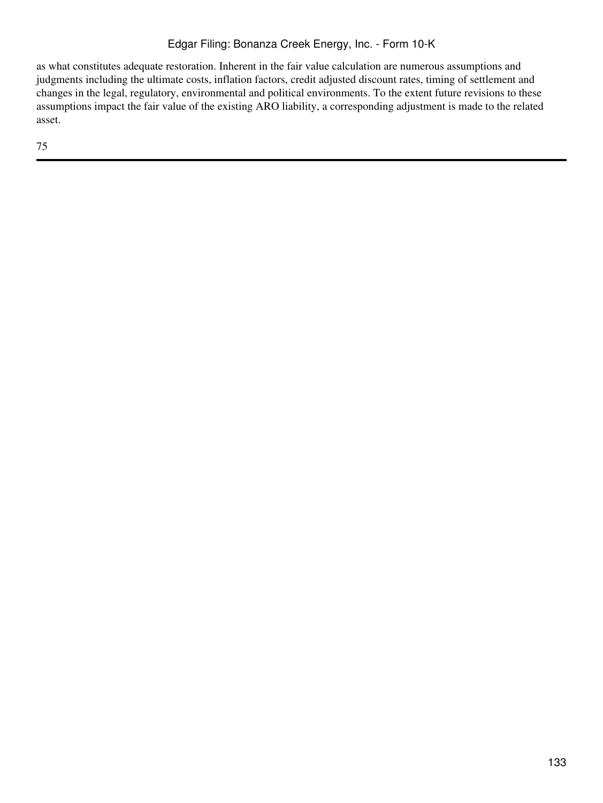as what constitutes adequate restoration. Inherent in the fair value calculation are numerous assumptions and judgments including the ultimate costs, inflation factors, credit adjusted discount rates, timing of settlement and changes in the legal, regulatory, environmental and political environments. To the extent future revisions to these assumptions impact the fair value of the existing ARO liability, a corresponding adjustment is made to the related asset.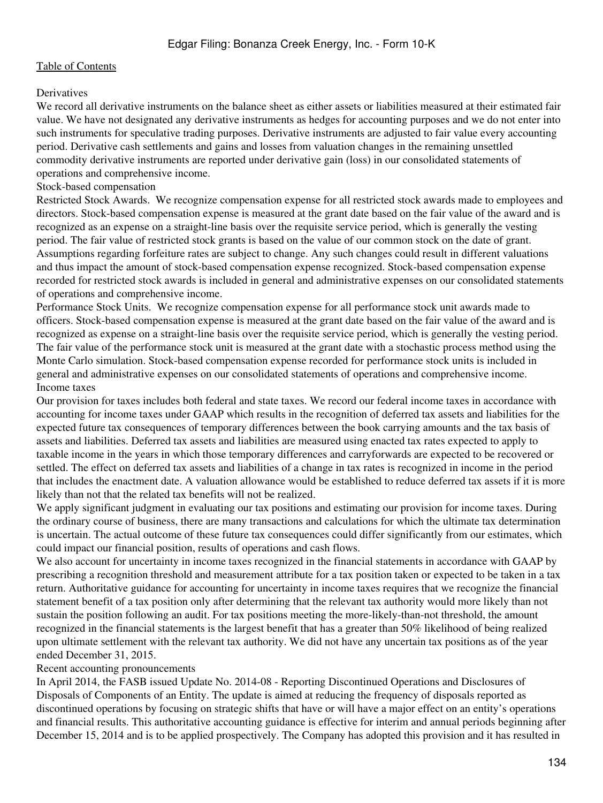### **Derivatives**

We record all derivative instruments on the balance sheet as either assets or liabilities measured at their estimated fair value. We have not designated any derivative instruments as hedges for accounting purposes and we do not enter into such instruments for speculative trading purposes. Derivative instruments are adjusted to fair value every accounting period. Derivative cash settlements and gains and losses from valuation changes in the remaining unsettled commodity derivative instruments are reported under derivative gain (loss) in our consolidated statements of operations and comprehensive income.

### Stock-based compensation

Restricted Stock Awards. We recognize compensation expense for all restricted stock awards made to employees and directors. Stock-based compensation expense is measured at the grant date based on the fair value of the award and is recognized as an expense on a straight-line basis over the requisite service period, which is generally the vesting period. The fair value of restricted stock grants is based on the value of our common stock on the date of grant. Assumptions regarding forfeiture rates are subject to change. Any such changes could result in different valuations and thus impact the amount of stock-based compensation expense recognized. Stock-based compensation expense recorded for restricted stock awards is included in general and administrative expenses on our consolidated statements of operations and comprehensive income.

Performance Stock Units. We recognize compensation expense for all performance stock unit awards made to officers. Stock-based compensation expense is measured at the grant date based on the fair value of the award and is recognized as expense on a straight-line basis over the requisite service period, which is generally the vesting period. The fair value of the performance stock unit is measured at the grant date with a stochastic process method using the Monte Carlo simulation. Stock-based compensation expense recorded for performance stock units is included in general and administrative expenses on our consolidated statements of operations and comprehensive income. Income taxes

Our provision for taxes includes both federal and state taxes. We record our federal income taxes in accordance with accounting for income taxes under GAAP which results in the recognition of deferred tax assets and liabilities for the expected future tax consequences of temporary differences between the book carrying amounts and the tax basis of assets and liabilities. Deferred tax assets and liabilities are measured using enacted tax rates expected to apply to taxable income in the years in which those temporary differences and carryforwards are expected to be recovered or settled. The effect on deferred tax assets and liabilities of a change in tax rates is recognized in income in the period that includes the enactment date. A valuation allowance would be established to reduce deferred tax assets if it is more likely than not that the related tax benefits will not be realized.

We apply significant judgment in evaluating our tax positions and estimating our provision for income taxes. During the ordinary course of business, there are many transactions and calculations for which the ultimate tax determination is uncertain. The actual outcome of these future tax consequences could differ significantly from our estimates, which could impact our financial position, results of operations and cash flows.

We also account for uncertainty in income taxes recognized in the financial statements in accordance with GAAP by prescribing a recognition threshold and measurement attribute for a tax position taken or expected to be taken in a tax return. Authoritative guidance for accounting for uncertainty in income taxes requires that we recognize the financial statement benefit of a tax position only after determining that the relevant tax authority would more likely than not sustain the position following an audit. For tax positions meeting the more-likely-than-not threshold, the amount recognized in the financial statements is the largest benefit that has a greater than 50% likelihood of being realized upon ultimate settlement with the relevant tax authority. We did not have any uncertain tax positions as of the year ended December 31, 2015.

Recent accounting pronouncements

In April 2014, the FASB issued Update No. 2014-08 - Reporting Discontinued Operations and Disclosures of Disposals of Components of an Entity. The update is aimed at reducing the frequency of disposals reported as discontinued operations by focusing on strategic shifts that have or will have a major effect on an entity's operations and financial results. This authoritative accounting guidance is effective for interim and annual periods beginning after December 15, 2014 and is to be applied prospectively. The Company has adopted this provision and it has resulted in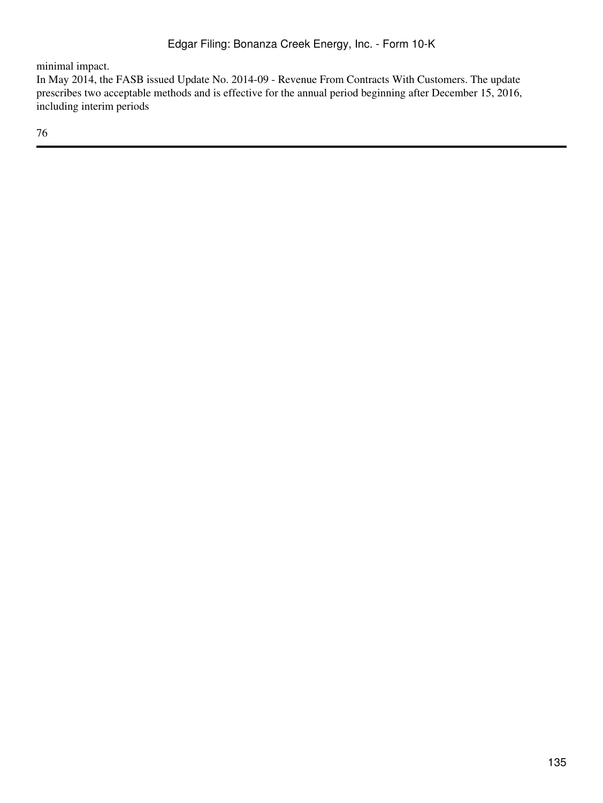minimal impact.

In May 2014, the FASB issued Update No. 2014-09 - Revenue From Contracts With Customers. The update prescribes two acceptable methods and is effective for the annual period beginning after December 15, 2016, including interim periods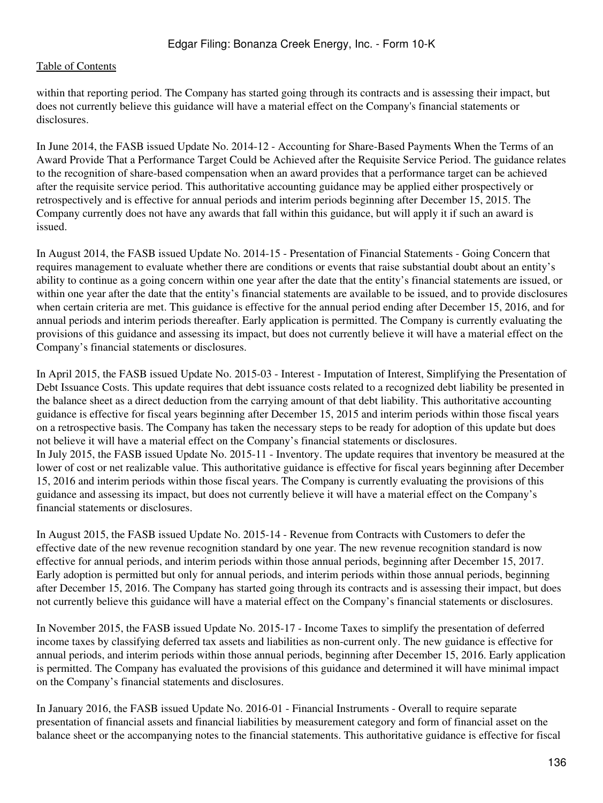within that reporting period. The Company has started going through its contracts and is assessing their impact, but does not currently believe this guidance will have a material effect on the Company's financial statements or disclosures.

In June 2014, the FASB issued Update No. 2014-12 - Accounting for Share-Based Payments When the Terms of an Award Provide That a Performance Target Could be Achieved after the Requisite Service Period. The guidance relates to the recognition of share-based compensation when an award provides that a performance target can be achieved after the requisite service period. This authoritative accounting guidance may be applied either prospectively or retrospectively and is effective for annual periods and interim periods beginning after December 15, 2015. The Company currently does not have any awards that fall within this guidance, but will apply it if such an award is issued.

In August 2014, the FASB issued Update No. 2014-15 - Presentation of Financial Statements - Going Concern that requires management to evaluate whether there are conditions or events that raise substantial doubt about an entity's ability to continue as a going concern within one year after the date that the entity's financial statements are issued, or within one year after the date that the entity's financial statements are available to be issued, and to provide disclosures when certain criteria are met. This guidance is effective for the annual period ending after December 15, 2016, and for annual periods and interim periods thereafter. Early application is permitted. The Company is currently evaluating the provisions of this guidance and assessing its impact, but does not currently believe it will have a material effect on the Company's financial statements or disclosures.

In April 2015, the FASB issued Update No. 2015-03 - Interest - Imputation of Interest, Simplifying the Presentation of Debt Issuance Costs. This update requires that debt issuance costs related to a recognized debt liability be presented in the balance sheet as a direct deduction from the carrying amount of that debt liability. This authoritative accounting guidance is effective for fiscal years beginning after December 15, 2015 and interim periods within those fiscal years on a retrospective basis. The Company has taken the necessary steps to be ready for adoption of this update but does not believe it will have a material effect on the Company's financial statements or disclosures. In July 2015, the FASB issued Update No. 2015-11 - Inventory. The update requires that inventory be measured at the lower of cost or net realizable value. This authoritative guidance is effective for fiscal years beginning after December 15, 2016 and interim periods within those fiscal years. The Company is currently evaluating the provisions of this guidance and assessing its impact, but does not currently believe it will have a material effect on the Company's financial statements or disclosures.

In August 2015, the FASB issued Update No. 2015-14 - Revenue from Contracts with Customers to defer the effective date of the new revenue recognition standard by one year. The new revenue recognition standard is now effective for annual periods, and interim periods within those annual periods, beginning after December 15, 2017. Early adoption is permitted but only for annual periods, and interim periods within those annual periods, beginning after December 15, 2016. The Company has started going through its contracts and is assessing their impact, but does not currently believe this guidance will have a material effect on the Company's financial statements or disclosures.

In November 2015, the FASB issued Update No. 2015-17 - Income Taxes to simplify the presentation of deferred income taxes by classifying deferred tax assets and liabilities as non-current only. The new guidance is effective for annual periods, and interim periods within those annual periods, beginning after December 15, 2016. Early application is permitted. The Company has evaluated the provisions of this guidance and determined it will have minimal impact on the Company's financial statements and disclosures.

In January 2016, the FASB issued Update No. 2016-01 - Financial Instruments - Overall to require separate presentation of financial assets and financial liabilities by measurement category and form of financial asset on the balance sheet or the accompanying notes to the financial statements. This authoritative guidance is effective for fiscal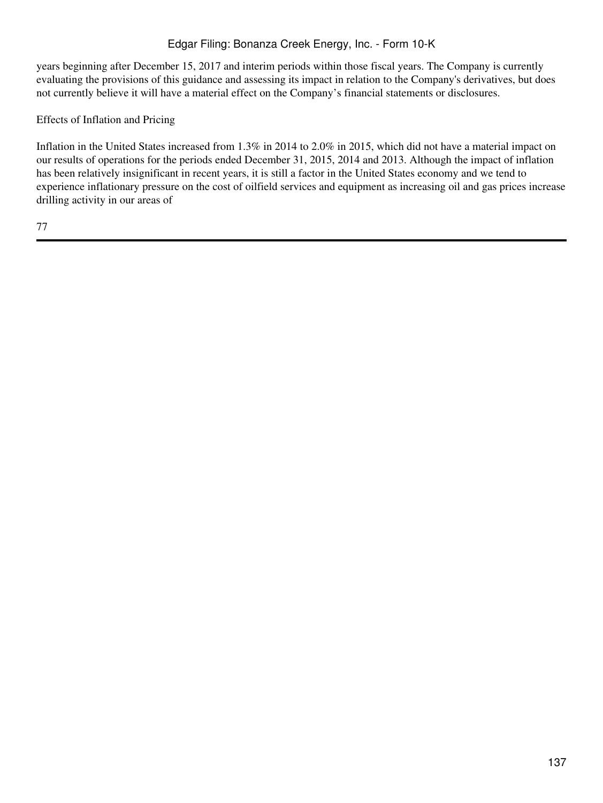years beginning after December 15, 2017 and interim periods within those fiscal years. The Company is currently evaluating the provisions of this guidance and assessing its impact in relation to the Company's derivatives, but does not currently believe it will have a material effect on the Company's financial statements or disclosures.

# Effects of Inflation and Pricing

Inflation in the United States increased from 1.3% in 2014 to 2.0% in 2015, which did not have a material impact on our results of operations for the periods ended December 31, 2015, 2014 and 2013. Although the impact of inflation has been relatively insignificant in recent years, it is still a factor in the United States economy and we tend to experience inflationary pressure on the cost of oilfield services and equipment as increasing oil and gas prices increase drilling activity in our areas of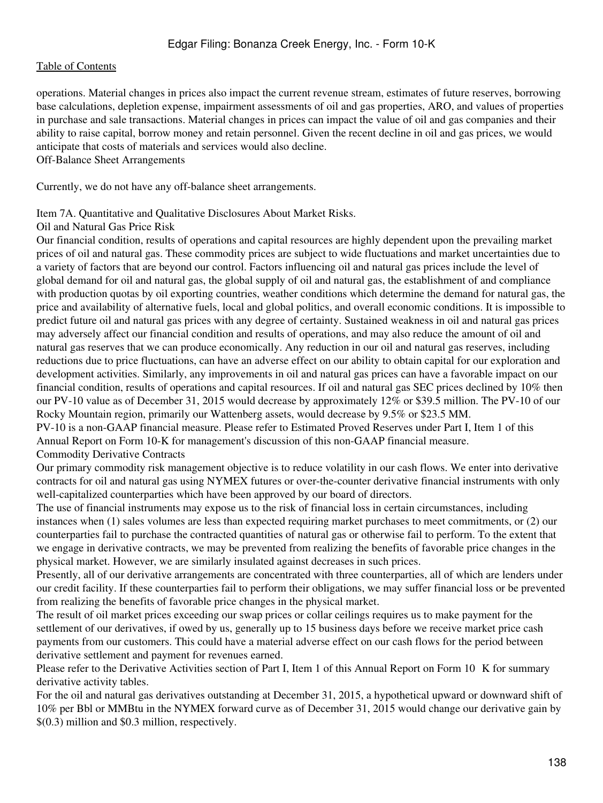operations. Material changes in prices also impact the current revenue stream, estimates of future reserves, borrowing base calculations, depletion expense, impairment assessments of oil and gas properties, ARO, and values of properties in purchase and sale transactions. Material changes in prices can impact the value of oil and gas companies and their ability to raise capital, borrow money and retain personnel. Given the recent decline in oil and gas prices, we would anticipate that costs of materials and services would also decline. Off-Balance Sheet Arrangements

Currently, we do not have any off-balance sheet arrangements.

### Item 7A. Quantitative and Qualitative Disclosures About Market Risks.

#### Oil and Natural Gas Price Risk

Our financial condition, results of operations and capital resources are highly dependent upon the prevailing market prices of oil and natural gas. These commodity prices are subject to wide fluctuations and market uncertainties due to a variety of factors that are beyond our control. Factors influencing oil and natural gas prices include the level of global demand for oil and natural gas, the global supply of oil and natural gas, the establishment of and compliance with production quotas by oil exporting countries, weather conditions which determine the demand for natural gas, the price and availability of alternative fuels, local and global politics, and overall economic conditions. It is impossible to predict future oil and natural gas prices with any degree of certainty. Sustained weakness in oil and natural gas prices may adversely affect our financial condition and results of operations, and may also reduce the amount of oil and natural gas reserves that we can produce economically. Any reduction in our oil and natural gas reserves, including reductions due to price fluctuations, can have an adverse effect on our ability to obtain capital for our exploration and development activities. Similarly, any improvements in oil and natural gas prices can have a favorable impact on our financial condition, results of operations and capital resources. If oil and natural gas SEC prices declined by 10% then our PV-10 value as of December 31, 2015 would decrease by approximately 12% or \$39.5 million. The PV-10 of our Rocky Mountain region, primarily our Wattenberg assets, would decrease by 9.5% or \$23.5 MM.

PV-10 is a non-GAAP financial measure. Please refer to Estimated Proved Reserves under Part I, Item 1 of this Annual Report on Form 10-K for management's discussion of this non-GAAP financial measure. Commodity Derivative Contracts

Our primary commodity risk management objective is to reduce volatility in our cash flows. We enter into derivative contracts for oil and natural gas using NYMEX futures or over-the-counter derivative financial instruments with only well-capitalized counterparties which have been approved by our board of directors.

The use of financial instruments may expose us to the risk of financial loss in certain circumstances, including instances when (1) sales volumes are less than expected requiring market purchases to meet commitments, or (2) our counterparties fail to purchase the contracted quantities of natural gas or otherwise fail to perform. To the extent that we engage in derivative contracts, we may be prevented from realizing the benefits of favorable price changes in the physical market. However, we are similarly insulated against decreases in such prices.

Presently, all of our derivative arrangements are concentrated with three counterparties, all of which are lenders under our credit facility. If these counterparties fail to perform their obligations, we may suffer financial loss or be prevented from realizing the benefits of favorable price changes in the physical market.

The result of oil market prices exceeding our swap prices or collar ceilings requires us to make payment for the settlement of our derivatives, if owed by us, generally up to 15 business days before we receive market price cash payments from our customers. This could have a material adverse effect on our cash flows for the period between derivative settlement and payment for revenues earned.

Please refer to the Derivative Activities section of Part I, Item 1 of this Annual Report on Form 10 K for summary derivative activity tables.

For the oil and natural gas derivatives outstanding at December 31, 2015, a hypothetical upward or downward shift of 10% per Bbl or MMBtu in the NYMEX forward curve as of December 31, 2015 would change our derivative gain by \$(0.3) million and \$0.3 million, respectively.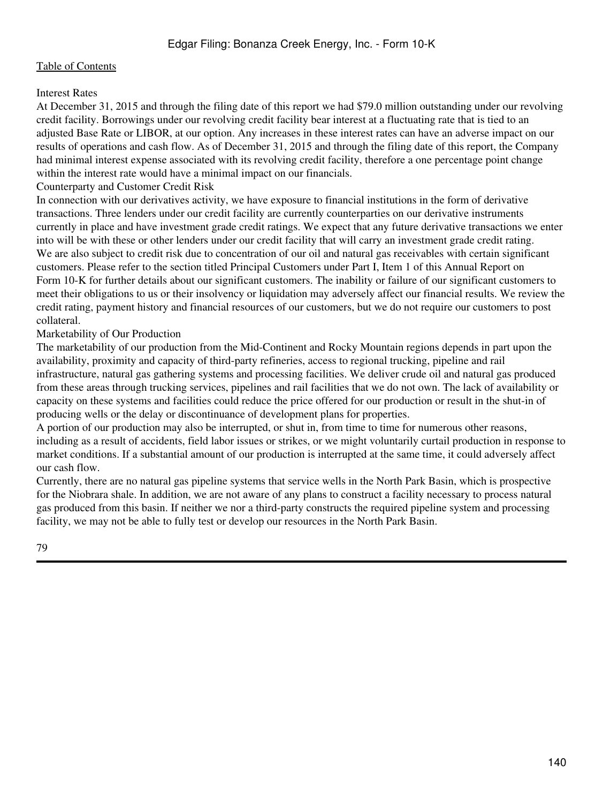### Interest Rates

At December 31, 2015 and through the filing date of this report we had \$79.0 million outstanding under our revolving credit facility. Borrowings under our revolving credit facility bear interest at a fluctuating rate that is tied to an adjusted Base Rate or LIBOR, at our option. Any increases in these interest rates can have an adverse impact on our results of operations and cash flow. As of December 31, 2015 and through the filing date of this report, the Company had minimal interest expense associated with its revolving credit facility, therefore a one percentage point change within the interest rate would have a minimal impact on our financials.

Counterparty and Customer Credit Risk

In connection with our derivatives activity, we have exposure to financial institutions in the form of derivative transactions. Three lenders under our credit facility are currently counterparties on our derivative instruments currently in place and have investment grade credit ratings. We expect that any future derivative transactions we enter into will be with these or other lenders under our credit facility that will carry an investment grade credit rating. We are also subject to credit risk due to concentration of our oil and natural gas receivables with certain significant customers. Please refer to the section titled Principal Customers under Part I, Item 1 of this Annual Report on Form 10-K for further details about our significant customers. The inability or failure of our significant customers to meet their obligations to us or their insolvency or liquidation may adversely affect our financial results. We review the credit rating, payment history and financial resources of our customers, but we do not require our customers to post collateral.

## Marketability of Our Production

The marketability of our production from the Mid-Continent and Rocky Mountain regions depends in part upon the availability, proximity and capacity of third-party refineries, access to regional trucking, pipeline and rail infrastructure, natural gas gathering systems and processing facilities. We deliver crude oil and natural gas produced from these areas through trucking services, pipelines and rail facilities that we do not own. The lack of availability or capacity on these systems and facilities could reduce the price offered for our production or result in the shut-in of producing wells or the delay or discontinuance of development plans for properties.

A portion of our production may also be interrupted, or shut in, from time to time for numerous other reasons, including as a result of accidents, field labor issues or strikes, or we might voluntarily curtail production in response to market conditions. If a substantial amount of our production is interrupted at the same time, it could adversely affect our cash flow.

Currently, there are no natural gas pipeline systems that service wells in the North Park Basin, which is prospective for the Niobrara shale. In addition, we are not aware of any plans to construct a facility necessary to process natural gas produced from this basin. If neither we nor a third-party constructs the required pipeline system and processing facility, we may not be able to fully test or develop our resources in the North Park Basin.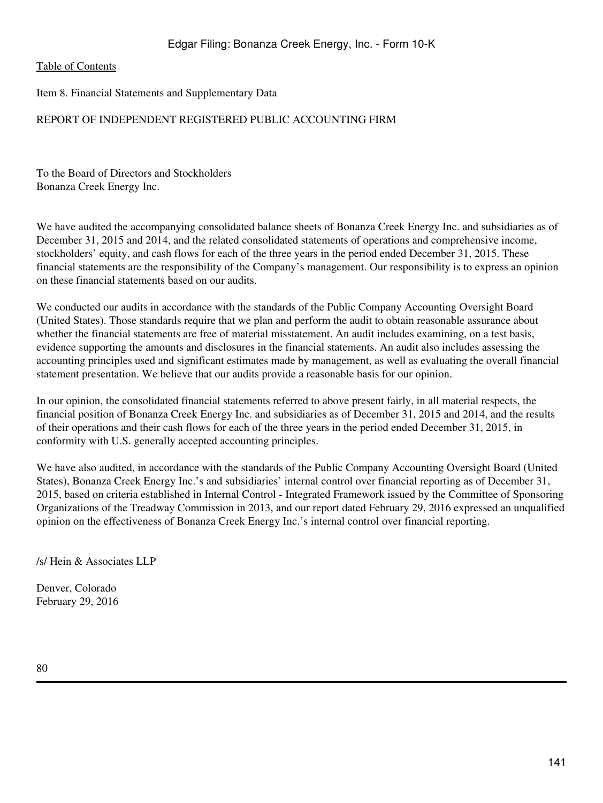Item 8. Financial Statements and Supplementary Data

# REPORT OF INDEPENDENT REGISTERED PUBLIC ACCOUNTING FIRM

To the Board of Directors and Stockholders Bonanza Creek Energy Inc.

We have audited the accompanying consolidated balance sheets of Bonanza Creek Energy Inc. and subsidiaries as of December 31, 2015 and 2014, and the related consolidated statements of operations and comprehensive income, stockholders' equity, and cash flows for each of the three years in the period ended December 31, 2015. These financial statements are the responsibility of the Company's management. Our responsibility is to express an opinion on these financial statements based on our audits.

We conducted our audits in accordance with the standards of the Public Company Accounting Oversight Board (United States). Those standards require that we plan and perform the audit to obtain reasonable assurance about whether the financial statements are free of material misstatement. An audit includes examining, on a test basis, evidence supporting the amounts and disclosures in the financial statements. An audit also includes assessing the accounting principles used and significant estimates made by management, as well as evaluating the overall financial statement presentation. We believe that our audits provide a reasonable basis for our opinion.

In our opinion, the consolidated financial statements referred to above present fairly, in all material respects, the financial position of Bonanza Creek Energy Inc. and subsidiaries as of December 31, 2015 and 2014, and the results of their operations and their cash flows for each of the three years in the period ended December 31, 2015, in conformity with U.S. generally accepted accounting principles.

We have also audited, in accordance with the standards of the Public Company Accounting Oversight Board (United States), Bonanza Creek Energy Inc.'s and subsidiaries' internal control over financial reporting as of December 31, 2015, based on criteria established in Internal Control - Integrated Framework issued by the Committee of Sponsoring Organizations of the Treadway Commission in 2013, and our report dated February 29, 2016 expressed an unqualified opinion on the effectiveness of Bonanza Creek Energy Inc.'s internal control over financial reporting.

/s/ Hein & Associates LLP

Denver, Colorado February 29, 2016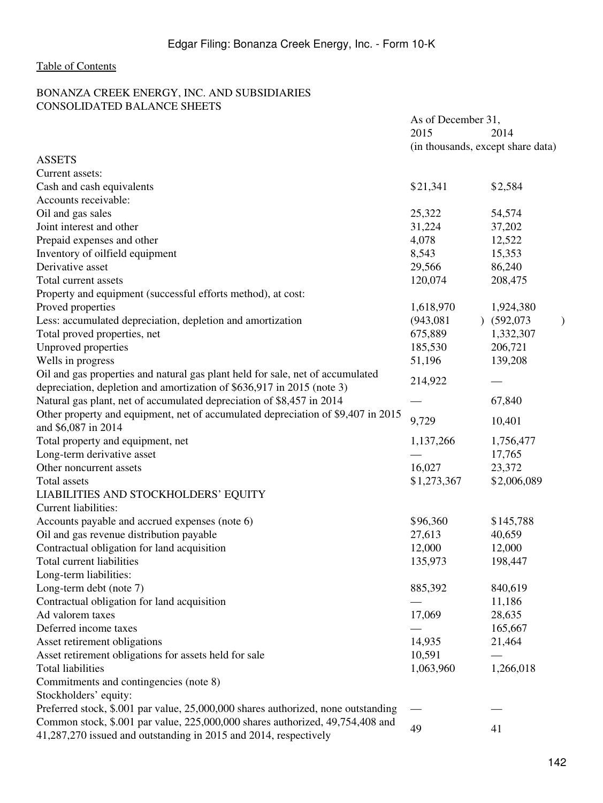# BONANZA CREEK ENERGY, INC. AND SUBSIDIARIES CONSOLIDATED BALANCE SHEETS

|                                                                                   | As of December 31, |                                   |
|-----------------------------------------------------------------------------------|--------------------|-----------------------------------|
|                                                                                   | 2015               | 2014                              |
|                                                                                   |                    | (in thousands, except share data) |
| <b>ASSETS</b>                                                                     |                    |                                   |
| Current assets:                                                                   |                    |                                   |
| Cash and cash equivalents                                                         | \$21,341           | \$2,584                           |
| Accounts receivable:                                                              |                    |                                   |
| Oil and gas sales                                                                 | 25,322             | 54,574                            |
| Joint interest and other                                                          | 31,224             | 37,202                            |
| Prepaid expenses and other                                                        | 4,078              | 12,522                            |
| Inventory of oilfield equipment                                                   | 8,543              | 15,353                            |
| Derivative asset                                                                  | 29,566             | 86,240                            |
| Total current assets                                                              | 120,074            | 208,475                           |
| Property and equipment (successful efforts method), at cost:                      |                    |                                   |
| Proved properties                                                                 | 1,618,970          | 1,924,380                         |
| Less: accumulated depreciation, depletion and amortization                        | (943, 081)         | $)$ (592,073)                     |
| Total proved properties, net                                                      | 675,889            | 1,332,307                         |
| Unproved properties                                                               | 185,530            | 206,721                           |
| Wells in progress                                                                 | 51,196             | 139,208                           |
| Oil and gas properties and natural gas plant held for sale, net of accumulated    |                    |                                   |
| depreciation, depletion and amortization of \$636,917 in 2015 (note 3)            | 214,922            |                                   |
| Natural gas plant, net of accumulated depreciation of \$8,457 in 2014             |                    | 67,840                            |
| Other property and equipment, net of accumulated depreciation of \$9,407 in 2015  |                    |                                   |
| and \$6,087 in 2014                                                               | 9,729              | 10,401                            |
| Total property and equipment, net                                                 | 1,137,266          | 1,756,477                         |
| Long-term derivative asset                                                        |                    | 17,765                            |
| Other noncurrent assets                                                           | 16,027             | 23,372                            |
| Total assets                                                                      | \$1,273,367        | \$2,006,089                       |
| LIABILITIES AND STOCKHOLDERS' EQUITY                                              |                    |                                   |
| Current liabilities:                                                              |                    |                                   |
| Accounts payable and accrued expenses (note 6)                                    | \$96,360           | \$145,788                         |
| Oil and gas revenue distribution payable                                          | 27,613             | 40,659                            |
| Contractual obligation for land acquisition                                       | 12,000             | 12,000                            |
| Total current liabilities                                                         | 135,973            | 198,447                           |
| Long-term liabilities:                                                            |                    |                                   |
| Long-term debt (note 7)                                                           | 885,392            | 840,619                           |
| Contractual obligation for land acquisition                                       |                    | 11,186                            |
| Ad valorem taxes                                                                  | 17,069             | 28,635                            |
| Deferred income taxes                                                             |                    | 165,667                           |
| Asset retirement obligations                                                      | 14,935             | 21,464                            |
| Asset retirement obligations for assets held for sale                             | 10,591             |                                   |
| <b>Total liabilities</b>                                                          | 1,063,960          | 1,266,018                         |
| Commitments and contingencies (note 8)                                            |                    |                                   |
| Stockholders' equity:                                                             |                    |                                   |
| Preferred stock, \$.001 par value, 25,000,000 shares authorized, none outstanding |                    |                                   |
| Common stock, \$.001 par value, 225,000,000 shares authorized, 49,754,408 and     | 49                 | 41                                |
| 41,287,270 issued and outstanding in 2015 and 2014, respectively                  |                    |                                   |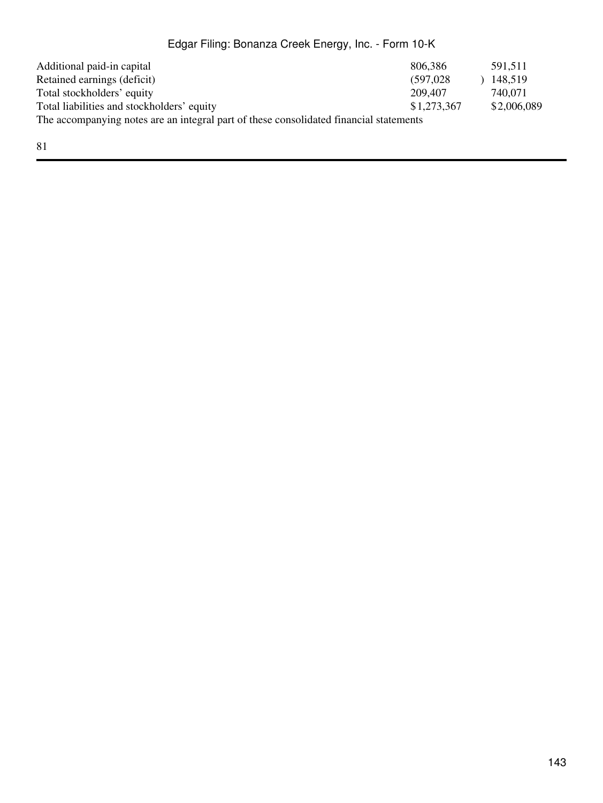| Additional paid-in capital                                                             | 806,386     | 591.511     |
|----------------------------------------------------------------------------------------|-------------|-------------|
| Retained earnings (deficit)                                                            | (597.028)   | 148,519     |
| Total stockholders' equity                                                             | 209,407     | 740,071     |
| Total liabilities and stockholders' equity                                             | \$1,273,367 | \$2,006,089 |
| The accompanying notes are an integral part of these consolidated financial statements |             |             |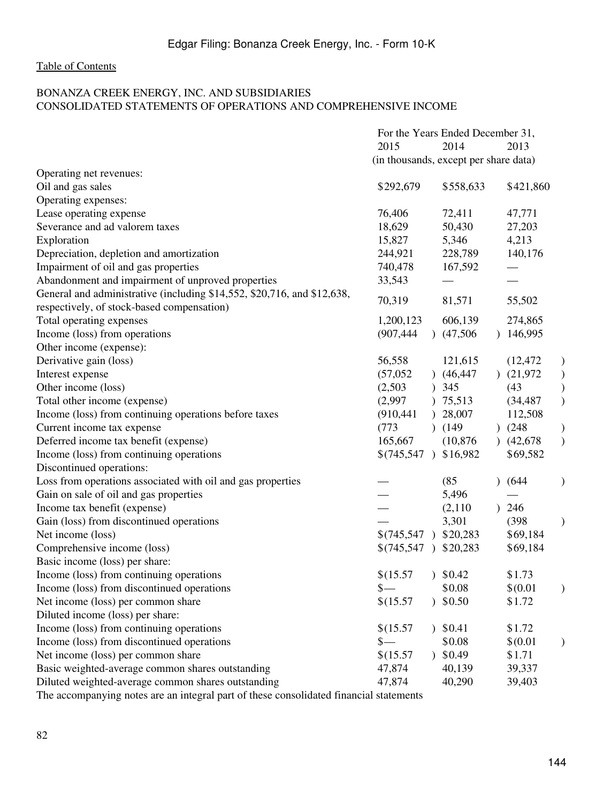### BONANZA CREEK ENERGY, INC. AND SUBSIDIARIES CONSOLIDATED STATEMENTS OF OPERATIONS AND COMPREHENSIVE INCOME

|                                                                         | For the Years Ended December 31, |                                       |                            |
|-------------------------------------------------------------------------|----------------------------------|---------------------------------------|----------------------------|
|                                                                         | 2015                             | 2014                                  | 2013                       |
|                                                                         |                                  | (in thousands, except per share data) |                            |
| Operating net revenues:                                                 |                                  |                                       |                            |
| Oil and gas sales                                                       | \$292,679                        | \$558,633                             | \$421,860                  |
| Operating expenses:                                                     |                                  |                                       |                            |
| Lease operating expense                                                 | 76,406                           | 72,411                                | 47,771                     |
| Severance and ad valorem taxes                                          | 18,629                           | 50,430                                | 27,203                     |
| Exploration                                                             | 15,827                           | 5,346                                 | 4,213                      |
| Depreciation, depletion and amortization                                | 244,921                          | 228,789                               | 140,176                    |
| Impairment of oil and gas properties                                    | 740,478                          | 167,592                               |                            |
| Abandonment and impairment of unproved properties                       | 33,543                           |                                       |                            |
| General and administrative (including \$14,552, \$20,716, and \$12,638, | 70,319                           | 81,571                                | 55,502                     |
| respectively, of stock-based compensation)                              |                                  |                                       |                            |
| Total operating expenses                                                | 1,200,123                        | 606,139                               | 274,865                    |
| Income (loss) from operations                                           | (907, 444)                       | (47,506)                              | 146,995<br>$\mathcal{L}$   |
| Other income (expense):                                                 |                                  |                                       |                            |
| Derivative gain (loss)                                                  | 56,558                           | 121,615                               | (12, 472)<br>$\mathcal{E}$ |
| Interest expense                                                        | (57,052)                         | (46, 447)                             | (21, 972)                  |
| Other income (loss)                                                     | (2,503)                          | 345<br>$\mathcal{L}$                  | ( )<br>( )<br>(43)         |
| Total other income (expense)                                            | (2,997)                          | ) 75,513                              | (34, 487)                  |
| Income (loss) from continuing operations before taxes                   | (910, 441)                       | ) 28,007                              | 112,508                    |
| Current income tax expense                                              | (773)                            | (149)                                 | )(248)<br>$\big)$          |
| Deferred income tax benefit (expense)                                   | 165,667                          | (10, 876)                             | $\mathcal{E}$<br>(42, 678) |
| Income (loss) from continuing operations                                | $$(745,547)$ \$16,982            |                                       | \$69,582                   |
| Discontinued operations:                                                |                                  |                                       |                            |
| Loss from operations associated with oil and gas properties             |                                  | (85)                                  | (644)                      |
| Gain on sale of oil and gas properties                                  |                                  | 5,496                                 |                            |
| Income tax benefit (expense)                                            |                                  | (2,110)                               | 246                        |
| Gain (loss) from discontinued operations                                |                                  | 3,301                                 | (398)<br>$\mathcal{E}$     |
| Net income (loss)                                                       | $$(745,547)$ \$20,283            |                                       | \$69,184                   |
| Comprehensive income (loss)                                             | $$(745,547)$ \$20,283            |                                       | \$69,184                   |
| Basic income (loss) per share:                                          |                                  |                                       |                            |
| Income (loss) from continuing operations                                | \$(15.57                         | 30.42                                 | \$1.73                     |
| Income (loss) from discontinued operations                              | $\frac{1}{2}$                    | \$0.08                                | \$(0.01)                   |
| Net income (loss) per common share                                      | \$(15.57                         | $)$ \$0.50                            | \$1.72                     |
| Diluted income (loss) per share:                                        |                                  |                                       |                            |
| Income (loss) from continuing operations                                | \$(15.57                         | $)$ \$0.41                            | \$1.72                     |
| Income (loss) from discontinued operations                              | $\frac{1}{2}$                    | \$0.08                                | \$(0.01)                   |
| Net income (loss) per common share                                      | \$(15.57                         | $)$ \$0.49                            | \$1.71                     |
| Basic weighted-average common shares outstanding                        | 47,874                           | 40,139                                | 39,337                     |
| Diluted weighted-average common shares outstanding                      | 47,874                           | 40,290                                | 39,403                     |
|                                                                         |                                  |                                       |                            |

The accompanying notes are an integral part of these consolidated financial statements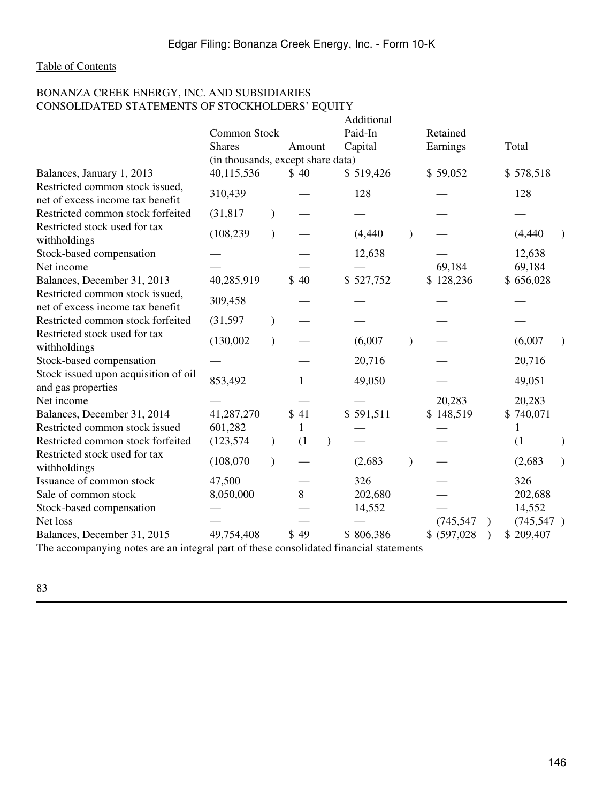# BONANZA CREEK ENERGY, INC. AND SUBSIDIARIES CONSOLIDATED STATEMENTS OF STOCKHOLDERS' EQUITY

|                                                                                        |                                   |               |              | Additional |              |  |            |  |
|----------------------------------------------------------------------------------------|-----------------------------------|---------------|--------------|------------|--------------|--|------------|--|
|                                                                                        | Common Stock                      |               |              | Paid-In    | Retained     |  |            |  |
|                                                                                        | <b>Shares</b>                     |               | Amount       | Capital    | Earnings     |  | Total      |  |
|                                                                                        | (in thousands, except share data) |               |              |            |              |  |            |  |
| Balances, January 1, 2013                                                              | 40,115,536                        |               | \$40         | \$519,426  | \$59,052     |  | \$578,518  |  |
| Restricted common stock issued,<br>net of excess income tax benefit                    | 310,439                           |               |              | 128        |              |  | 128        |  |
| Restricted common stock forfeited                                                      | (31, 817)                         |               |              |            |              |  |            |  |
| Restricted stock used for tax<br>withholdings                                          | (108, 239)                        | $\mathcal{E}$ |              | (4, 440)   |              |  | (4, 440)   |  |
| Stock-based compensation                                                               |                                   |               |              | 12,638     |              |  | 12,638     |  |
| Net income                                                                             |                                   |               |              |            | 69,184       |  | 69,184     |  |
| Balances, December 31, 2013                                                            | 40,285,919                        |               | \$40         | \$527,752  | \$128,236    |  | \$656,028  |  |
| Restricted common stock issued,<br>net of excess income tax benefit                    | 309,458                           |               |              |            |              |  |            |  |
| Restricted common stock forfeited                                                      | (31, 597)                         |               |              |            |              |  |            |  |
| Restricted stock used for tax<br>withholdings                                          | (130,002)                         | $\mathcal{L}$ |              | (6,007)    |              |  | (6,007)    |  |
| Stock-based compensation                                                               |                                   |               |              | 20,716     |              |  | 20,716     |  |
| Stock issued upon acquisition of oil<br>and gas properties                             | 853,492                           |               | 1            | 49,050     |              |  | 49,051     |  |
| Net income                                                                             |                                   |               |              |            | 20,283       |  | 20,283     |  |
| Balances, December 31, 2014                                                            | 41,287,270                        |               | \$41         | \$591,511  | \$148,519    |  | \$740,071  |  |
| Restricted common stock issued                                                         | 601,282                           |               | $\mathbf{1}$ |            |              |  |            |  |
| Restricted common stock forfeited                                                      | (123, 574)                        | $\lambda$     | (1)          |            |              |  | (1)        |  |
| Restricted stock used for tax<br>withholdings                                          | (108,070)                         | $\mathcal{E}$ |              | (2,683)    |              |  | (2,683)    |  |
| Issuance of common stock                                                               | 47,500                            |               |              | 326        |              |  | 326        |  |
| Sale of common stock                                                                   | 8,050,000                         |               | 8            | 202,680    |              |  | 202,688    |  |
| Stock-based compensation                                                               |                                   |               |              | 14,552     |              |  | 14,552     |  |
| Net loss                                                                               |                                   |               |              |            | (745, 547)   |  | (745, 547) |  |
| Balances, December 31, 2015                                                            | 49,754,408                        |               | \$49         | \$806,386  | \$ (597,028) |  | \$209,407  |  |
| The accompanying notes are an integral part of these consolidated financial statements |                                   |               |              |            |              |  |            |  |

The accompanying notes are an integral part of these consolidated financial statements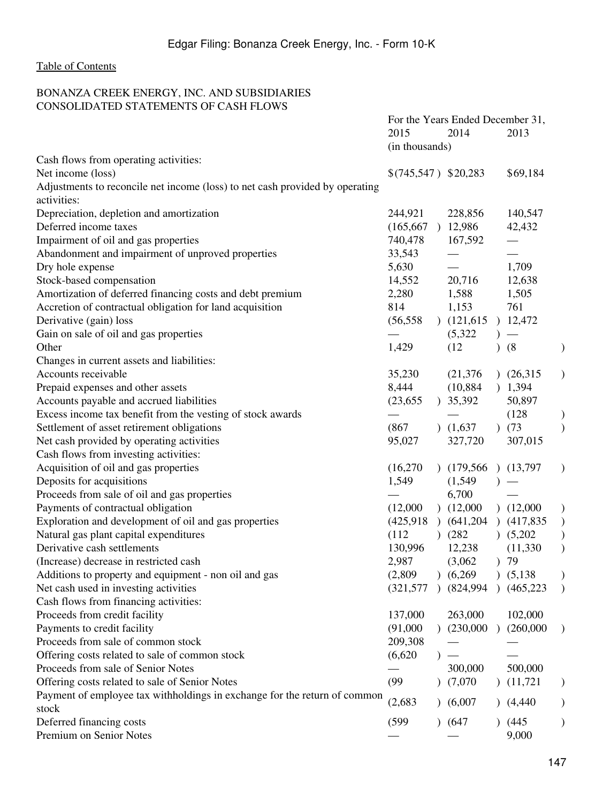# BONANZA CREEK ENERGY, INC. AND SUBSIDIARIES CONSOLIDATED STATEMENTS OF CASH FLOWS

|                                                                              | For the Years Ended December 31, |               |               |               |            |                                                                 |
|------------------------------------------------------------------------------|----------------------------------|---------------|---------------|---------------|------------|-----------------------------------------------------------------|
|                                                                              | 2015                             |               | 2014          |               | 2013       |                                                                 |
|                                                                              | (in thousands)                   |               |               |               |            |                                                                 |
| Cash flows from operating activities:                                        |                                  |               |               |               |            |                                                                 |
| Net income (loss)                                                            | $$(745,547)$ \$20,283            |               |               |               | \$69,184   |                                                                 |
| Adjustments to reconcile net income (loss) to net cash provided by operating |                                  |               |               |               |            |                                                                 |
| activities:                                                                  |                                  |               |               |               |            |                                                                 |
| Depreciation, depletion and amortization                                     | 244,921                          |               | 228,856       |               | 140,547    |                                                                 |
| Deferred income taxes                                                        | (165, 667)                       |               | 12,986        |               | 42,432     |                                                                 |
| Impairment of oil and gas properties                                         | 740,478                          |               | 167,592       |               |            |                                                                 |
| Abandonment and impairment of unproved properties                            | 33,543                           |               |               |               |            |                                                                 |
| Dry hole expense                                                             | 5,630                            |               |               |               | 1,709      |                                                                 |
| Stock-based compensation                                                     | 14,552                           |               | 20,716        |               | 12,638     |                                                                 |
| Amortization of deferred financing costs and debt premium                    | 2,280                            |               | 1,588         |               | 1,505      |                                                                 |
| Accretion of contractual obligation for land acquisition                     | 814                              |               | 1,153         |               | 761        |                                                                 |
| Derivative (gain) loss                                                       | (56, 558)                        |               | (121, 615)    |               | 12,472     |                                                                 |
| Gain on sale of oil and gas properties                                       |                                  |               | (5,322)       |               |            |                                                                 |
| Other                                                                        | 1,429                            |               | (12)          | $\lambda$     | (8)        |                                                                 |
| Changes in current assets and liabilities:                                   |                                  |               |               |               |            |                                                                 |
| Accounts receivable                                                          | 35,230                           |               | (21, 376)     |               | (26,315)   |                                                                 |
| Prepaid expenses and other assets                                            | 8,444                            |               | (10, 884)     |               | ) 1,394    |                                                                 |
| Accounts payable and accrued liabilities                                     | (23, 655)                        |               | 35,392        |               | 50,897     |                                                                 |
| Excess income tax benefit from the vesting of stock awards                   |                                  |               |               |               | (128)      |                                                                 |
| Settlement of asset retirement obligations                                   | (867)                            |               | (1,637)       |               | )(73)      |                                                                 |
| Net cash provided by operating activities                                    | 95,027                           |               | 327,720       |               | 307,015    |                                                                 |
| Cash flows from investing activities:                                        |                                  |               |               |               |            |                                                                 |
| Acquisition of oil and gas properties                                        | (16,270)                         |               | (179,566)     |               | (13,797)   |                                                                 |
| Deposits for acquisitions                                                    | 1,549                            |               | (1,549)       |               |            |                                                                 |
| Proceeds from sale of oil and gas properties                                 |                                  |               | 6,700         |               |            |                                                                 |
| Payments of contractual obligation                                           | (12,000)                         |               | (12,000)      |               | (12,000)   |                                                                 |
| Exploration and development of oil and gas properties                        | (425, 918)                       |               | $)$ (641,204) |               | (417,835)  | $\begin{smallmatrix} \downarrow \ \downarrow \end{smallmatrix}$ |
| Natural gas plant capital expenditures                                       | (112)                            |               | (282)         |               | (5,202)    |                                                                 |
| Derivative cash settlements                                                  | 130,996                          |               | 12,238        |               | (11, 330)  | $\mathcal{E}$                                                   |
| (Increase) decrease in restricted cash                                       | 2,987                            |               | (3,062)       | $\mathcal{L}$ | 79         |                                                                 |
| Additions to property and equipment - non oil and gas                        | (2,809)                          |               | (6,269)       |               | (5,138)    |                                                                 |
| Net cash used in investing activities                                        | (321, 577)                       | $\mathcal{L}$ | (824, 994)    | $\lambda$     | (465, 223) | $\mathcal{E}$                                                   |
| Cash flows from financing activities:                                        |                                  |               |               |               |            |                                                                 |
| Proceeds from credit facility                                                | 137,000                          |               | 263,000       |               | 102,000    |                                                                 |
| Payments to credit facility                                                  | (91,000)                         |               | (230,000)     |               | (260,000)  |                                                                 |
| Proceeds from sale of common stock                                           | 209,308                          |               |               |               |            |                                                                 |
| Offering costs related to sale of common stock                               | (6,620)                          |               |               |               |            |                                                                 |
| Proceeds from sale of Senior Notes                                           |                                  |               | 300,000       |               | 500,000    |                                                                 |
| Offering costs related to sale of Senior Notes                               | (99)                             |               | (7,070)       |               | (11,721)   | $)$                                                             |
| Payment of employee tax withholdings in exchange for the return of common    |                                  |               |               |               |            |                                                                 |
| stock                                                                        | (2,683)                          | $\mathcal{L}$ | (6,007)       |               | (4,440)    |                                                                 |
| Deferred financing costs                                                     | (599)                            |               | (647)         |               | (445)      |                                                                 |
| Premium on Senior Notes                                                      |                                  |               |               |               | 9,000      |                                                                 |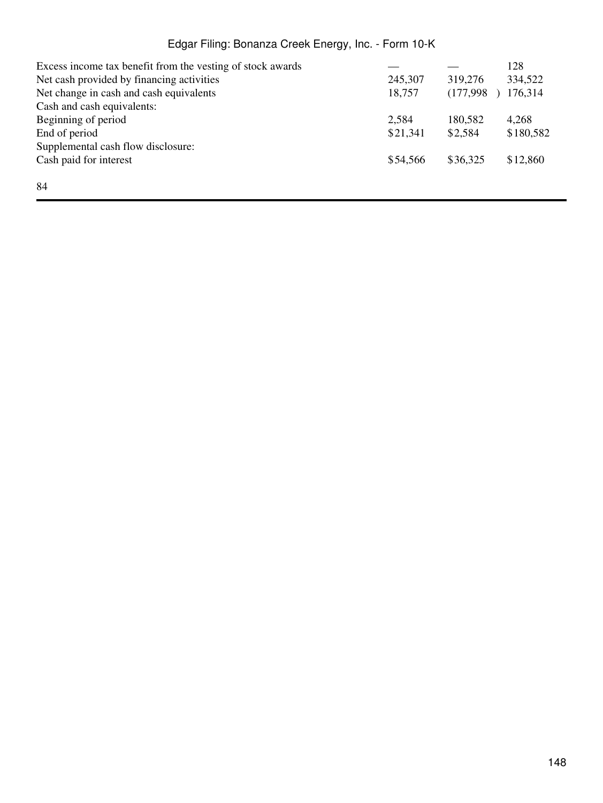| Excess income tax benefit from the vesting of stock awards |          |           | 128       |
|------------------------------------------------------------|----------|-----------|-----------|
| Net cash provided by financing activities                  | 245,307  | 319,276   | 334,522   |
| Net change in cash and cash equivalents                    | 18,757   | (177,998) | 176,314   |
| Cash and cash equivalents:                                 |          |           |           |
| Beginning of period                                        | 2,584    | 180,582   | 4,268     |
| End of period                                              | \$21,341 | \$2,584   | \$180,582 |
| Supplemental cash flow disclosure:                         |          |           |           |
| Cash paid for interest                                     | \$54,566 | \$36,325  | \$12,860  |
|                                                            |          |           |           |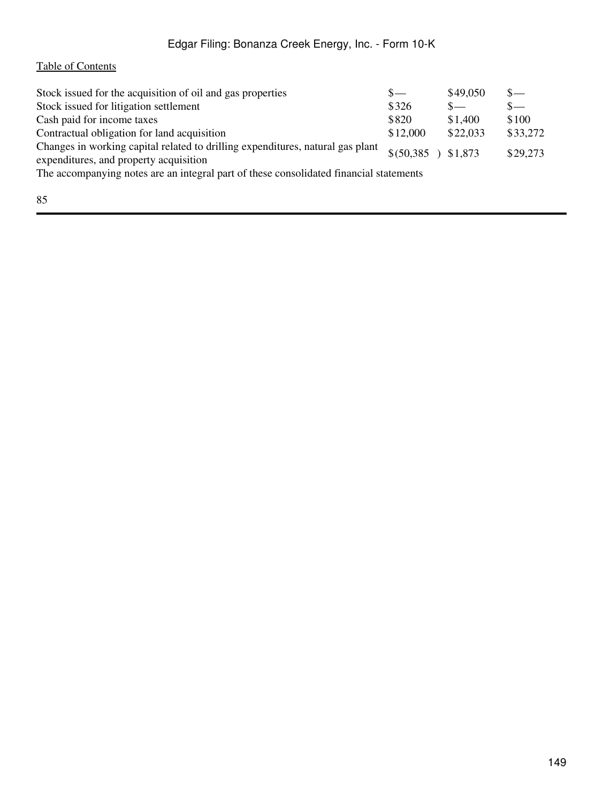# [Table of Contents](#page-2-0)

| Stock issued for the acquisition of oil and gas properties                                                               | $S-$                 | \$49,050 | $s-$     |  |
|--------------------------------------------------------------------------------------------------------------------------|----------------------|----------|----------|--|
| Stock issued for litigation settlement                                                                                   | \$326                | $S-$     | $s-$     |  |
| Cash paid for income taxes                                                                                               | \$820                | \$1,400  | \$100    |  |
| Contractual obligation for land acquisition                                                                              | \$12,000             | \$22,033 | \$33,272 |  |
| Changes in working capital related to drilling expenditures, natural gas plant<br>expenditures, and property acquisition | $$(50,385)$ $$1,873$ |          | \$29,273 |  |
| The accompanying notes are an integral part of these consolidated financial statements                                   |                      |          |          |  |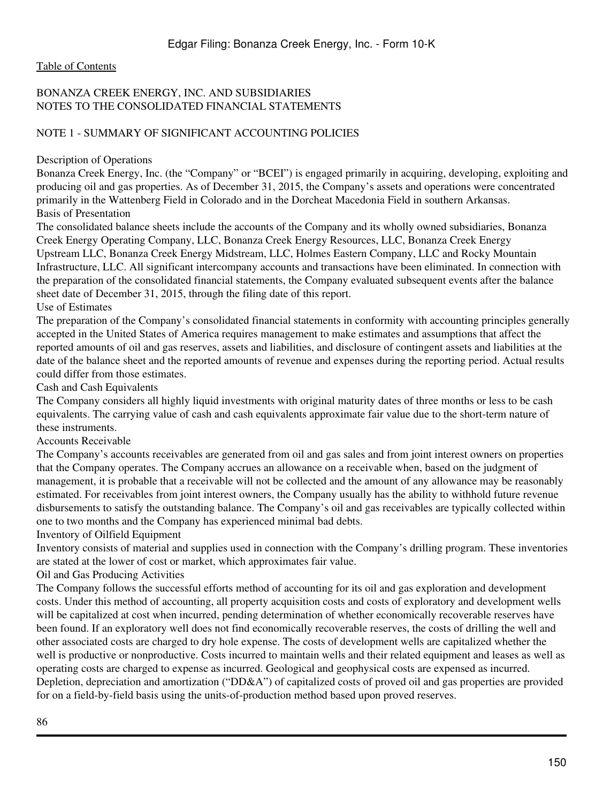# BONANZA CREEK ENERGY, INC. AND SUBSIDIARIES NOTES TO THE CONSOLIDATED FINANCIAL STATEMENTS

# NOTE 1 - SUMMARY OF SIGNIFICANT ACCOUNTING POLICIES

Description of Operations

Bonanza Creek Energy, Inc. (the "Company" or "BCEI") is engaged primarily in acquiring, developing, exploiting and producing oil and gas properties. As of December 31, 2015, the Company's assets and operations were concentrated primarily in the Wattenberg Field in Colorado and in the Dorcheat Macedonia Field in southern Arkansas. Basis of Presentation

The consolidated balance sheets include the accounts of the Company and its wholly owned subsidiaries, Bonanza Creek Energy Operating Company, LLC, Bonanza Creek Energy Resources, LLC, Bonanza Creek Energy Upstream LLC, Bonanza Creek Energy Midstream, LLC, Holmes Eastern Company, LLC and Rocky Mountain Infrastructure, LLC. All significant intercompany accounts and transactions have been eliminated. In connection with the preparation of the consolidated financial statements, the Company evaluated subsequent events after the balance sheet date of December 31, 2015, through the filing date of this report.

Use of Estimates

The preparation of the Company's consolidated financial statements in conformity with accounting principles generally accepted in the United States of America requires management to make estimates and assumptions that affect the reported amounts of oil and gas reserves, assets and liabilities, and disclosure of contingent assets and liabilities at the date of the balance sheet and the reported amounts of revenue and expenses during the reporting period. Actual results could differ from those estimates.

Cash and Cash Equivalents

The Company considers all highly liquid investments with original maturity dates of three months or less to be cash equivalents. The carrying value of cash and cash equivalents approximate fair value due to the short-term nature of these instruments.

Accounts Receivable

The Company's accounts receivables are generated from oil and gas sales and from joint interest owners on properties that the Company operates. The Company accrues an allowance on a receivable when, based on the judgment of management, it is probable that a receivable will not be collected and the amount of any allowance may be reasonably estimated. For receivables from joint interest owners, the Company usually has the ability to withhold future revenue disbursements to satisfy the outstanding balance. The Company's oil and gas receivables are typically collected within one to two months and the Company has experienced minimal bad debts.

Inventory of Oilfield Equipment

Inventory consists of material and supplies used in connection with the Company's drilling program. These inventories are stated at the lower of cost or market, which approximates fair value.

Oil and Gas Producing Activities

The Company follows the successful efforts method of accounting for its oil and gas exploration and development costs. Under this method of accounting, all property acquisition costs and costs of exploratory and development wells will be capitalized at cost when incurred, pending determination of whether economically recoverable reserves have been found. If an exploratory well does not find economically recoverable reserves, the costs of drilling the well and other associated costs are charged to dry hole expense. The costs of development wells are capitalized whether the well is productive or nonproductive. Costs incurred to maintain wells and their related equipment and leases as well as operating costs are charged to expense as incurred. Geological and geophysical costs are expensed as incurred. Depletion, depreciation and amortization ("DD&A") of capitalized costs of proved oil and gas properties are provided for on a field-by-field basis using the units-of-production method based upon proved reserves.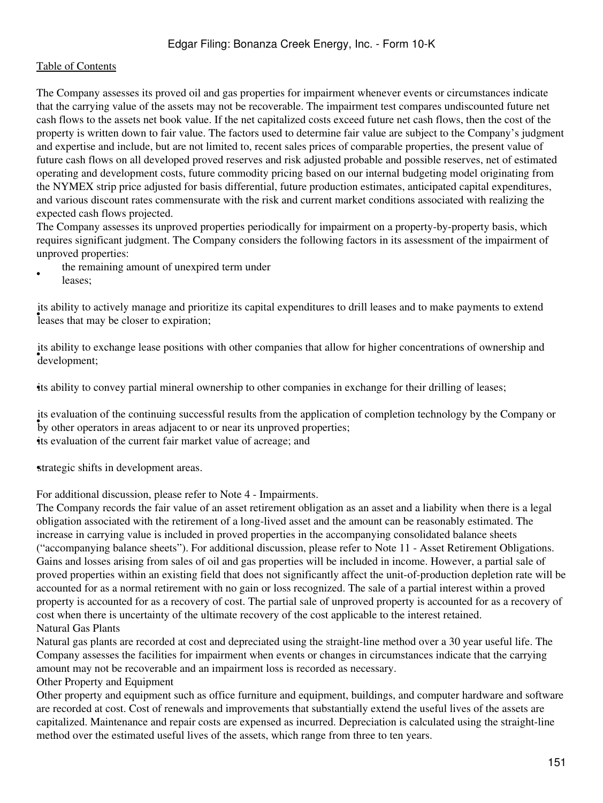The Company assesses its proved oil and gas properties for impairment whenever events or circumstances indicate that the carrying value of the assets may not be recoverable. The impairment test compares undiscounted future net cash flows to the assets net book value. If the net capitalized costs exceed future net cash flows, then the cost of the property is written down to fair value. The factors used to determine fair value are subject to the Company's judgment and expertise and include, but are not limited to, recent sales prices of comparable properties, the present value of future cash flows on all developed proved reserves and risk adjusted probable and possible reserves, net of estimated operating and development costs, future commodity pricing based on our internal budgeting model originating from the NYMEX strip price adjusted for basis differential, future production estimates, anticipated capital expenditures, and various discount rates commensurate with the risk and current market conditions associated with realizing the expected cash flows projected.

The Company assesses its unproved properties periodically for impairment on a property-by-property basis, which requires significant judgment. The Company considers the following factors in its assessment of the impairment of unproved properties:

- the remaining amount of unexpired term under
- leases;

the ability to actively manage and prioriits ability to actively manage and prioritize its capital expenditures to drill leases and to make payments to extend

• development; its ability to exchange lease positions with other companies that allow for higher concentrations of ownership and

•its ability to convey partial mineral ownership to other companies in exchange for their drilling of leases;

by other operators in areas adjacent to or near its unproved properties; its evaluation of the continuing successful results from the application of completion technology by the Company or •its evaluation of the current fair market value of acreage; and

strategic shifts in development areas.

For additional discussion, please refer to Note 4 - Impairments.

The Company records the fair value of an asset retirement obligation as an asset and a liability when there is a legal obligation associated with the retirement of a long-lived asset and the amount can be reasonably estimated. The increase in carrying value is included in proved properties in the accompanying consolidated balance sheets ("accompanying balance sheets"). For additional discussion, please refer to Note 11 - Asset Retirement Obligations. Gains and losses arising from sales of oil and gas properties will be included in income. However, a partial sale of proved properties within an existing field that does not significantly affect the unit-of-production depletion rate will be accounted for as a normal retirement with no gain or loss recognized. The sale of a partial interest within a proved property is accounted for as a recovery of cost. The partial sale of unproved property is accounted for as a recovery of cost when there is uncertainty of the ultimate recovery of the cost applicable to the interest retained. Natural Gas Plants

Natural gas plants are recorded at cost and depreciated using the straight-line method over a 30 year useful life. The Company assesses the facilities for impairment when events or changes in circumstances indicate that the carrying amount may not be recoverable and an impairment loss is recorded as necessary.

Other Property and Equipment

Other property and equipment such as office furniture and equipment, buildings, and computer hardware and software are recorded at cost. Cost of renewals and improvements that substantially extend the useful lives of the assets are capitalized. Maintenance and repair costs are expensed as incurred. Depreciation is calculated using the straight-line method over the estimated useful lives of the assets, which range from three to ten years.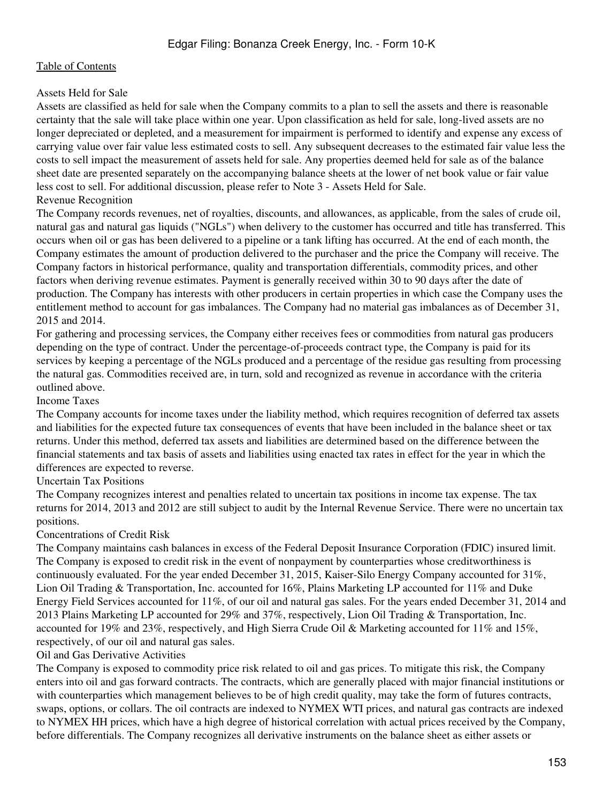# Assets Held for Sale

Assets are classified as held for sale when the Company commits to a plan to sell the assets and there is reasonable certainty that the sale will take place within one year. Upon classification as held for sale, long-lived assets are no longer depreciated or depleted, and a measurement for impairment is performed to identify and expense any excess of carrying value over fair value less estimated costs to sell. Any subsequent decreases to the estimated fair value less the costs to sell impact the measurement of assets held for sale. Any properties deemed held for sale as of the balance sheet date are presented separately on the accompanying balance sheets at the lower of net book value or fair value less cost to sell. For additional discussion, please refer to Note 3 - Assets Held for Sale.

# Revenue Recognition

The Company records revenues, net of royalties, discounts, and allowances, as applicable, from the sales of crude oil, natural gas and natural gas liquids ("NGLs") when delivery to the customer has occurred and title has transferred. This occurs when oil or gas has been delivered to a pipeline or a tank lifting has occurred. At the end of each month, the Company estimates the amount of production delivered to the purchaser and the price the Company will receive. The Company factors in historical performance, quality and transportation differentials, commodity prices, and other factors when deriving revenue estimates. Payment is generally received within 30 to 90 days after the date of production. The Company has interests with other producers in certain properties in which case the Company uses the entitlement method to account for gas imbalances. The Company had no material gas imbalances as of December 31, 2015 and 2014.

For gathering and processing services, the Company either receives fees or commodities from natural gas producers depending on the type of contract. Under the percentage-of-proceeds contract type, the Company is paid for its services by keeping a percentage of the NGLs produced and a percentage of the residue gas resulting from processing the natural gas. Commodities received are, in turn, sold and recognized as revenue in accordance with the criteria outlined above.

# Income Taxes

The Company accounts for income taxes under the liability method, which requires recognition of deferred tax assets and liabilities for the expected future tax consequences of events that have been included in the balance sheet or tax returns. Under this method, deferred tax assets and liabilities are determined based on the difference between the financial statements and tax basis of assets and liabilities using enacted tax rates in effect for the year in which the differences are expected to reverse.

### Uncertain Tax Positions

The Company recognizes interest and penalties related to uncertain tax positions in income tax expense. The tax returns for 2014, 2013 and 2012 are still subject to audit by the Internal Revenue Service. There were no uncertain tax positions.

### Concentrations of Credit Risk

The Company maintains cash balances in excess of the Federal Deposit Insurance Corporation (FDIC) insured limit. The Company is exposed to credit risk in the event of nonpayment by counterparties whose creditworthiness is continuously evaluated. For the year ended December 31, 2015, Kaiser-Silo Energy Company accounted for 31%, Lion Oil Trading & Transportation, Inc. accounted for 16%, Plains Marketing LP accounted for 11% and Duke Energy Field Services accounted for 11%, of our oil and natural gas sales. For the years ended December 31, 2014 and 2013 Plains Marketing LP accounted for 29% and 37%, respectively, Lion Oil Trading & Transportation, Inc. accounted for 19% and 23%, respectively, and High Sierra Crude Oil & Marketing accounted for 11% and 15%, respectively, of our oil and natural gas sales.

### Oil and Gas Derivative Activities

The Company is exposed to commodity price risk related to oil and gas prices. To mitigate this risk, the Company enters into oil and gas forward contracts. The contracts, which are generally placed with major financial institutions or with counterparties which management believes to be of high credit quality, may take the form of futures contracts, swaps, options, or collars. The oil contracts are indexed to NYMEX WTI prices, and natural gas contracts are indexed to NYMEX HH prices, which have a high degree of historical correlation with actual prices received by the Company, before differentials. The Company recognizes all derivative instruments on the balance sheet as either assets or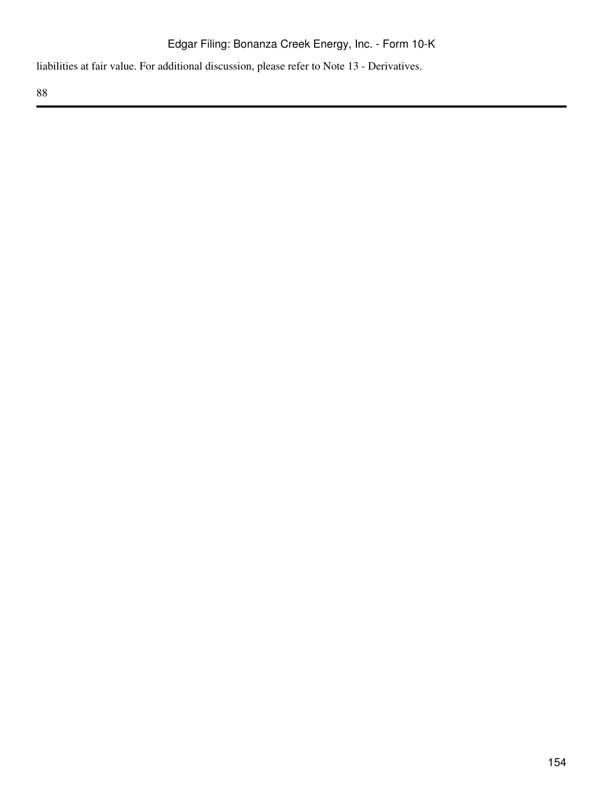liabilities at fair value. For additional discussion, please refer to Note 13 - Derivatives.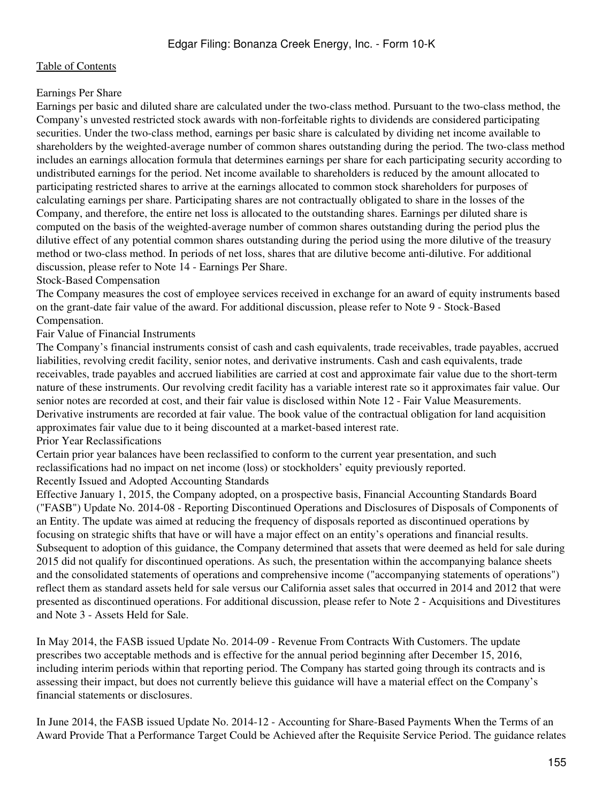#### Earnings Per Share

Earnings per basic and diluted share are calculated under the two-class method. Pursuant to the two-class method, the Company's unvested restricted stock awards with non-forfeitable rights to dividends are considered participating securities. Under the two-class method, earnings per basic share is calculated by dividing net income available to shareholders by the weighted-average number of common shares outstanding during the period. The two-class method includes an earnings allocation formula that determines earnings per share for each participating security according to undistributed earnings for the period. Net income available to shareholders is reduced by the amount allocated to participating restricted shares to arrive at the earnings allocated to common stock shareholders for purposes of calculating earnings per share. Participating shares are not contractually obligated to share in the losses of the Company, and therefore, the entire net loss is allocated to the outstanding shares. Earnings per diluted share is computed on the basis of the weighted-average number of common shares outstanding during the period plus the dilutive effect of any potential common shares outstanding during the period using the more dilutive of the treasury method or two-class method. In periods of net loss, shares that are dilutive become anti-dilutive. For additional discussion, please refer to Note 14 - Earnings Per Share.

#### Stock-Based Compensation

The Company measures the cost of employee services received in exchange for an award of equity instruments based on the grant-date fair value of the award. For additional discussion, please refer to Note 9 - Stock-Based Compensation.

#### Fair Value of Financial Instruments

The Company's financial instruments consist of cash and cash equivalents, trade receivables, trade payables, accrued liabilities, revolving credit facility, senior notes, and derivative instruments. Cash and cash equivalents, trade receivables, trade payables and accrued liabilities are carried at cost and approximate fair value due to the short-term nature of these instruments. Our revolving credit facility has a variable interest rate so it approximates fair value. Our senior notes are recorded at cost, and their fair value is disclosed within Note 12 - Fair Value Measurements. Derivative instruments are recorded at fair value. The book value of the contractual obligation for land acquisition approximates fair value due to it being discounted at a market-based interest rate.

#### Prior Year Reclassifications

Certain prior year balances have been reclassified to conform to the current year presentation, and such reclassifications had no impact on net income (loss) or stockholders' equity previously reported. Recently Issued and Adopted Accounting Standards

Effective January 1, 2015, the Company adopted, on a prospective basis, Financial Accounting Standards Board ("FASB") Update No. 2014-08 - Reporting Discontinued Operations and Disclosures of Disposals of Components of an Entity. The update was aimed at reducing the frequency of disposals reported as discontinued operations by focusing on strategic shifts that have or will have a major effect on an entity's operations and financial results. Subsequent to adoption of this guidance, the Company determined that assets that were deemed as held for sale during 2015 did not qualify for discontinued operations. As such, the presentation within the accompanying balance sheets and the consolidated statements of operations and comprehensive income ("accompanying statements of operations") reflect them as standard assets held for sale versus our California asset sales that occurred in 2014 and 2012 that were presented as discontinued operations. For additional discussion, please refer to Note 2 - Acquisitions and Divestitures and Note 3 - Assets Held for Sale.

In May 2014, the FASB issued Update No. 2014-09 - Revenue From Contracts With Customers. The update prescribes two acceptable methods and is effective for the annual period beginning after December 15, 2016, including interim periods within that reporting period. The Company has started going through its contracts and is assessing their impact, but does not currently believe this guidance will have a material effect on the Company's financial statements or disclosures.

In June 2014, the FASB issued Update No. 2014-12 - Accounting for Share-Based Payments When the Terms of an Award Provide That a Performance Target Could be Achieved after the Requisite Service Period. The guidance relates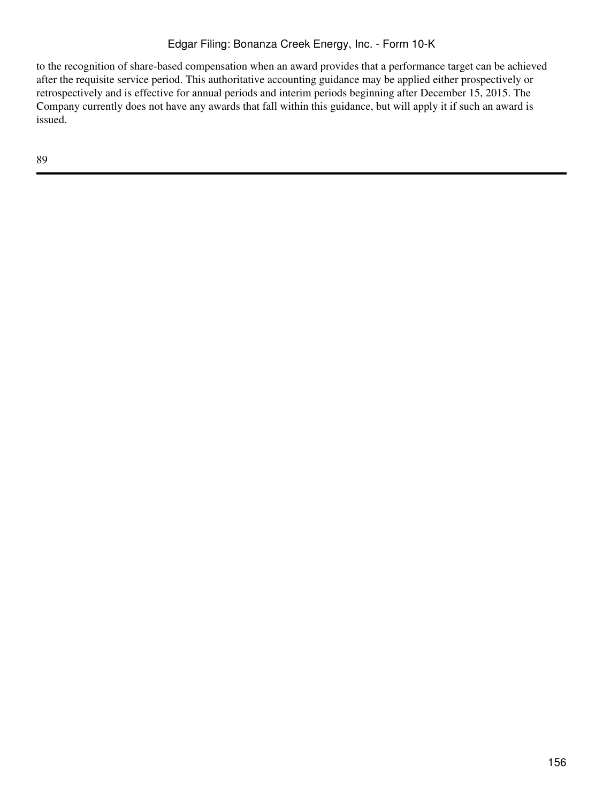to the recognition of share-based compensation when an award provides that a performance target can be achieved after the requisite service period. This authoritative accounting guidance may be applied either prospectively or retrospectively and is effective for annual periods and interim periods beginning after December 15, 2015. The Company currently does not have any awards that fall within this guidance, but will apply it if such an award is issued.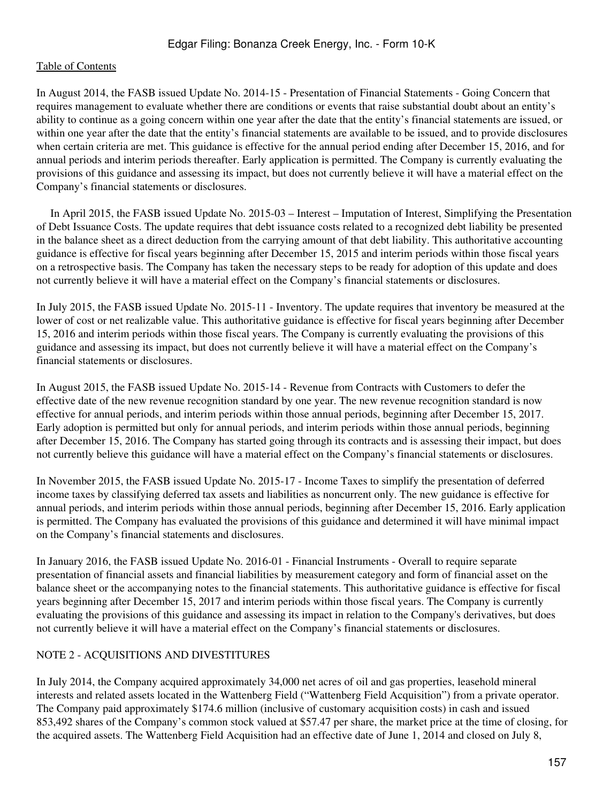In August 2014, the FASB issued Update No. 2014-15 - Presentation of Financial Statements - Going Concern that requires management to evaluate whether there are conditions or events that raise substantial doubt about an entity's ability to continue as a going concern within one year after the date that the entity's financial statements are issued, or within one year after the date that the entity's financial statements are available to be issued, and to provide disclosures when certain criteria are met. This guidance is effective for the annual period ending after December 15, 2016, and for annual periods and interim periods thereafter. Early application is permitted. The Company is currently evaluating the provisions of this guidance and assessing its impact, but does not currently believe it will have a material effect on the Company's financial statements or disclosures.

 In April 2015, the FASB issued Update No. 2015-03 – Interest – Imputation of Interest, Simplifying the Presentation of Debt Issuance Costs. The update requires that debt issuance costs related to a recognized debt liability be presented in the balance sheet as a direct deduction from the carrying amount of that debt liability. This authoritative accounting guidance is effective for fiscal years beginning after December 15, 2015 and interim periods within those fiscal years on a retrospective basis. The Company has taken the necessary steps to be ready for adoption of this update and does not currently believe it will have a material effect on the Company's financial statements or disclosures.

In July 2015, the FASB issued Update No. 2015-11 - Inventory. The update requires that inventory be measured at the lower of cost or net realizable value. This authoritative guidance is effective for fiscal years beginning after December 15, 2016 and interim periods within those fiscal years. The Company is currently evaluating the provisions of this guidance and assessing its impact, but does not currently believe it will have a material effect on the Company's financial statements or disclosures.

In August 2015, the FASB issued Update No. 2015-14 - Revenue from Contracts with Customers to defer the effective date of the new revenue recognition standard by one year. The new revenue recognition standard is now effective for annual periods, and interim periods within those annual periods, beginning after December 15, 2017. Early adoption is permitted but only for annual periods, and interim periods within those annual periods, beginning after December 15, 2016. The Company has started going through its contracts and is assessing their impact, but does not currently believe this guidance will have a material effect on the Company's financial statements or disclosures.

In November 2015, the FASB issued Update No. 2015-17 - Income Taxes to simplify the presentation of deferred income taxes by classifying deferred tax assets and liabilities as noncurrent only. The new guidance is effective for annual periods, and interim periods within those annual periods, beginning after December 15, 2016. Early application is permitted. The Company has evaluated the provisions of this guidance and determined it will have minimal impact on the Company's financial statements and disclosures.

In January 2016, the FASB issued Update No. 2016-01 - Financial Instruments - Overall to require separate presentation of financial assets and financial liabilities by measurement category and form of financial asset on the balance sheet or the accompanying notes to the financial statements. This authoritative guidance is effective for fiscal years beginning after December 15, 2017 and interim periods within those fiscal years. The Company is currently evaluating the provisions of this guidance and assessing its impact in relation to the Company's derivatives, but does not currently believe it will have a material effect on the Company's financial statements or disclosures.

# NOTE 2 - ACQUISITIONS AND DIVESTITURES

In July 2014, the Company acquired approximately 34,000 net acres of oil and gas properties, leasehold mineral interests and related assets located in the Wattenberg Field ("Wattenberg Field Acquisition") from a private operator. The Company paid approximately \$174.6 million (inclusive of customary acquisition costs) in cash and issued 853,492 shares of the Company's common stock valued at \$57.47 per share, the market price at the time of closing, for the acquired assets. The Wattenberg Field Acquisition had an effective date of June 1, 2014 and closed on July 8,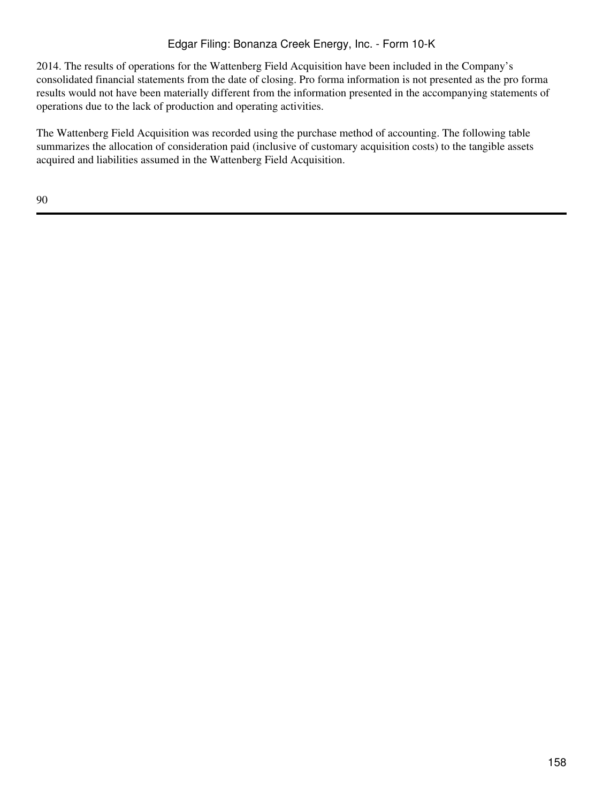2014. The results of operations for the Wattenberg Field Acquisition have been included in the Company's consolidated financial statements from the date of closing. Pro forma information is not presented as the pro forma results would not have been materially different from the information presented in the accompanying statements of operations due to the lack of production and operating activities.

The Wattenberg Field Acquisition was recorded using the purchase method of accounting. The following table summarizes the allocation of consideration paid (inclusive of customary acquisition costs) to the tangible assets acquired and liabilities assumed in the Wattenberg Field Acquisition.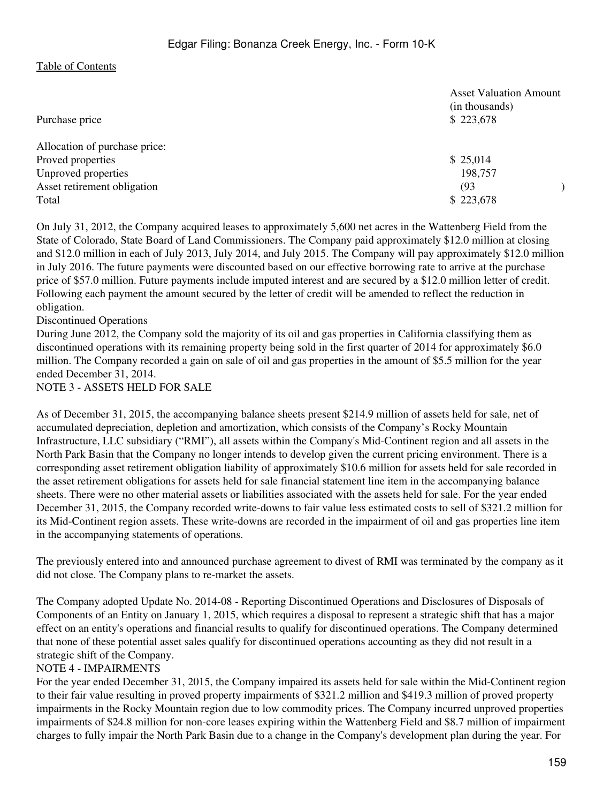| Purchase price                | <b>Asset Valuation Amount</b><br>(in thousands)<br>\$223,678 |
|-------------------------------|--------------------------------------------------------------|
| Allocation of purchase price: |                                                              |
| Proved properties             | \$25,014                                                     |
| Unproved properties           | 198,757                                                      |
| Asset retirement obligation   | (93)                                                         |
| Total                         | \$223,678                                                    |

On July 31, 2012, the Company acquired leases to approximately 5,600 net acres in the Wattenberg Field from the State of Colorado, State Board of Land Commissioners. The Company paid approximately \$12.0 million at closing and \$12.0 million in each of July 2013, July 2014, and July 2015. The Company will pay approximately \$12.0 million in July 2016. The future payments were discounted based on our effective borrowing rate to arrive at the purchase price of \$57.0 million. Future payments include imputed interest and are secured by a \$12.0 million letter of credit. Following each payment the amount secured by the letter of credit will be amended to reflect the reduction in obligation.

Discontinued Operations

During June 2012, the Company sold the majority of its oil and gas properties in California classifying them as discontinued operations with its remaining property being sold in the first quarter of 2014 for approximately \$6.0 million. The Company recorded a gain on sale of oil and gas properties in the amount of \$5.5 million for the year ended December 31, 2014.

NOTE 3 - ASSETS HELD FOR SALE

As of December 31, 2015, the accompanying balance sheets present \$214.9 million of assets held for sale, net of accumulated depreciation, depletion and amortization, which consists of the Company's Rocky Mountain Infrastructure, LLC subsidiary ("RMI"), all assets within the Company's Mid-Continent region and all assets in the North Park Basin that the Company no longer intends to develop given the current pricing environment. There is a corresponding asset retirement obligation liability of approximately \$10.6 million for assets held for sale recorded in the asset retirement obligations for assets held for sale financial statement line item in the accompanying balance sheets. There were no other material assets or liabilities associated with the assets held for sale. For the year ended December 31, 2015, the Company recorded write-downs to fair value less estimated costs to sell of \$321.2 million for its Mid-Continent region assets. These write-downs are recorded in the impairment of oil and gas properties line item in the accompanying statements of operations.

The previously entered into and announced purchase agreement to divest of RMI was terminated by the company as it did not close. The Company plans to re-market the assets.

The Company adopted Update No. 2014-08 - Reporting Discontinued Operations and Disclosures of Disposals of Components of an Entity on January 1, 2015, which requires a disposal to represent a strategic shift that has a major effect on an entity's operations and financial results to qualify for discontinued operations. The Company determined that none of these potential asset sales qualify for discontinued operations accounting as they did not result in a strategic shift of the Company.

#### NOTE 4 - IMPAIRMENTS

For the year ended December 31, 2015, the Company impaired its assets held for sale within the Mid-Continent region to their fair value resulting in proved property impairments of \$321.2 million and \$419.3 million of proved property impairments in the Rocky Mountain region due to low commodity prices. The Company incurred unproved properties impairments of \$24.8 million for non-core leases expiring within the Wattenberg Field and \$8.7 million of impairment charges to fully impair the North Park Basin due to a change in the Company's development plan during the year. For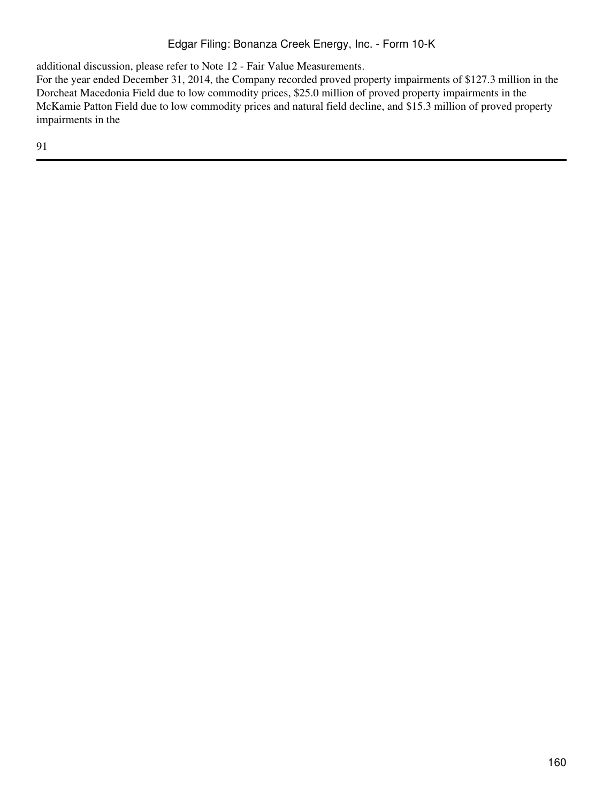additional discussion, please refer to Note 12 - Fair Value Measurements.

For the year ended December 31, 2014, the Company recorded proved property impairments of \$127.3 million in the Dorcheat Macedonia Field due to low commodity prices, \$25.0 million of proved property impairments in the McKamie Patton Field due to low commodity prices and natural field decline, and \$15.3 million of proved property impairments in the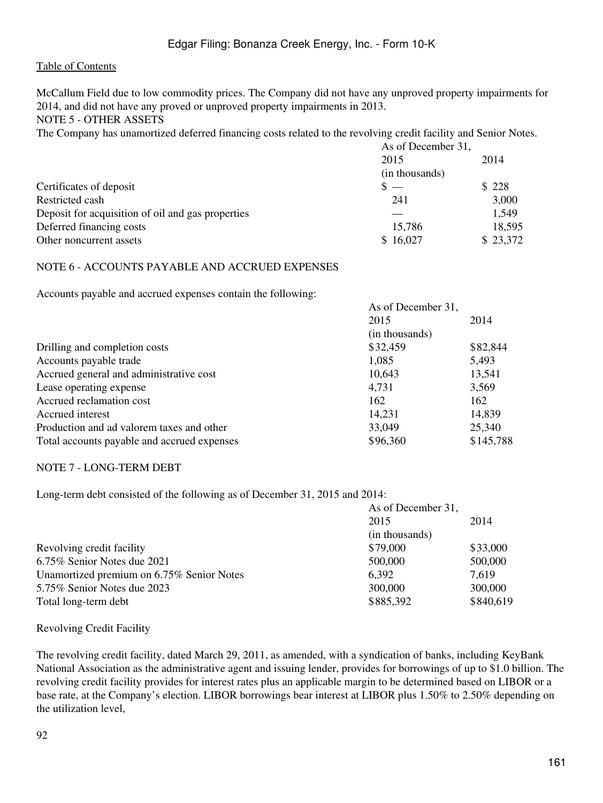McCallum Field due to low commodity prices. The Company did not have any unproved property impairments for 2014, and did not have any proved or unproved property impairments in 2013.

NOTE 5 - OTHER ASSETS

The Company has unamortized deferred financing costs related to the revolving credit facility and Senior Notes.

|                                                   | As of December 31, |          |  |
|---------------------------------------------------|--------------------|----------|--|
|                                                   | 2015               | 2014     |  |
|                                                   | (in thousands)     |          |  |
| Certificates of deposit                           | $s =$              | \$228    |  |
| Restricted cash                                   | 241                | 3,000    |  |
| Deposit for acquisition of oil and gas properties |                    | 1,549    |  |
| Deferred financing costs                          | 15,786             | 18,595   |  |
| Other noncurrent assets                           | \$16,027           | \$23,372 |  |

#### NOTE 6 - ACCOUNTS PAYABLE AND ACCRUED EXPENSES

Accounts payable and accrued expenses contain the following:

|                                             | AS OI December 51, |           |  |
|---------------------------------------------|--------------------|-----------|--|
|                                             | 2015               | 2014      |  |
|                                             | (in thousands)     |           |  |
| Drilling and completion costs               | \$32,459           | \$82,844  |  |
| Accounts payable trade                      | 1,085              | 5,493     |  |
| Accrued general and administrative cost     | 10,643             | 13,541    |  |
| Lease operating expense                     | 4.731              | 3,569     |  |
| Accrued reclamation cost                    | 162                | 162       |  |
| Accrued interest                            | 14,231             | 14,839    |  |
| Production and ad valorem taxes and other   | 33,049             | 25,340    |  |
| Total accounts payable and accrued expenses | \$96,360           | \$145,788 |  |

As of December 31,

### NOTE 7 - LONG-TERM DEBT

Long-term debt consisted of the following as of December 31, 2015 and 2014:

|                                           | As of December 31, |           |  |
|-------------------------------------------|--------------------|-----------|--|
|                                           | 2015               | 2014      |  |
|                                           | (in thousands)     |           |  |
| Revolving credit facility                 | \$79,000           | \$33,000  |  |
| 6.75% Senior Notes due 2021               | 500,000            | 500,000   |  |
| Unamortized premium on 6.75% Senior Notes | 6,392              | 7,619     |  |
| 5.75% Senior Notes due 2023               | 300,000            | 300,000   |  |
| Total long-term debt                      | \$885,392          | \$840,619 |  |

### Revolving Credit Facility

The revolving credit facility, dated March 29, 2011, as amended, with a syndication of banks, including KeyBank National Association as the administrative agent and issuing lender, provides for borrowings of up to \$1.0 billion. The revolving credit facility provides for interest rates plus an applicable margin to be determined based on LIBOR or a base rate, at the Company's election. LIBOR borrowings bear interest at LIBOR plus 1.50% to 2.50% depending on the utilization level,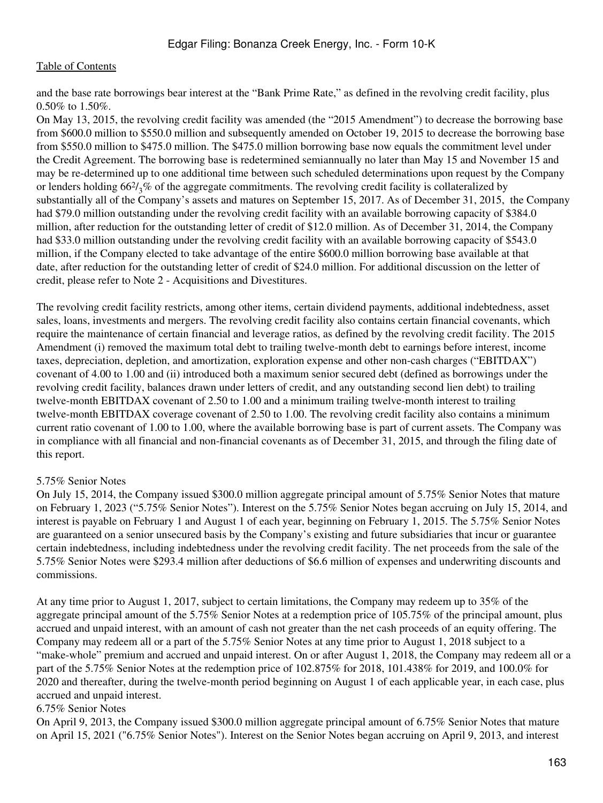and the base rate borrowings bear interest at the "Bank Prime Rate," as defined in the revolving credit facility, plus 0.50% to 1.50%.

On May 13, 2015, the revolving credit facility was amended (the "2015 Amendment") to decrease the borrowing base from \$600.0 million to \$550.0 million and subsequently amended on October 19, 2015 to decrease the borrowing base from \$550.0 million to \$475.0 million. The \$475.0 million borrowing base now equals the commitment level under the Credit Agreement. The borrowing base is redetermined semiannually no later than May 15 and November 15 and may be re-determined up to one additional time between such scheduled determinations upon request by the Company or lenders holding  $66\frac{2}{3}\%$  of the aggregate commitments. The revolving credit facility is collateralized by substantially all of the Company's assets and matures on September 15, 2017. As of December 31, 2015, the Company had \$79.0 million outstanding under the revolving credit facility with an available borrowing capacity of \$384.0 million, after reduction for the outstanding letter of credit of \$12.0 million. As of December 31, 2014, the Company had \$33.0 million outstanding under the revolving credit facility with an available borrowing capacity of \$543.0 million, if the Company elected to take advantage of the entire \$600.0 million borrowing base available at that date, after reduction for the outstanding letter of credit of \$24.0 million. For additional discussion on the letter of credit, please refer to Note 2 - Acquisitions and Divestitures.

The revolving credit facility restricts, among other items, certain dividend payments, additional indebtedness, asset sales, loans, investments and mergers. The revolving credit facility also contains certain financial covenants, which require the maintenance of certain financial and leverage ratios, as defined by the revolving credit facility. The 2015 Amendment (i) removed the maximum total debt to trailing twelve-month debt to earnings before interest, income taxes, depreciation, depletion, and amortization, exploration expense and other non-cash charges ("EBITDAX") covenant of 4.00 to 1.00 and (ii) introduced both a maximum senior secured debt (defined as borrowings under the revolving credit facility, balances drawn under letters of credit, and any outstanding second lien debt) to trailing twelve-month EBITDAX covenant of 2.50 to 1.00 and a minimum trailing twelve-month interest to trailing twelve-month EBITDAX coverage covenant of 2.50 to 1.00. The revolving credit facility also contains a minimum current ratio covenant of 1.00 to 1.00, where the available borrowing base is part of current assets. The Company was in compliance with all financial and non-financial covenants as of December 31, 2015, and through the filing date of this report.

### 5.75% Senior Notes

On July 15, 2014, the Company issued \$300.0 million aggregate principal amount of 5.75% Senior Notes that mature on February 1, 2023 ("5.75% Senior Notes"). Interest on the 5.75% Senior Notes began accruing on July 15, 2014, and interest is payable on February 1 and August 1 of each year, beginning on February 1, 2015. The 5.75% Senior Notes are guaranteed on a senior unsecured basis by the Company's existing and future subsidiaries that incur or guarantee certain indebtedness, including indebtedness under the revolving credit facility. The net proceeds from the sale of the 5.75% Senior Notes were \$293.4 million after deductions of \$6.6 million of expenses and underwriting discounts and commissions.

At any time prior to August 1, 2017, subject to certain limitations, the Company may redeem up to 35% of the aggregate principal amount of the 5.75% Senior Notes at a redemption price of 105.75% of the principal amount, plus accrued and unpaid interest, with an amount of cash not greater than the net cash proceeds of an equity offering. The Company may redeem all or a part of the 5.75% Senior Notes at any time prior to August 1, 2018 subject to a "make-whole" premium and accrued and unpaid interest. On or after August 1, 2018, the Company may redeem all or a part of the 5.75% Senior Notes at the redemption price of 102.875% for 2018, 101.438% for 2019, and 100.0% for 2020 and thereafter, during the twelve-month period beginning on August 1 of each applicable year, in each case, plus accrued and unpaid interest.

#### 6.75% Senior Notes

On April 9, 2013, the Company issued \$300.0 million aggregate principal amount of 6.75% Senior Notes that mature on April 15, 2021 ("6.75% Senior Notes"). Interest on the Senior Notes began accruing on April 9, 2013, and interest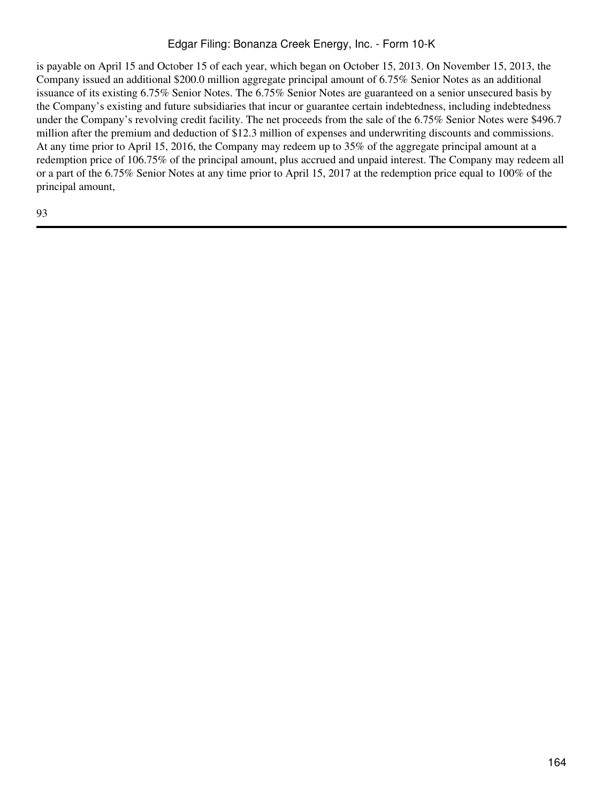is payable on April 15 and October 15 of each year, which began on October 15, 2013. On November 15, 2013, the Company issued an additional \$200.0 million aggregate principal amount of 6.75% Senior Notes as an additional issuance of its existing 6.75% Senior Notes. The 6.75% Senior Notes are guaranteed on a senior unsecured basis by the Company's existing and future subsidiaries that incur or guarantee certain indebtedness, including indebtedness under the Company's revolving credit facility. The net proceeds from the sale of the 6.75% Senior Notes were \$496.7 million after the premium and deduction of \$12.3 million of expenses and underwriting discounts and commissions. At any time prior to April 15, 2016, the Company may redeem up to 35% of the aggregate principal amount at a redemption price of 106.75% of the principal amount, plus accrued and unpaid interest. The Company may redeem all or a part of the 6.75% Senior Notes at any time prior to April 15, 2017 at the redemption price equal to 100% of the principal amount,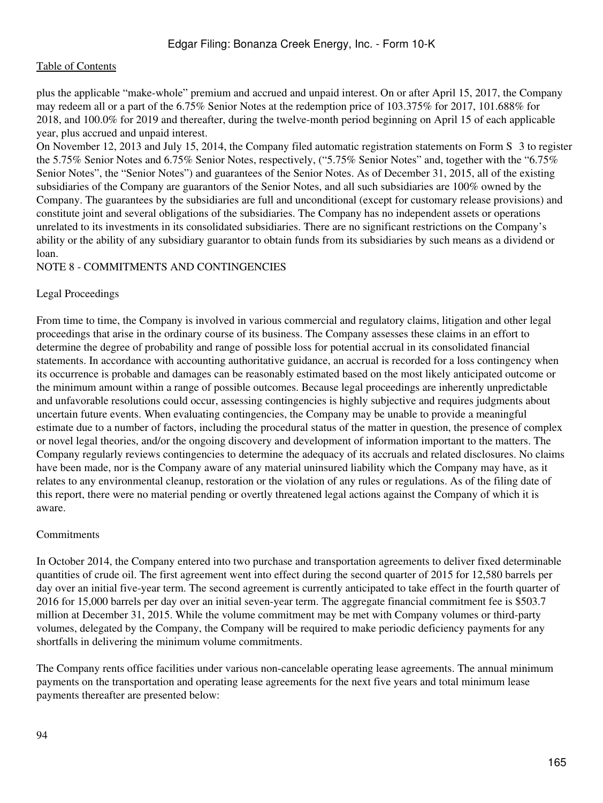plus the applicable "make-whole" premium and accrued and unpaid interest. On or after April 15, 2017, the Company may redeem all or a part of the 6.75% Senior Notes at the redemption price of 103.375% for 2017, 101.688% for 2018, and 100.0% for 2019 and thereafter, during the twelve-month period beginning on April 15 of each applicable year, plus accrued and unpaid interest.

On November 12, 2013 and July 15, 2014, the Company filed automatic registration statements on Form S‑3 to register the 5.75% Senior Notes and 6.75% Senior Notes, respectively, ("5.75% Senior Notes" and, together with the "6.75% Senior Notes", the "Senior Notes") and guarantees of the Senior Notes. As of December 31, 2015, all of the existing subsidiaries of the Company are guarantors of the Senior Notes, and all such subsidiaries are 100% owned by the Company. The guarantees by the subsidiaries are full and unconditional (except for customary release provisions) and constitute joint and several obligations of the subsidiaries. The Company has no independent assets or operations unrelated to its investments in its consolidated subsidiaries. There are no significant restrictions on the Company's ability or the ability of any subsidiary guarantor to obtain funds from its subsidiaries by such means as a dividend or loan.

### NOTE 8 - COMMITMENTS AND CONTINGENCIES

### Legal Proceedings

From time to time, the Company is involved in various commercial and regulatory claims, litigation and other legal proceedings that arise in the ordinary course of its business. The Company assesses these claims in an effort to determine the degree of probability and range of possible loss for potential accrual in its consolidated financial statements. In accordance with accounting authoritative guidance, an accrual is recorded for a loss contingency when its occurrence is probable and damages can be reasonably estimated based on the most likely anticipated outcome or the minimum amount within a range of possible outcomes. Because legal proceedings are inherently unpredictable and unfavorable resolutions could occur, assessing contingencies is highly subjective and requires judgments about uncertain future events. When evaluating contingencies, the Company may be unable to provide a meaningful estimate due to a number of factors, including the procedural status of the matter in question, the presence of complex or novel legal theories, and/or the ongoing discovery and development of information important to the matters. The Company regularly reviews contingencies to determine the adequacy of its accruals and related disclosures. No claims have been made, nor is the Company aware of any material uninsured liability which the Company may have, as it relates to any environmental cleanup, restoration or the violation of any rules or regulations. As of the filing date of this report, there were no material pending or overtly threatened legal actions against the Company of which it is aware.

#### Commitments

In October 2014, the Company entered into two purchase and transportation agreements to deliver fixed determinable quantities of crude oil. The first agreement went into effect during the second quarter of 2015 for 12,580 barrels per day over an initial five-year term. The second agreement is currently anticipated to take effect in the fourth quarter of 2016 for 15,000 barrels per day over an initial seven-year term. The aggregate financial commitment fee is \$503.7 million at December 31, 2015. While the volume commitment may be met with Company volumes or third-party volumes, delegated by the Company, the Company will be required to make periodic deficiency payments for any shortfalls in delivering the minimum volume commitments.

The Company rents office facilities under various non-cancelable operating lease agreements. The annual minimum payments on the transportation and operating lease agreements for the next five years and total minimum lease payments thereafter are presented below: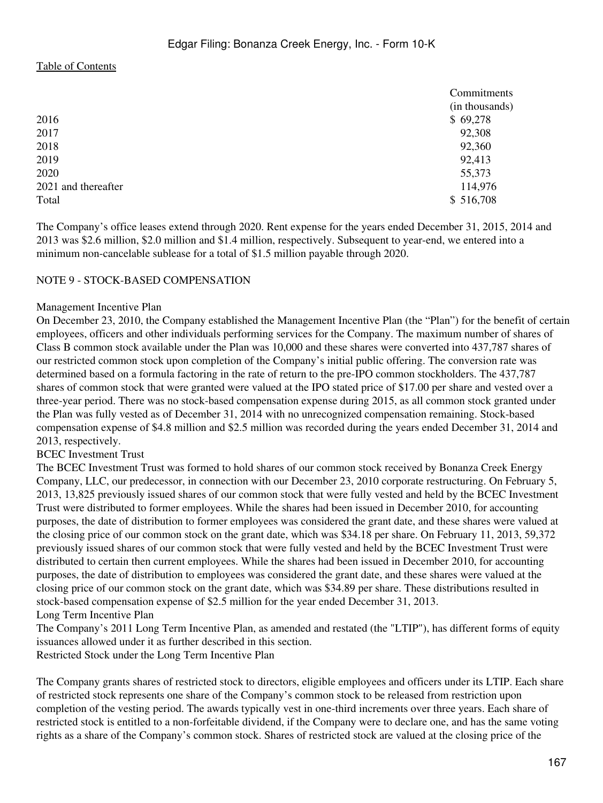|                     | Commitments    |
|---------------------|----------------|
|                     | (in thousands) |
| 2016                | \$69,278       |
| 2017                | 92,308         |
| 2018                | 92,360         |
| 2019                | 92,413         |
| 2020                | 55,373         |
| 2021 and thereafter | 114,976        |
| Total               | \$516,708      |

The Company's office leases extend through 2020. Rent expense for the years ended December 31, 2015, 2014 and 2013 was \$2.6 million, \$2.0 million and \$1.4 million, respectively. Subsequent to year-end, we entered into a minimum non-cancelable sublease for a total of \$1.5 million payable through 2020.

#### NOTE 9 - STOCK-BASED COMPENSATION

#### Management Incentive Plan

On December 23, 2010, the Company established the Management Incentive Plan (the "Plan") for the benefit of certain employees, officers and other individuals performing services for the Company. The maximum number of shares of Class B common stock available under the Plan was 10,000 and these shares were converted into 437,787 shares of our restricted common stock upon completion of the Company's initial public offering. The conversion rate was determined based on a formula factoring in the rate of return to the pre-IPO common stockholders. The 437,787 shares of common stock that were granted were valued at the IPO stated price of \$17.00 per share and vested over a three-year period. There was no stock-based compensation expense during 2015, as all common stock granted under the Plan was fully vested as of December 31, 2014 with no unrecognized compensation remaining. Stock-based compensation expense of \$4.8 million and \$2.5 million was recorded during the years ended December 31, 2014 and 2013, respectively.

#### BCEC Investment Trust

The BCEC Investment Trust was formed to hold shares of our common stock received by Bonanza Creek Energy Company, LLC, our predecessor, in connection with our December 23, 2010 corporate restructuring. On February 5, 2013, 13,825 previously issued shares of our common stock that were fully vested and held by the BCEC Investment Trust were distributed to former employees. While the shares had been issued in December 2010, for accounting purposes, the date of distribution to former employees was considered the grant date, and these shares were valued at the closing price of our common stock on the grant date, which was \$34.18 per share. On February 11, 2013, 59,372 previously issued shares of our common stock that were fully vested and held by the BCEC Investment Trust were distributed to certain then current employees. While the shares had been issued in December 2010, for accounting purposes, the date of distribution to employees was considered the grant date, and these shares were valued at the closing price of our common stock on the grant date, which was \$34.89 per share. These distributions resulted in stock-based compensation expense of \$2.5 million for the year ended December 31, 2013. Long Term Incentive Plan

The Company's 2011 Long Term Incentive Plan, as amended and restated (the "LTIP"), has different forms of equity issuances allowed under it as further described in this section.

Restricted Stock under the Long Term Incentive Plan

The Company grants shares of restricted stock to directors, eligible employees and officers under its LTIP. Each share of restricted stock represents one share of the Company's common stock to be released from restriction upon completion of the vesting period. The awards typically vest in one-third increments over three years. Each share of restricted stock is entitled to a non-forfeitable dividend, if the Company were to declare one, and has the same voting rights as a share of the Company's common stock. Shares of restricted stock are valued at the closing price of the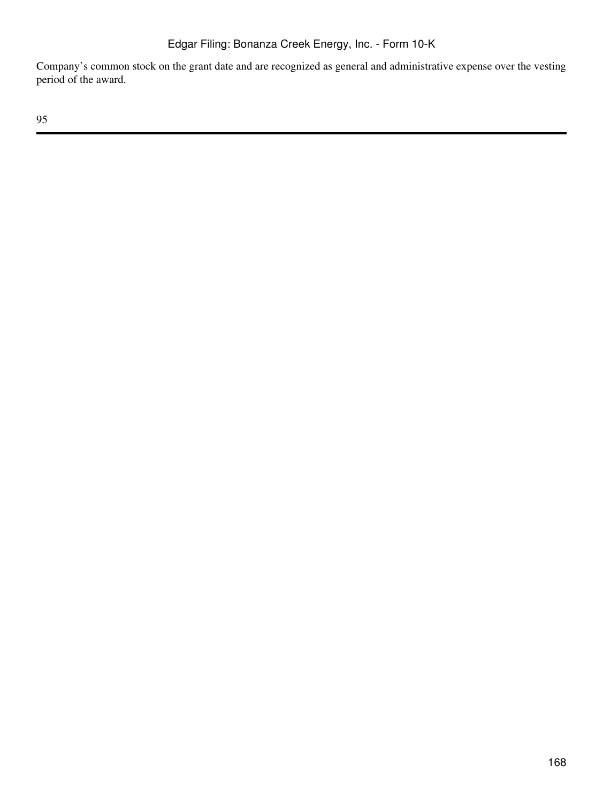Company's common stock on the grant date and are recognized as general and administrative expense over the vesting period of the award.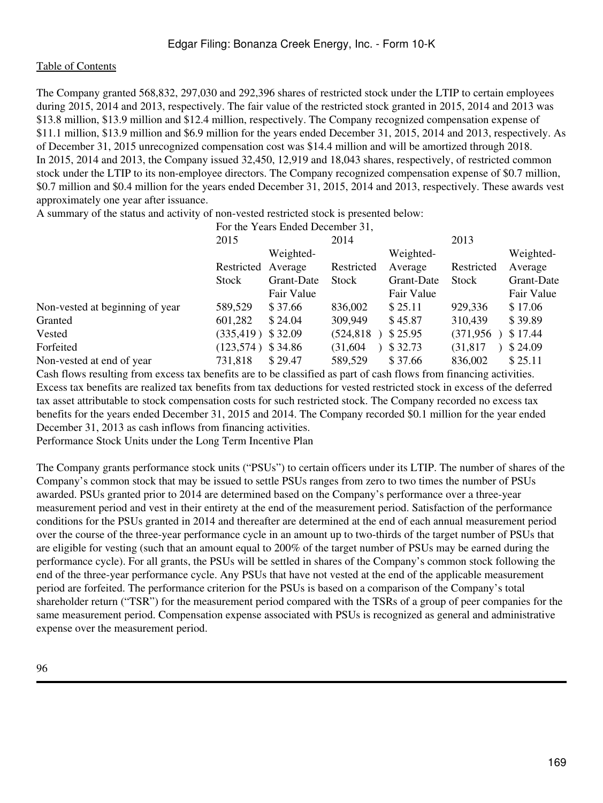The Company granted 568,832, 297,030 and 292,396 shares of restricted stock under the LTIP to certain employees during 2015, 2014 and 2013, respectively. The fair value of the restricted stock granted in 2015, 2014 and 2013 was \$13.8 million, \$13.9 million and \$12.4 million, respectively. The Company recognized compensation expense of \$11.1 million, \$13.9 million and \$6.9 million for the years ended December 31, 2015, 2014 and 2013, respectively. As of December 31, 2015 unrecognized compensation cost was \$14.4 million and will be amortized through 2018. In 2015, 2014 and 2013, the Company issued 32,450, 12,919 and 18,043 shares, respectively, of restricted common stock under the LTIP to its non-employee directors. The Company recognized compensation expense of \$0.7 million, \$0.7 million and \$0.4 million for the years ended December 31, 2015, 2014 and 2013, respectively. These awards vest approximately one year after issuance.

A summary of the status and activity of non-vested restricted stock is presented below:

|                                 | For the Years Ended December 31, |            |            |            |            |            |  |
|---------------------------------|----------------------------------|------------|------------|------------|------------|------------|--|
|                                 | 2015                             |            | 2014       |            | 2013       |            |  |
|                                 |                                  | Weighted-  |            | Weighted-  |            | Weighted-  |  |
|                                 | Restricted                       | Average    | Restricted | Average    | Restricted | Average    |  |
|                                 | <b>Stock</b>                     | Grant-Date | Stock      | Grant-Date | Stock      | Grant-Date |  |
|                                 |                                  | Fair Value |            | Fair Value |            | Fair Value |  |
| Non-vested at beginning of year | 589,529                          | \$37.66    | 836,002    | \$25.11    | 929,336    | \$17.06    |  |
| Granted                         | 601,282                          | \$24.04    | 309,949    | \$45.87    | 310,439    | \$39.89    |  |
| Vested                          | (335, 419)                       | \$32.09    | (524, 818) | \$25.95    | (371, 956) | \$17.44    |  |
| Forfeited                       | $(123,574)$ \$ 34.86             |            | (31,604)   | \$32.73    | (31, 817)  | \$24.09    |  |
| Non-vested at end of year       | 731,818                          | \$29.47    | 589,529    | \$37.66    | 836,002    | \$25.11    |  |

Cash flows resulting from excess tax benefits are to be classified as part of cash flows from financing activities. Excess tax benefits are realized tax benefits from tax deductions for vested restricted stock in excess of the deferred tax asset attributable to stock compensation costs for such restricted stock. The Company recorded no excess tax benefits for the years ended December 31, 2015 and 2014. The Company recorded \$0.1 million for the year ended December 31, 2013 as cash inflows from financing activities.

Performance Stock Units under the Long Term Incentive Plan

The Company grants performance stock units ("PSUs") to certain officers under its LTIP. The number of shares of the Company's common stock that may be issued to settle PSUs ranges from zero to two times the number of PSUs awarded. PSUs granted prior to 2014 are determined based on the Company's performance over a three-year measurement period and vest in their entirety at the end of the measurement period. Satisfaction of the performance conditions for the PSUs granted in 2014 and thereafter are determined at the end of each annual measurement period over the course of the three-year performance cycle in an amount up to two-thirds of the target number of PSUs that are eligible for vesting (such that an amount equal to 200% of the target number of PSUs may be earned during the performance cycle). For all grants, the PSUs will be settled in shares of the Company's common stock following the end of the three-year performance cycle. Any PSUs that have not vested at the end of the applicable measurement period are forfeited. The performance criterion for the PSUs is based on a comparison of the Company's total shareholder return ("TSR") for the measurement period compared with the TSRs of a group of peer companies for the same measurement period. Compensation expense associated with PSUs is recognized as general and administrative expense over the measurement period.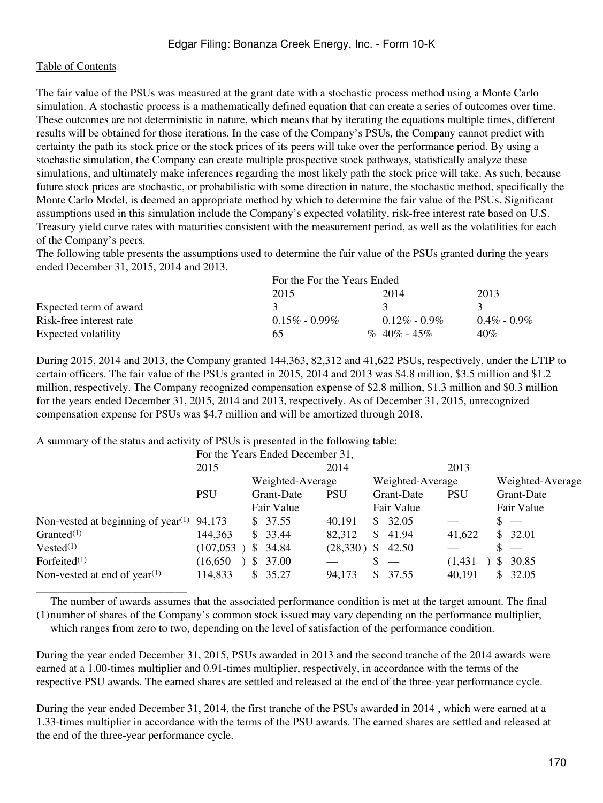The fair value of the PSUs was measured at the grant date with a stochastic process method using a Monte Carlo simulation. A stochastic process is a mathematically defined equation that can create a series of outcomes over time. These outcomes are not deterministic in nature, which means that by iterating the equations multiple times, different results will be obtained for those iterations. In the case of the Company's PSUs, the Company cannot predict with certainty the path its stock price or the stock prices of its peers will take over the performance period. By using a stochastic simulation, the Company can create multiple prospective stock pathways, statistically analyze these simulations, and ultimately make inferences regarding the most likely path the stock price will take. As such, because future stock prices are stochastic, or probabilistic with some direction in nature, the stochastic method, specifically the Monte Carlo Model, is deemed an appropriate method by which to determine the fair value of the PSUs. Significant assumptions used in this simulation include the Company's expected volatility, risk-free interest rate based on U.S. Treasury yield curve rates with maturities consistent with the measurement period, as well as the volatilities for each of the Company's peers.

The following table presents the assumptions used to determine the fair value of the PSUs granted during the years ended December 31, 2015, 2014 and 2013.

|                         | For the For the Years Ended |                  |                 |  |  |  |
|-------------------------|-----------------------------|------------------|-----------------|--|--|--|
|                         | 2015                        | 2014             | 2013            |  |  |  |
| Expected term of award  |                             |                  |                 |  |  |  |
| Risk-free interest rate | $0.15\% - 0.99\%$           | $0.12\% - 0.9\%$ | $0.4\% - 0.9\%$ |  |  |  |
| Expected volatility     | 65                          | $\%$ 40\% - 45\% | 40%             |  |  |  |

During 2015, 2014 and 2013, the Company granted 144,363, 82,312 and 41,622 PSUs, respectively, under the LTIP to certain officers. The fair value of the PSUs granted in 2015, 2014 and 2013 was \$4.8 million, \$3.5 million and \$1.2 million, respectively. The Company recognized compensation expense of \$2.8 million, \$1.3 million and \$0.3 million for the years ended December 31, 2015, 2014 and 2013, respectively. As of December 31, 2015, unrecognized compensation expense for PSUs was \$4.7 million and will be amortized through 2018.

A summary of the status and activity of PSUs is presented in the following table:

|                                                             |            | For the Years Ended December 31, |            |                  |            |                                |
|-------------------------------------------------------------|------------|----------------------------------|------------|------------------|------------|--------------------------------|
|                                                             | 2015       |                                  | 2014       |                  | 2013       |                                |
|                                                             |            | Weighted-Average                 |            | Weighted-Average |            | Weighted-Average               |
|                                                             | <b>PSU</b> | Grant-Date                       | <b>PSU</b> | Grant-Date       | <b>PSU</b> | Grant-Date                     |
|                                                             |            | Fair Value                       |            | Fair Value       |            | Fair Value                     |
| Non-vested at beginning of year <sup><math>(1)</math></sup> | 94,173     | \$37.55                          | 40,191     | 32.05<br>S       |            | $s =$                          |
| Granted $(1)$                                               | 144,363    | \$33.44                          | 82,312     | 41.94<br>S       | 41,622     | \$32.01                        |
| $Vested^{(1)}$                                              | (107, 053) | \$34.84                          | (28, 330)  | S<br>42.50       |            | \$<br>$\overline{\phantom{0}}$ |
| Forfeited $(1)$                                             | (16, 650)  | \$37.00                          |            |                  | (1, 431)   | 30.85<br>\$                    |
| Non-vested at end of year <sup><math>(1)</math></sup>       | 114,833    | \$35.27                          | 94,173     | S<br>37.55       | 40,191     | 32.05<br>S                     |
|                                                             |            |                                  |            |                  |            |                                |

(1) number of shares of the Company's common stock issued may vary depending on the performance multiplier, The number of awards assumes that the associated performance condition is met at the target amount. The final

which ranges from zero to two, depending on the level of satisfaction of the performance condition.

During the year ended December 31, 2015, PSUs awarded in 2013 and the second tranche of the 2014 awards were earned at a 1.00-times multiplier and 0.91-times multiplier, respectively, in accordance with the terms of the respective PSU awards. The earned shares are settled and released at the end of the three-year performance cycle.

During the year ended December 31, 2014, the first tranche of the PSUs awarded in 2014 , which were earned at a 1.33-times multiplier in accordance with the terms of the PSU awards. The earned shares are settled and released at the end of the three-year performance cycle.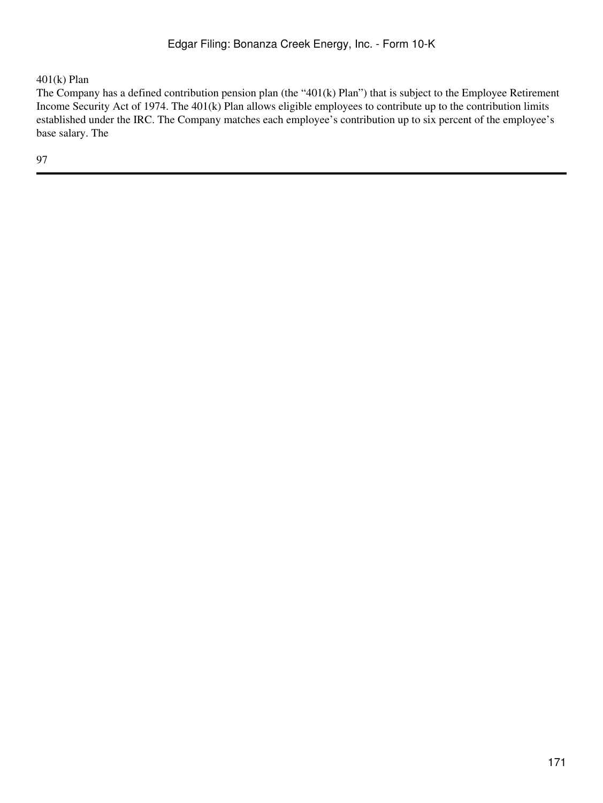$401(k)$  Plan

The Company has a defined contribution pension plan (the "401(k) Plan") that is subject to the Employee Retirement Income Security Act of 1974. The 401(k) Plan allows eligible employees to contribute up to the contribution limits established under the IRC. The Company matches each employee's contribution up to six percent of the employee's base salary. The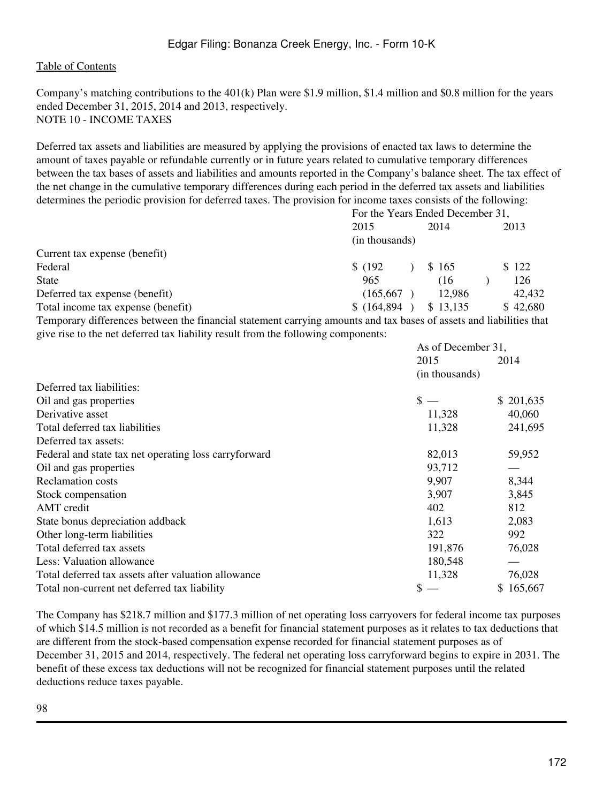Company's matching contributions to the 401(k) Plan were \$1.9 million, \$1.4 million and \$0.8 million for the years ended December 31, 2015, 2014 and 2013, respectively. NOTE 10 - INCOME TAXES

Deferred tax assets and liabilities are measured by applying the provisions of enacted tax laws to determine the amount of taxes payable or refundable currently or in future years related to cumulative temporary differences between the tax bases of assets and liabilities and amounts reported in the Company's balance sheet. The tax effect of the net change in the cumulative temporary differences during each period in the deferred tax assets and liabilities determines the periodic provision for deferred taxes. The provision for income taxes consists of the following:

|                                    | For the Years Ended December 31, |  |          |  |          |
|------------------------------------|----------------------------------|--|----------|--|----------|
|                                    | 2015                             |  | 2014     |  | 2013     |
|                                    | (in thousands)                   |  |          |  |          |
| Current tax expense (benefit)      |                                  |  |          |  |          |
| Federal                            | \$(192)                          |  | \$165    |  | \$122    |
| <b>State</b>                       | 965                              |  | (16      |  | 126      |
| Deferred tax expense (benefit)     | (165, 667)                       |  | 12,986   |  | 42,432   |
| Total income tax expense (benefit) | \$(164,894)                      |  | \$13.135 |  | \$42,680 |

Temporary differences between the financial statement carrying amounts and tax bases of assets and liabilities that give rise to the net deferred tax liability result from the following components:

|                                                       | As of December 31, |           |  |
|-------------------------------------------------------|--------------------|-----------|--|
|                                                       | 2015               | 2014      |  |
|                                                       | (in thousands)     |           |  |
| Deferred tax liabilities:                             |                    |           |  |
| Oil and gas properties                                | $\mathbb S$ .      | \$201,635 |  |
| Derivative asset                                      | 11,328             | 40,060    |  |
| Total deferred tax liabilities                        | 11,328             | 241,695   |  |
| Deferred tax assets:                                  |                    |           |  |
| Federal and state tax net operating loss carryforward | 82,013             | 59,952    |  |
| Oil and gas properties                                | 93,712             |           |  |
| <b>Reclamation</b> costs                              | 9,907              | 8,344     |  |
| Stock compensation                                    | 3,907              | 3,845     |  |
| AMT credit                                            | 402                | 812       |  |
| State bonus depreciation addback                      | 1,613              | 2,083     |  |
| Other long-term liabilities                           | 322                | 992       |  |
| Total deferred tax assets                             | 191,876            | 76,028    |  |
| Less: Valuation allowance                             | 180,548            |           |  |
| Total deferred tax assets after valuation allowance   | 11,328             | 76,028    |  |
| Total non-current net deferred tax liability          |                    | \$165,667 |  |

The Company has \$218.7 million and \$177.3 million of net operating loss carryovers for federal income tax purposes of which \$14.5 million is not recorded as a benefit for financial statement purposes as it relates to tax deductions that are different from the stock-based compensation expense recorded for financial statement purposes as of December 31, 2015 and 2014, respectively. The federal net operating loss carryforward begins to expire in 2031. The benefit of these excess tax deductions will not be recognized for financial statement purposes until the related deductions reduce taxes payable.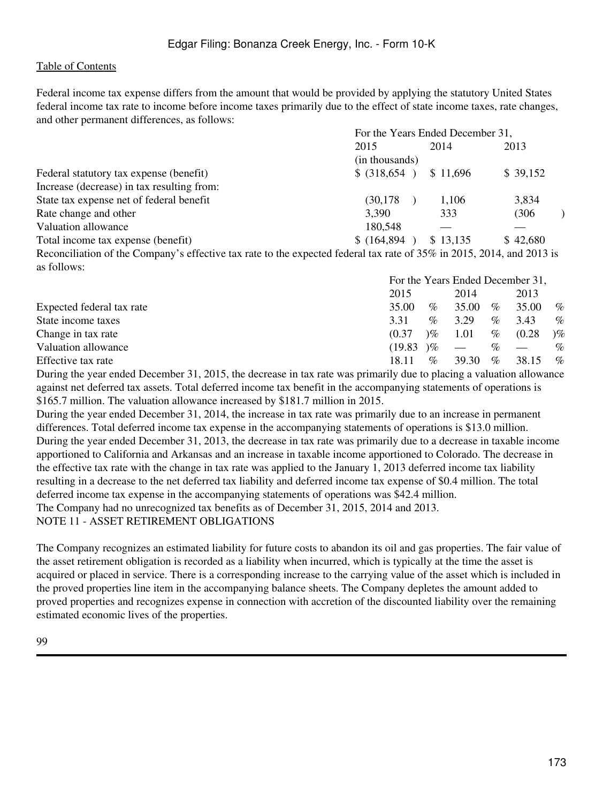as follows:

Federal income tax expense differs from the amount that would be provided by applying the statutory United States federal income tax rate to income before income taxes primarily due to the effect of state income taxes, rate changes, and other permanent differences, as follows:

|                                                                                                                       | For the Years Ended December 31, |          |          |  |
|-----------------------------------------------------------------------------------------------------------------------|----------------------------------|----------|----------|--|
|                                                                                                                       | 2015                             | 2014     | 2013     |  |
|                                                                                                                       | (in thousands)                   |          |          |  |
| Federal statutory tax expense (benefit)                                                                               | $$$ (318,654)                    | \$11,696 | \$39,152 |  |
| Increase (decrease) in tax resulting from:                                                                            |                                  |          |          |  |
| State tax expense net of federal benefit                                                                              | (30, 178)                        | 1,106    | 3,834    |  |
| Rate change and other                                                                                                 | 3,390                            | 333      | (306)    |  |
| Valuation allowance                                                                                                   | 180,548                          |          |          |  |
| Total income tax expense (benefit)                                                                                    | \$(164,894)                      | \$13,135 | \$42,680 |  |
| Reconciliation of the Company's effective tax rate to the expected federal tax rate of 35% in 2015, 2014, and 2013 is |                                  |          |          |  |

|                           | For the Years Ended December 31, |      |       |      |                          |                        |
|---------------------------|----------------------------------|------|-------|------|--------------------------|------------------------|
|                           | 2015                             |      | 2014  |      | 2013                     |                        |
| Expected federal tax rate | 35.00                            | $\%$ | 35.00 | $\%$ | 35.00                    | $\%$                   |
| State income taxes        | 3.31                             | $\%$ | 3.29  | $\%$ | 3.43                     | $\%$                   |
| Change in tax rate        | (0.37)                           | $\%$ | 1.01  | %    | (0.28)                   | $\mathcal{C}_{\infty}$ |
| Valuation allowance       | (19.83)                          | $\%$ |       | $\%$ | $\overline{\phantom{m}}$ | $\%$                   |
| Effective tax rate        | 18.11                            | $\%$ | 39.30 | $\%$ | 38.15                    | $\%$                   |

During the year ended December 31, 2015, the decrease in tax rate was primarily due to placing a valuation allowance against net deferred tax assets. Total deferred income tax benefit in the accompanying statements of operations is \$165.7 million. The valuation allowance increased by \$181.7 million in 2015.

During the year ended December 31, 2014, the increase in tax rate was primarily due to an increase in permanent differences. Total deferred income tax expense in the accompanying statements of operations is \$13.0 million. During the year ended December 31, 2013, the decrease in tax rate was primarily due to a decrease in taxable income apportioned to California and Arkansas and an increase in taxable income apportioned to Colorado. The decrease in the effective tax rate with the change in tax rate was applied to the January 1, 2013 deferred income tax liability resulting in a decrease to the net deferred tax liability and deferred income tax expense of \$0.4 million. The total deferred income tax expense in the accompanying statements of operations was \$42.4 million. The Company had no unrecognized tax benefits as of December 31, 2015, 2014 and 2013. NOTE 11 - ASSET RETIREMENT OBLIGATIONS

The Company recognizes an estimated liability for future costs to abandon its oil and gas properties. The fair value of the asset retirement obligation is recorded as a liability when incurred, which is typically at the time the asset is acquired or placed in service. There is a corresponding increase to the carrying value of the asset which is included in the proved properties line item in the accompanying balance sheets. The Company depletes the amount added to proved properties and recognizes expense in connection with accretion of the discounted liability over the remaining estimated economic lives of the properties.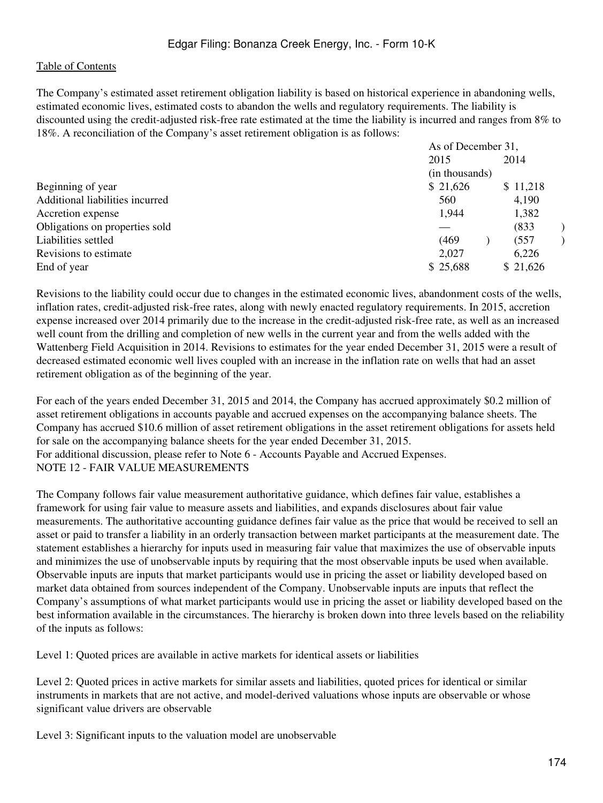The Company's estimated asset retirement obligation liability is based on historical experience in abandoning wells, estimated economic lives, estimated costs to abandon the wells and regulatory requirements. The liability is discounted using the credit-adjusted risk-free rate estimated at the time the liability is incurred and ranges from 8% to 18%. A reconciliation of the Company's asset retirement obligation is as follows:

| As of December 31, |  |                |                              |
|--------------------|--|----------------|------------------------------|
| 2015               |  |                |                              |
|                    |  |                |                              |
| \$21,626           |  |                |                              |
| 560                |  | 4,190          |                              |
| 1,944              |  | 1,382          |                              |
|                    |  | (833)          |                              |
| (469)              |  | (557)          |                              |
| 2,027              |  | 6,226          |                              |
| \$25,688           |  |                |                              |
|                    |  | (in thousands) | 2014<br>\$11,218<br>\$21,626 |

Revisions to the liability could occur due to changes in the estimated economic lives, abandonment costs of the wells, inflation rates, credit-adjusted risk-free rates, along with newly enacted regulatory requirements. In 2015, accretion expense increased over 2014 primarily due to the increase in the credit-adjusted risk-free rate, as well as an increased well count from the drilling and completion of new wells in the current year and from the wells added with the Wattenberg Field Acquisition in 2014. Revisions to estimates for the year ended December 31, 2015 were a result of decreased estimated economic well lives coupled with an increase in the inflation rate on wells that had an asset retirement obligation as of the beginning of the year.

For each of the years ended December 31, 2015 and 2014, the Company has accrued approximately \$0.2 million of asset retirement obligations in accounts payable and accrued expenses on the accompanying balance sheets. The Company has accrued \$10.6 million of asset retirement obligations in the asset retirement obligations for assets held for sale on the accompanying balance sheets for the year ended December 31, 2015. For additional discussion, please refer to Note 6 - Accounts Payable and Accrued Expenses. NOTE 12 - FAIR VALUE MEASUREMENTS

The Company follows fair value measurement authoritative guidance, which defines fair value, establishes a framework for using fair value to measure assets and liabilities, and expands disclosures about fair value measurements. The authoritative accounting guidance defines fair value as the price that would be received to sell an asset or paid to transfer a liability in an orderly transaction between market participants at the measurement date. The statement establishes a hierarchy for inputs used in measuring fair value that maximizes the use of observable inputs and minimizes the use of unobservable inputs by requiring that the most observable inputs be used when available. Observable inputs are inputs that market participants would use in pricing the asset or liability developed based on market data obtained from sources independent of the Company. Unobservable inputs are inputs that reflect the Company's assumptions of what market participants would use in pricing the asset or liability developed based on the best information available in the circumstances. The hierarchy is broken down into three levels based on the reliability of the inputs as follows:

Level 1: Quoted prices are available in active markets for identical assets or liabilities

Level 2: Quoted prices in active markets for similar assets and liabilities, quoted prices for identical or similar instruments in markets that are not active, and model-derived valuations whose inputs are observable or whose significant value drivers are observable

Level 3: Significant inputs to the valuation model are unobservable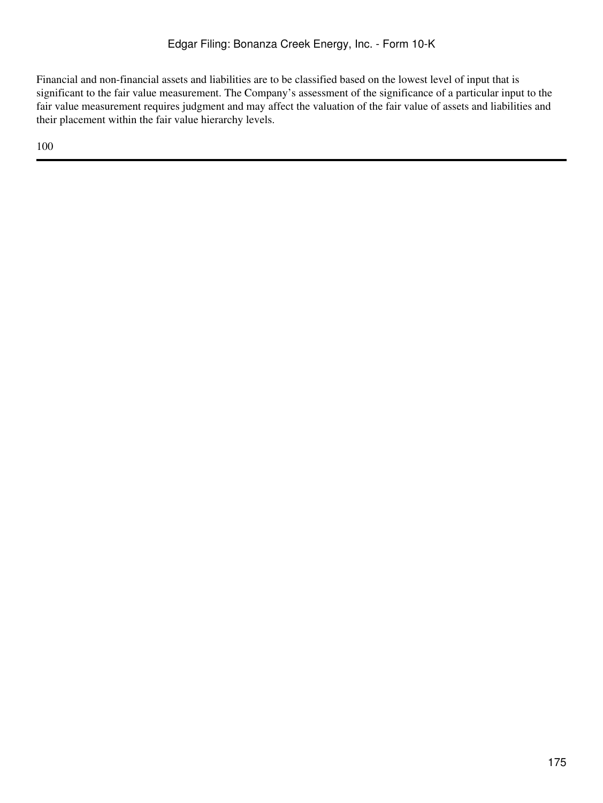Financial and non-financial assets and liabilities are to be classified based on the lowest level of input that is significant to the fair value measurement. The Company's assessment of the significance of a particular input to the fair value measurement requires judgment and may affect the valuation of the fair value of assets and liabilities and their placement within the fair value hierarchy levels.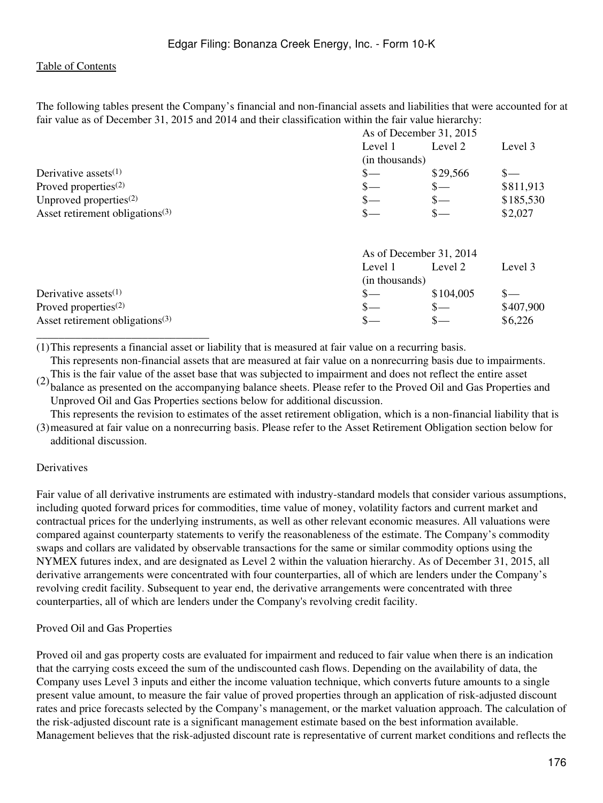The following tables present the Company's financial and non-financial assets and liabilities that were accounted for at fair value as of December 31, 2015 and 2014 and their classification within the fair value hierarchy:

|                                             | As of December 31, 2015 |                       |           |  |
|---------------------------------------------|-------------------------|-----------------------|-----------|--|
|                                             | Level 1                 | Level 2               | Level 3   |  |
|                                             | (in thousands)          |                       |           |  |
| Derivative assets $(1)$                     | \$—                     | \$29,566              | $S-$      |  |
| Proved properties $(2)$                     | $\mathbb{S}-$           | $_{\tiny{\text{S}-}}$ | \$811,913 |  |
| Unproved properties $^{(2)}$                | S—                      | $s-$                  | \$185,530 |  |
| Asset retirement obligations <sup>(3)</sup> | \$–                     | \$–                   | \$2,027   |  |
|                                             |                         |                       |           |  |
|                                             | As of December 31, 2014 |                       |           |  |
|                                             | Level 1                 | Level 2               | Level 3   |  |
|                                             | (in thousands)          |                       |           |  |
| Derivative assets $(1)$                     | S—                      | \$104,005             |           |  |
| Proved properties $(2)$                     | S—                      | $s-$                  | \$407,900 |  |
| Asset retirement obligations <sup>(3)</sup> |                         |                       | \$6,226   |  |

(1)This represents a financial asset or liability that is measured at fair value on a recurring basis.

This represents non-financial assets that are measured at fair value on a nonrecurring basis due to impairments.

(2) This is the fair varie of the asset base that was subjected to impariment and does not effect the entire asset<br>balance as presented on the accompanying balance sheets. Please refer to the Proved Oil and Gas Properties This is the fair value of the asset base that was subjected to impairment and does not reflect the entire asset Unproved Oil and Gas Properties sections below for additional discussion.

(3) measured at fair value on a nonrecurring basis. Please refer to the Asset Retirement Obligation section below for This represents the revision to estimates of the asset retirement obligation, which is a non-financial liability that is additional discussion.

### **Derivatives**

Fair value of all derivative instruments are estimated with industry-standard models that consider various assumptions, including quoted forward prices for commodities, time value of money, volatility factors and current market and contractual prices for the underlying instruments, as well as other relevant economic measures. All valuations were compared against counterparty statements to verify the reasonableness of the estimate. The Company's commodity swaps and collars are validated by observable transactions for the same or similar commodity options using the NYMEX futures index, and are designated as Level 2 within the valuation hierarchy. As of December 31, 2015, all derivative arrangements were concentrated with four counterparties, all of which are lenders under the Company's revolving credit facility. Subsequent to year end, the derivative arrangements were concentrated with three counterparties, all of which are lenders under the Company's revolving credit facility.

#### Proved Oil and Gas Properties

\_\_\_\_\_\_\_\_\_\_\_\_\_\_\_\_\_\_\_\_\_\_\_\_\_\_\_\_\_\_\_

Proved oil and gas property costs are evaluated for impairment and reduced to fair value when there is an indication that the carrying costs exceed the sum of the undiscounted cash flows. Depending on the availability of data, the Company uses Level 3 inputs and either the income valuation technique, which converts future amounts to a single present value amount, to measure the fair value of proved properties through an application of risk-adjusted discount rates and price forecasts selected by the Company's management, or the market valuation approach. The calculation of the risk-adjusted discount rate is a significant management estimate based on the best information available. Management believes that the risk-adjusted discount rate is representative of current market conditions and reflects the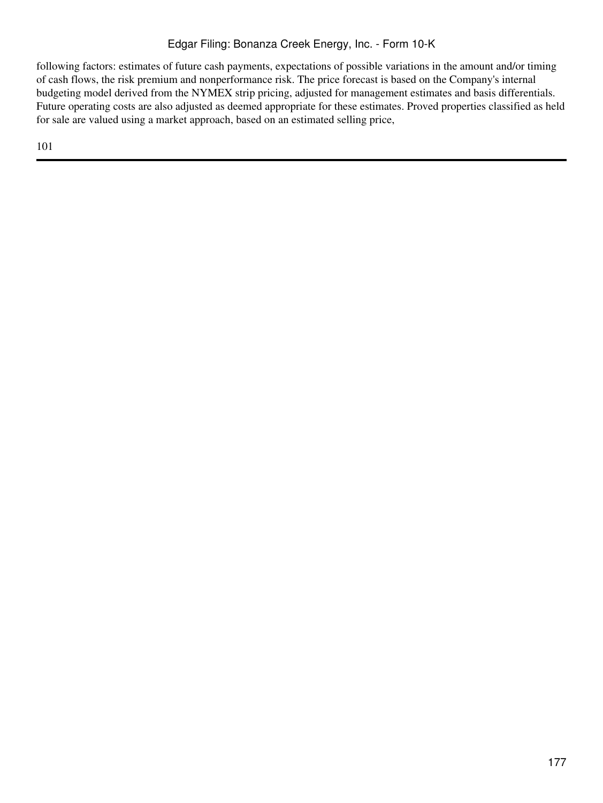following factors: estimates of future cash payments, expectations of possible variations in the amount and/or timing of cash flows, the risk premium and nonperformance risk. The price forecast is based on the Company's internal budgeting model derived from the NYMEX strip pricing, adjusted for management estimates and basis differentials. Future operating costs are also adjusted as deemed appropriate for these estimates. Proved properties classified as held for sale are valued using a market approach, based on an estimated selling price,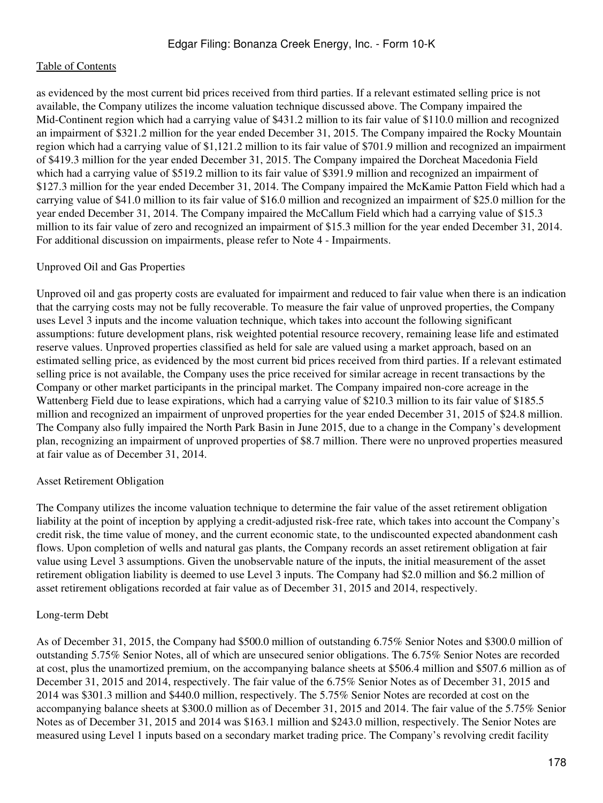as evidenced by the most current bid prices received from third parties. If a relevant estimated selling price is not available, the Company utilizes the income valuation technique discussed above. The Company impaired the Mid-Continent region which had a carrying value of \$431.2 million to its fair value of \$110.0 million and recognized an impairment of \$321.2 million for the year ended December 31, 2015. The Company impaired the Rocky Mountain region which had a carrying value of \$1,121.2 million to its fair value of \$701.9 million and recognized an impairment of \$419.3 million for the year ended December 31, 2015. The Company impaired the Dorcheat Macedonia Field which had a carrying value of \$519.2 million to its fair value of \$391.9 million and recognized an impairment of \$127.3 million for the year ended December 31, 2014. The Company impaired the McKamie Patton Field which had a carrying value of \$41.0 million to its fair value of \$16.0 million and recognized an impairment of \$25.0 million for the year ended December 31, 2014. The Company impaired the McCallum Field which had a carrying value of \$15.3 million to its fair value of zero and recognized an impairment of \$15.3 million for the year ended December 31, 2014. For additional discussion on impairments, please refer to Note 4 - Impairments.

### Unproved Oil and Gas Properties

Unproved oil and gas property costs are evaluated for impairment and reduced to fair value when there is an indication that the carrying costs may not be fully recoverable. To measure the fair value of unproved properties, the Company uses Level 3 inputs and the income valuation technique, which takes into account the following significant assumptions: future development plans, risk weighted potential resource recovery, remaining lease life and estimated reserve values. Unproved properties classified as held for sale are valued using a market approach, based on an estimated selling price, as evidenced by the most current bid prices received from third parties. If a relevant estimated selling price is not available, the Company uses the price received for similar acreage in recent transactions by the Company or other market participants in the principal market. The Company impaired non-core acreage in the Wattenberg Field due to lease expirations, which had a carrying value of \$210.3 million to its fair value of \$185.5 million and recognized an impairment of unproved properties for the year ended December 31, 2015 of \$24.8 million. The Company also fully impaired the North Park Basin in June 2015, due to a change in the Company's development plan, recognizing an impairment of unproved properties of \$8.7 million. There were no unproved properties measured at fair value as of December 31, 2014.

### Asset Retirement Obligation

The Company utilizes the income valuation technique to determine the fair value of the asset retirement obligation liability at the point of inception by applying a credit-adjusted risk-free rate, which takes into account the Company's credit risk, the time value of money, and the current economic state, to the undiscounted expected abandonment cash flows. Upon completion of wells and natural gas plants, the Company records an asset retirement obligation at fair value using Level 3 assumptions. Given the unobservable nature of the inputs, the initial measurement of the asset retirement obligation liability is deemed to use Level 3 inputs. The Company had \$2.0 million and \$6.2 million of asset retirement obligations recorded at fair value as of December 31, 2015 and 2014, respectively.

### Long-term Debt

As of December 31, 2015, the Company had \$500.0 million of outstanding 6.75% Senior Notes and \$300.0 million of outstanding 5.75% Senior Notes, all of which are unsecured senior obligations. The 6.75% Senior Notes are recorded at cost, plus the unamortized premium, on the accompanying balance sheets at \$506.4 million and \$507.6 million as of December 31, 2015 and 2014, respectively. The fair value of the 6.75% Senior Notes as of December 31, 2015 and 2014 was \$301.3 million and \$440.0 million, respectively. The 5.75% Senior Notes are recorded at cost on the accompanying balance sheets at \$300.0 million as of December 31, 2015 and 2014. The fair value of the 5.75% Senior Notes as of December 31, 2015 and 2014 was \$163.1 million and \$243.0 million, respectively. The Senior Notes are measured using Level 1 inputs based on a secondary market trading price. The Company's revolving credit facility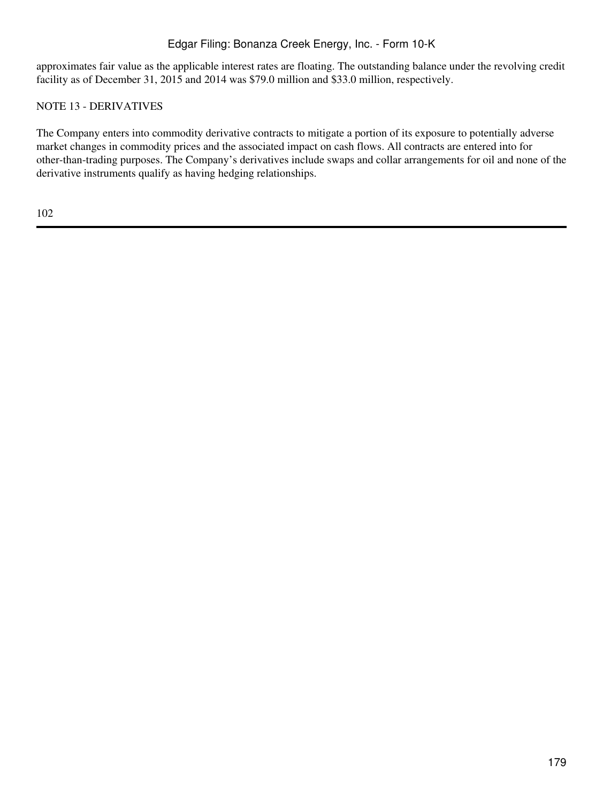approximates fair value as the applicable interest rates are floating. The outstanding balance under the revolving credit facility as of December 31, 2015 and 2014 was \$79.0 million and \$33.0 million, respectively.

# NOTE 13 - DERIVATIVES

The Company enters into commodity derivative contracts to mitigate a portion of its exposure to potentially adverse market changes in commodity prices and the associated impact on cash flows. All contracts are entered into for other-than-trading purposes. The Company's derivatives include swaps and collar arrangements for oil and none of the derivative instruments qualify as having hedging relationships.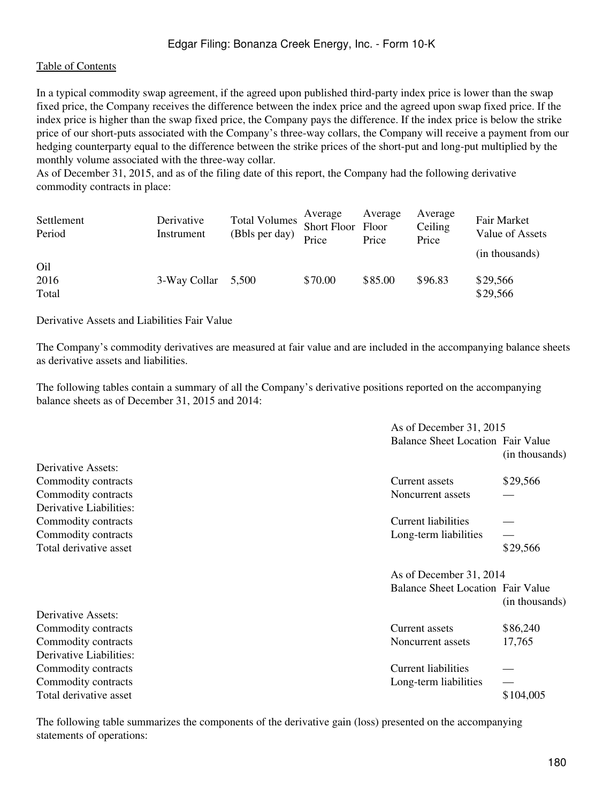In a typical commodity swap agreement, if the agreed upon published third-party index price is lower than the swap fixed price, the Company receives the difference between the index price and the agreed upon swap fixed price. If the index price is higher than the swap fixed price, the Company pays the difference. If the index price is below the strike price of our short-puts associated with the Company's three-way collars, the Company will receive a payment from our hedging counterparty equal to the difference between the strike prices of the short-put and long-put multiplied by the monthly volume associated with the three-way collar.

As of December 31, 2015, and as of the filing date of this report, the Company had the following derivative commodity contracts in place:

| Settlement<br>Period | Derivative<br>Instrument | <b>Total Volumes</b><br>(Bbls per day) | Average<br>Short Floor Floor<br>Price | Average<br>Price | Average<br>Ceiling<br>Price | Fair Market<br>Value of Assets<br>(in thousands) |
|----------------------|--------------------------|----------------------------------------|---------------------------------------|------------------|-----------------------------|--------------------------------------------------|
| Oil<br>2016<br>Total | 3-Way Collar             | 5.500                                  | \$70.00                               | \$85.00          | \$96.83                     | \$29,566<br>\$29,566                             |

Derivative Assets and Liabilities Fair Value

The Company's commodity derivatives are measured at fair value and are included in the accompanying balance sheets as derivative assets and liabilities.

The following tables contain a summary of all the Company's derivative positions reported on the accompanying balance sheets as of December 31, 2015 and 2014:

|                         |                                          | As of December 31, 2015 |  |  |  |
|-------------------------|------------------------------------------|-------------------------|--|--|--|
|                         | <b>Balance Sheet Location Fair Value</b> | (in thousands)          |  |  |  |
| Derivative Assets:      |                                          |                         |  |  |  |
| Commodity contracts     | Current assets                           | \$29,566                |  |  |  |
| Commodity contracts     | Noncurrent assets                        |                         |  |  |  |
| Derivative Liabilities: |                                          |                         |  |  |  |
| Commodity contracts     | Current liabilities                      |                         |  |  |  |
| Commodity contracts     | Long-term liabilities                    |                         |  |  |  |
| Total derivative asset  |                                          | \$29,566                |  |  |  |
|                         |                                          | As of December 31, 2014 |  |  |  |
|                         | <b>Balance Sheet Location Fair Value</b> | (in thousands)          |  |  |  |
| Derivative Assets:      |                                          |                         |  |  |  |
| Commodity contracts     | Current assets                           | \$86,240                |  |  |  |
| Commodity contracts     | Noncurrent assets                        | 17,765                  |  |  |  |
| Derivative Liabilities: |                                          |                         |  |  |  |
| Commodity contracts     | <b>Current liabilities</b>               |                         |  |  |  |
| Commodity contracts     | Long-term liabilities                    |                         |  |  |  |
| Total derivative asset  |                                          | \$104,005               |  |  |  |

The following table summarizes the components of the derivative gain (loss) presented on the accompanying statements of operations: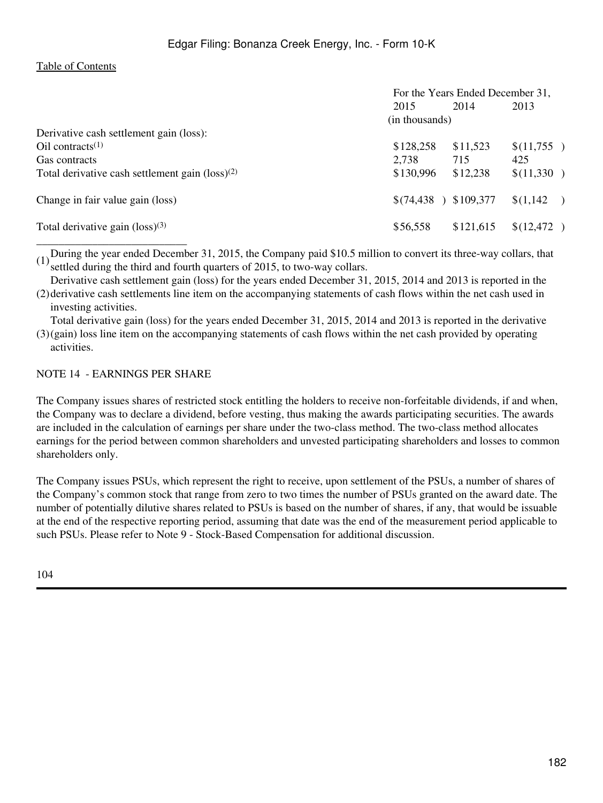|                                                             | For the Years Ended December 31, |                      |            |  |
|-------------------------------------------------------------|----------------------------------|----------------------|------------|--|
|                                                             | 2015                             | 2014                 | 2013       |  |
|                                                             | (in thousands)                   |                      |            |  |
| Derivative cash settlement gain (loss):                     |                                  |                      |            |  |
| $\text{Oil contracts}^{(1)}$                                | \$128,258                        | \$11,523             | \$(11,755) |  |
| Gas contracts                                               | 2,738                            | 715                  | 425        |  |
| Total derivative cash settlement gain $(\text{loss})^{(2)}$ | \$130,996                        | \$12,238             | \$(11,330) |  |
| Change in fair value gain (loss)                            | \$(74, 438)                      | $\binom{109,377}{ }$ | \$(1,142)  |  |
| Total derivative gain $(\text{loss})^{(3)}$                 | \$56,558                         | \$121,615            | \$(12,472) |  |
|                                                             |                                  |                      |            |  |

(1)During the year ended December 31, 2015, the Company paid \$10.5 million to convert its three-way collars, that settled during the third and fourth quarters of 2015, to two-way collars.

Derivative cash settlement gain (loss) for the years ended December 31, 2015, 2014 and 2013 is reported in the

(2) derivative cash settlements line item on the accompanying statements of cash flows within the net cash used in investing activities.

Total derivative gain (loss) for the years ended December 31, 2015, 2014 and 2013 is reported in the derivative

(3) (gain) loss line item on the accompanying statements of cash flows within the net cash provided by operating activities.

# NOTE 14 - EARNINGS PER SHARE

The Company issues shares of restricted stock entitling the holders to receive non-forfeitable dividends, if and when, the Company was to declare a dividend, before vesting, thus making the awards participating securities. The awards are included in the calculation of earnings per share under the two-class method. The two-class method allocates earnings for the period between common shareholders and unvested participating shareholders and losses to common shareholders only.

The Company issues PSUs, which represent the right to receive, upon settlement of the PSUs, a number of shares of the Company's common stock that range from zero to two times the number of PSUs granted on the award date. The number of potentially dilutive shares related to PSUs is based on the number of shares, if any, that would be issuable at the end of the respective reporting period, assuming that date was the end of the measurement period applicable to such PSUs. Please refer to Note 9 - Stock-Based Compensation for additional discussion.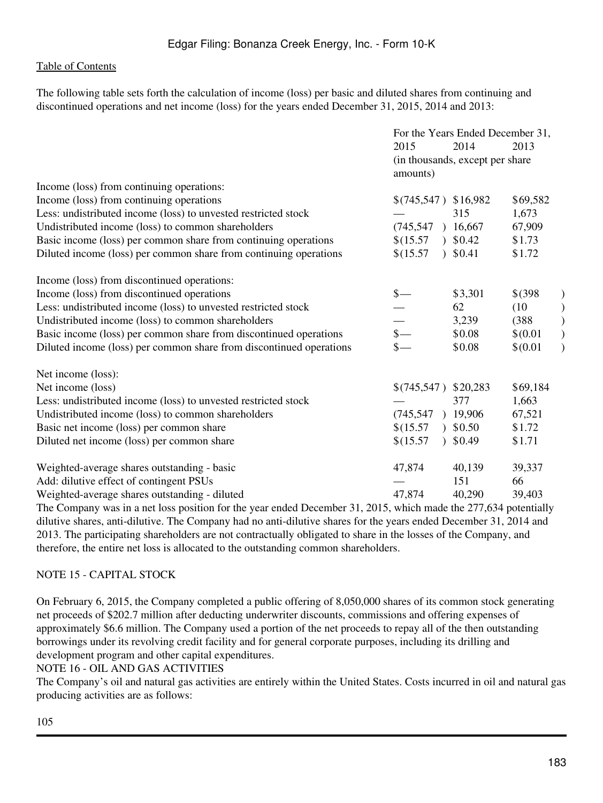The following table sets forth the calculation of income (loss) per basic and diluted shares from continuing and discontinued operations and net income (loss) for the years ended December 31, 2015, 2014 and 2013:

|                                                                     | For the Years Ended December 31, |                                  |             |  |
|---------------------------------------------------------------------|----------------------------------|----------------------------------|-------------|--|
|                                                                     | 2015                             | 2014                             | 2013        |  |
|                                                                     | amounts)                         | (in thousands, except per share) |             |  |
| Income (loss) from continuing operations:                           |                                  |                                  |             |  |
| Income (loss) from continuing operations                            | $$(745,547)$ \$16,982            |                                  | \$69,582    |  |
| Less: undistributed income (loss) to unvested restricted stock      |                                  | 315                              | 1,673       |  |
| Undistributed income (loss) to common shareholders                  | (745, 547)                       | 16,667                           | 67,909      |  |
| Basic income (loss) per common share from continuing operations     | \$(15.57)                        | \$0.42                           | \$1.73      |  |
| Diluted income (loss) per common share from continuing operations   | \$(15.57                         | 30.41                            | \$1.72      |  |
| Income (loss) from discontinued operations:                         |                                  |                                  |             |  |
| Income (loss) from discontinued operations                          | $\frac{\S}{\S}$                  | \$3,301                          | $$^{(398)}$ |  |
| Less: undistributed income (loss) to unvested restricted stock      |                                  | 62                               | (10)        |  |
| Undistributed income (loss) to common shareholders                  |                                  | 3,239                            | (388)       |  |
| Basic income (loss) per common share from discontinued operations   | $\frac{\S}{\S}$                  | \$0.08                           | \$(0.01)    |  |
| Diluted income (loss) per common share from discontinued operations |                                  | \$0.08                           | \$(0.01)    |  |
| Net income (loss):                                                  |                                  |                                  |             |  |
| Net income (loss)                                                   | $$(745,547)$ \$20,283            |                                  | \$69,184    |  |
| Less: undistributed income (loss) to unvested restricted stock      |                                  | 377                              | 1,663       |  |
| Undistributed income (loss) to common shareholders                  | (745, 547)                       | 19,906                           | 67,521      |  |
| Basic net income (loss) per common share                            | \$(15.57)                        | 30.50                            | \$1.72      |  |
| Diluted net income (loss) per common share                          | \$(15.57                         | \$0.49                           | \$1.71      |  |
| Weighted-average shares outstanding - basic                         | 47,874                           | 40,139                           | 39,337      |  |
| Add: dilutive effect of contingent PSUs                             |                                  | 151                              | 66          |  |
| Weighted-average shares outstanding - diluted                       | 47,874                           | 40,290                           | 39,403      |  |
|                                                                     |                                  |                                  |             |  |

The Company was in a net loss position for the year ended December 31, 2015, which made the 277,634 potentially dilutive shares, anti-dilutive. The Company had no anti-dilutive shares for the years ended December 31, 2014 and 2013. The participating shareholders are not contractually obligated to share in the losses of the Company, and therefore, the entire net loss is allocated to the outstanding common shareholders.

# NOTE 15 - CAPITAL STOCK

On February 6, 2015, the Company completed a public offering of 8,050,000 shares of its common stock generating net proceeds of \$202.7 million after deducting underwriter discounts, commissions and offering expenses of approximately \$6.6 million. The Company used a portion of the net proceeds to repay all of the then outstanding borrowings under its revolving credit facility and for general corporate purposes, including its drilling and development program and other capital expenditures.

# NOTE 16 - OIL AND GAS ACTIVITIES

The Company's oil and natural gas activities are entirely within the United States. Costs incurred in oil and natural gas producing activities are as follows: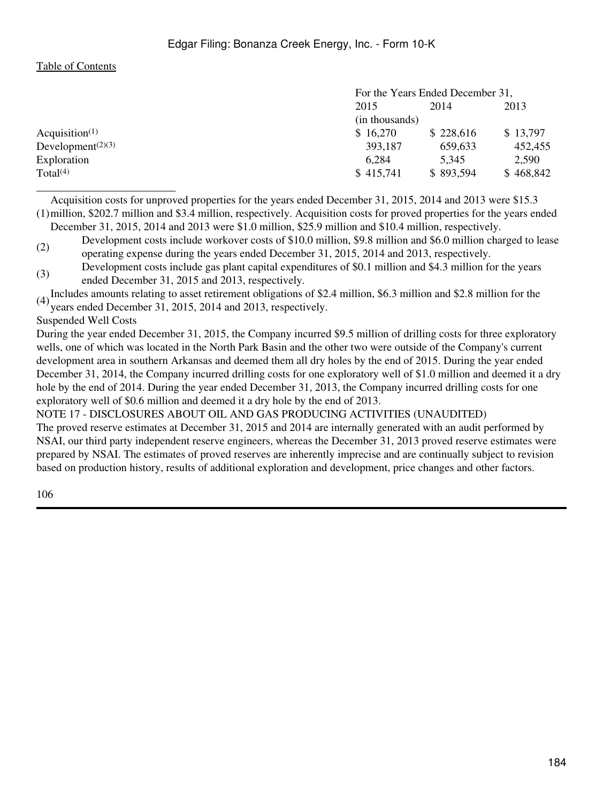|                                            | For the Years Ended December 31, |           |           |  |
|--------------------------------------------|----------------------------------|-----------|-----------|--|
|                                            | 2015                             | 2014      | 2013      |  |
|                                            | (in thousands)                   |           |           |  |
| Acquisition <sup><math>(1)</math></sup>    | \$16,270                         | \$228,616 | \$13,797  |  |
| Development <sup><math>(2)(3)</math></sup> | 393,187                          | 659,633   | 452,455   |  |
| Exploration                                | 6,284                            | 5.345     | 2,590     |  |
| Total $(4)$                                | \$415,741                        | \$893,594 | \$468,842 |  |
|                                            |                                  |           |           |  |

(1) million, \$202.7 million and \$3.4 million, respectively. Acquisition costs for proved properties for the years ended Acquisition costs for unproved properties for the years ended December 31, 2015, 2014 and 2013 were \$15.3

December 31, 2015, 2014 and 2013 were \$1.0 million, \$25.9 million and \$10.4 million, respectively. (2) Development costs include workover costs of \$10.0 million, \$9.8 million and \$6.0 million charged to lease

operating expense during the years ended December 31, 2015, 2014 and 2013, respectively.

(3) Development costs include gas plant capital expenditures of \$0.1 million and \$4.3 million for the years ended December 31, 2015 and 2013, respectively.

(4) Includes amounts relating to asset retirement obligations of \$2.4 million, \$6.3 million and \$2.8 million for the years ended December 31, 2015, 2014 and 2013, respectively.

#### Suspended Well Costs

During the year ended December 31, 2015, the Company incurred \$9.5 million of drilling costs for three exploratory wells, one of which was located in the North Park Basin and the other two were outside of the Company's current development area in southern Arkansas and deemed them all dry holes by the end of 2015. During the year ended December 31, 2014, the Company incurred drilling costs for one exploratory well of \$1.0 million and deemed it a dry hole by the end of 2014. During the year ended December 31, 2013, the Company incurred drilling costs for one exploratory well of \$0.6 million and deemed it a dry hole by the end of 2013.

NOTE 17 - DISCLOSURES ABOUT OIL AND GAS PRODUCING ACTIVITIES (UNAUDITED)

The proved reserve estimates at December 31, 2015 and 2014 are internally generated with an audit performed by NSAI, our third party independent reserve engineers, whereas the December 31, 2013 proved reserve estimates were prepared by NSAI. The estimates of proved reserves are inherently imprecise and are continually subject to revision based on production history, results of additional exploration and development, price changes and other factors.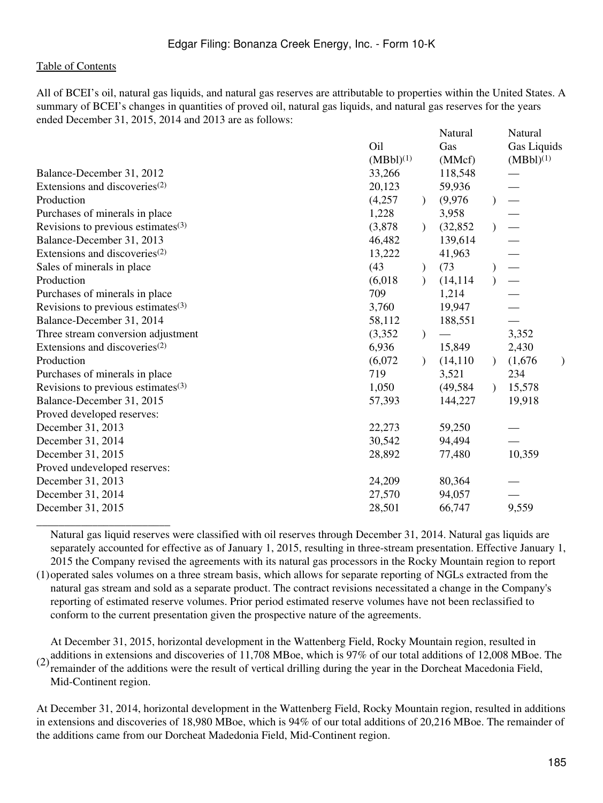\_\_\_\_\_\_\_\_\_\_\_\_\_\_\_\_\_\_\_\_\_\_\_\_

All of BCEI's oil, natural gas liquids, and natural gas reserves are attributable to properties within the United States. A summary of BCEI's changes in quantities of proved oil, natural gas liquids, and natural gas reserves for the years ended December 31, 2015, 2014 and 2013 are as follows:

|                                           |                |               | Natural   |               | Natural        |
|-------------------------------------------|----------------|---------------|-----------|---------------|----------------|
|                                           | Oil            |               | Gas       |               | Gas Liquids    |
|                                           | $(MBbl)^{(1)}$ |               | (MMcf)    |               | $(MBbl)^{(1)}$ |
| Balance-December 31, 2012                 | 33,266         |               | 118,548   |               |                |
| Extensions and discoveries <sup>(2)</sup> | 20,123         |               | 59,936    |               |                |
| Production                                | (4,257)        | $\mathcal{L}$ | (9,976)   |               |                |
| Purchases of minerals in place            | 1,228          |               | 3,958     |               |                |
| Revisions to previous estimates $(3)$     | (3,878)        | $\mathcal{L}$ | (32, 852) |               |                |
| Balance-December 31, 2013                 | 46,482         |               | 139,614   |               |                |
| Extensions and discoveries $(2)$          | 13,222         |               | 41,963    |               |                |
| Sales of minerals in place                | (43)           |               | (73)      |               |                |
| Production                                | (6,018)        | $\mathcal{L}$ | (14, 114) |               |                |
| Purchases of minerals in place            | 709            |               | 1,214     |               |                |
| Revisions to previous estimates $(3)$     | 3,760          |               | 19,947    |               |                |
| Balance-December 31, 2014                 | 58,112         |               | 188,551   |               |                |
| Three stream conversion adjustment        | (3,352)        |               |           |               | 3,352          |
| Extensions and discoveries <sup>(2)</sup> | 6,936          |               | 15,849    |               | 2,430          |
| Production                                | (6,072)        | $\mathcal{L}$ | (14, 110) | $\mathcal{L}$ | (1,676)        |
| Purchases of minerals in place            | 719            |               | 3,521     |               | 234            |
| Revisions to previous estimates $(3)$     | 1,050          |               | (49, 584) | $\lambda$     | 15,578         |
| Balance-December 31, 2015                 | 57,393         |               | 144,227   |               | 19,918         |
| Proved developed reserves:                |                |               |           |               |                |
| December 31, 2013                         | 22,273         |               | 59,250    |               |                |
| December 31, 2014                         | 30,542         |               | 94,494    |               |                |
| December 31, 2015                         | 28,892         |               | 77,480    |               | 10,359         |
| Proved undeveloped reserves:              |                |               |           |               |                |
| December 31, 2013                         | 24,209         |               | 80,364    |               |                |
| December 31, 2014                         | 27,570         |               | 94,057    |               |                |
| December 31, 2015                         | 28,501         |               | 66,747    |               | 9,559          |

Natural gas liquid reserves were classified with oil reserves through December 31, 2014. Natural gas liquids are separately accounted for effective as of January 1, 2015, resulting in three-stream presentation. Effective January 1, 2015 the Company revised the agreements with its natural gas processors in the Rocky Mountain region to report

(1) operated sales volumes on a three stream basis, which allows for separate reporting of NGLs extracted from the natural gas stream and sold as a separate product. The contract revisions necessitated a change in the Company's reporting of estimated reserve volumes. Prior period estimated reserve volumes have not been reclassified to conform to the current presentation given the prospective nature of the agreements.

(2) additions in extensions and discoveries of 11,708 MBoe, which is 97% of our total additions of 12,008 MBoe. The<br>consideration of the additions were the result of vertical drilling during the vertice in the Depelated Ma At December 31, 2015, horizontal development in the Wattenberg Field, Rocky Mountain region, resulted in remainder of the additions were the result of vertical drilling during the year in the Dorcheat Macedonia Field, Mid-Continent region.

At December 31, 2014, horizontal development in the Wattenberg Field, Rocky Mountain region, resulted in additions in extensions and discoveries of 18,980 MBoe, which is 94% of our total additions of 20,216 MBoe. The remainder of the additions came from our Dorcheat Madedonia Field, Mid-Continent region.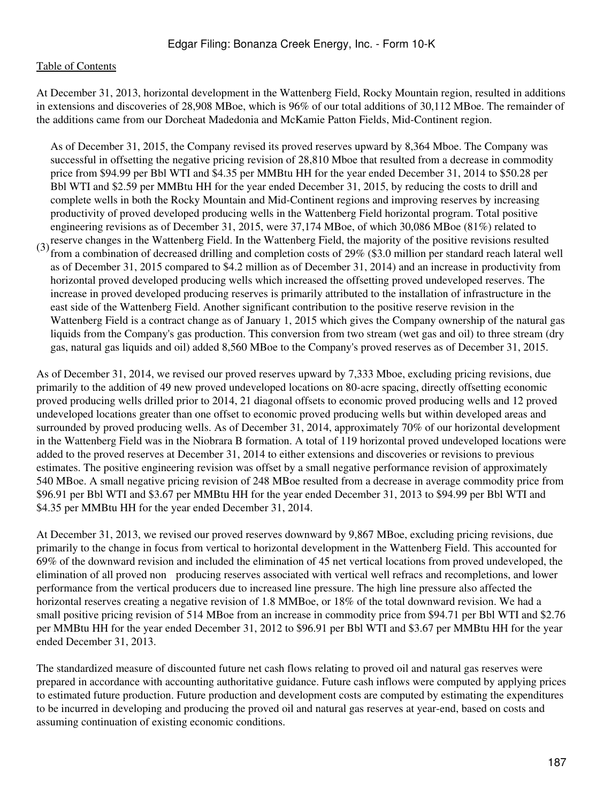At December 31, 2013, horizontal development in the Wattenberg Field, Rocky Mountain region, resulted in additions in extensions and discoveries of 28,908 MBoe, which is 96% of our total additions of 30,112 MBoe. The remainder of the additions came from our Dorcheat Madedonia and McKamie Patton Fields, Mid-Continent region.

(3) reserve changes in the Wattenberg Field. In the Wattenberg Field, the majority of the positive revisions resulted<br> $(3)$  from a combination of decreased drilling and completion costs of 2007. (\$2.0 million per standard As of December 31, 2015, the Company revised its proved reserves upward by 8,364 Mboe. The Company was successful in offsetting the negative pricing revision of 28,810 Mboe that resulted from a decrease in commodity price from \$94.99 per Bbl WTI and \$4.35 per MMBtu HH for the year ended December 31, 2014 to \$50.28 per Bbl WTI and \$2.59 per MMBtu HH for the year ended December 31, 2015, by reducing the costs to drill and complete wells in both the Rocky Mountain and Mid-Continent regions and improving reserves by increasing productivity of proved developed producing wells in the Wattenberg Field horizontal program. Total positive engineering revisions as of December 31, 2015, were 37,174 MBoe, of which 30,086 MBoe (81%) related to from a combination of decreased drilling and completion costs of 29% (\$3.0 million per standard reach lateral well as of December 31, 2015 compared to \$4.2 million as of December 31, 2014) and an increase in productivity from horizontal proved developed producing wells which increased the offsetting proved undeveloped reserves. The increase in proved developed producing reserves is primarily attributed to the installation of infrastructure in the east side of the Wattenberg Field. Another significant contribution to the positive reserve revision in the Wattenberg Field is a contract change as of January 1, 2015 which gives the Company ownership of the natural gas liquids from the Company's gas production. This conversion from two stream (wet gas and oil) to three stream (dry gas, natural gas liquids and oil) added 8,560 MBoe to the Company's proved reserves as of December 31, 2015.

As of December 31, 2014, we revised our proved reserves upward by 7,333 Mboe, excluding pricing revisions, due primarily to the addition of 49 new proved undeveloped locations on 80-acre spacing, directly offsetting economic proved producing wells drilled prior to 2014, 21 diagonal offsets to economic proved producing wells and 12 proved undeveloped locations greater than one offset to economic proved producing wells but within developed areas and surrounded by proved producing wells. As of December 31, 2014, approximately 70% of our horizontal development in the Wattenberg Field was in the Niobrara B formation. A total of 119 horizontal proved undeveloped locations were added to the proved reserves at December 31, 2014 to either extensions and discoveries or revisions to previous estimates. The positive engineering revision was offset by a small negative performance revision of approximately 540 MBoe. A small negative pricing revision of 248 MBoe resulted from a decrease in average commodity price from \$96.91 per Bbl WTI and \$3.67 per MMBtu HH for the year ended December 31, 2013 to \$94.99 per Bbl WTI and \$4.35 per MMBtu HH for the year ended December 31, 2014.

At December 31, 2013, we revised our proved reserves downward by 9,867 MBoe, excluding pricing revisions, due primarily to the change in focus from vertical to horizontal development in the Wattenberg Field. This accounted for 69% of the downward revision and included the elimination of 45 net vertical locations from proved undeveloped, the elimination of all proved non‑ producing reserves associated with vertical well refracs and recompletions, and lower performance from the vertical producers due to increased line pressure. The high line pressure also affected the horizontal reserves creating a negative revision of 1.8 MMBoe, or 18% of the total downward revision. We had a small positive pricing revision of 514 MBoe from an increase in commodity price from \$94.71 per Bbl WTI and \$2.76 per MMBtu HH for the year ended December 31, 2012 to \$96.91 per Bbl WTI and \$3.67 per MMBtu HH for the year ended December 31, 2013.

The standardized measure of discounted future net cash flows relating to proved oil and natural gas reserves were prepared in accordance with accounting authoritative guidance. Future cash inflows were computed by applying prices to estimated future production. Future production and development costs are computed by estimating the expenditures to be incurred in developing and producing the proved oil and natural gas reserves at year-end, based on costs and assuming continuation of existing economic conditions.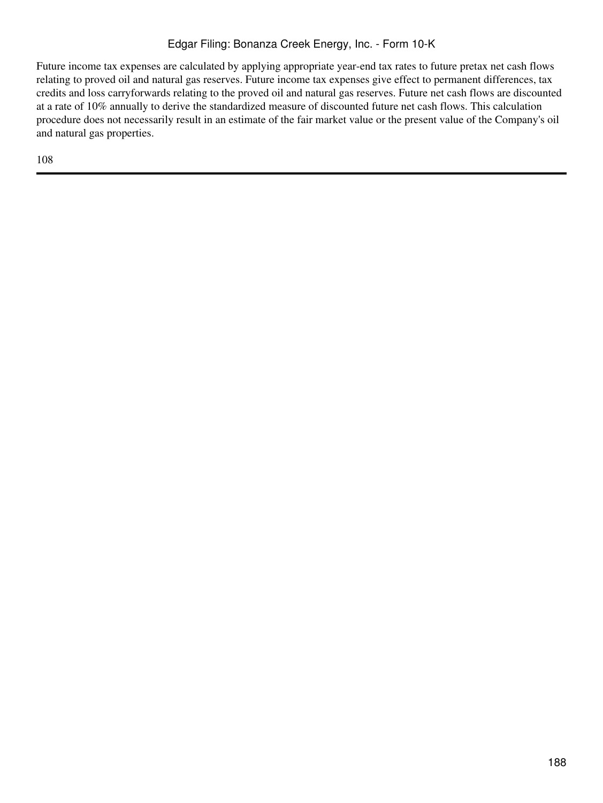# Edgar Filing: Bonanza Creek Energy, Inc. - Form 10-K

Future income tax expenses are calculated by applying appropriate year-end tax rates to future pretax net cash flows relating to proved oil and natural gas reserves. Future income tax expenses give effect to permanent differences, tax credits and loss carryforwards relating to the proved oil and natural gas reserves. Future net cash flows are discounted at a rate of 10% annually to derive the standardized measure of discounted future net cash flows. This calculation procedure does not necessarily result in an estimate of the fair market value or the present value of the Company's oil and natural gas properties.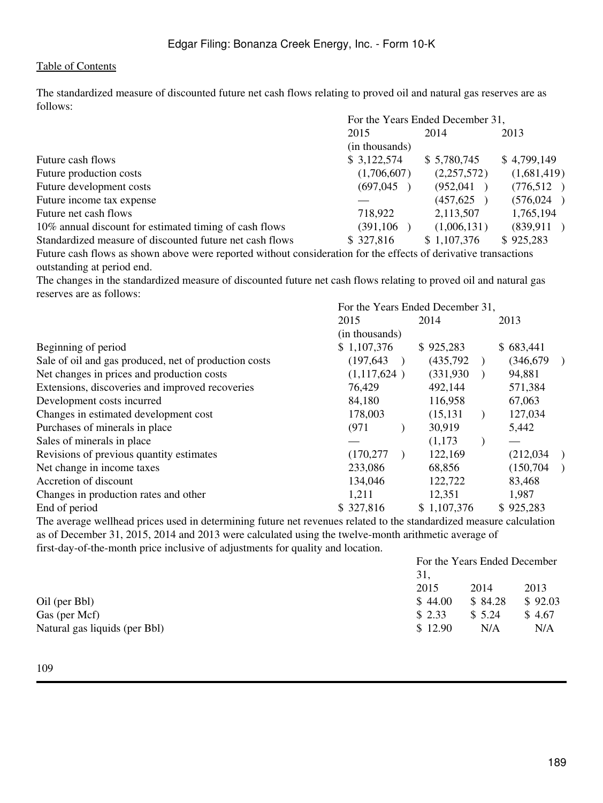The standardized measure of discounted future net cash flows relating to proved oil and natural gas reserves are as follows:  $F \left( 1, \mathbf{V} \right) = F \left( 1, 1, \mathbf{D} \right) = 1$ , 21,

|                                                          | For the Years Ended December 31, |             |             |  |
|----------------------------------------------------------|----------------------------------|-------------|-------------|--|
|                                                          | 2015                             | 2014        | 2013        |  |
|                                                          | (in thousands)                   |             |             |  |
| Future cash flows                                        | \$3,122,574                      | \$5,780,745 | \$4,799,149 |  |
| Future production costs                                  | (1,706,607)                      | (2,257,572) | (1,681,419) |  |
| Future development costs                                 | (697, 045)                       | (952, 041)  | (776,512)   |  |
| Future income tax expense                                |                                  | (457, 625)  | (576, 024)  |  |
| Future net cash flows                                    | 718,922                          | 2,113,507   | 1,765,194   |  |
| 10% annual discount for estimated timing of cash flows   | (391, 106)                       | (1,006,131) | (839, 911)  |  |
| Standardized measure of discounted future net cash flows | \$327,816                        | \$1,107,376 | \$925,283   |  |
|                                                          |                                  |             |             |  |

Future cash flows as shown above were reported without consideration for the effects of derivative transactions outstanding at period end.

The changes in the standardized measure of discounted future net cash flows relating to proved oil and natural gas reserves are as follows:

| For the Years Ended December 31, |  |                               |                   |             |               |
|----------------------------------|--|-------------------------------|-------------------|-------------|---------------|
| 2015                             |  |                               |                   | 2013        |               |
|                                  |  |                               |                   |             |               |
| \$1,107,376                      |  |                               |                   | \$683,441   |               |
| (197, 643)                       |  | (435, 792)                    |                   |             | $\rightarrow$ |
|                                  |  | (331,930)                     |                   | 94,881      |               |
| 76,429                           |  | 492,144                       |                   | 571,384     |               |
| 84,180                           |  | 116,958                       |                   | 67,063      |               |
| 178,003                          |  | (15, 131)                     |                   | 127,034     |               |
| (971)                            |  | 30,919                        |                   | 5,442       |               |
|                                  |  | (1,173)                       |                   |             |               |
| (170, 277)                       |  | 122,169                       |                   | (212,034)   |               |
| 233,086                          |  | 68,856                        |                   | (150, 704)  |               |
| 134,046                          |  | 122,722                       |                   | 83,468      |               |
| 1,211                            |  | 12,351                        |                   | 1,987       |               |
| \$327,816                        |  |                               |                   | \$925,283   |               |
|                                  |  | (in thousands)<br>(1,117,624) | 2014<br>\$925,283 | \$1,107,376 | (346, 679)    |

The average wellhead prices used in determining future net revenues related to the standardized measure calculation as of December 31, 2015, 2014 and 2013 were calculated using the twelve-month arithmetic average of first-day-of-the-month price inclusive of adjustments for quality and location.

|                               | For the Years Ended December |         |         |
|-------------------------------|------------------------------|---------|---------|
|                               | 31,                          |         |         |
|                               | 2015                         | 2014    | 2013    |
| Oil (per Bbl)                 | \$44.00                      | \$84.28 | \$92.03 |
| Gas (per Mcf)                 | \$2.33                       | \$5.24  | \$4.67  |
| Natural gas liquids (per Bbl) | \$12.90                      | N/A     | N/A     |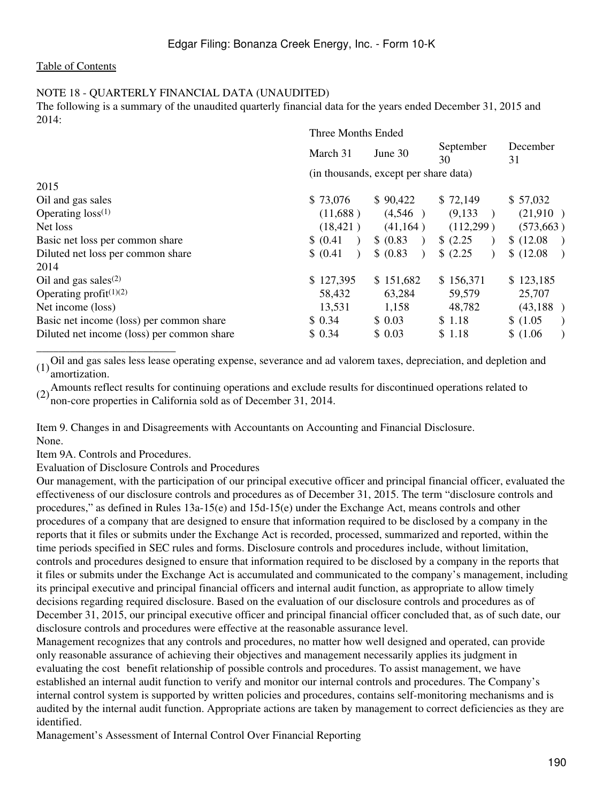### NOTE 18 - QUARTERLY FINANCIAL DATA (UNAUDITED)

The following is a summary of the unaudited quarterly financial data for the years ended December 31, 2015 and  $2014$ 

|                                            | Three Months Ended |                                       |                 |                            |
|--------------------------------------------|--------------------|---------------------------------------|-----------------|----------------------------|
|                                            | March 31           | June 30                               | September<br>30 | December<br>31             |
|                                            |                    | (in thousands, except per share data) |                 |                            |
| 2015                                       |                    |                                       |                 |                            |
| Oil and gas sales                          | \$73,076           | \$90,422                              | \$72,149        | \$57,032                   |
| Operating $loss^{(1)}$                     | (11,688)           | (4,546)                               | (9,133)         | (21,910)                   |
| Net loss                                   | (18, 421)          | (41, 164)                             | (112,299)       | (573, 663)                 |
| Basic net loss per common share            | \$ (0.41)          | \$ (0.83)                             | \$ (2.25)       | \$ (12.08)                 |
| Diluted net loss per common share          | \$ (0.41)          | \$ (0.83)                             | \$ (2.25)       | \$(12.08)<br>$\rightarrow$ |
| 2014                                       |                    |                                       |                 |                            |
| Oil and gas sales $(2)$                    | \$127,395          | \$151,682                             | \$156,371       | \$123,185                  |
| Operating profit $(1)(2)$                  | 58,432             | 63,284                                | 59,579          | 25,707                     |
| Net income (loss)                          | 13,531             | 1,158                                 | 48,782          | (43,188)                   |
| Basic net income (loss) per common share   | \$0.34             | \$0.03                                | \$1.18          | \$(1.05)<br>$\lambda$      |
| Diluted net income (loss) per common share | \$0.34             | \$0.03                                | \$1.18          | \$(1.06)                   |

(1)Oil and gas sales less lease operating expense, severance and ad valorem taxes, depreciation, and depletion and amortization.

(2)Amounts reflect results for continuing operations and exclude results for discontinued operations related to non-core properties in California sold as of December 31, 2014.

Item 9. Changes in and Disagreements with Accountants on Accounting and Financial Disclosure. None.

Item 9A. Controls and Procedures.

\_\_\_\_\_\_\_\_\_\_\_\_\_\_\_\_\_\_\_\_\_\_\_\_\_

Evaluation of Disclosure Controls and Procedures

Our management, with the participation of our principal executive officer and principal financial officer, evaluated the effectiveness of our disclosure controls and procedures as of December 31, 2015. The term "disclosure controls and procedures," as defined in Rules 13a-15(e) and 15d-15(e) under the Exchange Act, means controls and other procedures of a company that are designed to ensure that information required to be disclosed by a company in the reports that it files or submits under the Exchange Act is recorded, processed, summarized and reported, within the time periods specified in SEC rules and forms. Disclosure controls and procedures include, without limitation, controls and procedures designed to ensure that information required to be disclosed by a company in the reports that it files or submits under the Exchange Act is accumulated and communicated to the company's management, including its principal executive and principal financial officers and internal audit function, as appropriate to allow timely decisions regarding required disclosure. Based on the evaluation of our disclosure controls and procedures as of December 31, 2015, our principal executive officer and principal financial officer concluded that, as of such date, our disclosure controls and procedures were effective at the reasonable assurance level.

Management recognizes that any controls and procedures, no matter how well designed and operated, can provide only reasonable assurance of achieving their objectives and management necessarily applies its judgment in evaluating the cost benefit relationship of possible controls and procedures. To assist management, we have established an internal audit function to verify and monitor our internal controls and procedures. The Company's internal control system is supported by written policies and procedures, contains self-monitoring mechanisms and is audited by the internal audit function. Appropriate actions are taken by management to correct deficiencies as they are identified.

Management's Assessment of Internal Control Over Financial Reporting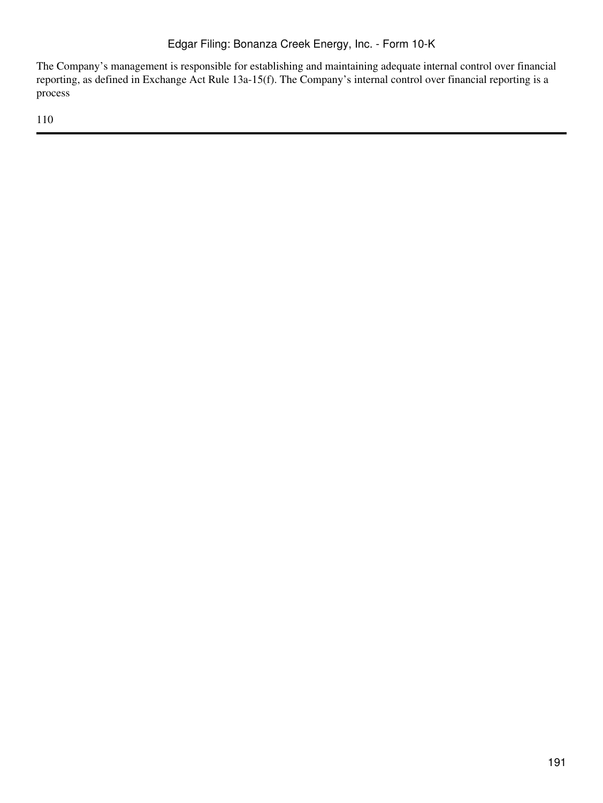The Company's management is responsible for establishing and maintaining adequate internal control over financial reporting, as defined in Exchange Act Rule 13a-15(f). The Company's internal control over financial reporting is a process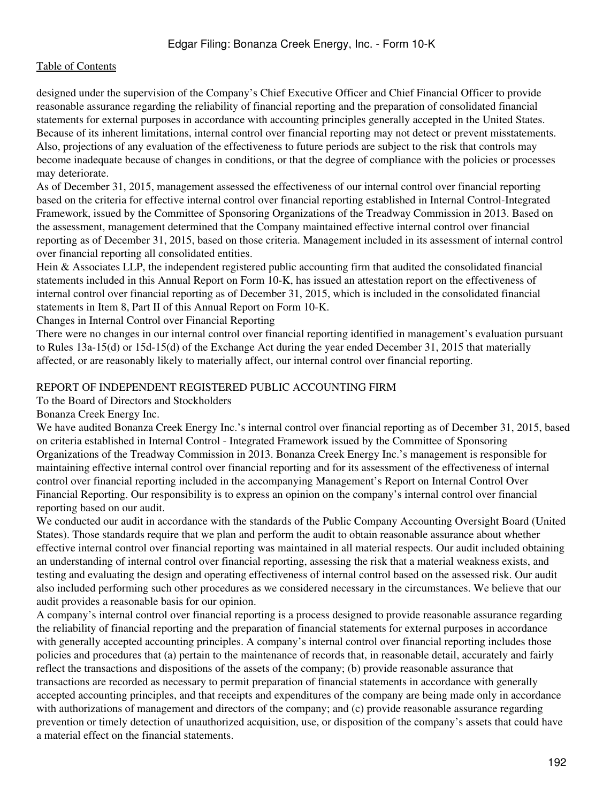designed under the supervision of the Company's Chief Executive Officer and Chief Financial Officer to provide reasonable assurance regarding the reliability of financial reporting and the preparation of consolidated financial statements for external purposes in accordance with accounting principles generally accepted in the United States. Because of its inherent limitations, internal control over financial reporting may not detect or prevent misstatements. Also, projections of any evaluation of the effectiveness to future periods are subject to the risk that controls may become inadequate because of changes in conditions, or that the degree of compliance with the policies or processes may deteriorate.

As of December 31, 2015, management assessed the effectiveness of our internal control over financial reporting based on the criteria for effective internal control over financial reporting established in Internal Control-Integrated Framework, issued by the Committee of Sponsoring Organizations of the Treadway Commission in 2013. Based on the assessment, management determined that the Company maintained effective internal control over financial reporting as of December 31, 2015, based on those criteria. Management included in its assessment of internal control over financial reporting all consolidated entities.

Hein & Associates LLP, the independent registered public accounting firm that audited the consolidated financial statements included in this Annual Report on Form 10-K, has issued an attestation report on the effectiveness of internal control over financial reporting as of December 31, 2015, which is included in the consolidated financial statements in Item 8, Part II of this Annual Report on Form 10-K.

Changes in Internal Control over Financial Reporting

There were no changes in our internal control over financial reporting identified in management's evaluation pursuant to Rules 13a-15(d) or 15d-15(d) of the Exchange Act during the year ended December 31, 2015 that materially affected, or are reasonably likely to materially affect, our internal control over financial reporting.

# REPORT OF INDEPENDENT REGISTERED PUBLIC ACCOUNTING FIRM

To the Board of Directors and Stockholders

Bonanza Creek Energy Inc.

We have audited Bonanza Creek Energy Inc.'s internal control over financial reporting as of December 31, 2015, based on criteria established in Internal Control - Integrated Framework issued by the Committee of Sponsoring Organizations of the Treadway Commission in 2013. Bonanza Creek Energy Inc.'s management is responsible for maintaining effective internal control over financial reporting and for its assessment of the effectiveness of internal control over financial reporting included in the accompanying Management's Report on Internal Control Over Financial Reporting. Our responsibility is to express an opinion on the company's internal control over financial reporting based on our audit.

We conducted our audit in accordance with the standards of the Public Company Accounting Oversight Board (United States). Those standards require that we plan and perform the audit to obtain reasonable assurance about whether effective internal control over financial reporting was maintained in all material respects. Our audit included obtaining an understanding of internal control over financial reporting, assessing the risk that a material weakness exists, and testing and evaluating the design and operating effectiveness of internal control based on the assessed risk. Our audit also included performing such other procedures as we considered necessary in the circumstances. We believe that our audit provides a reasonable basis for our opinion.

A company's internal control over financial reporting is a process designed to provide reasonable assurance regarding the reliability of financial reporting and the preparation of financial statements for external purposes in accordance with generally accepted accounting principles. A company's internal control over financial reporting includes those policies and procedures that (a) pertain to the maintenance of records that, in reasonable detail, accurately and fairly reflect the transactions and dispositions of the assets of the company; (b) provide reasonable assurance that transactions are recorded as necessary to permit preparation of financial statements in accordance with generally accepted accounting principles, and that receipts and expenditures of the company are being made only in accordance with authorizations of management and directors of the company; and (c) provide reasonable assurance regarding prevention or timely detection of unauthorized acquisition, use, or disposition of the company's assets that could have a material effect on the financial statements.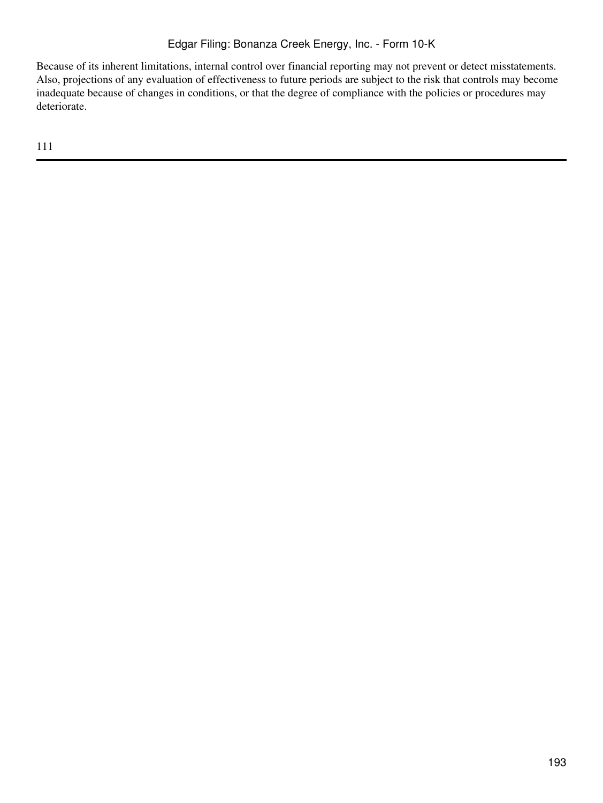Because of its inherent limitations, internal control over financial reporting may not prevent or detect misstatements. Also, projections of any evaluation of effectiveness to future periods are subject to the risk that controls may become inadequate because of changes in conditions, or that the degree of compliance with the policies or procedures may deteriorate.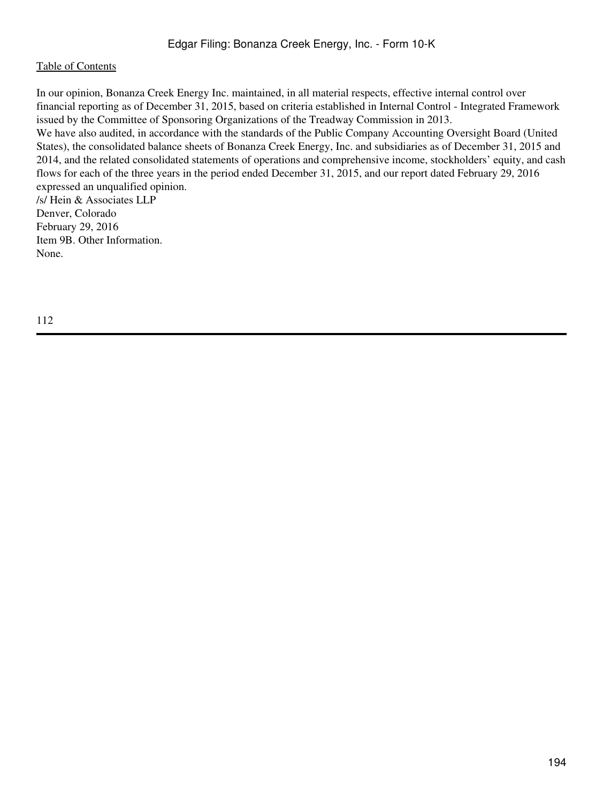In our opinion, Bonanza Creek Energy Inc. maintained, in all material respects, effective internal control over financial reporting as of December 31, 2015, based on criteria established in Internal Control - Integrated Framework issued by the Committee of Sponsoring Organizations of the Treadway Commission in 2013.

We have also audited, in accordance with the standards of the Public Company Accounting Oversight Board (United States), the consolidated balance sheets of Bonanza Creek Energy, Inc. and subsidiaries as of December 31, 2015 and 2014, and the related consolidated statements of operations and comprehensive income, stockholders' equity, and cash flows for each of the three years in the period ended December 31, 2015, and our report dated February 29, 2016 expressed an unqualified opinion.

/s/ Hein & Associates LLP Denver, Colorado February 29, 2016 Item 9B. Other Information. None.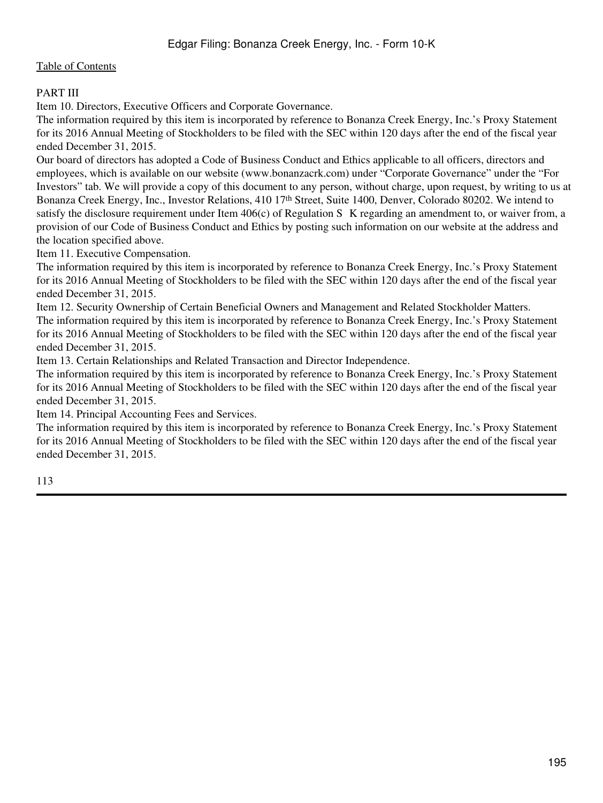# PART III

Item 10. Directors, Executive Officers and Corporate Governance.

The information required by this item is incorporated by reference to Bonanza Creek Energy, Inc.'s Proxy Statement for its 2016 Annual Meeting of Stockholders to be filed with the SEC within 120 days after the end of the fiscal year ended December 31, 2015.

Our board of directors has adopted a Code of Business Conduct and Ethics applicable to all officers, directors and employees, which is available on our website (www.bonanzacrk.com) under "Corporate Governance" under the "For Investors" tab. We will provide a copy of this document to any person, without charge, upon request, by writing to us at Bonanza Creek Energy, Inc., Investor Relations, 410 17th Street, Suite 1400, Denver, Colorado 80202. We intend to satisfy the disclosure requirement under Item 406(c) of Regulation S–K regarding an amendment to, or waiver from, a provision of our Code of Business Conduct and Ethics by posting such information on our website at the address and the location specified above.

Item 11. Executive Compensation.

The information required by this item is incorporated by reference to Bonanza Creek Energy, Inc.'s Proxy Statement for its 2016 Annual Meeting of Stockholders to be filed with the SEC within 120 days after the end of the fiscal year ended December 31, 2015.

Item 12. Security Ownership of Certain Beneficial Owners and Management and Related Stockholder Matters. The information required by this item is incorporated by reference to Bonanza Creek Energy, Inc.'s Proxy Statement for its 2016 Annual Meeting of Stockholders to be filed with the SEC within 120 days after the end of the fiscal year ended December 31, 2015.

Item 13. Certain Relationships and Related Transaction and Director Independence.

The information required by this item is incorporated by reference to Bonanza Creek Energy, Inc.'s Proxy Statement for its 2016 Annual Meeting of Stockholders to be filed with the SEC within 120 days after the end of the fiscal year ended December 31, 2015.

Item 14. Principal Accounting Fees and Services.

The information required by this item is incorporated by reference to Bonanza Creek Energy, Inc.'s Proxy Statement for its 2016 Annual Meeting of Stockholders to be filed with the SEC within 120 days after the end of the fiscal year ended December 31, 2015.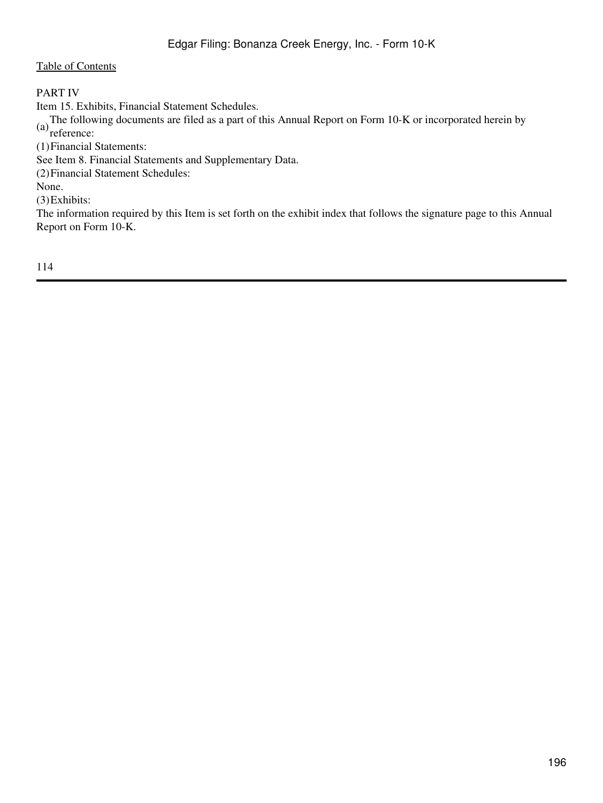# PART IV

Item 15. Exhibits, Financial Statement Schedules.

(a)The following documents are filed as a part of this Annual Report on Form 10-K or incorporated herein by reference:

(1)Financial Statements:

See Item 8. Financial Statements and Supplementary Data.

(2)Financial Statement Schedules:

None.

(3)Exhibits:

The information required by this Item is set forth on the exhibit index that follows the signature page to this Annual Report on Form 10-K.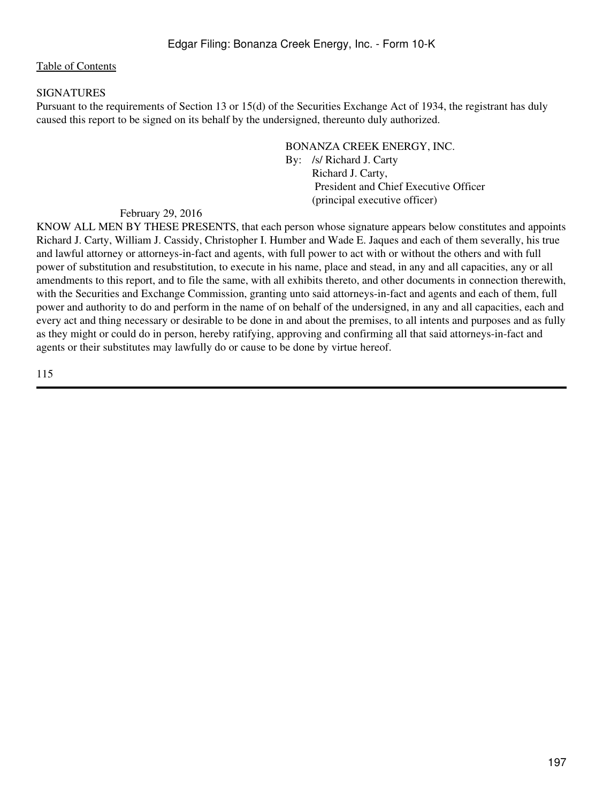### SIGNATURES

Pursuant to the requirements of Section 13 or 15(d) of the Securities Exchange Act of 1934, the registrant has duly caused this report to be signed on its behalf by the undersigned, thereunto duly authorized.

> BONANZA CREEK ENERGY, INC. By: /s/ Richard J. Carty Richard J. Carty, President and Chief Executive Officer (principal executive officer)

#### February 29, 2016

KNOW ALL MEN BY THESE PRESENTS, that each person whose signature appears below constitutes and appoints Richard J. Carty, William J. Cassidy, Christopher I. Humber and Wade E. Jaques and each of them severally, his true and lawful attorney or attorneys-in-fact and agents, with full power to act with or without the others and with full power of substitution and resubstitution, to execute in his name, place and stead, in any and all capacities, any or all amendments to this report, and to file the same, with all exhibits thereto, and other documents in connection therewith, with the Securities and Exchange Commission, granting unto said attorneys-in-fact and agents and each of them, full power and authority to do and perform in the name of on behalf of the undersigned, in any and all capacities, each and every act and thing necessary or desirable to be done in and about the premises, to all intents and purposes and as fully as they might or could do in person, hereby ratifying, approving and confirming all that said attorneys-in-fact and agents or their substitutes may lawfully do or cause to be done by virtue hereof.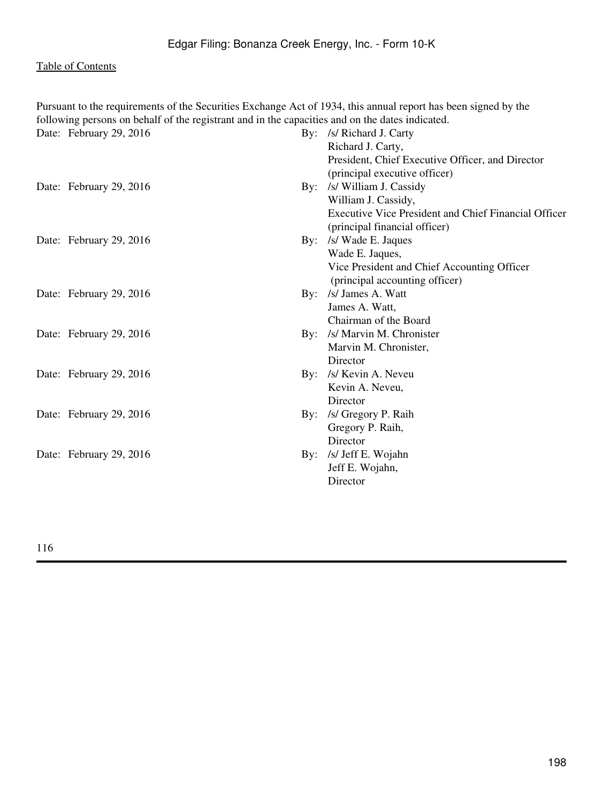| Pursuant to the requirements of the Securities Exchange Act of 1934, this annual report has been signed by the<br>following persons on behalf of the registrant and in the capacities and on the dates indicated. |                                                             |
|-------------------------------------------------------------------------------------------------------------------------------------------------------------------------------------------------------------------|-------------------------------------------------------------|
| Date: February 29, 2016                                                                                                                                                                                           | By: /s/ Richard J. Carty                                    |
|                                                                                                                                                                                                                   | Richard J. Carty,                                           |
|                                                                                                                                                                                                                   | President, Chief Executive Officer, and Director            |
|                                                                                                                                                                                                                   | (principal executive officer)                               |
| Date: February 29, 2016                                                                                                                                                                                           | By: /s/ William J. Cassidy                                  |
|                                                                                                                                                                                                                   | William J. Cassidy,                                         |
|                                                                                                                                                                                                                   | <b>Executive Vice President and Chief Financial Officer</b> |
|                                                                                                                                                                                                                   | (principal financial officer)                               |
| Date: February 29, 2016                                                                                                                                                                                           | By: /s/ Wade E. Jaques                                      |
|                                                                                                                                                                                                                   | Wade E. Jaques,                                             |
|                                                                                                                                                                                                                   | Vice President and Chief Accounting Officer                 |
|                                                                                                                                                                                                                   | (principal accounting officer)                              |
| Date: February 29, 2016                                                                                                                                                                                           | By: /s/ James A. Watt                                       |
|                                                                                                                                                                                                                   | James A. Watt,                                              |
|                                                                                                                                                                                                                   | Chairman of the Board                                       |
| Date: February 29, 2016                                                                                                                                                                                           | By: /s/ Marvin M. Chronister                                |
|                                                                                                                                                                                                                   | Marvin M. Chronister,                                       |
|                                                                                                                                                                                                                   | Director                                                    |
| Date: February 29, 2016                                                                                                                                                                                           | By: /s/ Kevin A. Neveu                                      |
|                                                                                                                                                                                                                   | Kevin A. Neveu,                                             |
|                                                                                                                                                                                                                   | Director                                                    |
| Date: February 29, 2016                                                                                                                                                                                           | By: /s/ Gregory P. Raih                                     |
|                                                                                                                                                                                                                   | Gregory P. Raih,                                            |
|                                                                                                                                                                                                                   | Director                                                    |
| Date: February 29, 2016                                                                                                                                                                                           | By: /s/ Jeff E. Wojahn                                      |
|                                                                                                                                                                                                                   | Jeff E. Wojahn,                                             |
|                                                                                                                                                                                                                   | Director                                                    |
|                                                                                                                                                                                                                   |                                                             |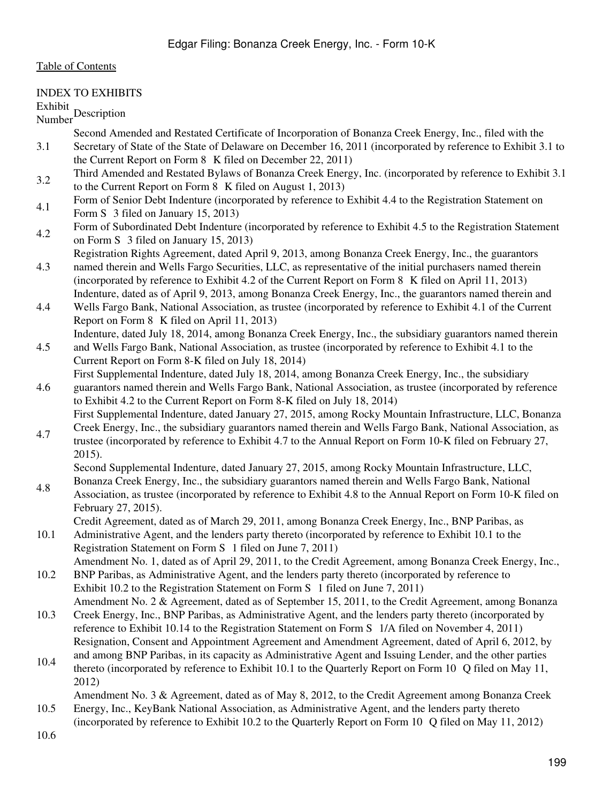### INDEX TO EXHIBITS

Exhibit<br>Number

- Second Amended and Restated Certificate of Incorporation of Bonanza Creek Energy, Inc., filed with the
- 3.1 Secretary of State of the State of Delaware on December 16, 2011 (incorporated by reference to Exhibit 3.1 to the Current Report on Form 8‑K filed on December 22, 2011)
- 3.2 Third Amended and Restated Bylaws of Bonanza Creek Energy, Inc. (incorporated by reference to Exhibit 3.1 to the Current Report on Form 8‑K filed on August 1, 2013)
- 4.1 Form of Senior Debt Indenture (incorporated by reference to Exhibit 4.4 to the Registration Statement on Form S 3 filed on January 15, 2013)
- 4.2 Form of Subordinated Debt Indenture (incorporated by reference to Exhibit 4.5 to the Registration Statement on Form S‑3 filed on January 15, 2013)
- 4.3 Registration Rights Agreement, dated April 9, 2013, among Bonanza Creek Energy, Inc., the guarantors named therein and Wells Fargo Securities, LLC, as representative of the initial purchasers named therein (incorporated by reference to Exhibit 4.2 of the Current Report on Form 8‑K filed on April 11, 2013)
- Indenture, dated as of April 9, 2013, among Bonanza Creek Energy, Inc., the guarantors named therein and
- 4.4 Wells Fargo Bank, National Association, as trustee (incorporated by reference to Exhibit 4.1 of the Current Report on Form 8‑K filed on April 11, 2013)
- 4.5 Indenture, dated July 18, 2014, among Bonanza Creek Energy, Inc., the subsidiary guarantors named therein and Wells Fargo Bank, National Association, as trustee (incorporated by reference to Exhibit 4.1 to the
- Current Report on Form 8-K filed on July 18, 2014) First Supplemental Indenture, dated July 18, 2014, among Bonanza Creek Energy, Inc., the subsidiary
- 4.6 guarantors named therein and Wells Fargo Bank, National Association, as trustee (incorporated by reference to Exhibit 4.2 to the Current Report on Form 8-K filed on July 18, 2014) First Supplemental Indenture, dated January 27, 2015, among Rocky Mountain Infrastructure, LLC, Bonanza Creek Energy, Inc., the subsidiary guarantors named therein and Wells Fargo Bank, National Association, as
- 4.7 trustee (incorporated by reference to Exhibit 4.7 to the Annual Report on Form 10-K filed on February 27, 2015).

Second Supplemental Indenture, dated January 27, 2015, among Rocky Mountain Infrastructure, LLC, Bonanza Creek Energy, Inc., the subsidiary guarantors named therein and Wells Fargo Bank, National

- 4.8 Association, as trustee (incorporated by reference to Exhibit 4.8 to the Annual Report on Form 10-K filed on February 27, 2015).
	- Credit Agreement, dated as of March 29, 2011, among Bonanza Creek Energy, Inc., BNP Paribas, as
- 10.1 Administrative Agent, and the lenders party thereto (incorporated by reference to Exhibit 10.1 to the Registration Statement on Form S‑1 filed on June 7, 2011) Amendment No. 1, dated as of April 29, 2011, to the Credit Agreement, among Bonanza Creek Energy, Inc.,
- 10.2 BNP Paribas, as Administrative Agent, and the lenders party thereto (incorporated by reference to Exhibit 10.2 to the Registration Statement on Form S‑1 filed on June 7, 2011)
- 10.3 Amendment No. 2 & Agreement, dated as of September 15, 2011, to the Credit Agreement, among Bonanza Creek Energy, Inc., BNP Paribas, as Administrative Agent, and the lenders party thereto (incorporated by reference to Exhibit 10.14 to the Registration Statement on Form S‑1/A filed on November 4, 2011) Resignation, Consent and Appointment Agreement and Amendment Agreement, dated of April 6, 2012, by
- 10.4 and among BNP Paribas, in its capacity as Administrative Agent and Issuing Lender, and the other parties thereto (incorporated by reference to Exhibit 10.1 to the Quarterly Report on Form 10‑Q filed on May 11, 2012)

Amendment No. 3 & Agreement, dated as of May 8, 2012, to the Credit Agreement among Bonanza Creek

10.5 Energy, Inc., KeyBank National Association, as Administrative Agent, and the lenders party thereto (incorporated by reference to Exhibit 10.2 to the Quarterly Report on Form 10‑Q filed on May 11, 2012)

<sup>10.6</sup>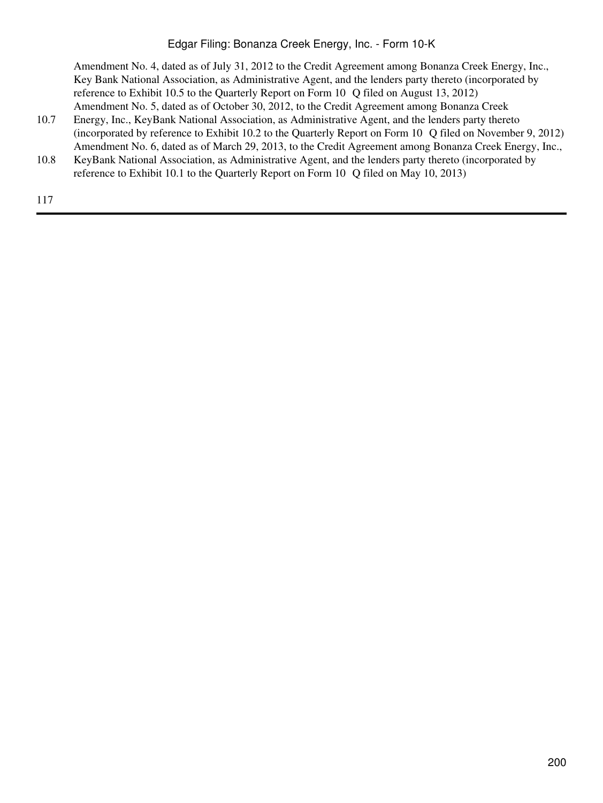# Edgar Filing: Bonanza Creek Energy, Inc. - Form 10-K

Amendment No. 4, dated as of July 31, 2012 to the Credit Agreement among Bonanza Creek Energy, Inc., Key Bank National Association, as Administrative Agent, and the lenders party thereto (incorporated by reference to Exhibit 10.5 to the Quarterly Report on Form 10‑Q filed on August 13, 2012) Amendment No. 5, dated as of October 30, 2012, to the Credit Agreement among Bonanza Creek

- 10.7 Energy, Inc., KeyBank National Association, as Administrative Agent, and the lenders party thereto (incorporated by reference to Exhibit 10.2 to the Quarterly Report on Form 10‑Q filed on November 9, 2012) Amendment No. 6, dated as of March 29, 2013, to the Credit Agreement among Bonanza Creek Energy, Inc.,
- 10.8 KeyBank National Association, as Administrative Agent, and the lenders party thereto (incorporated by reference to Exhibit 10.1 to the Quarterly Report on Form 10‑Q filed on May 10, 2013)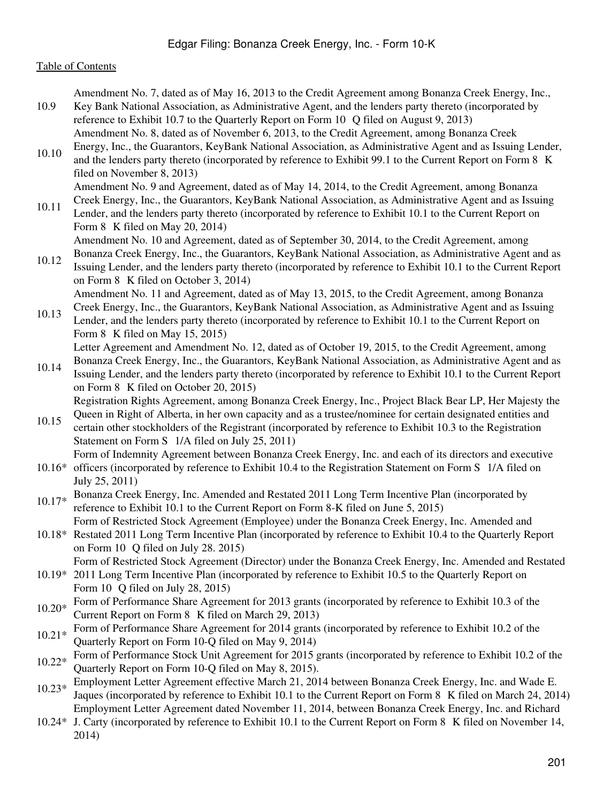Amendment No. 7, dated as of May 16, 2013 to the Credit Agreement among Bonanza Creek Energy, Inc.,

- 10.9 Key Bank National Association, as Administrative Agent, and the lenders party thereto (incorporated by reference to Exhibit 10.7 to the Quarterly Report on Form 10 Q filed on August 9, 2013) Amendment No. 8, dated as of November 6, 2013, to the Credit Agreement, among Bonanza Creek
- 10.10 Energy, Inc., the Guarantors, KeyBank National Association, as Administrative Agent and as Issuing Lender, and the lenders party thereto (incorporated by reference to Exhibit 99.1 to the Current Report on Form 8  $\,$ K filed on November 8, 2013)

Amendment No. 9 and Agreement, dated as of May 14, 2014, to the Credit Agreement, among Bonanza

10.11 Creek Energy, Inc., the Guarantors, KeyBank National Association, as Administrative Agent and as Issuing Lender, and the lenders party thereto (incorporated by reference to Exhibit 10.1 to the Current Report on Form  $8 \text{ K}$  filed on May 20, 2014)

Amendment No. 10 and Agreement, dated as of September 30, 2014, to the Credit Agreement, among

- 10.12 Bonanza Creek Energy, Inc., the Guarantors, KeyBank National Association, as Administrative Agent and as Issuing Lender, and the lenders party thereto (incorporated by reference to Exhibit 10.1 to the Current Report on Form 8‑K filed on October 3, 2014) Amendment No. 11 and Agreement, dated as of May 13, 2015, to the Credit Agreement, among Bonanza
- 10.13 Creek Energy, Inc., the Guarantors, KeyBank National Association, as Administrative Agent and as Issuing Lender, and the lenders party thereto (incorporated by reference to Exhibit 10.1 to the Current Report on Form 8 K filed on May 15, 2015) Letter Agreement and Amendment No. 12, dated as of October 19, 2015, to the Credit Agreement, among

Bonanza Creek Energy, Inc., the Guarantors, KeyBank National Association, as Administrative Agent and as

- 10.14 Issuing Lender, and the lenders party thereto (incorporated by reference to Exhibit 10.1 to the Current Report on Form 8‑K filed on October 20, 2015) Registration Rights Agreement, among Bonanza Creek Energy, Inc., Project Black Bear LP, Her Majesty the
- 10.15 Queen in Right of Alberta, in her own capacity and as a trustee/nominee for certain designated entities and certain other stockholders of the Registrant (incorporated by reference to Exhibit 10.3 to the Registration Statement on Form S‑1/A filed on July 25, 2011)

Form of Indemnity Agreement between Bonanza Creek Energy, Inc. and each of its directors and executive

- 10.16\* officers (incorporated by reference to Exhibit 10.4 to the Registration Statement on Form S‑1/A filed on July 25, 2011)
- 10.17\* Bonanza Creek Energy, Inc. Amended and Restated 2011 Long Term Incentive Plan (incorporated by reference to Exhibit 10.1 to the Current Report on Form 8-K filed on June 5, 2015)

Form of Restricted Stock Agreement (Employee) under the Bonanza Creek Energy, Inc. Amended and

10.18\* Restated 2011 Long Term Incentive Plan (incorporated by reference to Exhibit 10.4 to the Quarterly Report on Form  $10$  O filed on July 28. 2015)

Form of Restricted Stock Agreement (Director) under the Bonanza Creek Energy, Inc. Amended and Restated

- 10.19\* 2011 Long Term Incentive Plan (incorporated by reference to Exhibit 10.5 to the Quarterly Report on Form 10 $\degree$ O filed on July 28, 2015)
- 10.20\* Form of Performance Share Agreement for 2013 grants (incorporated by reference to Exhibit 10.3 of the Current Report on Form 8‑K filed on March 29, 2013)
- 10.21\* Form of Performance Share Agreement for 2014 grants (incorporated by reference to Exhibit 10.2 of the Quarterly Report on Form 10-Q filed on May 9, 2014)
- 10.22\* Form of Performance Stock Unit Agreement for 2015 grants (incorporated by reference to Exhibit 10.2 of the Quarterly Report on Form 10-Q filed on May 8, 2015).
- 10.23\* Employment Letter Agreement effective March 21, 2014 between Bonanza Creek Energy, Inc. and Wade E. Jaques (incorporated by reference to Exhibit 10.1 to the Current Report on Form 8‑K filed on March 24, 2014) Employment Letter Agreement dated November 11, 2014, between Bonanza Creek Energy, Inc. and Richard
- 10.24\* J. Carty (incorporated by reference to Exhibit 10.1 to the Current Report on Form 8‑K filed on November 14, 2014)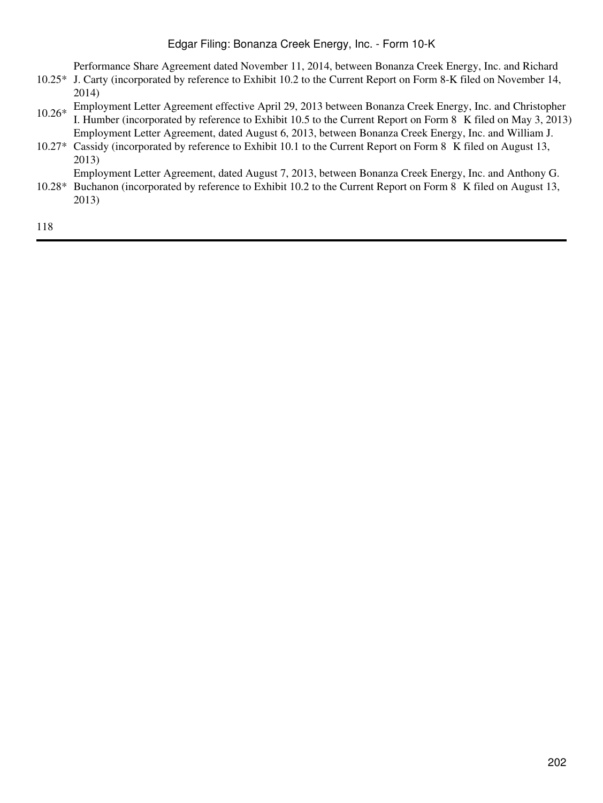# Edgar Filing: Bonanza Creek Energy, Inc. - Form 10-K

Performance Share Agreement dated November 11, 2014, between Bonanza Creek Energy, Inc. and Richard

- 10.25\* J. Carty (incorporated by reference to Exhibit 10.2 to the Current Report on Form 8-K filed on November 14, 2014)
- 10.26\* Employment Letter Agreement effective April 29, 2013 between Bonanza Creek Energy, Inc. and Christopher I. Humber (incorporated by reference to Exhibit 10.5 to the Current Report on Form 8‑K filed on May 3, 2013) Employment Letter Agreement, dated August 6, 2013, between Bonanza Creek Energy, Inc. and William J.
- 10.27\* Cassidy (incorporated by reference to Exhibit 10.1 to the Current Report on Form 8‑K filed on August 13, 2013)

Employment Letter Agreement, dated August 7, 2013, between Bonanza Creek Energy, Inc. and Anthony G.

10.28\* Buchanon (incorporated by reference to Exhibit 10.2 to the Current Report on Form 8‑K filed on August 13, 2013)